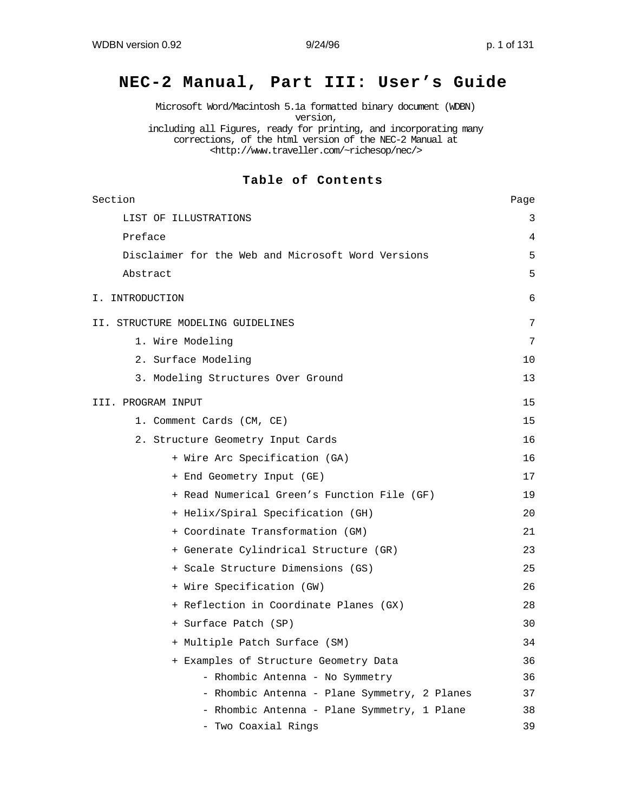# **NEC-2 Manual, Part III: User's Guide**

Microsoft Word/Macintosh 5.1a formatted binary document (WDBN) version,

including all Figures, ready for printing, and incorporating many corrections, of the html version of the NEC-2 Manual at <http://www.traveller.com/~richesop/nec/>

# **Table of Contents**

| Section                                            | Page |
|----------------------------------------------------|------|
| LIST OF ILLUSTRATIONS                              | 3    |
| Preface                                            | 4    |
| Disclaimer for the Web and Microsoft Word Versions | 5    |
| Abstract                                           | 5    |
| INTRODUCTION<br>Ι.                                 | 6    |
| II. STRUCTURE MODELING GUIDELINES                  | 7    |
| 1. Wire Modeling                                   | 7    |
| 2. Surface Modeling                                | 10   |
| 3. Modeling Structures Over Ground                 | 13   |
| III. PROGRAM INPUT                                 | 15   |
| 1. Comment Cards (CM, CE)                          | 15   |
| 2. Structure Geometry Input Cards                  | 16   |
| + Wire Arc Specification (GA)                      | 16   |
| + End Geometry Input (GE)                          | 17   |
| + Read Numerical Green's Function File (GF)        | 19   |
| + Helix/Spiral Specification (GH)                  | 20   |
| + Coordinate Transformation (GM)                   | 21   |
| + Generate Cylindrical Structure (GR)              | 23   |
| + Scale Structure Dimensions (GS)                  | 25   |
| + Wire Specification (GW)                          | 26   |
| + Reflection in Coordinate Planes (GX)             | 28   |
| + Surface Patch (SP)                               | 30   |
| + Multiple Patch Surface (SM)                      | 34   |
| + Examples of Structure Geometry Data              | 36   |
| - Rhombic Antenna - No Symmetry                    | 36   |
| - Rhombic Antenna - Plane Symmetry, 2 Planes       | 37   |
| - Rhombic Antenna - Plane Symmetry, 1 Plane        | 38   |
| - Two Coaxial Rings                                | 39   |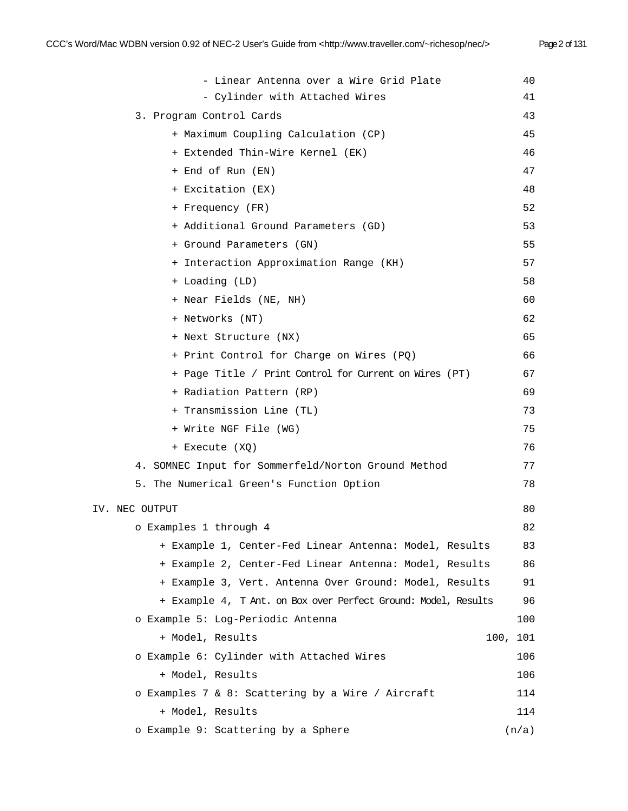| - Linear Antenna over a Wire Grid Plate                        | 40       |
|----------------------------------------------------------------|----------|
| - Cylinder with Attached Wires                                 | 41       |
| 3. Program Control Cards                                       | 43       |
| + Maximum Coupling Calculation (CP)                            | 45       |
| + Extended Thin-Wire Kernel (EK)                               | 46       |
| + End of Run (EN)                                              | 47       |
| + Excitation (EX)                                              | 48       |
| + Frequency (FR)                                               | 52       |
| + Additional Ground Parameters (GD)                            | 53       |
| + Ground Parameters (GN)                                       | 55       |
| + Interaction Approximation Range (KH)                         | 57       |
| + Loading (LD)                                                 | 58       |
| + Near Fields (NE, NH)                                         | 60       |
| + Networks (NT)                                                | 62       |
| + Next Structure (NX)                                          | 65       |
| + Print Control for Charge on Wires (PQ)                       | 66       |
| + Page Title / Print Control for Current on Wires (PT)         | 67       |
| + Radiation Pattern (RP)                                       | 69       |
| + Transmission Line (TL)                                       | 73       |
| + Write NGF File (WG)                                          | 75       |
| + Execute (XQ)                                                 | 76       |
| 4. SOMNEC Input for Sommerfeld/Norton Ground Method            | 77       |
| 5. The Numerical Green's Function Option                       | 78       |
| IV. NEC OUTPUT                                                 | 80       |
| o Examples 1 through 4                                         | 82       |
| + Example 1, Center-Fed Linear Antenna: Model, Results         | 83       |
| + Example 2, Center-Fed Linear Antenna: Model, Results         | 86       |
| + Example 3, Vert. Antenna Over Ground: Model, Results         | 91       |
| + Example 4, T Ant. on Box over Perfect Ground: Model, Results | 96       |
| o Example 5: Log-Periodic Antenna                              | 100      |
| + Model, Results                                               | 100, 101 |
| o Example 6: Cylinder with Attached Wires                      | 106      |
| + Model, Results                                               | 106      |
| o Examples 7 & 8: Scattering by a Wire / Aircraft              | 114      |
| + Model, Results                                               | 114      |
| o Example 9: Scattering by a Sphere                            | (n/a)    |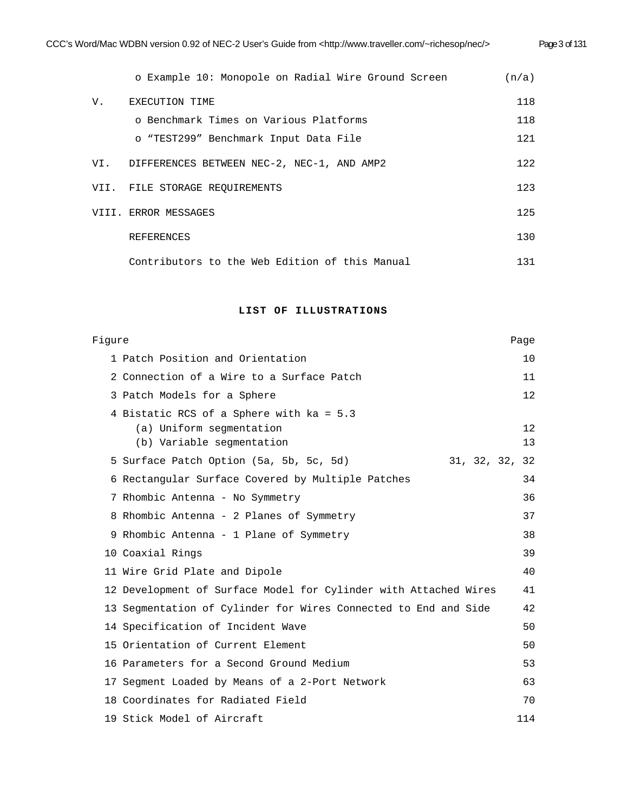|    | o Example 10: Monopole on Radial Wire Ground Screen | (n/a) |
|----|-----------------------------------------------------|-------|
| V. | EXECUTION TIME                                      | 118   |
|    | o Benchmark Times on Various Platforms              | 118   |
|    | o "TEST299" Benchmark Input Data File               | 121   |
|    | VI. DIFFERENCES BETWEEN NEC-2, NEC-1, AND AMP2      | 122   |
|    | VII. FILE STORAGE REOUIREMENTS                      | 123   |
|    | VIII. ERROR MESSAGES                                | 125   |
|    | <b>REFERENCES</b>                                   | 130   |
|    | Contributors to the Web Edition of this Manual      | 131   |

# **LIST OF ILLUSTRATIONS**

| Figure |                                                                                                   | Page     |
|--------|---------------------------------------------------------------------------------------------------|----------|
|        | 1 Patch Position and Orientation                                                                  | 10       |
|        | 2 Connection of a Wire to a Surface Patch                                                         | 11       |
|        | 3 Patch Models for a Sphere                                                                       | $12 \,$  |
|        | 4 Bistatic RCS of a Sphere with ka = 5.3<br>(a) Uniform segmentation<br>(b) Variable segmentation | 12<br>13 |
|        | 5 Surface Patch Option (5a, 5b, 5c, 5d)<br>31, 32, 32,                                            | 32       |
|        | 6 Rectangular Surface Covered by Multiple Patches                                                 | 34       |
|        | 7 Rhombic Antenna - No Symmetry                                                                   | 36       |
|        | 8 Rhombic Antenna - 2 Planes of Symmetry                                                          | 37       |
|        | 9 Rhombic Antenna - 1 Plane of Symmetry                                                           | 38       |
|        | 10 Coaxial Rings                                                                                  | 39       |
|        | 11 Wire Grid Plate and Dipole                                                                     | 40       |
|        | 12 Development of Surface Model for Cylinder with Attached Wires                                  | 41       |
|        | 13 Segmentation of Cylinder for Wires Connected to End and Side                                   | 42       |
|        | 14 Specification of Incident Wave                                                                 | 50       |
|        | 15 Orientation of Current Element                                                                 | 50       |
|        | 16 Parameters for a Second Ground Medium                                                          | 53       |
|        | 17 Segment Loaded by Means of a 2-Port Network                                                    | 63       |
|        | 18 Coordinates for Radiated Field                                                                 | 70       |
|        | 19 Stick Model of Aircraft                                                                        | 114      |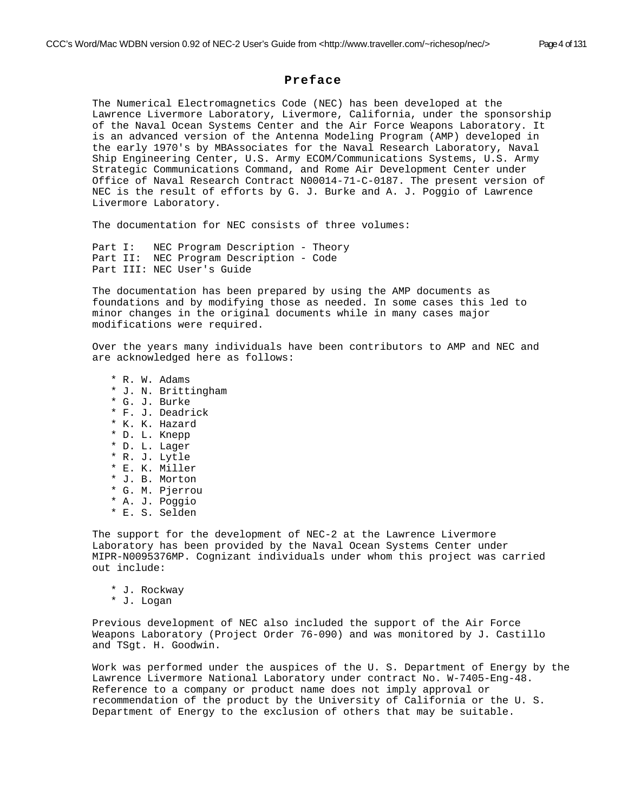# **Preface**

The Numerical Electromagnetics Code (NEC) has been developed at the Lawrence Livermore Laboratory, Livermore, California, under the sponsorship of the Naval Ocean Systems Center and the Air Force Weapons Laboratory. It is an advanced version of the Antenna Modeling Program (AMP) developed in the early 1970's by MBAssociates for the Naval Research Laboratory, Naval Ship Engineering Center, U.S. Army ECOM/Communications Systems, U.S. Army Strategic Communications Command, and Rome Air Development Center under Office of Naval Research Contract N00014-71-C-0187. The present version of NEC is the result of efforts by G. J. Burke and A. J. Poggio of Lawrence Livermore Laboratory.

The documentation for NEC consists of three volumes:

Part I: NEC Program Description - Theory Part II: NEC Program Description - Code Part III: NEC User's Guide

The documentation has been prepared by using the AMP documents as foundations and by modifying those as needed. In some cases this led to minor changes in the original documents while in many cases major modifications were required.

Over the years many individuals have been contributors to AMP and NEC and are acknowledged here as follows:

- \* R. W. Adams
- \* J. N. Brittingham
- \* G. J. Burke
- \* F. J. Deadrick
- \* K. K. Hazard
- \* D. L. Knepp
- \* D. L. Lager
- \* R. J. Lytle
- \* E. K. Miller
- \* J. B. Morton
- \* G. M. Pjerrou
- \* A. J. Poggio
- \* E. S. Selden

The support for the development of NEC-2 at the Lawrence Livermore Laboratory has been provided by the Naval Ocean Systems Center under MIPR-N0095376MP. Cognizant individuals under whom this project was carried out include:

- \* J. Rockway
- \* J. Logan

Previous development of NEC also included the support of the Air Force Weapons Laboratory (Project Order 76-090) and was monitored by J. Castillo and TSgt. H. Goodwin.

Work was performed under the auspices of the U. S. Department of Energy by the Lawrence Livermore National Laboratory under contract No. W-7405-Eng-48. Reference to a company or product name does not imply approval or recommendation of the product by the University of California or the U. S. Department of Energy to the exclusion of others that may be suitable.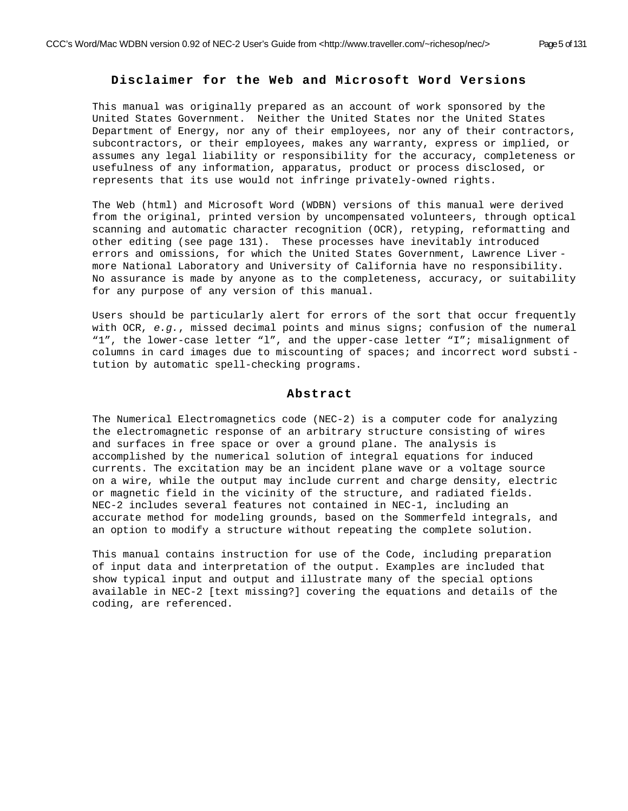### **Disclaimer for the Web and Microsoft Word Versions**

This manual was originally prepared as an account of work sponsored by the United States Government. Neither the United States nor the United States Department of Energy, nor any of their employees, nor any of their contractors, subcontractors, or their employees, makes any warranty, express or implied, or assumes any legal liability or responsibility for the accuracy, completeness or usefulness of any information, apparatus, product or process disclosed, or represents that its use would not infringe privately-owned rights.

The Web (html) and Microsoft Word (WDBN) versions of this manual were derived from the original, printed version by uncompensated volunteers, through optical scanning and automatic character recognition (OCR), retyping, reformatting and other editing (see page 131). These processes have inevitably introduced errors and omissions, for which the United States Government, Lawrence Liver more National Laboratory and University of California have no responsibility. No assurance is made by anyone as to the completeness, accuracy, or suitability for any purpose of any version of this manual.

Users should be particularly alert for errors of the sort that occur frequently with OCR, *e.g.*, missed decimal points and minus signs; confusion of the numeral "1", the lower-case letter "l", and the upper-case letter "I"; misalignment of columns in card images due to miscounting of spaces; and incorrect word substi tution by automatic spell-checking programs.

#### **Abstract**

The Numerical Electromagnetics code (NEC-2) is a computer code for analyzing the electromagnetic response of an arbitrary structure consisting of wires and surfaces in free space or over a ground plane. The analysis is accomplished by the numerical solution of integral equations for induced currents. The excitation may be an incident plane wave or a voltage source on a wire, while the output may include current and charge density, electric or magnetic field in the vicinity of the structure, and radiated fields. NEC-2 includes several features not contained in NEC-1, including an accurate method for modeling grounds, based on the Sommerfeld integrals, and an option to modify a structure without repeating the complete solution.

This manual contains instruction for use of the Code, including preparation of input data and interpretation of the output. Examples are included that show typical input and output and illustrate many of the special options available in NEC-2 [text missing?] covering the equations and details of the coding, are referenced.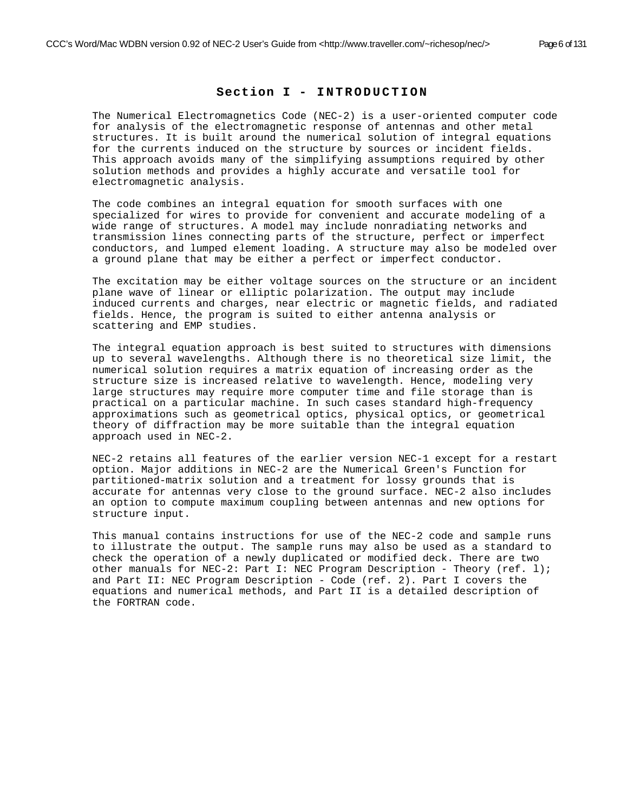### Section I - INTRODUCTION

The Numerical Electromagnetics Code (NEC-2) is a user-oriented computer code for analysis of the electromagnetic response of antennas and other metal structures. It is built around the numerical solution of integral equations for the currents induced on the structure by sources or incident fields. This approach avoids many of the simplifying assumptions required by other solution methods and provides a highly accurate and versatile tool for electromagnetic analysis.

The code combines an integral equation for smooth surfaces with one specialized for wires to provide for convenient and accurate modeling of a wide range of structures. A model may include nonradiating networks and transmission lines connecting parts of the structure, perfect or imperfect conductors, and lumped element loading. A structure may also be modeled over a ground plane that may be either a perfect or imperfect conductor.

The excitation may be either voltage sources on the structure or an incident plane wave of linear or elliptic polarization. The output may include induced currents and charges, near electric or magnetic fields, and radiated fields. Hence, the program is suited to either antenna analysis or scattering and EMP studies.

The integral equation approach is best suited to structures with dimensions up to several wavelengths. Although there is no theoretical size limit, the numerical solution requires a matrix equation of increasing order as the structure size is increased relative to wavelength. Hence, modeling very large structures may require more computer time and file storage than is practical on a particular machine. In such cases standard high-frequency approximations such as geometrical optics, physical optics, or geometrical theory of diffraction may be more suitable than the integral equation approach used in NEC-2.

NEC-2 retains all features of the earlier version NEC-1 except for a restart option. Major additions in NEC-2 are the Numerical Green's Function for partitioned-matrix solution and a treatment for lossy grounds that is accurate for antennas very close to the ground surface. NEC-2 also includes an option to compute maximum coupling between antennas and new options for structure input.

This manual contains instructions for use of the NEC-2 code and sample runs to illustrate the output. The sample runs may also be used as a standard to check the operation of a newly duplicated or modified deck. There are two other manuals for NEC-2: Part I: NEC Program Description - Theory (ref. l); and Part II: NEC Program Description - Code (ref. 2). Part I covers the equations and numerical methods, and Part II is a detailed description of the FORTRAN code.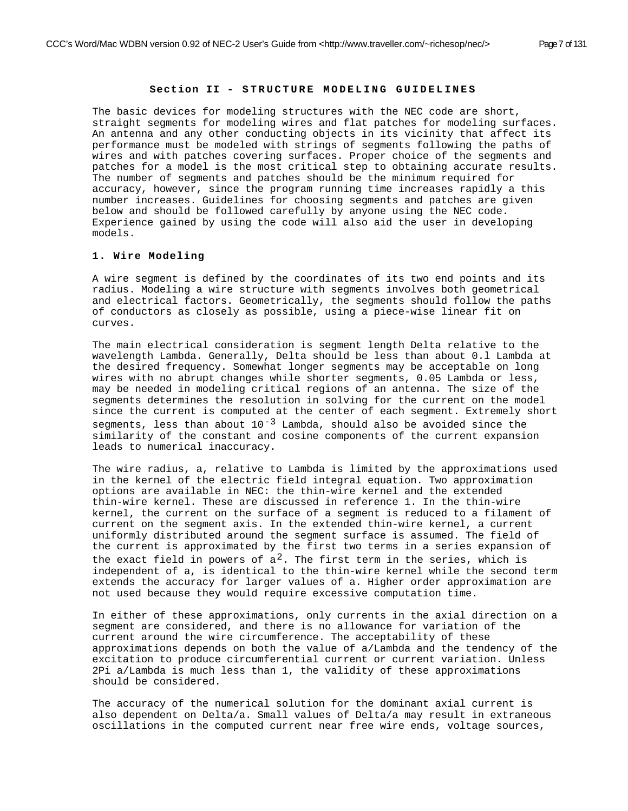### Section II - STRUCTURE MODELING GUIDELINES

The basic devices for modeling structures with the NEC code are short, straight segments for modeling wires and flat patches for modeling surfaces. An antenna and any other conducting objects in its vicinity that affect its performance must be modeled with strings of segments following the paths of wires and with patches covering surfaces. Proper choice of the segments and patches for a model is the most critical step to obtaining accurate results. The number of segments and patches should be the minimum required for accuracy, however, since the program running time increases rapidly a this number increases. Guidelines for choosing segments and patches are given below and should be followed carefully by anyone using the NEC code. Experience gained by using the code will also aid the user in developing models.

#### **1. Wire Modeling**

A wire segment is defined by the coordinates of its two end points and its radius. Modeling a wire structure with segments involves both geometrical and electrical factors. Geometrically, the segments should follow the paths of conductors as closely as possible, using a piece-wise linear fit on curves.

The main electrical consideration is segment length Delta relative to the wavelength Lambda. Generally, Delta should be less than about 0.l Lambda at the desired frequency. Somewhat longer segments may be acceptable on long wires with no abrupt changes while shorter segments, 0.05 Lambda or less, may be needed in modeling critical regions of an antenna. The size of the segments determines the resolution in solving for the current on the model since the current is computed at the center of each segment. Extremely short segments, less than about  $10^{-3}$  Lambda, should also be avoided since the similarity of the constant and cosine components of the current expansion leads to numerical inaccuracy.

The wire radius, a, relative to Lambda is limited by the approximations used in the kernel of the electric field integral equation. Two approximation options are available in NEC: the thin-wire kernel and the extended thin-wire kernel. These are discussed in reference 1. In the thin-wire kernel, the current on the surface of a segment is reduced to a filament of current on the segment axis. In the extended thin-wire kernel, a current uniformly distributed around the segment surface is assumed. The field of the current is approximated by the first two terms in a series expansion of the exact field in powers of  $a^2$ . The first term in the series, which is independent of a, is identical to the thin-wire kernel while the second term extends the accuracy for larger values of a. Higher order approximation are not used because they would require excessive computation time.

In either of these approximations, only currents in the axial direction on a segment are considered, and there is no allowance for variation of the current around the wire circumference. The acceptability of these approximations depends on both the value of a/Lambda and the tendency of the excitation to produce circumferential current or current variation. Unless 2Pi a/Lambda is much less than 1, the validity of these approximations should be considered.

The accuracy of the numerical solution for the dominant axial current is also dependent on Delta/a. Small values of Delta/a may result in extraneous oscillations in the computed current near free wire ends, voltage sources,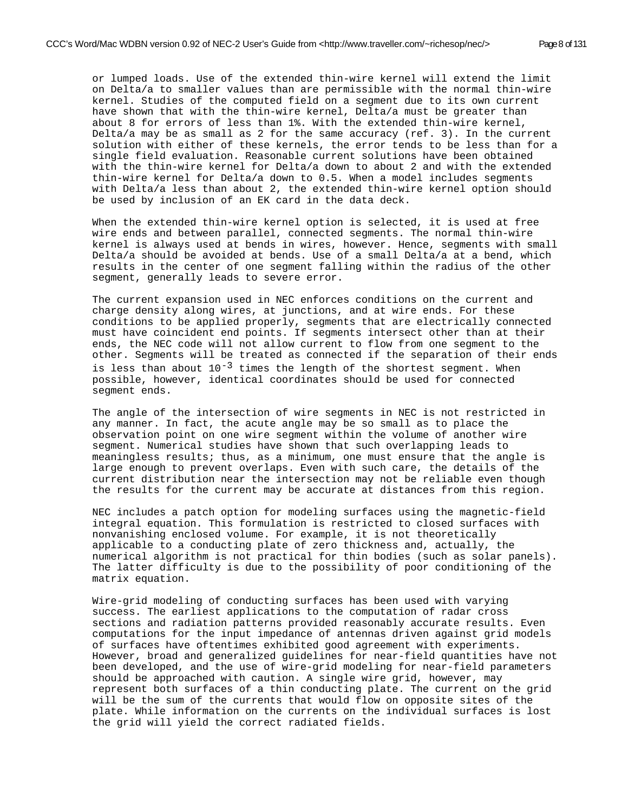or lumped loads. Use of the extended thin-wire kernel will extend the limit on Delta/a to smaller values than are permissible with the normal thin-wire kernel. Studies of the computed field on a segment due to its own current have shown that with the thin-wire kernel, Delta/a must be greater than about 8 for errors of less than 1%. With the extended thin-wire kernel, Delta/a may be as small as 2 for the same accuracy (ref. 3). In the current solution with either of these kernels, the error tends to be less than for a single field evaluation. Reasonable current solutions have been obtained with the thin-wire kernel for Delta/a down to about 2 and with the extended thin-wire kernel for Delta/a down to 0.5. When a model includes segments with Delta/a less than about 2, the extended thin-wire kernel option should be used by inclusion of an EK card in the data deck.

When the extended thin-wire kernel option is selected, it is used at free wire ends and between parallel, connected segments. The normal thin-wire kernel is always used at bends in wires, however. Hence, segments with small Delta/a should be avoided at bends. Use of a small Delta/a at a bend, which results in the center of one segment falling within the radius of the other segment, generally leads to severe error.

The current expansion used in NEC enforces conditions on the current and charge density along wires, at junctions, and at wire ends. For these conditions to be applied properly, segments that are electrically connected must have coincident end points. If segments intersect other than at their ends, the NEC code will not allow current to flow from one segment to the other. Segments will be treated as connected if the separation of their ends is less than about  $10^{-3}$  times the length of the shortest segment. When possible, however, identical coordinates should be used for connected segment ends.

The angle of the intersection of wire segments in NEC is not restricted in any manner. In fact, the acute angle may be so small as to place the observation point on one wire segment within the volume of another wire segment. Numerical studies have shown that such overlapping leads to meaningless results; thus, as a minimum, one must ensure that the angle is large enough to prevent overlaps. Even with such care, the details of the current distribution near the intersection may not be reliable even though the results for the current may be accurate at distances from this region.

NEC includes a patch option for modeling surfaces using the magnetic-field integral equation. This formulation is restricted to closed surfaces with nonvanishing enclosed volume. For example, it is not theoretically applicable to a conducting plate of zero thickness and, actually, the numerical algorithm is not practical for thin bodies (such as solar panels). The latter difficulty is due to the possibility of poor conditioning of the matrix equation.

Wire-grid modeling of conducting surfaces has been used with varying success. The earliest applications to the computation of radar cross sections and radiation patterns provided reasonably accurate results. Even computations for the input impedance of antennas driven against grid models of surfaces have oftentimes exhibited good agreement with experiments. However, broad and generalized guidelines for near-field quantities have not been developed, and the use of wire-grid modeling for near-field parameters should be approached with caution. A single wire grid, however, may represent both surfaces of a thin conducting plate. The current on the grid will be the sum of the currents that would flow on opposite sites of the plate. While information on the currents on the individual surfaces is lost the grid will yield the correct radiated fields.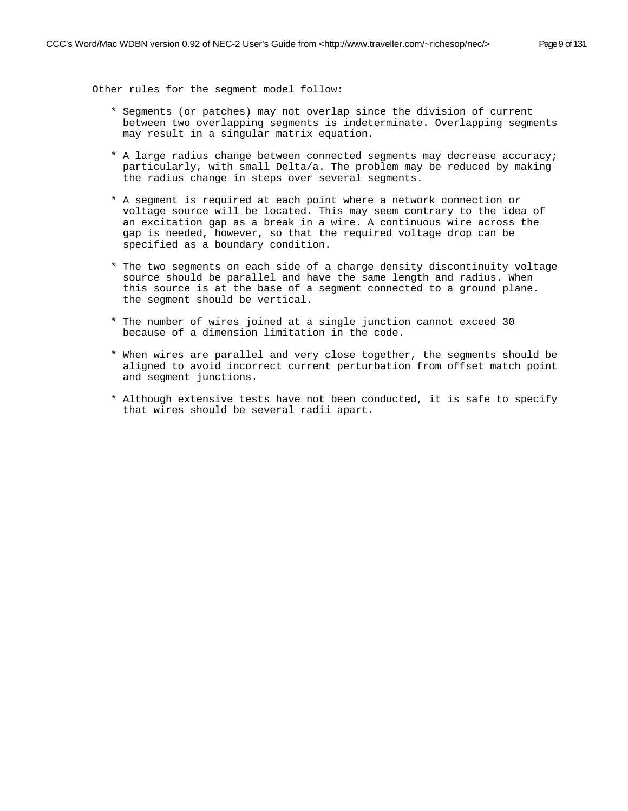Other rules for the segment model follow:

- \* Segments (or patches) may not overlap since the division of current between two overlapping segments is indeterminate. Overlapping segments may result in a singular matrix equation.
- \* A large radius change between connected segments may decrease accuracy; particularly, with small Delta/a. The problem may be reduced by making the radius change in steps over several segments.
- \* A segment is required at each point where a network connection or voltage source will be located. This may seem contrary to the idea of an excitation gap as a break in a wire. A continuous wire across the gap is needed, however, so that the required voltage drop can be specified as a boundary condition.
- \* The two segments on each side of a charge density discontinuity voltage source should be parallel and have the same length and radius. When this source is at the base of a segment connected to a ground plane. the segment should be vertical.
- \* The number of wires joined at a single junction cannot exceed 30 because of a dimension limitation in the code.
- \* When wires are parallel and very close together, the segments should be aligned to avoid incorrect current perturbation from offset match point and segment junctions.
- \* Although extensive tests have not been conducted, it is safe to specify that wires should be several radii apart.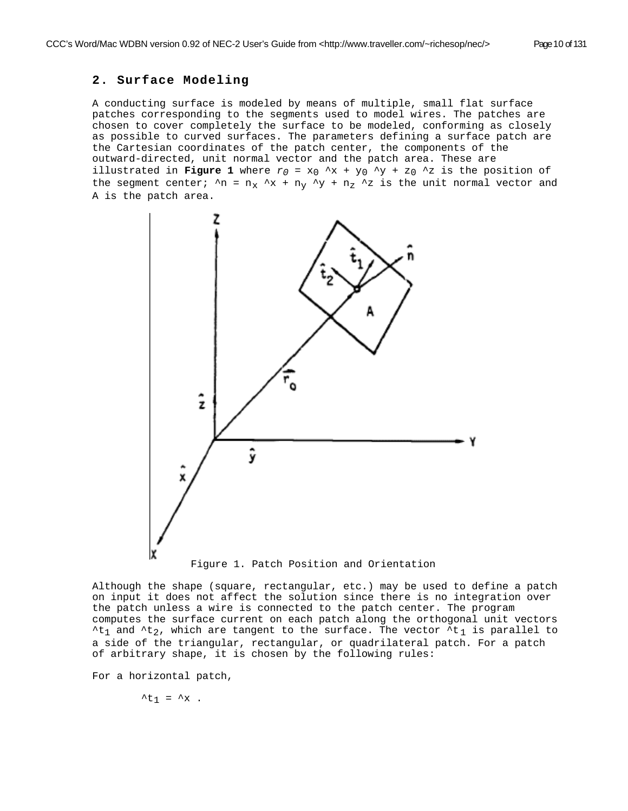# **2. Surface Modeling**

A conducting surface is modeled by means of multiple, small flat surface patches corresponding to the segments used to model wires. The patches are chosen to cover completely the surface to be modeled, conforming as closely as possible to curved surfaces. The parameters defining a surface patch are the Cartesian coordinates of the patch center, the components of the outward-directed, unit normal vector and the patch area. These are illustrated in **Figure 1** where  $r_0 = x_0 \rightharpoonup x + y_0 \rightharpoonup y + z_0 \rightharpoonup z$  is the position of the segment center;  $\lambda_n = n_x \lambda_x + n_y \lambda_y + n_z \lambda_z$  is the unit normal vector and A is the patch area.





Although the shape (square, rectangular, etc.) may be used to define a patch on input it does not affect the solution since there is no integration over the patch unless a wire is connected to the patch center. The program computes the surface current on each patch along the orthogonal unit vectors  $'t_1$  and  $'t_2$ , which are tangent to the surface. The vector  $'t_1$  is parallel to a side of the triangular, rectangular, or quadrilateral patch. For a patch of arbitrary shape, it is chosen by the following rules:

For a horizontal patch,

 $^{\wedge}$ t<sub>1</sub> =  $^{\wedge}$ x .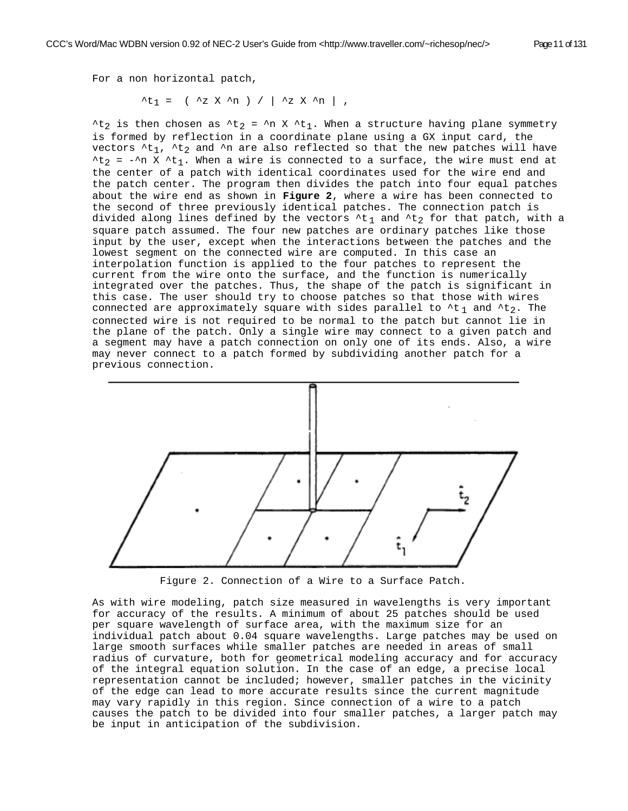For a non horizontal patch,

 $^{\wedge}$ t<sub>1</sub> = (  $^{\wedge}$ z X  $^{\wedge}$ n ) / |  $^{\wedge}$ z X  $^{\wedge}$ n | ,

 $'t_2$  is then chosen as  $'t_2 = 'n X 't_1$ . When a structure having plane symmetry is formed by reflection in a coordinate plane using a GX input card, the vectors  $t_1$ ,  $t_2$  and  $t_1$  are also reflected so that the new patches will have  $t_2$  = -^n X ^t<sub>1</sub>. When a wire is connected to a surface, the wire must end at the center of a patch with identical coordinates used for the wire end and the patch center. The program then divides the patch into four equal patches about the wire end as shown in **Figure 2**, where a wire has been connected to the second of three previously identical patches. The connection patch is divided along lines defined by the vectors  $'t_1$  and  $'t_2$  for that patch, with a square patch assumed. The four new patches are ordinary patches like those input by the user, except when the interactions between the patches and the lowest segment on the connected wire are computed. In this case an interpolation function is applied to the four patches to represent the current from the wire onto the surface, and the function is numerically integrated over the patches. Thus, the shape of the patch is significant in this case. The user should try to choose patches so that those with wires connected are approximately square with sides parallel to  $'t_1$  and  $'t_2$ . The connected wire is not required to be normal to the patch but cannot lie in the plane of the patch. Only a single wire may connect to a given patch and a segment may have a patch connection on only one of its ends. Also, a wire may never connect to a patch formed by subdividing another patch for a previous connection.



Figure 2. Connection of a Wire to a Surface Patch.

As with wire modeling, patch size measured in wavelengths is very important for accuracy of the results. A minimum of about 25 patches should be used per square wavelength of surface area, with the maximum size for an individual patch about 0.04 square wavelengths. Large patches may be used on large smooth surfaces while smaller patches are needed in areas of small radius of curvature, both for geometrical modeling accuracy and for accuracy of the integral equation solution. In the case of an edge, a precise local representation cannot be included; however, smaller patches in the vicinity of the edge can lead to more accurate results since the current magnitude may vary rapidly in this region. Since connection of a wire to a patch causes the patch to be divided into four smaller patches, a larger patch may be input in anticipation of the subdivision.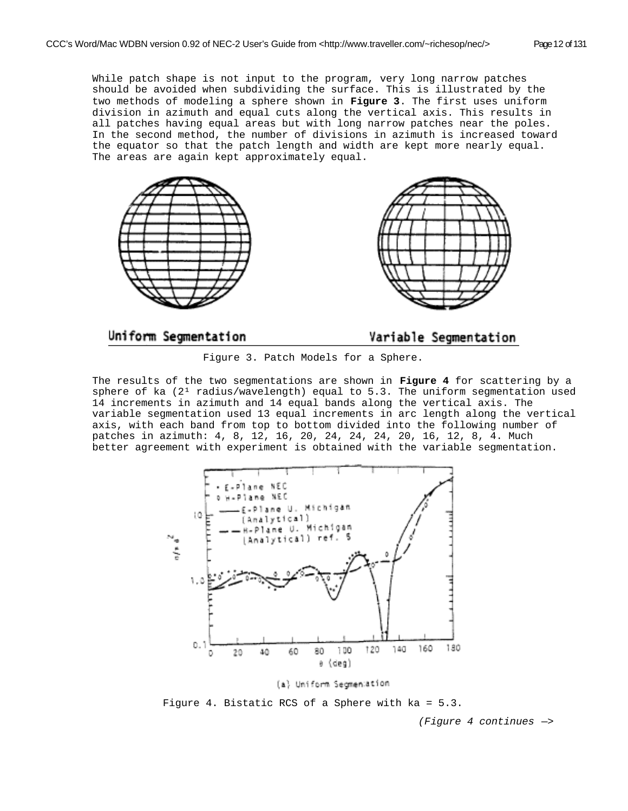While patch shape is not input to the program, very long narrow patches should be avoided when subdividing the surface. This is illustrated by the two methods of modeling a sphere shown in **Figure 3**. The first uses uniform division in azimuth and equal cuts along the vertical axis. This results in all patches having equal areas but with long narrow patches near the poles. In the second method, the number of divisions in azimuth is increased toward the equator so that the patch length and width are kept more nearly equal. The areas are again kept approximately equal.



Uniform Segmentation

Variable Segmentation

Figure 3. Patch Models for a Sphere.

The results of the two segmentations are shown in **Figure 4** for scattering by a sphere of ka  $(2^1 \text{ radius}/\text{ wavelength})$  equal to 5.3. The uniform segmentation used 14 increments in azimuth and 14 equal bands along the vertical axis. The variable segmentation used 13 equal increments in arc length along the vertical axis, with each band from top to bottom divided into the following number of patches in azimuth: 4, 8, 12, 16, 20, 24, 24, 24, 20, 16, 12, 8, 4. Much better agreement with experiment is obtained with the variable segmentation.



(a) Uniform Segmeniation

Figure 4. Bistatic RCS of a Sphere with ka = 5.3.

*(Figure 4 continues* —>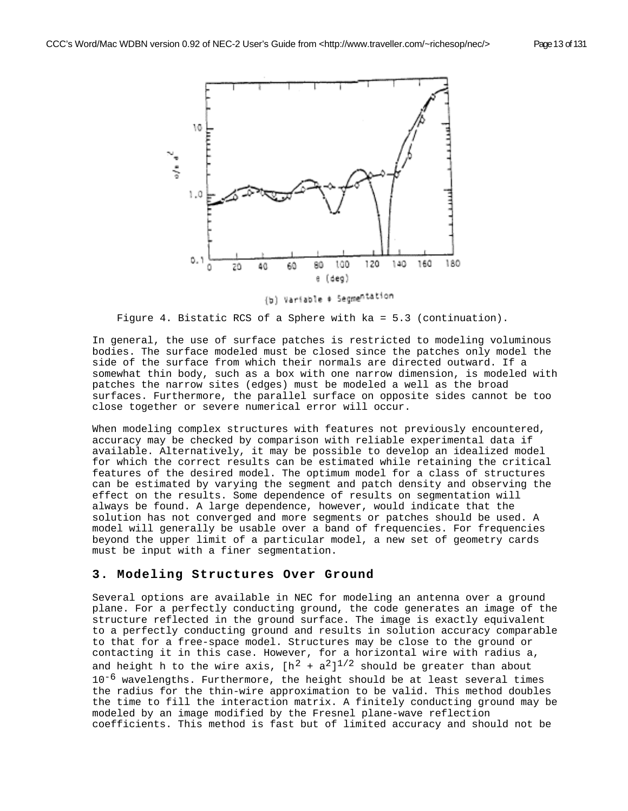

(b) Variable + Segmentation

Figure 4. Bistatic RCS of a Sphere with ka = 5.3 (continuation).

In general, the use of surface patches is restricted to modeling voluminous bodies. The surface modeled must be closed since the patches only model the side of the surface from which their normals are directed outward. If a somewhat thin body, such as a box with one narrow dimension, is modeled with patches the narrow sites (edges) must be modeled a well as the broad surfaces. Furthermore, the parallel surface on opposite sides cannot be too close together or severe numerical error will occur.

When modeling complex structures with features not previously encountered, accuracy may be checked by comparison with reliable experimental data if available. Alternatively, it may be possible to develop an idealized model for which the correct results can be estimated while retaining the critical features of the desired model. The optimum model for a class of structures can be estimated by varying the segment and patch density and observing the effect on the results. Some dependence of results on segmentation will always be found. A large dependence, however, would indicate that the solution has not converged and more segments or patches should be used. A model will generally be usable over a band of frequencies. For frequencies beyond the upper limit of a particular model, a new set of geometry cards must be input with a finer segmentation.

#### **3. Modeling Structures Over Ground**

Several options are available in NEC for modeling an antenna over a ground plane. For a perfectly conducting ground, the code generates an image of the structure reflected in the ground surface. The image is exactly equivalent to a perfectly conducting ground and results in solution accuracy comparable to that for a free-space model. Structures may be close to the ground or contacting it in this case. However, for a horizontal wire with radius a, and height h to the wire axis,  $[\, \mathrm{h}^2$  +  $\mathrm{a}^2 \, ]^{1/2}$  should be greater than about  $10^{-6}$  wavelengths. Furthermore, the height should be at least several times the radius for the thin-wire approximation to be valid. This method doubles the time to fill the interaction matrix. A finitely conducting ground may be modeled by an image modified by the Fresnel plane-wave reflection coefficients. This method is fast but of limited accuracy and should not be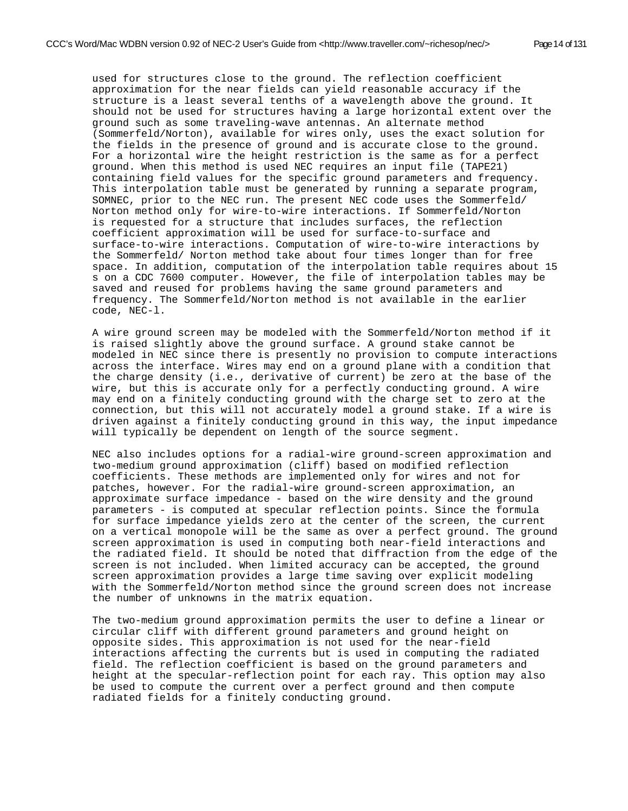used for structures close to the ground. The reflection coefficient approximation for the near fields can yield reasonable accuracy if the structure is a least several tenths of a wavelength above the ground. It should not be used for structures having a large horizontal extent over the ground such as some traveling-wave antennas. An alternate method (Sommerfeld/Norton), available for wires only, uses the exact solution for the fields in the presence of ground and is accurate close to the ground. For a horizontal wire the height restriction is the same as for a perfect ground. When this method is used NEC requires an input file (TAPE21) containing field values for the specific ground parameters and frequency. This interpolation table must be generated by running a separate program, SOMNEC, prior to the NEC run. The present NEC code uses the Sommerfeld/ Norton method only for wire-to-wire interactions. If Sommerfeld/Norton is requested for a structure that includes surfaces, the reflection coefficient approximation will be used for surface-to-surface and surface-to-wire interactions. Computation of wire-to-wire interactions by the Sommerfeld/ Norton method take about four times longer than for free space. In addition, computation of the interpolation table requires about 15 s on a CDC 7600 computer. However, the file of interpolation tables may be saved and reused for problems having the same ground parameters and frequency. The Sommerfeld/Norton method is not available in the earlier code, NEC-l.

A wire ground screen may be modeled with the Sommerfeld/Norton method if it is raised slightly above the ground surface. A ground stake cannot be modeled in NEC since there is presently no provision to compute interactions across the interface. Wires may end on a ground plane with a condition that the charge density (i.e., derivative of current) be zero at the base of the wire, but this is accurate only for a perfectly conducting ground. A wire may end on a finitely conducting ground with the charge set to zero at the connection, but this will not accurately model a ground stake. If a wire is driven against a finitely conducting ground in this way, the input impedance will typically be dependent on length of the source segment.

NEC also includes options for a radial-wire ground-screen approximation and two-medium ground approximation (cliff) based on modified reflection coefficients. These methods are implemented only for wires and not for patches, however. For the radial-wire ground-screen approximation, an approximate surface impedance - based on the wire density and the ground parameters - is computed at specular reflection points. Since the formula for surface impedance yields zero at the center of the screen, the current on a vertical monopole will be the same as over a perfect ground. The ground screen approximation is used in computing both near-field interactions and the radiated field. It should be noted that diffraction from the edge of the screen is not included. When limited accuracy can be accepted, the ground screen approximation provides a large time saving over explicit modeling with the Sommerfeld/Norton method since the ground screen does not increase the number of unknowns in the matrix equation.

The two-medium ground approximation permits the user to define a linear or circular cliff with different ground parameters and ground height on opposite sides. This approximation is not used for the near-field interactions affecting the currents but is used in computing the radiated field. The reflection coefficient is based on the ground parameters and height at the specular-reflection point for each ray. This option may also be used to compute the current over a perfect ground and then compute radiated fields for a finitely conducting ground.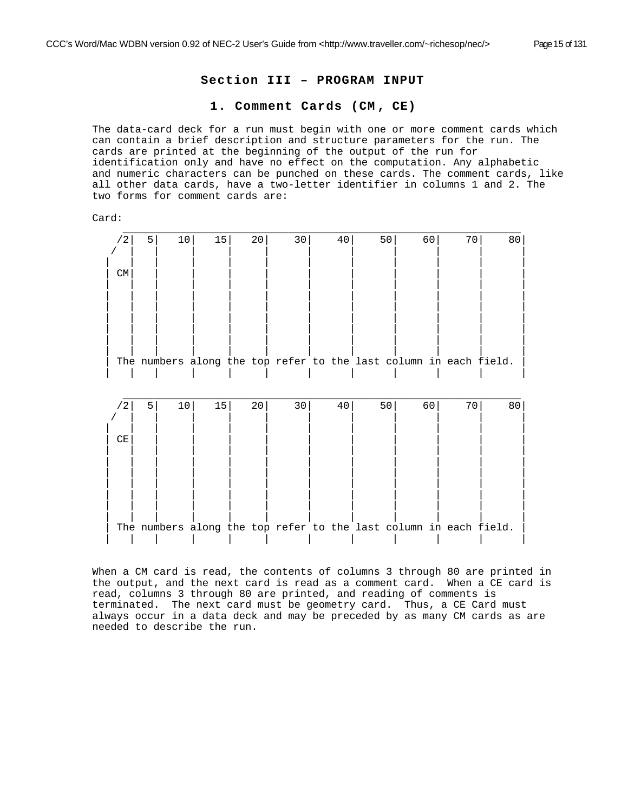# **Section III – PROGRAM INPUT**

# **1. Comment Cards (CM , CE)**

The data-card deck for a run must begin with one or more comment cards which can contain a brief description and structure parameters for the run. The cards are printed at the beginning of the output of the run for identification only and have no effect on the computation. Any alphabetic and numeric characters can be punched on these cards. The comment cards, like all other data cards, have a two-letter identifier in columns 1 and 2. The two forms for comment cards are:

Card:

|           | 5 <sup>1</sup> | 10 | 15 | 20 | 30                                                                | 40 | 50 | 60 | 70 | 80 |
|-----------|----------------|----|----|----|-------------------------------------------------------------------|----|----|----|----|----|
|           |                |    |    |    |                                                                   |    |    |    |    |    |
| <b>CM</b> |                |    |    |    |                                                                   |    |    |    |    |    |
|           |                |    |    |    |                                                                   |    |    |    |    |    |
|           |                |    |    |    |                                                                   |    |    |    |    |    |
|           |                |    |    |    |                                                                   |    |    |    |    |    |
|           |                |    |    |    | The numbers along the top refer to the last column in each field. |    |    |    |    |    |

| ′2 | 5 <sup>1</sup> | 10 <sup>°</sup> | 15 <sup>1</sup> | 20 <sup>1</sup> | 30 <sup>1</sup> | 40 | 50 | 60                                                                | 70 | 80 |
|----|----------------|-----------------|-----------------|-----------------|-----------------|----|----|-------------------------------------------------------------------|----|----|
|    |                |                 |                 |                 |                 |    |    |                                                                   |    |    |
| CE |                |                 |                 |                 |                 |    |    |                                                                   |    |    |
|    |                |                 |                 |                 |                 |    |    |                                                                   |    |    |
|    |                |                 |                 |                 |                 |    |    |                                                                   |    |    |
|    |                |                 |                 |                 |                 |    |    |                                                                   |    |    |
|    |                |                 |                 |                 |                 |    |    | The numbers along the top refer to the last column in each field. |    |    |

When a CM card is read, the contents of columns 3 through 80 are printed in the output, and the next card is read as a comment card. When a CE card is read, columns 3 through 80 are printed, and reading of comments is terminated. The next card must be geometry card. Thus, a CE Card must always occur in a data deck and may be preceded by as many CM cards as are needed to describe the run.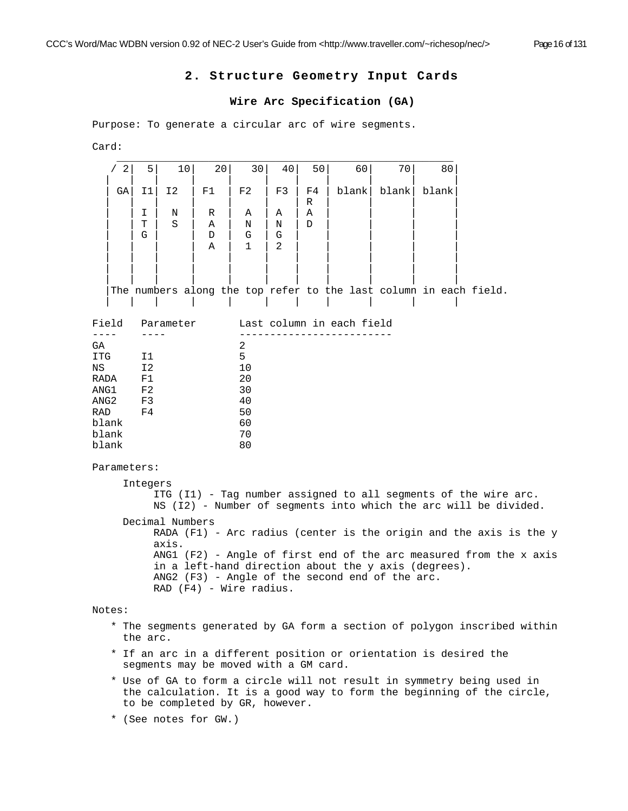#### **2. Structure Geometry Input Cards**

#### **Wire Arc Specification (GA)**

Purpose: To generate a circular arc of wire segments.

Card:

|       | 2     | 5           | 10             | 20 | 30 | 40             | 50      | 60                                  | 70    | 80    |                                                                   |
|-------|-------|-------------|----------------|----|----|----------------|---------|-------------------------------------|-------|-------|-------------------------------------------------------------------|
|       | GA    | I1          | I <sub>2</sub> | F1 | F2 | F3             | F4<br>R | blank                               | blank | blank |                                                                   |
|       |       | I           | N              | R  | Α  | Α              | Α       |                                     |       |       |                                                                   |
|       |       | T           | S              | Α  | Ν  | N              | D       |                                     |       |       |                                                                   |
|       |       | G           |                | D  | G  | G              |         |                                     |       |       |                                                                   |
|       |       |             |                | Α  | 1  | $\overline{2}$ |         |                                     |       |       |                                                                   |
|       |       |             |                |    |    |                |         |                                     |       |       |                                                                   |
|       |       |             |                |    |    |                |         |                                     |       |       |                                                                   |
|       |       |             |                |    |    |                |         |                                     |       |       | The numbers along the top refer to the last column in each field. |
|       | Field |             |                |    |    |                |         | Parameter Last column in each field |       |       |                                                                   |
| GA    |       |             |                |    | 2  |                |         |                                     |       |       |                                                                   |
| ITG   |       | I1          |                |    | 5  |                |         |                                     |       |       |                                                                   |
| NS    |       | I2          |                |    | 10 |                |         |                                     |       |       |                                                                   |
| RADA  |       | F1          |                |    | 20 |                |         |                                     |       |       |                                                                   |
| ANG1  |       | $_{\rm F2}$ |                |    | 30 |                |         |                                     |       |       |                                                                   |
| ANG 2 |       | F3          |                |    | 40 |                |         |                                     |       |       |                                                                   |
| RAD   |       | F4          |                |    | 50 |                |         |                                     |       |       |                                                                   |
|       | blank |             |                |    | 60 |                |         |                                     |       |       |                                                                   |
|       | blank |             |                |    | 70 |                |         |                                     |       |       |                                                                   |
|       | blank |             |                |    | 80 |                |         |                                     |       |       |                                                                   |

Parameters:

#### Integers

 ITG (I1) - Tag number assigned to all segments of the wire arc. NS (I2) - Number of segments into which the arc will be divided. Decimal Numbers RADA (F1) - Arc radius (center is the origin and the axis is the y axis. ANG1 (F2) - Angle of first end of the arc measured from the x axis in a left-hand direction about the y axis (degrees). ANG2 (F3) - Angle of the second end of the arc.

RAD (F4) - Wire radius.

- \* The segments generated by GA form a section of polygon inscribed within the arc.
- \* If an arc in a different position or orientation is desired the segments may be moved with a GM card.
- \* Use of GA to form a circle will not result in symmetry being used in the calculation. It is a good way to form the beginning of the circle, to be completed by GR, however.
- \* (See notes for GW.)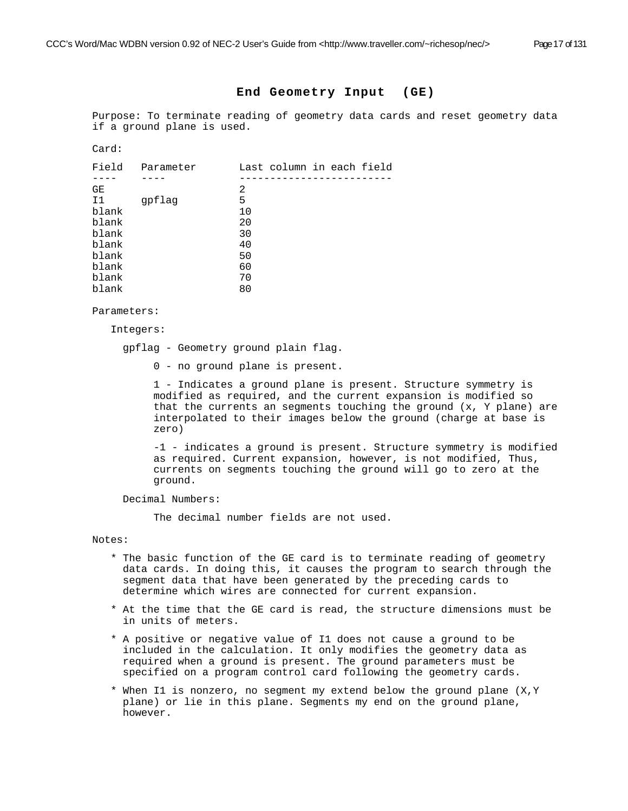### **End Geometry Input (GE)**

Purpose: To terminate reading of geometry data cards and reset geometry data if a ground plane is used.

Card:

| Field          | Parameter | Last column in each field |
|----------------|-----------|---------------------------|
|                |           |                           |
| GE             |           | 2                         |
| I <sub>1</sub> | qpflaq    | 5                         |
| blank          |           | 10                        |
| blank          |           | 20                        |
| blank          |           | 30                        |
| blank          |           | 40                        |
| blank          |           | 50                        |
| blank          |           | 60                        |
| blank          |           | 70                        |
| blank          |           | 80                        |

Parameters:

Integers:

gpflag - Geometry ground plain flag.

0 - no ground plane is present.

 1 - Indicates a ground plane is present. Structure symmetry is modified as required, and the current expansion is modified so that the currents an segments touching the ground  $(x, Y)$  plane) are interpolated to their images below the ground (charge at base is zero)

 -1 - indicates a ground is present. Structure symmetry is modified as required. Current expansion, however, is not modified, Thus, currents on segments touching the ground will go to zero at the ground.

Decimal Numbers:

The decimal number fields are not used.

- \* The basic function of the GE card is to terminate reading of geometry data cards. In doing this, it causes the program to search through the segment data that have been generated by the preceding cards to determine which wires are connected for current expansion.
- \* At the time that the GE card is read, the structure dimensions must be in units of meters.
- \* A positive or negative value of I1 does not cause a ground to be included in the calculation. It only modifies the geometry data as required when a ground is present. The ground parameters must be specified on a program control card following the geometry cards.
- \* When I1 is nonzero, no segment my extend below the ground plane (X,Y plane) or lie in this plane. Segments my end on the ground plane, however.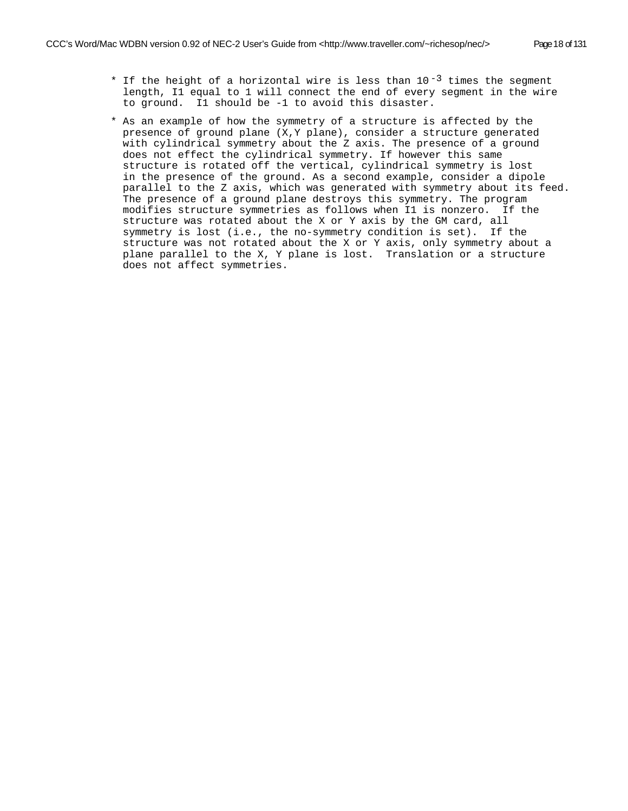- \* If the height of a horizontal wire is less than 10<sup>-3</sup> times the segment length, I1 equal to 1 will connect the end of every segment in the wire to ground. I1 should be -1 to avoid this disaster.
- \* As an example of how the symmetry of a structure is affected by the presence of ground plane (X,Y plane), consider a structure generated with cylindrical symmetry about the Z axis. The presence of a ground does not effect the cylindrical symmetry. If however this same structure is rotated off the vertical, cylindrical symmetry is lost in the presence of the ground. As a second example, consider a dipole parallel to the Z axis, which was generated with symmetry about its feed. The presence of a ground plane destroys this symmetry. The program modifies structure symmetries as follows when I1 is nonzero. If the structure was rotated about the X or Y axis by the GM card, all symmetry is lost (i.e., the no-symmetry condition is set). If the structure was not rotated about the X or Y axis, only symmetry about a plane parallel to the X, Y plane is lost. Translation or a structure does not affect symmetries.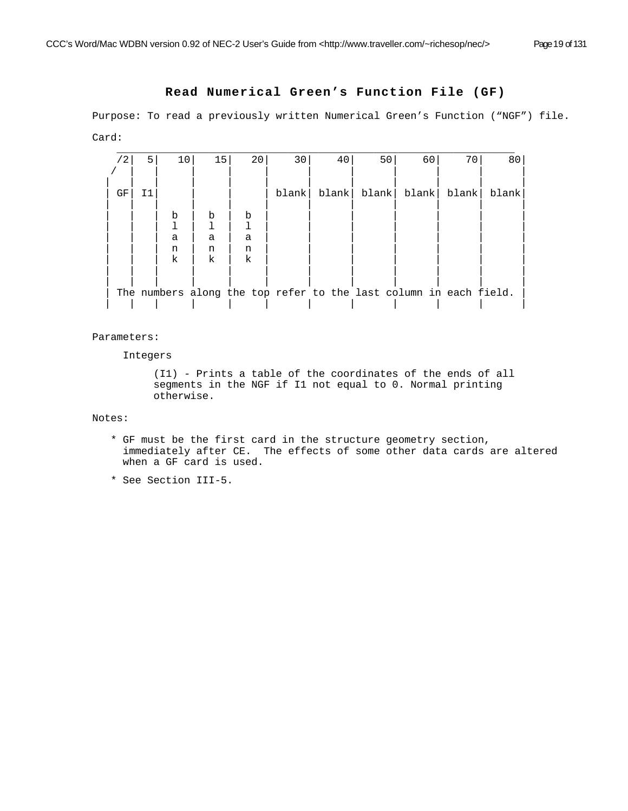# **Read Numerical Green's Function File (GF)**

Purpose: To read a previously written Numerical Green's Function ("NGF") file. Card:

| /2 | 5 <sup>1</sup> | 10          | 15 | 20 | 30 <sup>1</sup> | 40    | 50    | 60                                                                | 70    | 80    |
|----|----------------|-------------|----|----|-----------------|-------|-------|-------------------------------------------------------------------|-------|-------|
|    |                |             |    |    |                 |       |       |                                                                   |       |       |
| GF | <b>I1</b>      |             |    |    | blankl          | blank | blank | blank                                                             | blank | blank |
|    |                | b           | b  | b  |                 |       |       |                                                                   |       |       |
|    |                |             |    |    |                 |       |       |                                                                   |       |       |
|    |                | a           | a  | a  |                 |       |       |                                                                   |       |       |
|    |                | n           | n  | n  |                 |       |       |                                                                   |       |       |
|    |                | $\mathbf k$ | k  | k  |                 |       |       |                                                                   |       |       |
|    |                |             |    |    |                 |       |       |                                                                   |       |       |
|    |                |             |    |    |                 |       |       |                                                                   |       |       |
|    |                |             |    |    |                 |       |       | The numbers along the top refer to the last column in each field. |       |       |
|    |                |             |    |    |                 |       |       |                                                                   |       |       |

#### Parameters:

Integers

 (I1) - Prints a table of the coordinates of the ends of all segments in the NGF if I1 not equal to 0. Normal printing otherwise.

- \* GF must be the first card in the structure geometry section, immediately after CE. The effects of some other data cards are altered when a GF card is used.
- \* See Section III-5.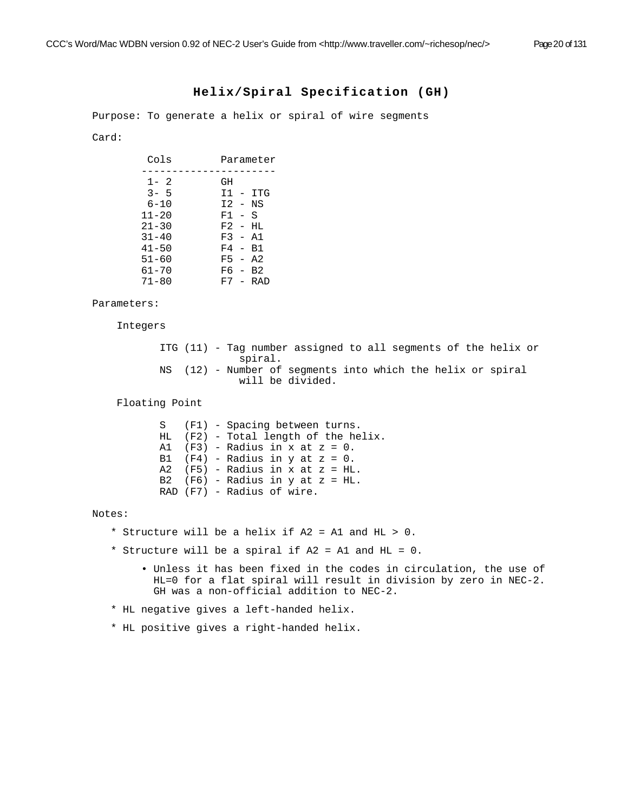# **Helix/Spiral Specification (GH)**

Purpose: To generate a helix or spiral of wire segments

Card:

| Cols      | Parameter  |
|-----------|------------|
|           |            |
| $1 - 2$   | GН         |
| $3 - 5$   | $I1 - ITG$ |
| $6 - 10$  | 12 - NS    |
| $11 - 20$ | $F1 - S$   |
| $21 - 30$ | $F2 - HL$  |
| $31 - 40$ | $F3 - A1$  |
| $41 - 50$ | $F4 - B1$  |
| $51 - 60$ | $F5 - A2$  |
| 61-70     | $F6 - B2$  |
| 71-80     | F7 - RAD   |

#### Parameters:

Integers

 ITG (11) - Tag number assigned to all segments of the helix or spiral. NS (12) - Number of segments into which the helix or spiral will be divided.

Floating Point

|  | S (F1) - Spacing between turns.        |
|--|----------------------------------------|
|  | $HL$ (F2) - Total length of the helix. |
|  | A1 $(F3)$ - Radius in x at z = 0.      |
|  | B1 $(F4)$ - Radius in y at z = 0.      |
|  | A2 $(F5)$ - Radius in x at z = HL.     |
|  | B2 (F6) - Radius in y at $z = HL$ .    |
|  | RAD (F7) - Radius of wire.             |

- \* Structure will be a helix if A2 = A1 and HL > 0.
- \* Structure will be a spiral if A2 = A1 and HL = 0.
	- Unless it has been fixed in the codes in circulation, the use of HL=0 for a flat spiral will result in division by zero in NEC-2. GH was a non-official addition to NEC-2.
- \* HL negative gives a left-handed helix.
- \* HL positive gives a right-handed helix.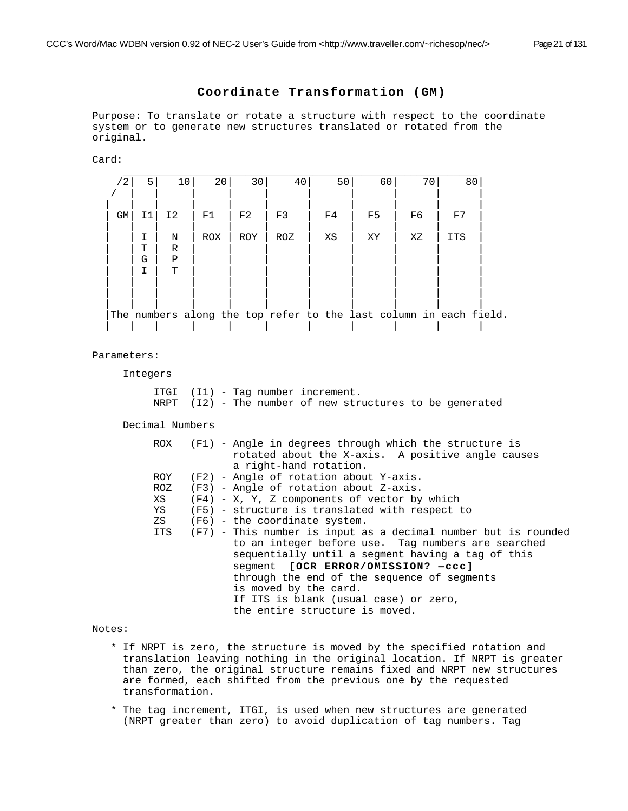# **Coordinate Transformation (GM)**

Purpose: To translate or rotate a structure with respect to the coordinate system or to generate new structures translated or rotated from the original.

Card:

| '2 | 5                | 10                          | 20  | 30  | 40         | 50             | 60                                                                | 70 | 80         |
|----|------------------|-----------------------------|-----|-----|------------|----------------|-------------------------------------------------------------------|----|------------|
| GM | <b>I1</b>        | I2                          | F1  | F2  | F3         | F <sub>4</sub> | F5                                                                | F6 | F7         |
|    | I<br>T<br>G<br>т | N<br>R<br>$\, {\bf P}$<br>T | ROX | ROY | <b>ROZ</b> | XS             | XY                                                                | XZ | <b>ITS</b> |
|    |                  |                             |     |     |            |                | The numbers along the top refer to the last column in each field. |    |            |

Parameters:

Integers

```
 ITGI (I1) - Tag number increment.
NRPT (I2) - The number of new structures to be generated
```
Decimal Numbers

| ROX        | (F1) - Angle in degrees through which the structure is         |
|------------|----------------------------------------------------------------|
|            | rotated about the X-axis. A positive angle causes              |
|            | a right-hand rotation.                                         |
| <b>ROY</b> | $(F2)$ - Angle of rotation about Y-axis.                       |
| ROZ        | $(F3)$ - Angle of rotation about Z-axis.                       |
| XS         | $(F4) - X$ , Y, Z components of vector by which                |
| YS         | (F5) - structure is translated with respect to                 |
| ZS         | $(F6)$ - the coordinate system.                                |
| ITS        | (F7) - This number is input as a decimal number but is rounded |
|            | to an integer before use. Tag numbers are searched             |
|            | sequentially until a seqment having a tag of this              |
|            | seqment [OCR ERROR/OMISSION? - ccc]                            |
|            | through the end of the sequence of segments                    |
|            | is moved by the card.                                          |
|            | If ITS is blank (usual case) or zero,                          |
|            | the entire structure is moved.                                 |
|            |                                                                |

- \* If NRPT is zero, the structure is moved by the specified rotation and translation leaving nothing in the original location. If NRPT is greater than zero, the original structure remains fixed and NRPT new structures are formed, each shifted from the previous one by the requested transformation.
- \* The tag increment, ITGI, is used when new structures are generated (NRPT greater than zero) to avoid duplication of tag numbers. Tag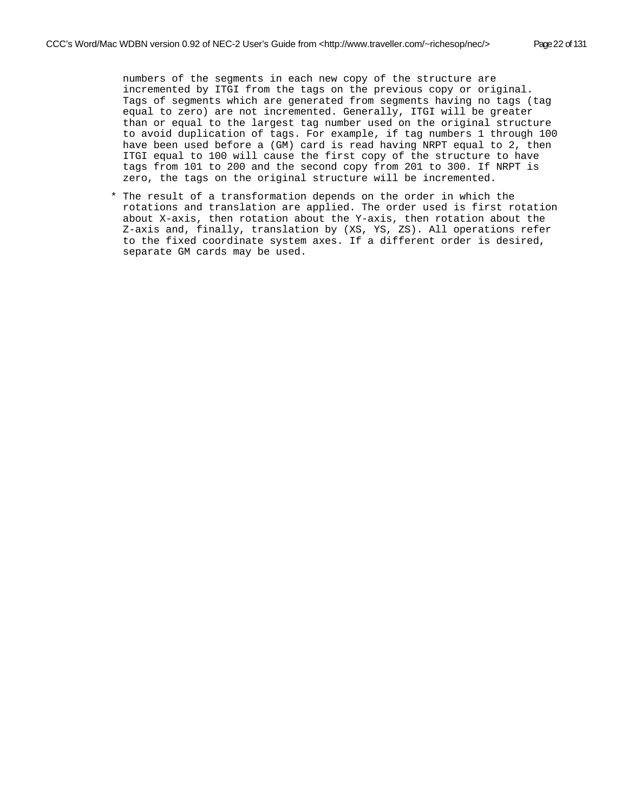numbers of the segments in each new copy of the structure are incremented by ITGI from the tags on the previous copy or original. Tags of segments which are generated from segments having no tags (tag equal to zero) are not incremented. Generally, ITGI will be greater than or equal to the largest tag number used on the original structure to avoid duplication of tags. For example, if tag numbers 1 through 100 have been used before a (GM) card is read having NRPT equal to 2, then ITGI equal to 100 will cause the first copy of the structure to have tags from 101 to 200 and the second copy from 201 to 300. If NRPT is zero, the tags on the original structure will be incremented.

 \* The result of a transformation depends on the order in which the rotations and translation are applied. The order used is first rotation about X-axis, then rotation about the Y-axis, then rotation about the Z-axis and, finally, translation by (XS, YS, ZS). All operations refer to the fixed coordinate system axes. If a different order is desired, separate GM cards may be used.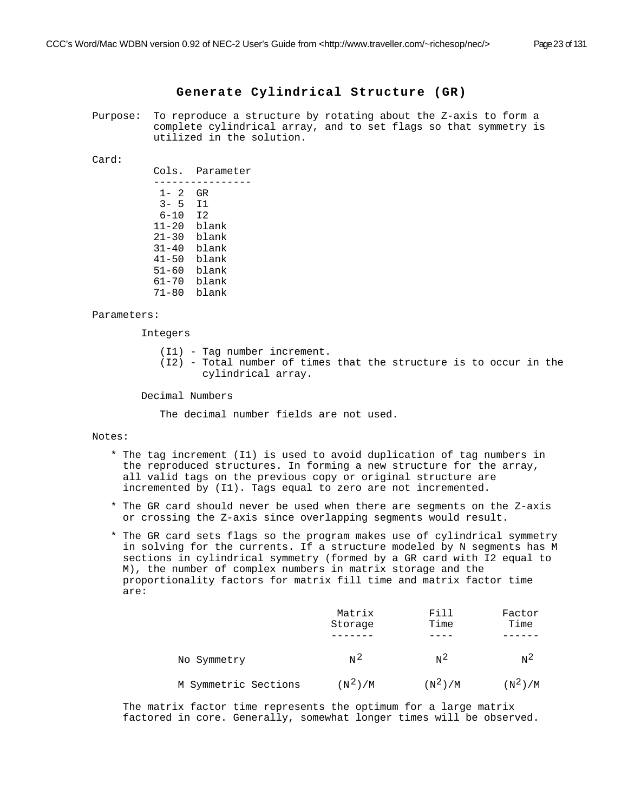# **Generate Cylindrical Structure (GR)**

Purpose: To reproduce a structure by rotating about the Z-axis to form a complete cylindrical array, and to set flags so that symmetry is utilized in the solution.

Card:

 Cols. Parameter ---------------- 1- 2 GR 3- 5 I1 6-10 I2 11-20 blank 21-30 blank 31-40 blank 41-50 blank 51-60 blank 61-70 blank 71-80 blank

#### Parameters:

Integers

- (I1) Tag number increment.
- (I2) Total number of times that the structure is to occur in the cylindrical array.

Decimal Numbers

The decimal number fields are not used.

Notes:

- \* The tag increment (I1) is used to avoid duplication of tag numbers in the reproduced structures. In forming a new structure for the array, all valid tags on the previous copy or original structure are incremented by (I1). Tags equal to zero are not incremented.
- \* The GR card should never be used when there are segments on the Z-axis or crossing the Z-axis since overlapping segments would result.
- \* The GR card sets flags so the program makes use of cylindrical symmetry in solving for the currents. If a structure modeled by N segments has M sections in cylindrical symmetry (formed by a GR card with I2 equal to M), the number of complex numbers in matrix storage and the proportionality factors for matrix fill time and matrix factor time are:

|                      | Matrix<br>Storage | Fill<br>Time   | Factor<br>Time |
|----------------------|-------------------|----------------|----------------|
|                      |                   |                |                |
| No Symmetry          | $\mathrm{N}^2$    | $\mathbf{N}^2$ | $N^2$          |
| M Symmetric Sections | $(N^2)/M$         | $(N^2)$ /M     | $(N^2)/M$      |

 The matrix factor time represents the optimum for a large matrix factored in core. Generally, somewhat longer times will be observed.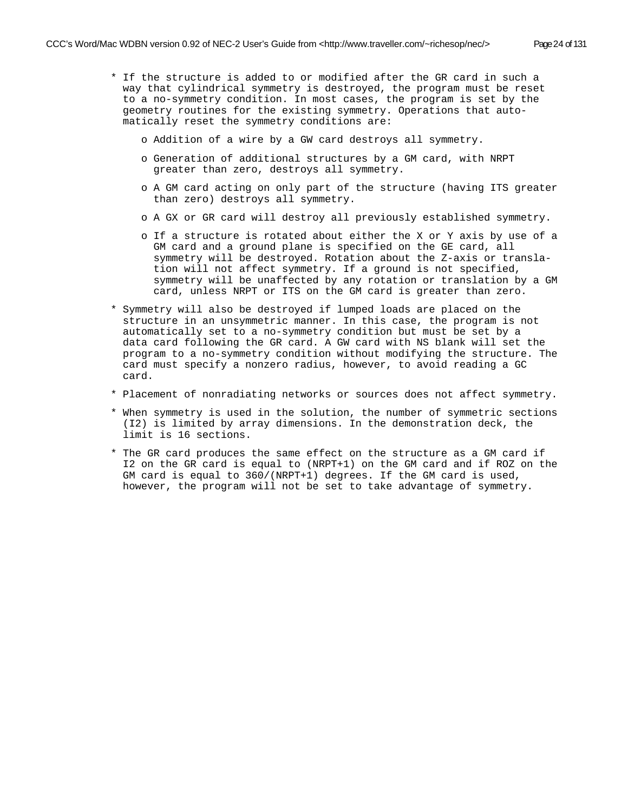- \* If the structure is added to or modified after the GR card in such a way that cylindrical symmetry is destroyed, the program must be reset to a no-symmetry condition. In most cases, the program is set by the geometry routines for the existing symmetry. Operations that auto matically reset the symmetry conditions are:
	- o Addition of a wire by a GW card destroys all symmetry.
	- o Generation of additional structures by a GM card, with NRPT greater than zero, destroys all symmetry.
	- o A GM card acting on only part of the structure (having ITS greater than zero) destroys all symmetry.
	- o A GX or GR card will destroy all previously established symmetry.
	- o If a structure is rotated about either the X or Y axis by use of a GM card and a ground plane is specified on the GE card, all symmetry will be destroyed. Rotation about the Z-axis or transla tion will not affect symmetry. If a ground is not specified, symmetry will be unaffected by any rotation or translation by a GM card, unless NRPT or ITS on the GM card is greater than zero.
- \* Symmetry will also be destroyed if lumped loads are placed on the structure in an unsymmetric manner. In this case, the program is not automatically set to a no-symmetry condition but must be set by a data card following the GR card. A GW card with NS blank will set the program to a no-symmetry condition without modifying the structure. The card must specify a nonzero radius, however, to avoid reading a GC card.
- \* Placement of nonradiating networks or sources does not affect symmetry.
- \* When symmetry is used in the solution, the number of symmetric sections (I2) is limited by array dimensions. In the demonstration deck, the limit is 16 sections.
- \* The GR card produces the same effect on the structure as a GM card if I2 on the GR card is equal to (NRPT+1) on the GM card and if ROZ on the GM card is equal to 360/(NRPT+1) degrees. If the GM card is used, however, the program will not be set to take advantage of symmetry.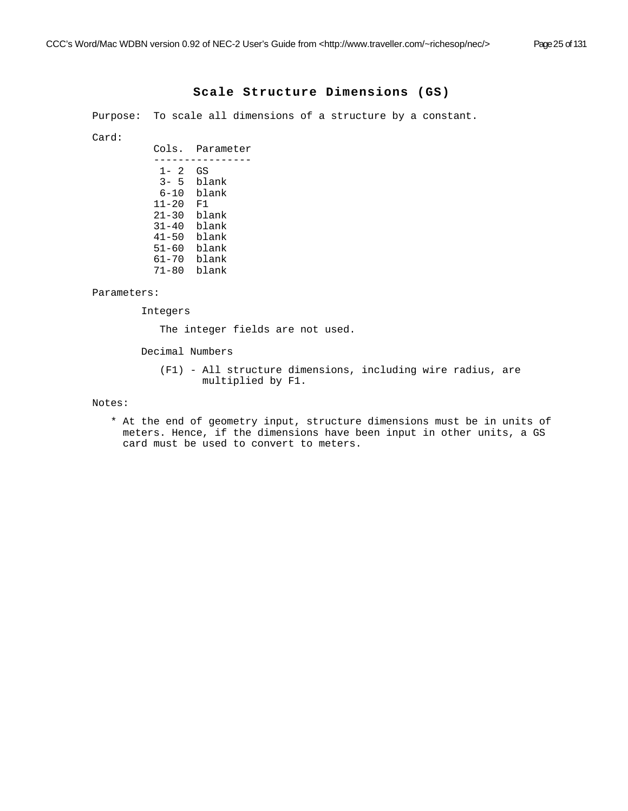# **Scale Structure Dimensions (GS)**

Purpose: To scale all dimensions of a structure by a constant.

Card:

| Cols.     | Parameter   |
|-----------|-------------|
|           |             |
| $1 - 2$   | GS          |
| $3 - 5$   | blank       |
| 6-10      | blank       |
| $11 - 20$ | F1          |
| $21 - 30$ | blank       |
| $31 - 40$ | blank       |
| $41 - 50$ | blank       |
| 51-60     | blank       |
|           | 61–70 blank |
| 71-80     | blank       |
|           |             |

# Parameters:

Integers

The integer fields are not used.

Decimal Numbers

 (F1) - All structure dimensions, including wire radius, are multiplied by F1.

#### Notes:

 \* At the end of geometry input, structure dimensions must be in units of meters. Hence, if the dimensions have been input in other units, a GS card must be used to convert to meters.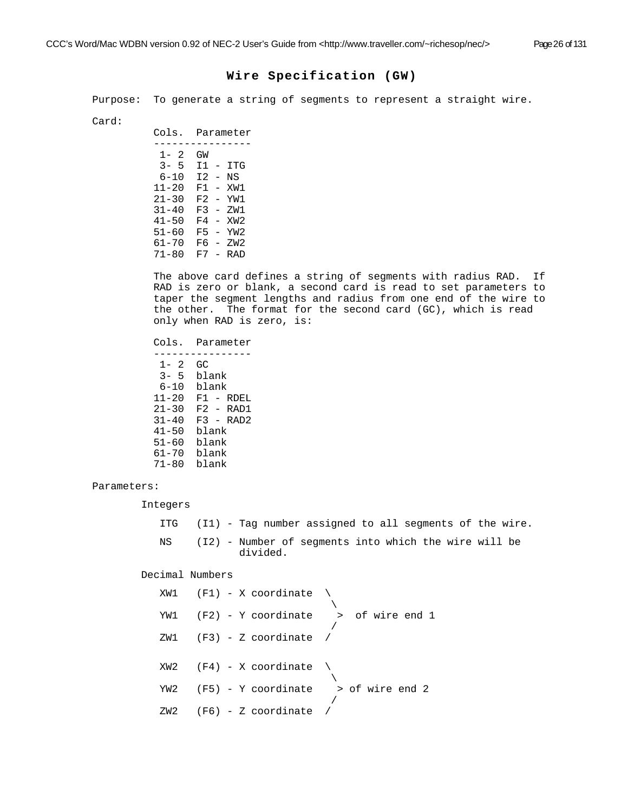# **Wire Specification (GW)**

Purpose: To generate a string of segments to represent a straight wire.

Card:

| Cols.     | Parameter   |  |  |  |
|-----------|-------------|--|--|--|
|           |             |  |  |  |
| $1 - 2$   | GW          |  |  |  |
| $3 - 5$   | $II - ITG$  |  |  |  |
| $6 - 10$  | $I2 - NS$   |  |  |  |
| $11 - 20$ | $F1 - XW1$  |  |  |  |
| $21 - 30$ | $F2 - YW1$  |  |  |  |
| $31 - 40$ | $F3 - ZW1$  |  |  |  |
| $41 - 50$ | $F4 - XW2$  |  |  |  |
| $51 - 60$ | $F5 - YW2$  |  |  |  |
| 61–70     | $F6 - ZW2$  |  |  |  |
| 71 – 80   | F7<br>– RAD |  |  |  |

 The above card defines a string of segments with radius RAD. If RAD is zero or blank, a second card is read to set parameters to taper the segment lengths and radius from one end of the wire to the other. The format for the second card (GC), which is read only when RAD is zero, is:

```
 Cols. Parameter
         ----------------
         1- 2 GC
         3- 5 blank
         6-10 blank
        11-20 F1 - RDEL
        21-30 F2 - RAD1
        31-40 F3 - RAD2
        41-50 blank
        51-60 blank
61-70 blank
71-80 blank
```
#### Parameters:

Integers

|  |  |          | ITG (I1) - Tag number assigned to all segments of the wire. |  |  |  |
|--|--|----------|-------------------------------------------------------------|--|--|--|
|  |  | divided. | (I2) - Number of seqments into which the wire will be       |  |  |  |

Decimal Numbers

|  | $XW1$ (F1) - X coordinate \               |
|--|-------------------------------------------|
|  | YW1 (F2) - Y coordinate > of wire end 1   |
|  | $ZW1$ (F3) - Z coordinate /               |
|  |                                           |
|  | $XW2$ (F4) - X coordinate \               |
|  | $YW2$ (F5) - Y coordinate > of wire end 2 |
|  | $ZW2$ (F6) – Z coordinate /               |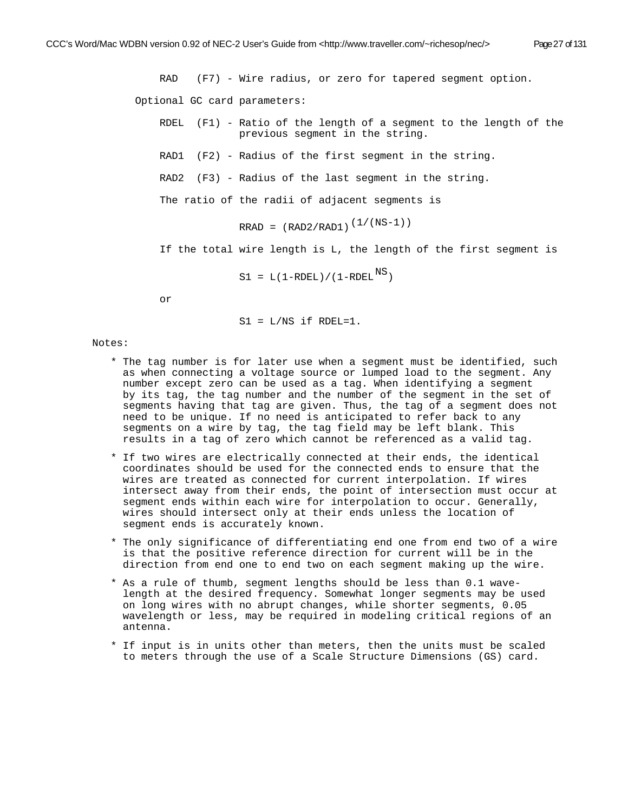RAD (F7) - Wire radius, or zero for tapered segment option.

Optional GC card parameters:

- RDEL (F1) Ratio of the length of a segment to the length of the previous segment in the string.
- RAD1 (F2) Radius of the first segment in the string.

RAD2 (F3) - Radius of the last segment in the string.

The ratio of the radii of adjacent segments is

 $RRAD = (RAD2/RAD1)(1/(NS-1))$ 

If the total wire length is L, the length of the first segment is

 $S1 = L(1-RDEL)/(1-RDEL<sup>NS</sup>)$ 

or

 $S1 = L/NS$  if RDEL=1.

- \* The tag number is for later use when a segment must be identified, such as when connecting a voltage source or lumped load to the segment. Any number except zero can be used as a tag. When identifying a segment by its tag, the tag number and the number of the segment in the set of segments having that tag are given. Thus, the tag of a segment does not need to be unique. If no need is anticipated to refer back to any segments on a wire by tag, the tag field may be left blank. This results in a tag of zero which cannot be referenced as a valid tag.
- \* If two wires are electrically connected at their ends, the identical coordinates should be used for the connected ends to ensure that the wires are treated as connected for current interpolation. If wires intersect away from their ends, the point of intersection must occur at segment ends within each wire for interpolation to occur. Generally, wires should intersect only at their ends unless the location of segment ends is accurately known.
- \* The only significance of differentiating end one from end two of a wire is that the positive reference direction for current will be in the direction from end one to end two on each segment making up the wire.
- \* As a rule of thumb, segment lengths should be less than 0.1 wave length at the desired frequency. Somewhat longer segments may be used on long wires with no abrupt changes, while shorter segments, 0.05 wavelength or less, may be required in modeling critical regions of an antenna.
- \* If input is in units other than meters, then the units must be scaled to meters through the use of a Scale Structure Dimensions (GS) card.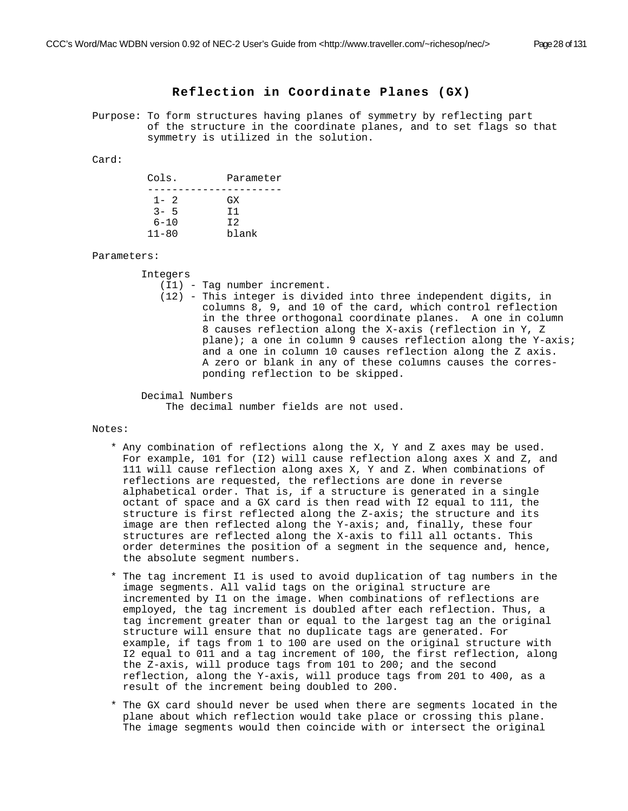# **Reflection in Coordinate Planes (GX)**

Purpose: To form structures having planes of symmetry by reflecting part of the structure in the coordinate planes, and to set flags so that symmetry is utilized in the solution.

Card:

| Cols.     | Parameter |
|-----------|-----------|
|           |           |
| $1 - 2$   | GX        |
| $3 - 5$   | T1        |
| $6 - 10$  | T 2       |
| $11 - 80$ | blank     |

Parameters:

Integers

- (I1) Tag number increment.
- (12) This integer is divided into three independent digits, in columns 8, 9, and 10 of the card, which control reflection in the three orthogonal coordinate planes. A one in column 8 causes reflection along the X-axis (reflection in Y, Z plane); a one in column 9 causes reflection along the Y-axis; and a one in column 10 causes reflection along the Z axis. A zero or blank in any of these columns causes the corres ponding reflection to be skipped.

 Decimal Numbers The decimal number fields are not used.

- \* Any combination of reflections along the X, Y and Z axes may be used. For example, 101 for (I2) will cause reflection along axes X and Z, and 111 will cause reflection along axes X, Y and Z. When combinations of reflections are requested, the reflections are done in reverse alphabetical order. That is, if a structure is generated in a single octant of space and a GX card is then read with I2 equal to 111, the structure is first reflected along the Z-axis; the structure and its image are then reflected along the Y-axis; and, finally, these four structures are reflected along the X-axis to fill all octants. This order determines the position of a segment in the sequence and, hence, the absolute segment numbers.
- \* The tag increment I1 is used to avoid duplication of tag numbers in the image segments. All valid tags on the original structure are incremented by I1 on the image. When combinations of reflections are employed, the tag increment is doubled after each reflection. Thus, a tag increment greater than or equal to the largest tag an the original structure will ensure that no duplicate tags are generated. For example, if tags from 1 to 100 are used on the original structure with I2 equal to 011 and a tag increment of 100, the first reflection, along the Z-axis, will produce tags from 101 to 200; and the second reflection, along the Y-axis, will produce tags from 201 to 400, as a result of the increment being doubled to 200.
- \* The GX card should never be used when there are segments located in the plane about which reflection would take place or crossing this plane. The image segments would then coincide with or intersect the original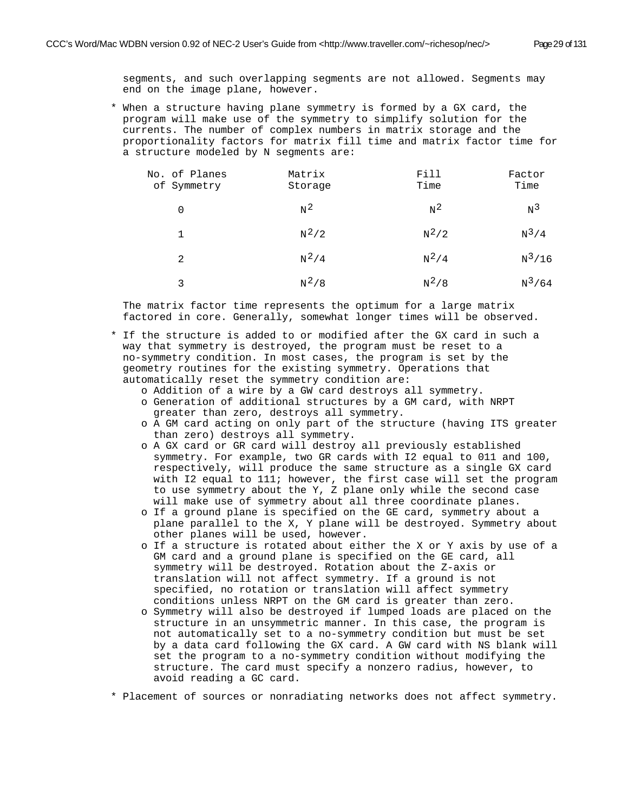segments, and such overlapping segments are not allowed. Segments may end on the image plane, however.

 \* When a structure having plane symmetry is formed by a GX card, the program will make use of the symmetry to simplify solution for the currents. The number of complex numbers in matrix storage and the proportionality factors for matrix fill time and matrix factor time for a structure modeled by N segments are:

| No. of Planes<br>of Symmetry | Matrix<br>Storage | Fill<br>Time   | Factor<br>Time |
|------------------------------|-------------------|----------------|----------------|
| 0                            | $\rm N^2$         | $\mathbb{N}^2$ | N <sup>3</sup> |
| 1                            | $N^2/2$           | $N^2/2$        | $N^3/4$        |
| 2                            | $N^2/4$           | $N^2/4$        | $N^3/16$       |
| 3                            | $N^2/8$           | $N^2/8$        | $N^3/64$       |

 The matrix factor time represents the optimum for a large matrix factored in core. Generally, somewhat longer times will be observed.

- \* If the structure is added to or modified after the GX card in such a way that symmetry is destroyed, the program must be reset to a no-symmetry condition. In most cases, the program is set by the geometry routines for the existing symmetry. Operations that automatically reset the symmetry condition are:
	- o Addition of a wire by a GW card destroys all symmetry. o Generation of additional structures by a GM card, with NRPT greater than zero, destroys all symmetry.
	- o A GM card acting on only part of the structure (having ITS greater than zero) destroys all symmetry.
	- o A GX card or GR card will destroy all previously established symmetry. For example, two GR cards with I2 equal to 011 and 100, respectively, will produce the same structure as a single GX card with I2 equal to 111; however, the first case will set the program to use symmetry about the Y, Z plane only while the second case will make use of symmetry about all three coordinate planes.
	- o If a ground plane is specified on the GE card, symmetry about a plane parallel to the X, Y plane will be destroyed. Symmetry about other planes will be used, however.
	- o If a structure is rotated about either the X or Y axis by use of a GM card and a ground plane is specified on the GE card, all symmetry will be destroyed. Rotation about the Z-axis or translation will not affect symmetry. If a ground is not specified, no rotation or translation will affect symmetry conditions unless NRPT on the GM card is greater than zero.
	- o Symmetry will also be destroyed if lumped loads are placed on the structure in an unsymmetric manner. In this case, the program is not automatically set to a no-symmetry condition but must be set by a data card following the GX card. A GW card with NS blank will set the program to a no-symmetry condition without modifying the structure. The card must specify a nonzero radius, however, to avoid reading a GC card.

\* Placement of sources or nonradiating networks does not affect symmetry.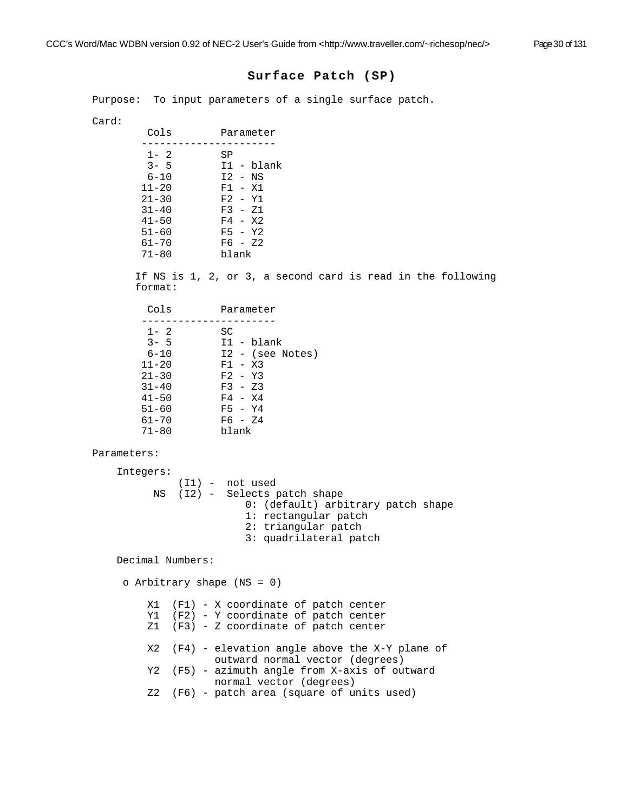### **Surface Patch (SP)**

Purpose: To input parameters of a single surface patch.

Card:

| Cols      | Parameter  |
|-----------|------------|
|           |            |
| $1 - 2$   | SP         |
| $3 - 5$   | Il – blank |
| $6 - 10$  | $I2 - NS$  |
| $11 - 20$ | $F1 - X1$  |
| $21 - 30$ | $F2 - Y1$  |
| $31 - 40$ | $F3 - Z1$  |
| $41 - 50$ | $F4 - X2$  |
| $51 - 60$ | $F5 - Y2$  |
| $61 - 70$ | $FG - Z$   |
| $71 - 80$ | blank      |
|           |            |

 If NS is 1, 2, or 3, a second card is read in the following format:

| Cols                                                                                                                      |                                                                                            | Parameter  |                    |
|---------------------------------------------------------------------------------------------------------------------------|--------------------------------------------------------------------------------------------|------------|--------------------|
| $1 - 2$<br>$3 - 5$<br>$6 - 10$<br>$11 - 20$<br>$21 - 30$<br>$31 - 40$<br>$41 - 50$<br>$51 - 60$<br>$61 - 70$<br>$71 - 80$ | SC.<br>$F1 - X3$<br>$F2 - Y3$<br>$F3 - 73$<br>$F4 - X4$<br>$F5 - Y4$<br>$F6 - Z4$<br>blank | Il – blank | $I2 - (see Notes)$ |
|                                                                                                                           |                                                                                            |            |                    |

Parameters:

| Integers: |                                    |
|-----------|------------------------------------|
|           | $(11)$ - not used                  |
|           | NS (I2) - Selects patch shape      |
|           | 0: (default) arbitrary patch shape |
|           | 1: rectangular patch               |
|           | 2: triangular patch                |
|           | 3: quadrilateral patch             |

Decimal Numbers:

 o Arbitrary shape (NS = 0) X1 (F1) - X coordinate of patch center Y1 (F2) - Y coordinate of patch center Z1 (F3) - Z coordinate of patch center X2 (F4) - elevation angle above the X-Y plane of outward normal vector (degrees) Y2 (F5) - azimuth angle from X-axis of outward normal vector (degrees) Z2 (F6) - patch area (square of units used)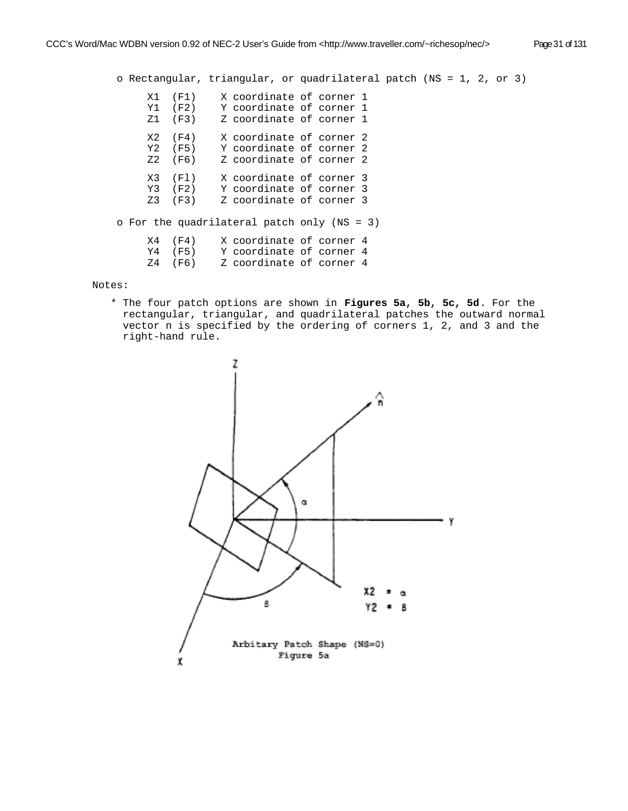o Rectangular, triangular, or quadrilateral patch (NS = 1, 2, or 3)

| X1             | (F1) | X coordinate of corner 1                      |  |  |
|----------------|------|-----------------------------------------------|--|--|
| Y1 -           | (F2) | Y coordinate of corner 1                      |  |  |
| Z1             | (F3) | Z coordinate of corner 1                      |  |  |
| X2             | (F4) | X coordinate of corner 2                      |  |  |
| Y2 -           | (F5) | Y coordinate of corner 2                      |  |  |
| $Z^2$          | (F6) | Z coordinate of corner 2                      |  |  |
| X3             | (F1) | X coordinate of corner 3                      |  |  |
| Y3 (F2)        |      | Y coordinate of corner 3                      |  |  |
| Z <sub>3</sub> | (F3) | Z coordinate of corner 3                      |  |  |
|                |      | o For the quadrilateral patch only $(NS = 3)$ |  |  |
| X4.            | (F4) | X coordinate of corner 4                      |  |  |
| Y4 -           | (F5) | Y coordinate of corner 4                      |  |  |
| Z4             | (F6) | Z coordinate of corner 4                      |  |  |

Notes:

 \* The four patch options are shown in **Figures 5a, 5b, 5c, 5d**. For the rectangular, triangular, and quadrilateral patches the outward normal vector n is specified by the ordering of corners 1, 2, and 3 and the right-hand rule.

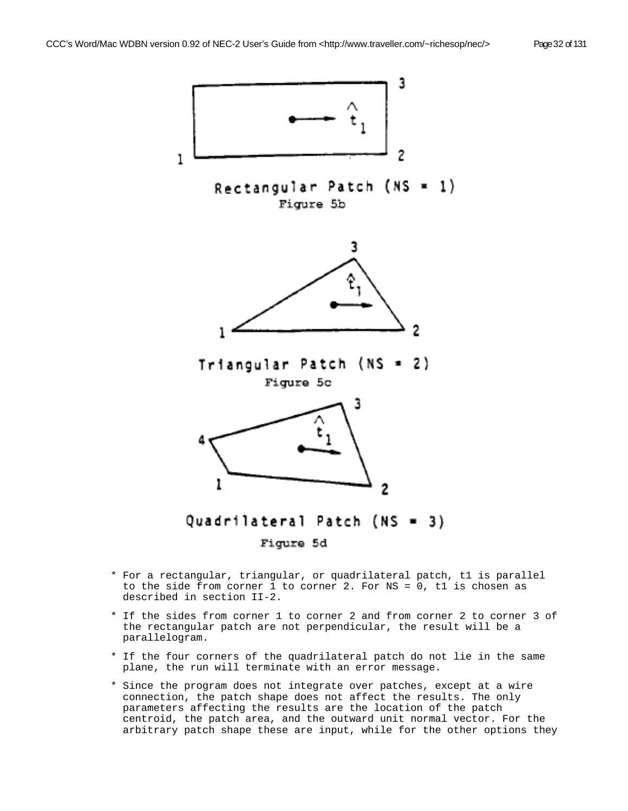

- \* For a rectangular, triangular, or quadrilateral patch, t1 is parallel to the side from corner 1 to corner 2. For NS = 0, t1 is chosen as described in section II-2.
- \* If the sides from corner 1 to corner 2 and from corner 2 to corner 3 of the rectangular patch are not perpendicular, the result will be a parallelogram.
- \* If the four corners of the quadrilateral patch do not lie in the same plane, the run will terminate with an error message.
- \* Since the program does not integrate over patches, except at a wire connection, the patch shape does not affect the results. The only parameters affecting the results are the location of the patch centroid, the patch area, and the outward unit normal vector. For the arbitrary patch shape these are input, while for the other options they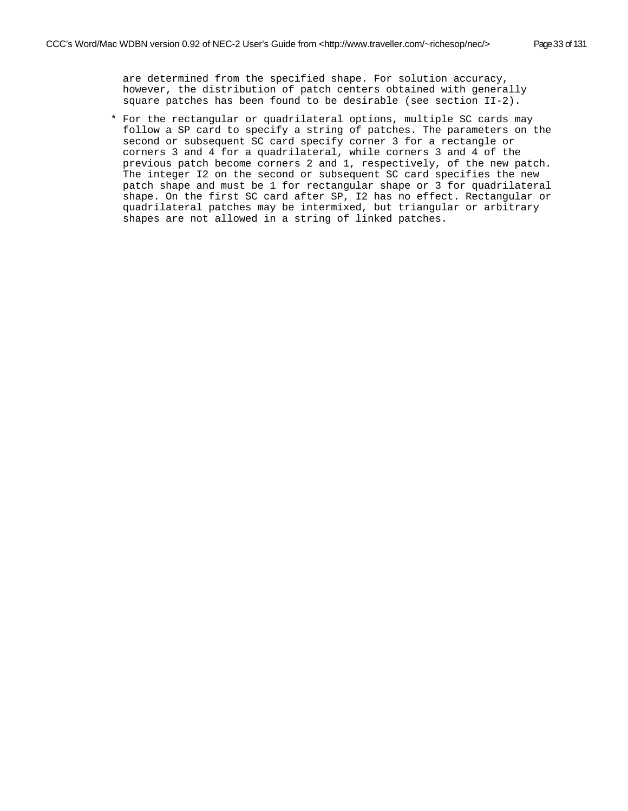are determined from the specified shape. For solution accuracy, however, the distribution of patch centers obtained with generally square patches has been found to be desirable (see section II-2).

 \* For the rectangular or quadrilateral options, multiple SC cards may follow a SP card to specify a string of patches. The parameters on the second or subsequent SC card specify corner 3 for a rectangle or corners 3 and 4 for a quadrilateral, while corners 3 and 4 of the previous patch become corners 2 and 1, respectively, of the new patch. The integer I2 on the second or subsequent SC card specifies the new patch shape and must be 1 for rectangular shape or 3 for quadrilateral shape. On the first SC card after SP, I2 has no effect. Rectangular or quadrilateral patches may be intermixed, but triangular or arbitrary shapes are not allowed in a string of linked patches.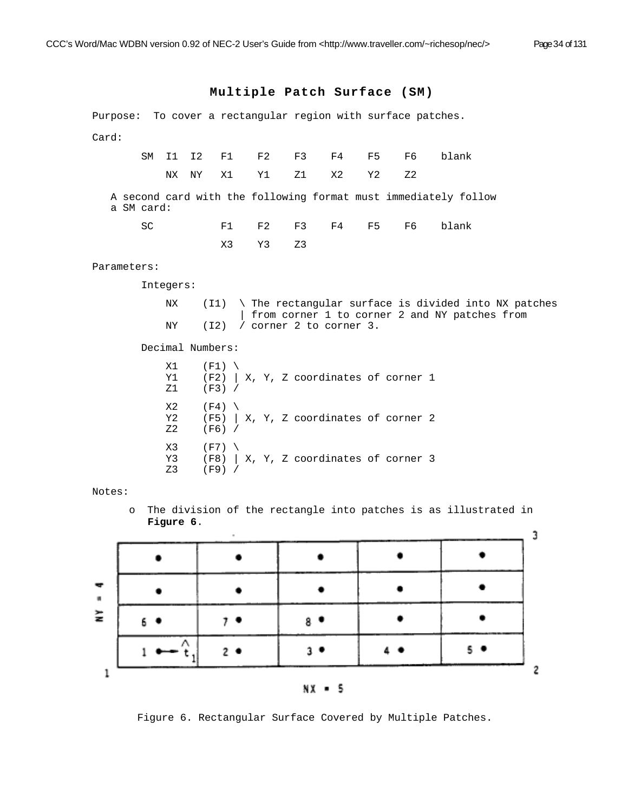|                                                              |                  |                            |       |                            |    | Multiple Patch Surface (SM)              |    |    |                |                                                                                                              |
|--------------------------------------------------------------|------------------|----------------------------|-------|----------------------------|----|------------------------------------------|----|----|----------------|--------------------------------------------------------------------------------------------------------------|
| Purpose: To cover a rectangular region with surface patches. |                  |                            |       |                            |    |                                          |    |    |                |                                                                                                              |
| Card:                                                        |                  |                            |       |                            |    |                                          |    |    |                |                                                                                                              |
|                                                              | SM               |                            | I1 I2 | F1                         | F2 | F3                                       | F4 | F5 | F6             | blank                                                                                                        |
|                                                              |                  | N X                        | NY    | X1                         | Υ1 | Z1                                       | X2 | Y2 | Z <sub>2</sub> |                                                                                                              |
| a SM card:                                                   |                  |                            |       |                            |    |                                          |    |    |                | A second card with the following format must immediately follow                                              |
|                                                              | <b>SC</b>        |                            |       | F1                         | F2 | F3                                       | F4 | F5 | F6             | blank                                                                                                        |
|                                                              |                  |                            |       | X3                         | Y3 | Z <sub>3</sub>                           |    |    |                |                                                                                                              |
| Parameters:                                                  |                  |                            |       |                            |    |                                          |    |    |                |                                                                                                              |
|                                                              |                  | Integers:                  |       |                            |    |                                          |    |    |                |                                                                                                              |
|                                                              |                  | NX.                        |       |                            |    |                                          |    |    |                | $(11)$ \ The rectangular surface is divided into NX patches<br>from corner 1 to corner 2 and NY patches from |
|                                                              |                  | NY.                        |       |                            |    | $(12)$ / corner 2 to corner 3.           |    |    |                |                                                                                                              |
|                                                              | Decimal Numbers: |                            |       |                            |    |                                          |    |    |                |                                                                                                              |
|                                                              |                  | X1<br>Υ1<br>Z1             |       | (F1)<br>(F3) /             |    | $(F2)$   X, Y, Z coordinates of corner 1 |    |    |                |                                                                                                              |
|                                                              |                  | X2<br>Y2<br>Z <sub>2</sub> |       | (F4)<br>$(F6)$ /           |    | $(F5)$   X, Y, Z coordinates of corner 2 |    |    |                |                                                                                                              |
|                                                              |                  | X3<br>Y3<br>Z3             |       | (F7)<br>(F8)  <br>$(F9)$ / |    | X, Y, Z coordinates of corner 3          |    |    |                |                                                                                                              |
| $MT0 + C0$                                                   |                  |                            |       |                            |    |                                          |    |    |                |                                                                                                              |

- Notes:
	- o The division of the rectangle into patches is as illustrated in **Figure 6**.  $\overline{a}$

| ≂<br>$\mathfrak n$ |  |    |  |   |
|--------------------|--|----|--|---|
| ₹                  |  |    |  |   |
|                    |  |    |  |   |
|                    |  | NХ |  | 2 |

Figure 6. Rectangular Surface Covered by Multiple Patches.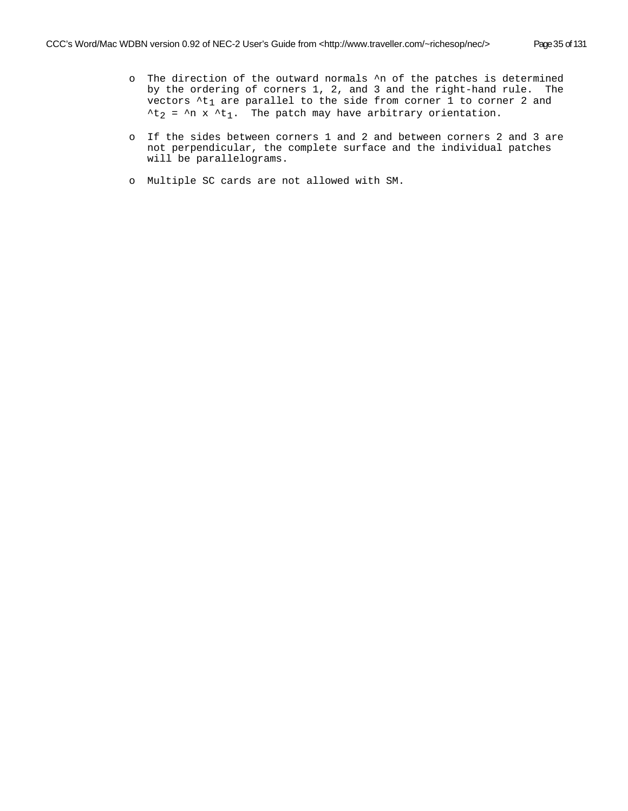- o The direction of the outward normals ^n of the patches is determined by the ordering of corners 1, 2, and 3 and the right-hand rule. The vectors ^t<sub>1</sub> are parallel to the side from corner 1 to corner 2 and  $'t_2 = 'n x 't_1$ . The patch may have arbitrary orientation.
- o If the sides between corners 1 and 2 and between corners 2 and 3 are not perpendicular, the complete surface and the individual patches will be parallelograms.
- o Multiple SC cards are not allowed with SM.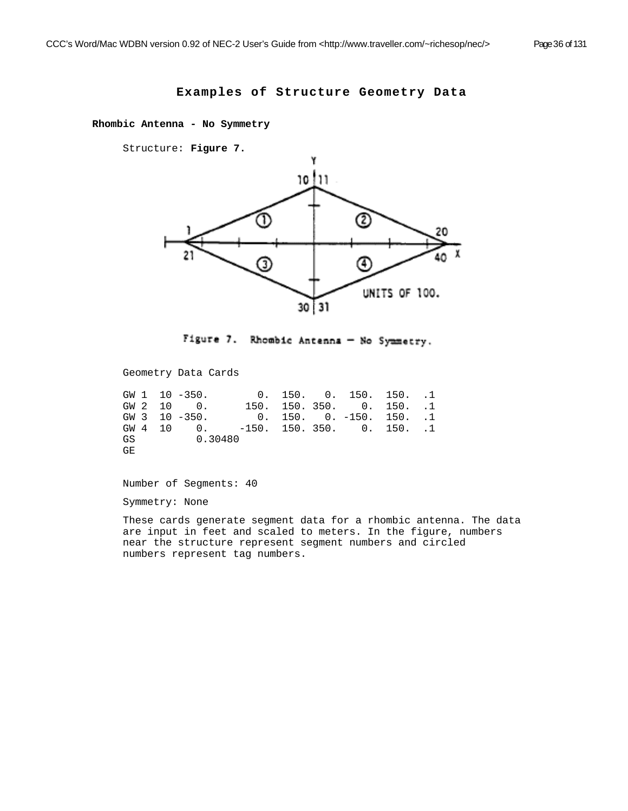# **Examples of Structure Geometry Data**

# **Rhombic Antenna - No Symmetry**

Structure: **Figure 7.**



Figure 7. Rhombic Antenna - No Symmetry.

Geometry Data Cards

|     |  | GW 1 10 -350. |                                                                 |  | 0. 150. 0. 150. 150. .1  |  |
|-----|--|---------------|-----------------------------------------------------------------|--|--------------------------|--|
|     |  | GW 2 10 0.    |                                                                 |  | 150. 150. 350. 0. 150. 1 |  |
|     |  |               | GW 3 10 -350.               0.   150.     0.  -150.   150.   .1 |  |                          |  |
|     |  |               | GW 4 10 0. –150. 150. 350. 0. 150. .1                           |  |                          |  |
| GS  |  | 0.30480       |                                                                 |  |                          |  |
| GE. |  |               |                                                                 |  |                          |  |

Number of Segments: 40

Symmetry: None

 These cards generate segment data for a rhombic antenna. The data are input in feet and scaled to meters. In the figure, numbers near the structure represent segment numbers and circled numbers represent tag numbers.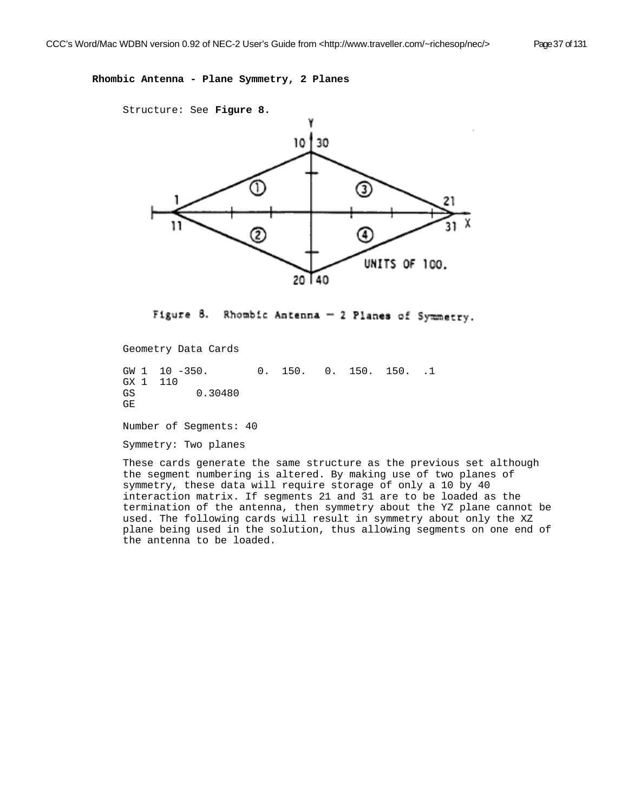**Rhombic Antenna - Plane Symmetry, 2 Planes**



Figure 8. Rhombic Antenna - 2 Planes of Symmetry.

Geometry Data Cards

 GW 1 10 -350. 0. 150. 0. 150. 150. .1 GX 1 110 0.30480 GE

Number of Segments: 40

Symmetry: Two planes

 These cards generate the same structure as the previous set although the segment numbering is altered. By making use of two planes of symmetry, these data will require storage of only a 10 by 40 interaction matrix. If segments 21 and 31 are to be loaded as the termination of the antenna, then symmetry about the YZ plane cannot be used. The following cards will result in symmetry about only the XZ plane being used in the solution, thus allowing segments on one end of the antenna to be loaded.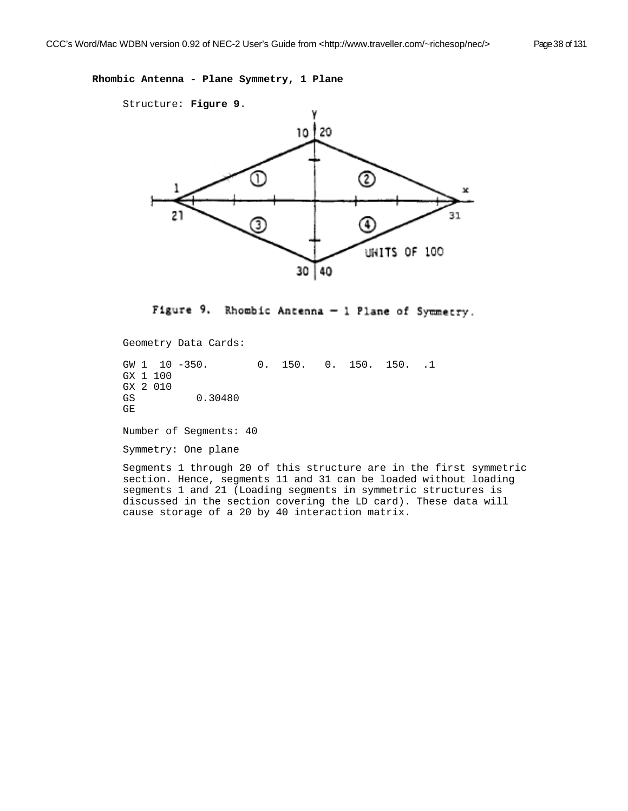**Rhombic Antenna - Plane Symmetry, 1 Plane**

Structure: **Figure 9**.



Figure 9. Rhombic Antenna - 1 Plane of Symmetry.

Geometry Data Cards:

 GW 1 10 -350. 0. 150. 0. 150. 150. .1 GX 1 100 GX 2 010 GS 0.30480 GE

Number of Segments: 40

Symmetry: One plane

 Segments 1 through 20 of this structure are in the first symmetric section. Hence, segments 11 and 31 can be loaded without loading segments 1 and 21 (Loading segments in symmetric structures is discussed in the section covering the LD card). These data will cause storage of a 20 by 40 interaction matrix.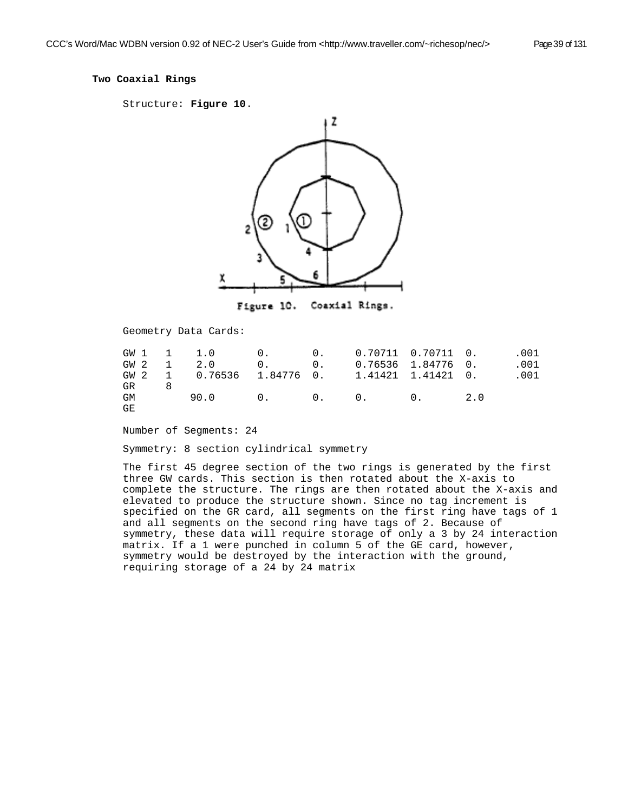### **Two Coaxial Rings**

Structure: **Figure 10**.



Figure 10. Coaxial Rings.

Geometry Data Cards:

|           | GW 1 1 1.0 0. 0. 0.70711 0.70711 0.<br>GW 2 1 2.0 0. 0. 0.76536 1.84776 0. |  |                    |     | .001<br>.001 |
|-----------|----------------------------------------------------------------------------|--|--------------------|-----|--------------|
| GR        | GW 2 1 0.76536 1.84776 0. 1.41421 1.41421 0.                               |  |                    |     | .001         |
| GM<br>GF. |                                                                            |  | $90.0$ 0. 0. 0. 0. | 2.0 |              |

Number of Segments: 24

Symmetry: 8 section cylindrical symmetry

 The first 45 degree section of the two rings is generated by the first three GW cards. This section is then rotated about the X-axis to complete the structure. The rings are then rotated about the X-axis and elevated to produce the structure shown. Since no tag increment is specified on the GR card, all segments on the first ring have tags of 1 and all segments on the second ring have tags of 2. Because of symmetry, these data will require storage of only a 3 by 24 interaction matrix. If a 1 were punched in column 5 of the GE card, however, symmetry would be destroyed by the interaction with the ground, requiring storage of a 24 by 24 matrix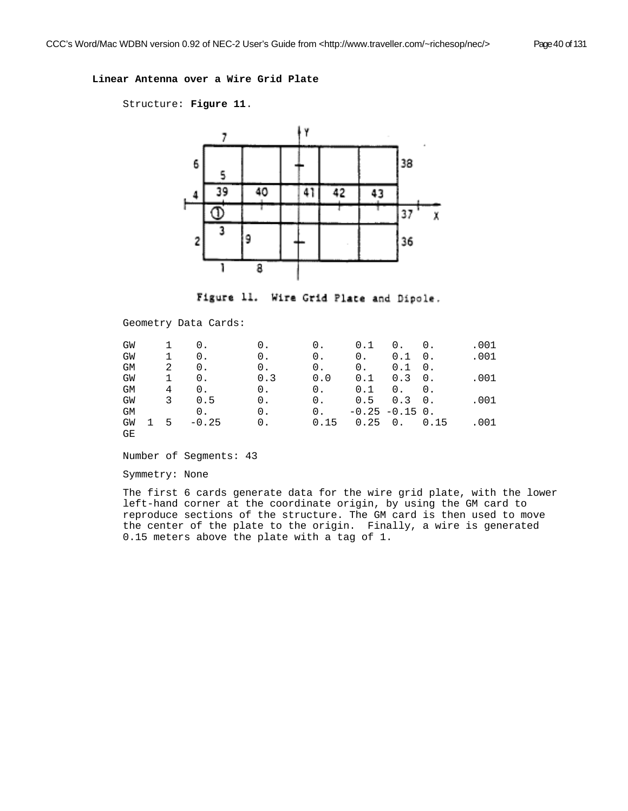### **Linear Antenna over a Wire Grid Plate**

```
 Structure: Figure 11.
```


Figure 11. Wire Grid Plate and Dipole.

Geometry Data Cards:

| GW |   | Ο.      | 0.  | 0.   | 0.1               | 0.    | 0.               | .001 |
|----|---|---------|-----|------|-------------------|-------|------------------|------|
| GW |   | 0.      | 0.  | 0.   | 0.                | 0.1   | 0.               | .001 |
| GM | 2 | 0.      | 0.  | 0.   | 0.                | 0.1   | 0.               |      |
| GW |   | 0.      | 0.3 | 0.0  | 0.1               | 0.3   | 0.               | .001 |
| GM | 4 | 0.      | 0.  | 0.   | 0.1               | 0.    | 0.               |      |
| GW | 3 | 0.5     | 0.  | 0.   | 0.5               | 0.3   | $\overline{0}$ . | .001 |
| GМ |   | 0.      | 0.  | 0.   | $-0.25 - 0.15 0.$ |       |                  |      |
| GW | 5 | $-0.25$ | 0.  | 0.15 | 0.25              | $0$ . | 0.15             | .001 |
| GΕ |   |         |     |      |                   |       |                  |      |

Number of Segments: 43

Symmetry: None

 The first 6 cards generate data for the wire grid plate, with the lower left-hand corner at the coordinate origin, by using the GM card to reproduce sections of the structure. The GM card is then used to move the center of the plate to the origin. Finally, a wire is generated 0.15 meters above the plate with a tag of 1.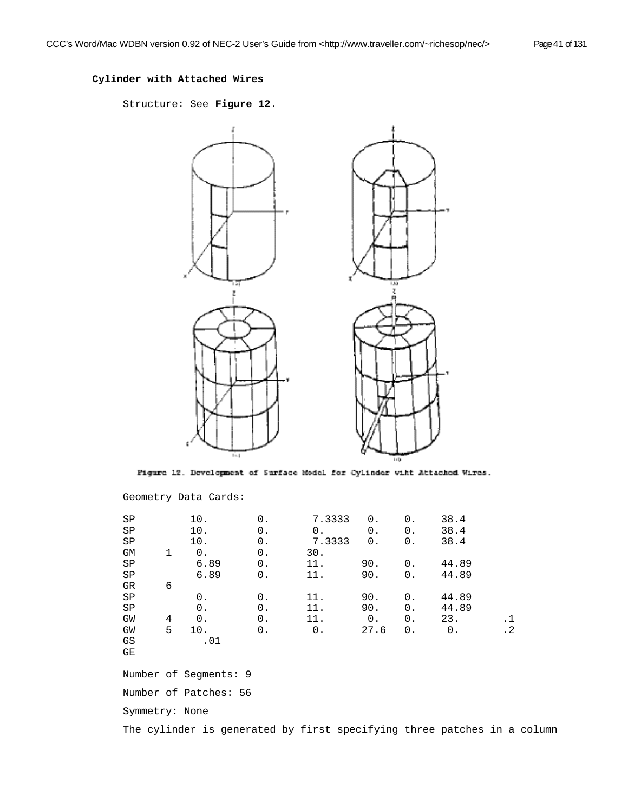# **Cylinder with Attached Wires**

Structure: See **Figure 12**.



Figure 12. Development of Surface Model for Cylinder wint Attached Wires.

| SP             |              | 10.                   | 0.    | 7.3333 | 0.             | 0.    | 38.4  |           |
|----------------|--------------|-----------------------|-------|--------|----------------|-------|-------|-----------|
| SP             |              | 10.                   | $0$ . | 0.     | 0.             | 0.    | 38.4  |           |
| SP             |              | 10.                   | 0.    | 7.3333 | 0.             | 0.    | 38.4  |           |
| GM             | $\mathbf{1}$ | $0$ .                 | 0.    | 30.    |                |       |       |           |
| SP             |              | 6.89                  | 0.    | 11.    | 90.            | 0.    | 44.89 |           |
| SP             |              | 6.89                  | 0.    | 11.    | 90.            | 0.    | 44.89 |           |
| GR             | 6            |                       |       |        |                |       |       |           |
| SP             |              | 0.                    | 0.    | 11.    | 90.            | $0$ . | 44.89 |           |
| SP             |              | 0.                    | 0.    | 11.    | 90.            | 0.    | 44.89 |           |
| GW             | 4            | 0.                    | 0.    | 11.    | 0 <sub>1</sub> | 0.    | 23.   | $\cdot$ 1 |
| GW             | 5            | 10.                   | $0$ . | $0$ .  | 27.6           | $0$ . | $0$ . | $\cdot$ 2 |
| GS             |              | .01                   |       |        |                |       |       |           |
| GE             |              |                       |       |        |                |       |       |           |
|                |              | Number of Seqments: 9 |       |        |                |       |       |           |
|                |              | Number of Patches: 56 |       |        |                |       |       |           |
| Symmetry: None |              |                       |       |        |                |       |       |           |
|                |              |                       |       |        |                |       |       |           |

Geometry Data Cards:

The cylinder is generated by first specifying three patches in a column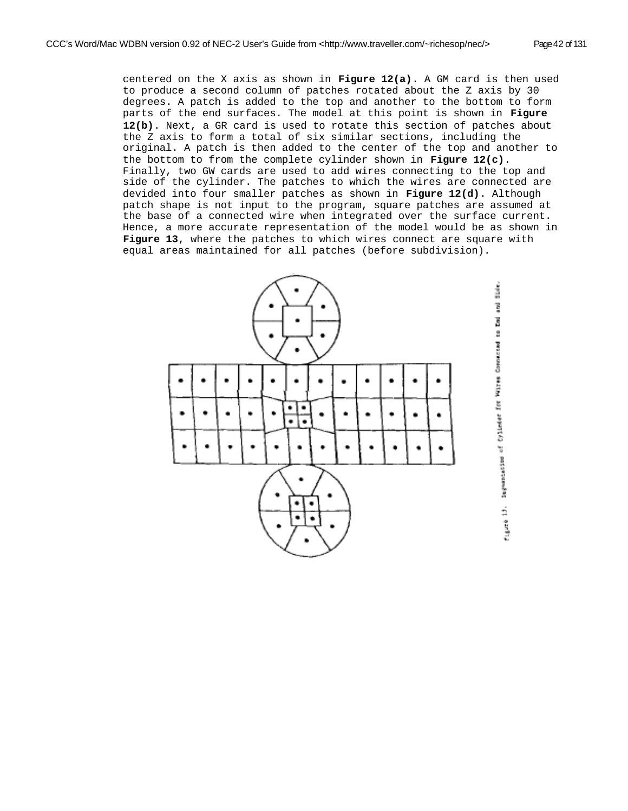Side. Ĭ š ä

figure 11. Suggestation of Cylinder for Wires Connected

 centered on the X axis as shown in **Figure 12(a)**. A GM card is then used to produce a second column of patches rotated about the Z axis by 30 degrees. A patch is added to the top and another to the bottom to form parts of the end surfaces. The model at this point is shown in **Figure 12(b)**. Next, a GR card is used to rotate this section of patches about the Z axis to form a total of six similar sections, including the original. A patch is then added to the center of the top and another to the bottom to from the complete cylinder shown in **Figure 12(c)**. Finally, two GW cards are used to add wires connecting to the top and side of the cylinder. The patches to which the wires are connected are devided into four smaller patches as shown in **Figure 12(d)**. Although patch shape is not input to the program, square patches are assumed at the base of a connected wire when integrated over the surface current. Hence, a more accurate representation of the model would be as shown in **Figure 13**, where the patches to which wires connect are square with equal areas maintained for all patches (before subdivision).

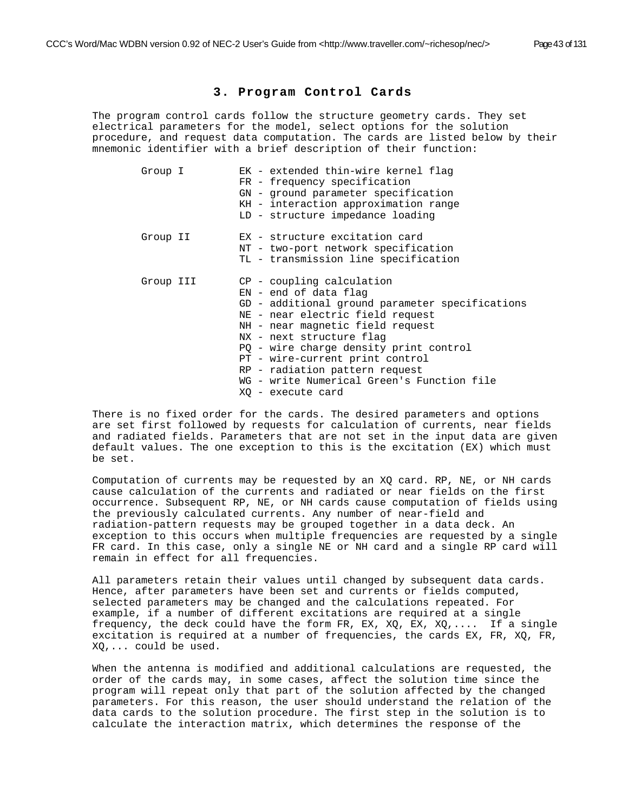## **3. Program Control Cards**

The program control cards follow the structure geometry cards. They set electrical parameters for the model, select options for the solution procedure, and request data computation. The cards are listed below by their mnemonic identifier with a brief description of their function:

| Group I   | EK - extended thin-wire kernel flag<br>FR - frequency specification<br>GN - ground parameter specification<br>KH - interaction approximation range<br>LD - structure impedance loading                                                                                                                                                                                                          |
|-----------|-------------------------------------------------------------------------------------------------------------------------------------------------------------------------------------------------------------------------------------------------------------------------------------------------------------------------------------------------------------------------------------------------|
| Group II  | EX - structure excitation card<br>NT - two-port network specification<br>TL - transmission line specification                                                                                                                                                                                                                                                                                   |
| Group III | $CP - coupling calculation$<br>$EN - end of data flag$<br>GD - additional ground parameter specifications<br>NE - near electric field request<br>NH - near magnetic field request<br>NX - next structure flag<br>PQ - wire charge density print control<br>PT - wire-current print control<br>RP - radiation pattern request<br>WG - write Numerical Green's Function file<br>XO - execute card |

There is no fixed order for the cards. The desired parameters and options are set first followed by requests for calculation of currents, near fields and radiated fields. Parameters that are not set in the input data are given default values. The one exception to this is the excitation (EX) which must be set.

Computation of currents may be requested by an XQ card. RP, NE, or NH cards cause calculation of the currents and radiated or near fields on the first occurrence. Subsequent RP, NE, or NH cards cause computation of fields using the previously calculated currents. Any number of near-field and radiation-pattern requests may be grouped together in a data deck. An exception to this occurs when multiple frequencies are requested by a single FR card. In this case, only a single NE or NH card and a single RP card will remain in effect for all frequencies.

All parameters retain their values until changed by subsequent data cards. Hence, after parameters have been set and currents or fields computed, selected parameters may be changed and the calculations repeated. For example, if a number of different excitations are required at a single frequency, the deck could have the form FR, EX, XQ, EX, XQ,.... If a single excitation is required at a number of frequencies, the cards EX, FR, XQ, FR, XQ,... could be used.

When the antenna is modified and additional calculations are requested, the order of the cards may, in some cases, affect the solution time since the program will repeat only that part of the solution affected by the changed parameters. For this reason, the user should understand the relation of the data cards to the solution procedure. The first step in the solution is to calculate the interaction matrix, which determines the response of the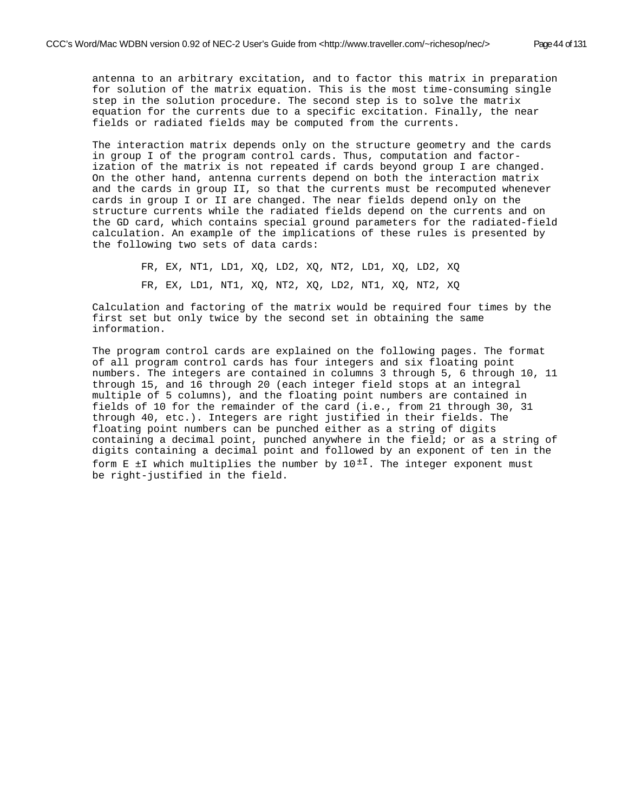antenna to an arbitrary excitation, and to factor this matrix in preparation for solution of the matrix equation. This is the most time-consuming single step in the solution procedure. The second step is to solve the matrix equation for the currents due to a specific excitation. Finally, the near fields or radiated fields may be computed from the currents.

The interaction matrix depends only on the structure geometry and the cards in group I of the program control cards. Thus, computation and factorization of the matrix is not repeated if cards beyond group I are changed. On the other hand, antenna currents depend on both the interaction matrix and the cards in group II, so that the currents must be recomputed whenever cards in group I or II are changed. The near fields depend only on the structure currents while the radiated fields depend on the currents and on the GD card, which contains special ground parameters for the radiated-field calculation. An example of the implications of these rules is presented by the following two sets of data cards:

> FR, EX, NT1, LD1, XQ, LD2, XQ, NT2, LD1, XQ, LD2, XQ FR, EX, LD1, NT1, XQ, NT2, XQ, LD2, NT1, XQ, NT2, XQ

Calculation and factoring of the matrix would be required four times by the first set but only twice by the second set in obtaining the same information.

The program control cards are explained on the following pages. The format of all program control cards has four integers and six floating point numbers. The integers are contained in columns 3 through 5, 6 through 10, 11 through 15, and 16 through 20 (each integer field stops at an integral multiple of 5 columns), and the floating point numbers are contained in fields of 10 for the remainder of the card (i.e., from 21 through 30, 31 through 40, etc.). Integers are right justified in their fields. The floating point numbers can be punched either as a string of digits containing a decimal point, punched anywhere in the field; or as a string of digits containing a decimal point and followed by an exponent of ten in the form E  $\pm$ I which multiplies the number by  $10^{\pm}$ . The integer exponent must be right-justified in the field.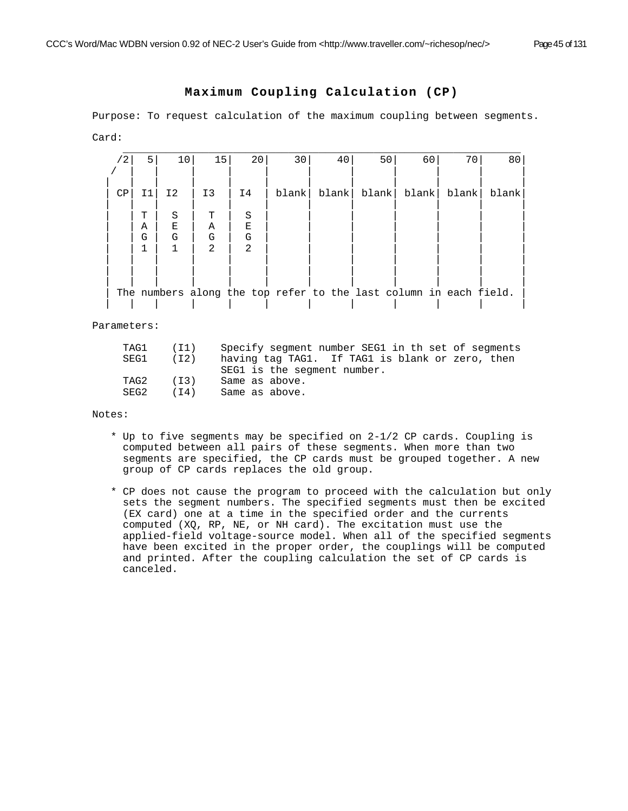# **Maximum Coupling Calculation (CP)**

Purpose: To request calculation of the maximum coupling between segments. Card:

|    | 5 <sup>1</sup> | 10 | 15           | 20 | 30 <sup>1</sup> | 40 <sup>°</sup> | 50    | 60                                                                | 70    | 80    |
|----|----------------|----|--------------|----|-----------------|-----------------|-------|-------------------------------------------------------------------|-------|-------|
| CP |                | I2 | I3           | I4 | blank           | blank           | blank |                                                                   |       |       |
|    | I1             |    |              |    |                 |                 |       | blank                                                             | blank | blank |
|    | T              | S  | Т            | S  |                 |                 |       |                                                                   |       |       |
|    | $\mathbb A$    | E  | $\mathsf{A}$ | E  |                 |                 |       |                                                                   |       |       |
|    | G              | G  | G            | G  |                 |                 |       |                                                                   |       |       |
|    | 1              | 1  | 2            | 2  |                 |                 |       |                                                                   |       |       |
|    |                |    |              |    |                 |                 |       |                                                                   |       |       |
|    |                |    |              |    |                 |                 |       |                                                                   |       |       |
|    |                |    |              |    |                 |                 |       |                                                                   |       |       |
|    |                |    |              |    |                 |                 |       | The numbers along the top refer to the last column in each field. |       |       |
|    |                |    |              |    |                 |                 |       |                                                                   |       |       |

Parameters:

| TAG1 | (I1) | Specify seqment number SEG1 in th set of seqments |
|------|------|---------------------------------------------------|
| SEG1 | (I2) | having tag TAG1. If TAG1 is blank or zero, then   |
|      |      | SEG1 is the seqment number.                       |
| TAG2 | (13) | Same as above.                                    |
| SEG2 | (I4) | Same as above.                                    |

- \* Up to five segments may be specified on 2-1/2 CP cards. Coupling is computed between all pairs of these segments. When more than two segments are specified, the CP cards must be grouped together. A new group of CP cards replaces the old group.
- \* CP does not cause the program to proceed with the calculation but only sets the segment numbers. The specified segments must then be excited (EX card) one at a time in the specified order and the currents computed (XQ, RP, NE, or NH card). The excitation must use the applied-field voltage-source model. When all of the specified segments have been excited in the proper order, the couplings will be computed and printed. After the coupling calculation the set of CP cards is canceled.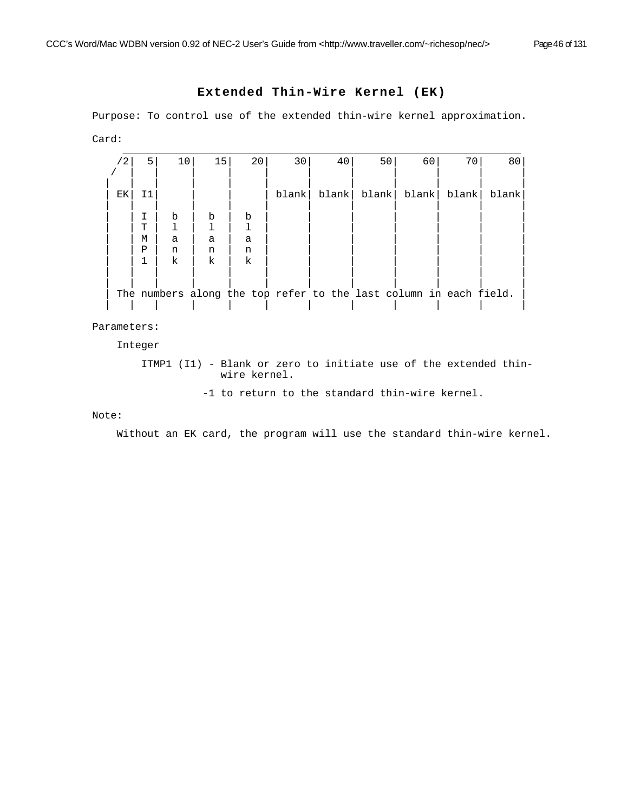# **Extended Thin-Wire Kernel (EK)**

Purpose: To control use of the extended thin-wire kernel approximation. Card:

|    | 5 <sup>1</sup> | 10 | 15 | 20 | 301   | 40 <sup>1</sup> | 50                                                                | 60    | 70    | 80    |
|----|----------------|----|----|----|-------|-----------------|-------------------------------------------------------------------|-------|-------|-------|
|    |                |    |    |    |       |                 |                                                                   |       |       |       |
|    |                |    |    |    |       |                 |                                                                   |       |       |       |
| ЕK | Ι1             |    |    |    | blank | blank           | blank                                                             | blank | blank | blank |
|    |                |    |    |    |       |                 |                                                                   |       |       |       |
|    | T.             | b  | b  | b  |       |                 |                                                                   |       |       |       |
|    | T              |    |    |    |       |                 |                                                                   |       |       |       |
|    | M              | a  | a  | a  |       |                 |                                                                   |       |       |       |
|    | P              | n  | n  | n  |       |                 |                                                                   |       |       |       |
|    | 1              | k  | k  | k  |       |                 |                                                                   |       |       |       |
|    |                |    |    |    |       |                 |                                                                   |       |       |       |
|    |                |    |    |    |       |                 |                                                                   |       |       |       |
|    |                |    |    |    |       |                 | The numbers along the top refer to the last column in each field. |       |       |       |
|    |                |    |    |    |       |                 |                                                                   |       |       |       |

Parameters:

Integer

 ITMP1 (I1) - Blank or zero to initiate use of the extended thin wire kernel.

-1 to return to the standard thin-wire kernel.

Note:

Without an EK card, the program will use the standard thin-wire kernel.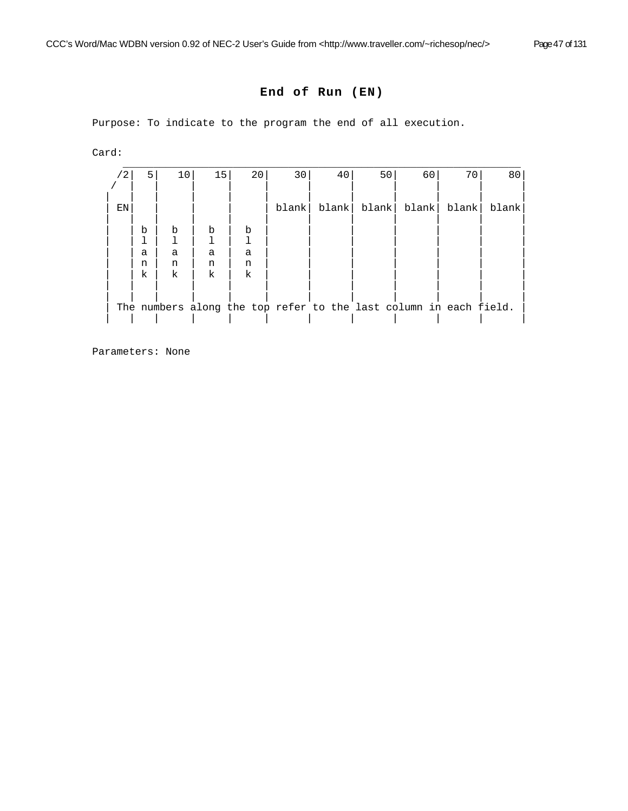# **End of Run (EN)**

Purpose: To indicate to the program the end of all execution.

Card:

|    | 5 <sup>1</sup> | 10 | 15 | 20 | 301    | 40    | 50 | 60                                                                | 70 | 80    |
|----|----------------|----|----|----|--------|-------|----|-------------------------------------------------------------------|----|-------|
|    |                |    |    |    |        |       |    |                                                                   |    |       |
|    |                |    |    |    |        |       |    |                                                                   |    |       |
| EN |                |    |    |    | blankl | blank |    | blank  blank  blank                                               |    | blank |
|    |                |    |    |    |        |       |    |                                                                   |    |       |
|    | b              | b  | b  | b  |        |       |    |                                                                   |    |       |
|    |                |    |    |    |        |       |    |                                                                   |    |       |
|    | a              | a  | a  | a  |        |       |    |                                                                   |    |       |
|    | n              | n  | n  | n  |        |       |    |                                                                   |    |       |
|    | k              | k  | k  | k  |        |       |    |                                                                   |    |       |
|    |                |    |    |    |        |       |    |                                                                   |    |       |
|    |                |    |    |    |        |       |    |                                                                   |    |       |
|    |                |    |    |    |        |       |    | The numbers along the top refer to the last column in each field. |    |       |
|    |                |    |    |    |        |       |    |                                                                   |    |       |

Parameters: None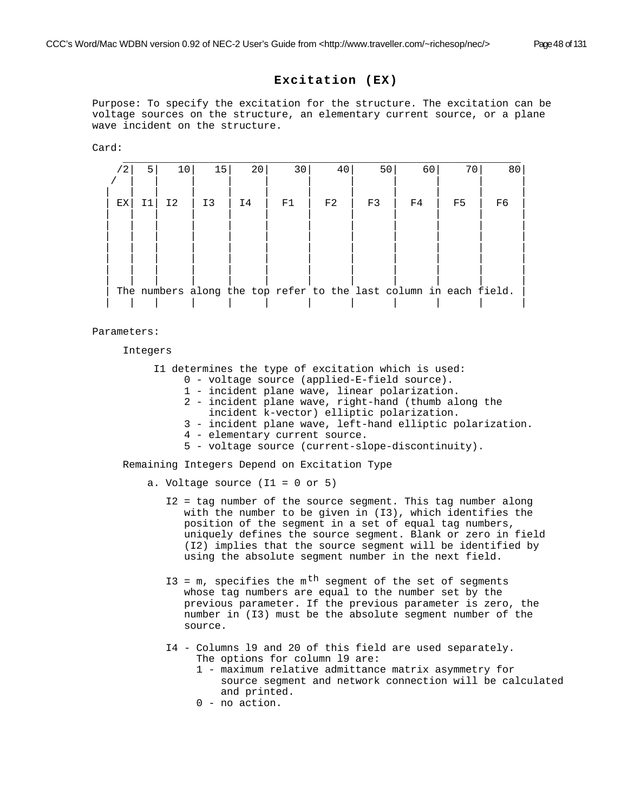### **Excitation (EX)**

Purpose: To specify the excitation for the structure. The excitation can be voltage sources on the structure, an elementary current source, or a plane wave incident on the structure.

Card:

|    | 5 <sup>1</sup> | 10 | 15 | 20 <sup>1</sup> | 30 <sup>1</sup> | 40             | 50 | 60                                                                | 70 | 80 |
|----|----------------|----|----|-----------------|-----------------|----------------|----|-------------------------------------------------------------------|----|----|
| ЕX |                | I2 | I3 | <b>I4</b>       | F1              | F <sub>2</sub> | F3 | F4                                                                | F5 | F6 |
|    |                |    |    |                 |                 |                |    |                                                                   |    |    |
|    |                |    |    |                 |                 |                |    |                                                                   |    |    |
|    |                |    |    |                 |                 |                |    |                                                                   |    |    |
|    |                |    |    |                 |                 |                |    |                                                                   |    |    |
|    |                |    |    |                 |                 |                |    | The numbers along the top refer to the last column in each field. |    |    |

Parameters:

Integers

I1 determines the type of excitation which is used:

- 0 voltage source (applied-E-field source).
- 1 incident plane wave, linear polarization.
- 2 incident plane wave, right-hand (thumb along the
	- incident k-vector) elliptic polarization.
- 3 incident plane wave, left-hand elliptic polarization.
- 4 elementary current source.
- 5 voltage source (current-slope-discontinuity).

Remaining Integers Depend on Excitation Type

- a. Voltage source  $(11 = 0 \text{ or } 5)$ 
	- I2 = tag number of the source segment. This tag number along with the number to be given in (I3), which identifies the position of the segment in a set of equal tag numbers, uniquely defines the source segment. Blank or zero in field (I2) implies that the source segment will be identified by using the absolute segment number in the next field.
	- I3 =  $m$ , specifies the  $m<sup>th</sup>$  seqment of the set of seqments whose tag numbers are equal to the number set by the previous parameter. If the previous parameter is zero, the number in (I3) must be the absolute segment number of the source.
	- I4 Columns l9 and 20 of this field are used separately.
		- The options for column 19 are:
		- 1 maximum relative admittance matrix asymmetry for source segment and network connection will be calculated and printed.
		- 0 no action.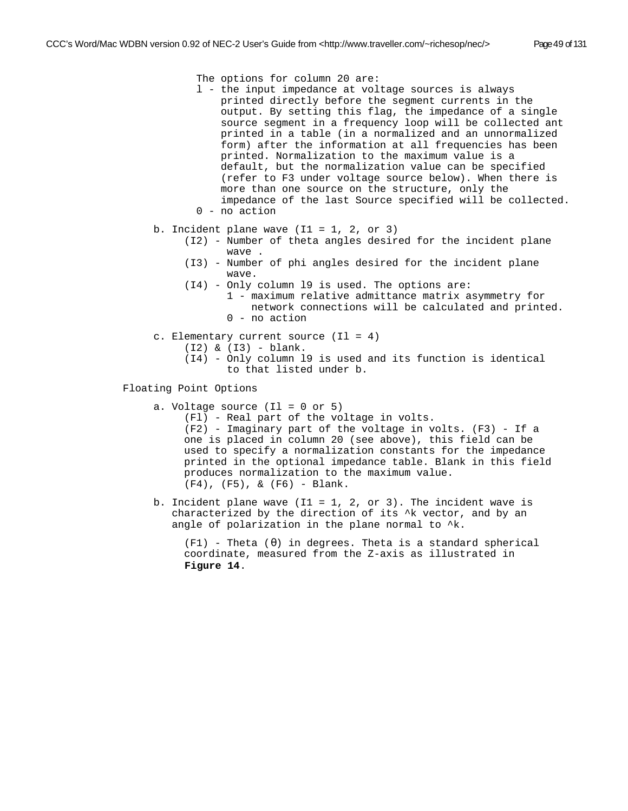The options for column 20 are:

- l the input impedance at voltage sources is always printed directly before the segment currents in the output. By setting this flag, the impedance of a single source segment in a frequency loop will be collected ant printed in a table (in a normalized and an unnormalized form) after the information at all frequencies has been printed. Normalization to the maximum value is a default, but the normalization value can be specified (refer to F3 under voltage source below). When there is more than one source on the structure, only the impedance of the last Source specified will be collected. 0 - no action
- b. Incident plane wave  $(11 = 1, 2, or 3)$ 
	- (I2) Number of theta angles desired for the incident plane wave .
	- (I3) Number of phi angles desired for the incident plane wave.
	- (I4) Only column l9 is used. The options are:
		- 1 maximum relative admittance matrix asymmetry for
		- network connections will be calculated and printed.
		- 0 no action
- c. Elementary current source (Il = 4)
	- (I2) & (I3) blank.
	- (I4) Only column l9 is used and its function is identical to that listed under b.

Floating Point Options

- a. Voltage source  $(II = 0$  or 5)
	- (Fl) Real part of the voltage in volts.

 (F2) - Imaginary part of the voltage in volts. (F3) - If a one is placed in column 20 (see above), this field can be used to specify a normalization constants for the impedance printed in the optional impedance table. Blank in this field produces normalization to the maximum value. (F4), (F5), & (F6) - Blank.

b. Incident plane wave (I1 = 1, 2, or 3). The incident wave is characterized by the direction of its ^k vector, and by an angle of polarization in the plane normal to  $k$ .

 $(F1)$  - Theta  $(\theta)$  in degrees. Theta is a standard spherical coordinate, measured from the Z-axis as illustrated in  **Figure 14**.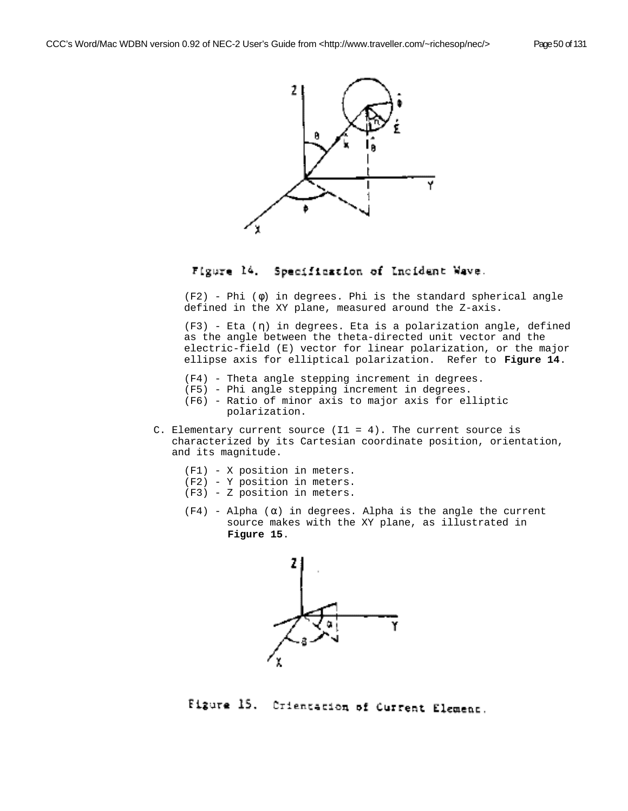

# Figure 14. Specification of Incident Wave.

 (F2) - Phi (φ) in degrees. Phi is the standard spherical angle defined in the XY plane, measured around the Z-axis.

 (F3) - Eta (η) in degrees. Eta is a polarization angle, defined as the angle between the theta-directed unit vector and the electric-field (E) vector for linear polarization, or the major ellipse axis for elliptical polarization. Refer to **Figure 14**.

- (F4) Theta angle stepping increment in degrees.
- (F5) Phi angle stepping increment in degrees.
- (F6) Ratio of minor axis to major axis for elliptic polarization.
- C. Elementary current source  $(11 = 4)$ . The current source is characterized by its Cartesian coordinate position, orientation, and its magnitude.
	- (F1) X position in meters.
	- (F2) Y position in meters.
	- (F3) Z position in meters.
	- $(F4)$  Alpha ( $\alpha$ ) in degrees. Alpha is the angle the current source makes with the XY plane, as illustrated in **Figure 15**.



Figure 15. Crientation of Current Element.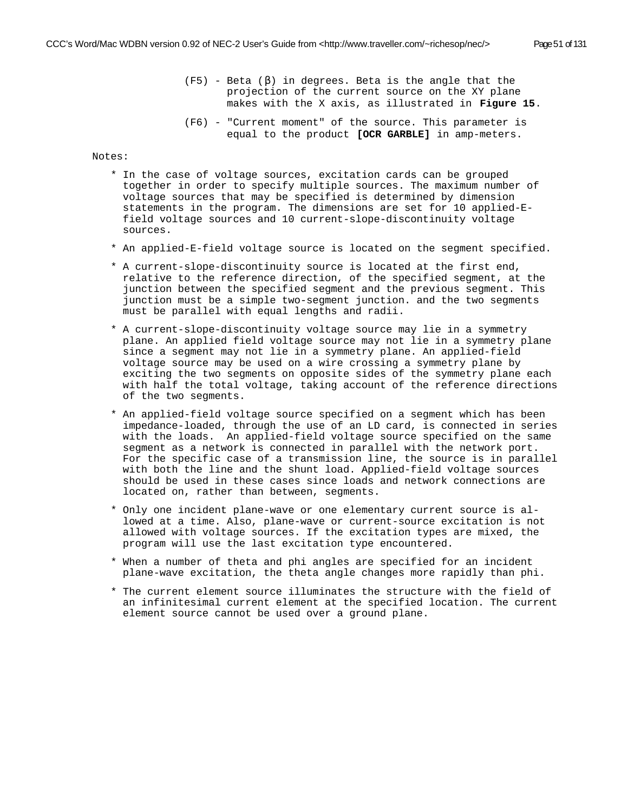- (F5) Beta ( $\beta$ ) in degrees. Beta is the angle that the projection of the current source on the XY plane makes with the X axis, as illustrated in **Figure 15**.
- (F6) "Current moment" of the source. This parameter is equal to the product **[OCR GARBLE]** in amp-meters.

- \* In the case of voltage sources, excitation cards can be grouped together in order to specify multiple sources. The maximum number of voltage sources that may be specified is determined by dimension statements in the program. The dimensions are set for 10 applied-E field voltage sources and 10 current-slope-discontinuity voltage sources.
- \* An applied-E-field voltage source is located on the segment specified.
- \* A current-slope-discontinuity source is located at the first end, relative to the reference direction, of the specified segment, at the junction between the specified segment and the previous segment. This junction must be a simple two-segment junction. and the two segments must be parallel with equal lengths and radii.
- \* A current-slope-discontinuity voltage source may lie in a symmetry plane. An applied field voltage source may not lie in a symmetry plane since a segment may not lie in a symmetry plane. An applied-field voltage source may be used on a wire crossing a symmetry plane by exciting the two segments on opposite sides of the symmetry plane each with half the total voltage, taking account of the reference directions of the two segments.
- \* An applied-field voltage source specified on a segment which has been impedance-loaded, through the use of an LD card, is connected in series with the loads. An applied-field voltage source specified on the same segment as a network is connected in parallel with the network port. For the specific case of a transmission line, the source is in parallel with both the line and the shunt load. Applied-field voltage sources should be used in these cases since loads and network connections are located on, rather than between, segments.
- \* Only one incident plane-wave or one elementary current source is al lowed at a time. Also, plane-wave or current-source excitation is not allowed with voltage sources. If the excitation types are mixed, the program will use the last excitation type encountered.
- \* When a number of theta and phi angles are specified for an incident plane-wave excitation, the theta angle changes more rapidly than phi.
- \* The current element source illuminates the structure with the field of an infinitesimal current element at the specified location. The current element source cannot be used over a ground plane.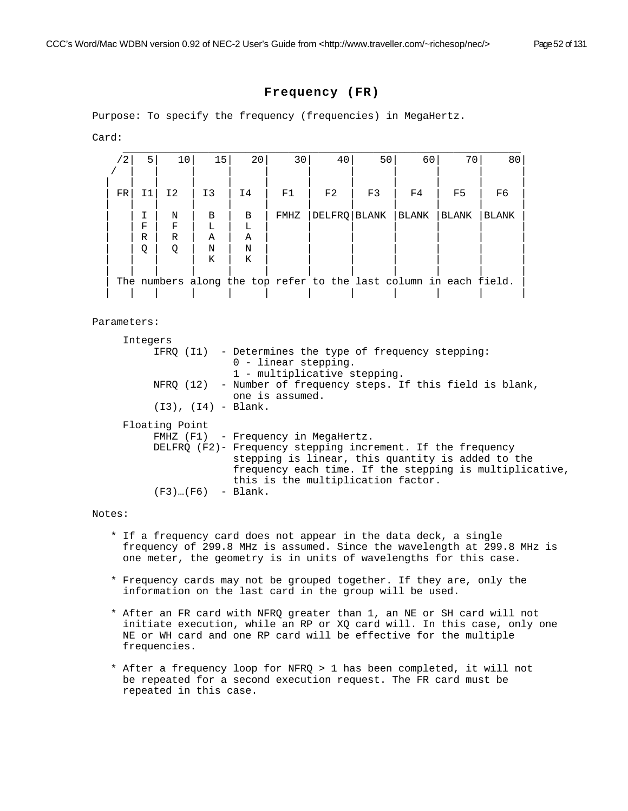#### **Frequency (FR)**

Purpose: To specify the frequency (frequencies) in MegaHertz.

Card:

| ′2  | 5 <sup>1</sup> | 10          | 15             | 20  | 301  | 40                                                                | 50 | 60           | 70    | 80           |
|-----|----------------|-------------|----------------|-----|------|-------------------------------------------------------------------|----|--------------|-------|--------------|
|     |                |             |                |     |      |                                                                   |    |              |       |              |
| FR. | Ι1             | I2          | I <sub>3</sub> | I 4 | F1   | F2                                                                | F3 | F4           | F5.   | F6           |
|     | Τ              | N           | B              | B   | FMHZ | DELFRO   BLANK                                                    |    | <b>BLANK</b> | BLANK | <b>BLANK</b> |
|     | F              | F           | L              | L   |      |                                                                   |    |              |       |              |
|     | R              | $\mathbb R$ | $\mathbb{A}$   | A   |      |                                                                   |    |              |       |              |
|     | Q              | Q           | N              | N   |      |                                                                   |    |              |       |              |
|     |                |             | K              | K   |      |                                                                   |    |              |       |              |
|     |                |             |                |     |      |                                                                   |    |              |       |              |
|     |                |             |                |     |      | The numbers along the top refer to the last column in each field. |    |              |       |              |
|     |                |             |                |     |      |                                                                   |    |              |       |              |

### Parameters:

| Integers                                                                                                                                                                                                                                                                     |
|------------------------------------------------------------------------------------------------------------------------------------------------------------------------------------------------------------------------------------------------------------------------------|
| IFRQ $(11)$ - Determines the type of frequency stepping:<br>$0$ - linear stepping.<br>1 - multiplicative stepping.                                                                                                                                                           |
| $NFRQ$ (12) - Number of frequency steps. If this field is blank,<br>one is assumed.                                                                                                                                                                                          |
| $(13)$ , $(14)$ - Blank.                                                                                                                                                                                                                                                     |
| Floating Point<br>$FMHZ$ (F1) - Frequency in MegaHertz.<br>DELFRO (F2)- Frequency stepping increment. If the frequency<br>stepping is linear, this quantity is added to the<br>frequency each time. If the stepping is multiplicative,<br>this is the multiplication factor. |
| $(F3)(F6)$ - Blank.                                                                                                                                                                                                                                                          |

- \* If a frequency card does not appear in the data deck, a single frequency of 299.8 MHz is assumed. Since the wavelength at 299.8 MHz is one meter, the geometry is in units of wavelengths for this case.
- \* Frequency cards may not be grouped together. If they are, only the information on the last card in the group will be used.
- \* After an FR card with NFRQ greater than 1, an NE or SH card will not initiate execution, while an RP or XQ card will. In this case, only one NE or WH card and one RP card will be effective for the multiple frequencies.
- \* After a frequency loop for NFRQ > 1 has been completed, it will not be repeated for a second execution request. The FR card must be repeated in this case.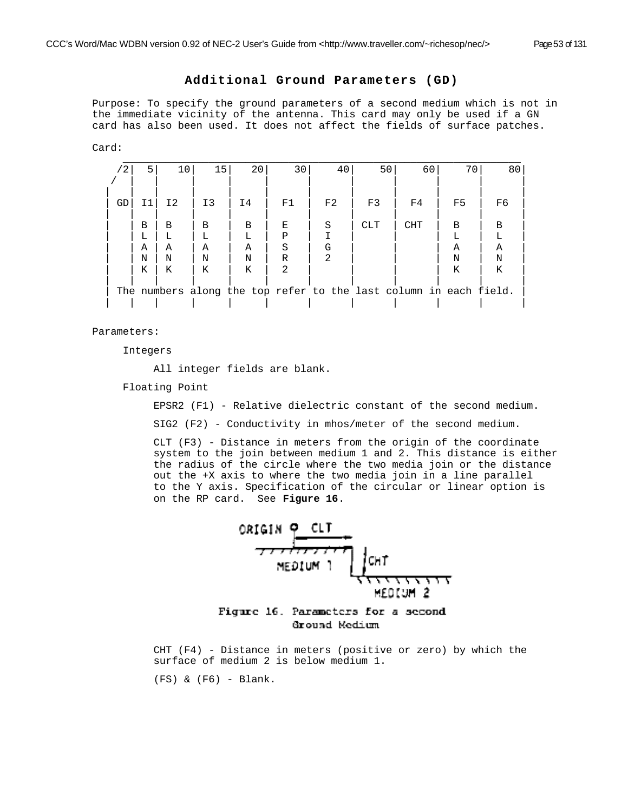## **Additional Ground Parameters (GD)**

Purpose: To specify the ground parameters of a second medium which is not in the immediate vicinity of the antenna. This card may only be used if a GN card has also been used. It does not affect the fields of surface patches.

Card:

| ′2 | 5            | 10 | 15             | 20           | 30 <sup>1</sup> | 40                                                                | 50         | 60         | 70 | 80          |
|----|--------------|----|----------------|--------------|-----------------|-------------------------------------------------------------------|------------|------------|----|-------------|
|    |              |    |                |              |                 |                                                                   |            |            |    |             |
| GD | 11           | I2 | I <sub>3</sub> | I 4          | F1              | F2                                                                | F3         | F4         | F5 | F6          |
|    | <sub>B</sub> | B  | B              | B            | Е               | S                                                                 | <b>CLT</b> | <b>CHT</b> | B  | B           |
|    | L            | L  | L              | T.           | $\mathbf{P}$    | I                                                                 |            |            |    | L           |
|    | $\mathbb{A}$ | A  | $\mathbb{A}$   | $\mathbb{A}$ | S               | G                                                                 |            |            | A  | $\mathbb A$ |
|    | N            | N  | N              | N            | R               | $\overline{2}$                                                    |            |            | N  | N           |
|    | K            | K  | K              | K            | $\mathfrak{D}$  |                                                                   |            |            | K  | K           |
|    |              |    |                |              |                 | The numbers along the top refer to the last column in each field. |            |            |    |             |
|    |              |    |                |              |                 |                                                                   |            |            |    |             |

Parameters:

Integers

All integer fields are blank.

Floating Point

EPSR2 (F1) - Relative dielectric constant of the second medium.

SIG2 (F2) - Conductivity in mhos/meter of the second medium.

 CLT (F3) - Distance in meters from the origin of the coordinate system to the join between medium 1 and 2. This distance is either the radius of the circle where the two media join or the distance out the +X axis to where the two media join in a line parallel to the Y axis. Specification of the circular or linear option is on the RP card. See **Figure 16**.



Figure 16. Parameters for a second Ground Medium

 CHT (F4) - Distance in meters (positive or zero) by which the surface of medium 2 is below medium 1.

(FS) & (F6) - Blank.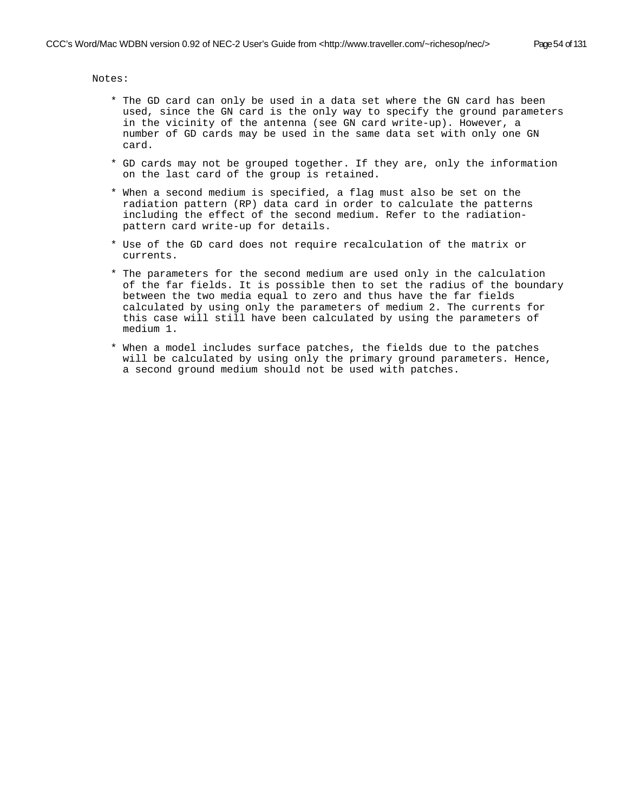- \* The GD card can only be used in a data set where the GN card has been used, since the GN card is the only way to specify the ground parameters in the vicinity of the antenna (see GN card write-up). However, a number of GD cards may be used in the same data set with only one GN card.
- \* GD cards may not be grouped together. If they are, only the information on the last card of the group is retained.
- \* When a second medium is specified, a flag must also be set on the radiation pattern (RP) data card in order to calculate the patterns including the effect of the second medium. Refer to the radiation pattern card write-up for details.
- \* Use of the GD card does not require recalculation of the matrix or currents.
- \* The parameters for the second medium are used only in the calculation of the far fields. It is possible then to set the radius of the boundary between the two media equal to zero and thus have the far fields calculated by using only the parameters of medium 2. The currents for this case will still have been calculated by using the parameters of medium 1.
- \* When a model includes surface patches, the fields due to the patches will be calculated by using only the primary ground parameters. Hence, a second ground medium should not be used with patches.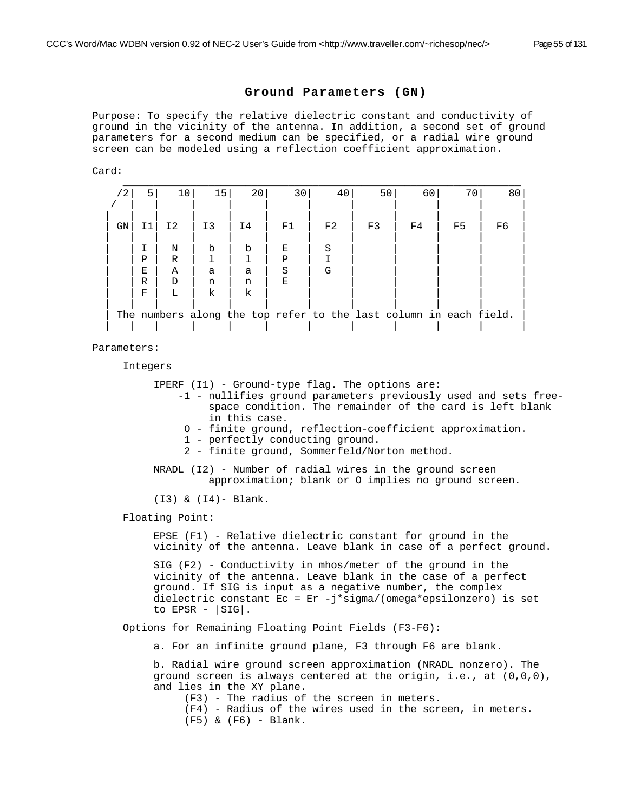### **Ground Parameters (GN)**

Purpose: To specify the relative dielectric constant and conductivity of ground in the vicinity of the antenna. In addition, a second set of ground parameters for a second medium can be specified, or a radial wire ground screen can be modeled using a reflection coefficient approximation.

Card:

|    | 5            | 10' | 15             | 20 | 30          | 40 | 50 | 60                                                                | 70 | 80 |
|----|--------------|-----|----------------|----|-------------|----|----|-------------------------------------------------------------------|----|----|
|    |              |     |                |    |             |    |    |                                                                   |    |    |
| GN | 11           | I2  | I <sub>3</sub> | Ι4 | F1          | F2 | F3 | F4                                                                | F5 | F6 |
|    | Τ            | N   | b              | b  | Е           | S  |    |                                                                   |    |    |
|    | $\mathbf{P}$ | R   |                |    | $\mathbf P$ | Τ  |    |                                                                   |    |    |
|    | Ε            | Α   | a              | a  | S           | G  |    |                                                                   |    |    |
|    | R            | D   | n              | n  | F.          |    |    |                                                                   |    |    |
|    | F            | L   | k              | k  |             |    |    |                                                                   |    |    |
|    |              |     |                |    |             |    |    |                                                                   |    |    |
|    |              |     |                |    |             |    |    | The numbers along the top refer to the last column in each field. |    |    |

Parameters:

Integers

IPERF (I1) - Ground-type flag. The options are:

- -1 nullifies ground parameters previously used and sets free space condition. The remainder of the card is left blank in this case.
- O finite ground, reflection-coefficient approximation.
- 1 perfectly conducting ground.
- 2 finite ground, Sommerfeld/Norton method.
- NRADL (I2) Number of radial wires in the ground screen approximation; blank or O implies no ground screen.

(I3) & (I4)- Blank.

Floating Point:

 EPSE (F1) - Relative dielectric constant for ground in the vicinity of the antenna. Leave blank in case of a perfect ground.

 SIG (F2) - Conductivity in mhos/meter of the ground in the vicinity of the antenna. Leave blank in the case of a perfect ground. If SIG is input as a negative number, the complex dielectric constant  $Ec = Er -j*sigma/(omega*epsilon)$  is set to  $EPSR - |SIG|$ .

Options for Remaining Floating Point Fields (F3-F6):

a. For an infinite ground plane, F3 through F6 are blank.

 b. Radial wire ground screen approximation (NRADL nonzero). The ground screen is always centered at the origin, i.e., at  $(0,0,0)$ , and lies in the XY plane.

(F3) - The radius of the screen in meters.

 (F4) - Radius of the wires used in the screen, in meters. (F5) & (F6) - Blank.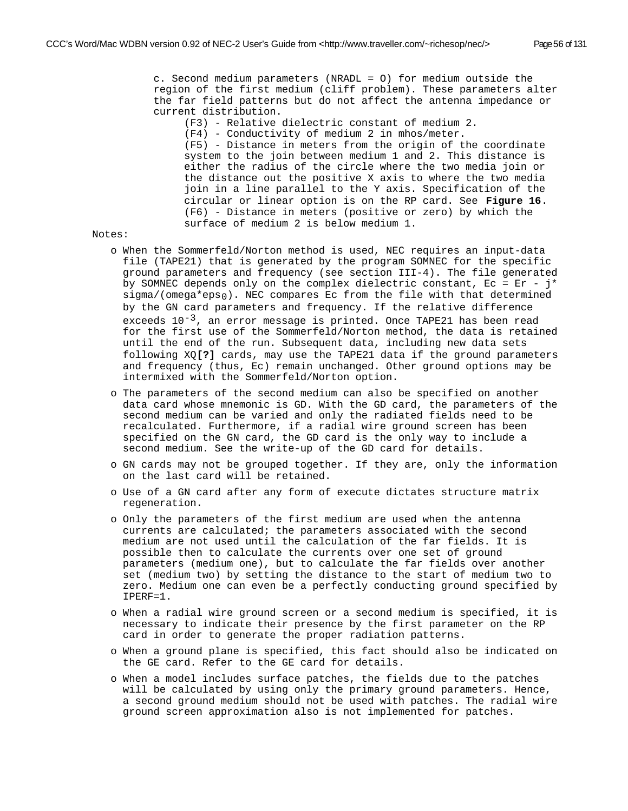c. Second medium parameters (NRADL = O) for medium outside the region of the first medium (cliff problem). These parameters alter the far field patterns but do not affect the antenna impedance or current distribution.

 (F3) - Relative dielectric constant of medium 2. (F4) - Conductivity of medium 2 in mhos/meter. (F5) - Distance in meters from the origin of the coordinate system to the join between medium 1 and 2. This distance is either the radius of the circle where the two media join or the distance out the positive X axis to where the two media join in a line parallel to the Y axis. Specification of the circular or linear option is on the RP card. See **Figure 16**. (F6) - Distance in meters (positive or zero) by which the surface of medium 2 is below medium 1.

- o When the Sommerfeld/Norton method is used, NEC requires an input-data file (TAPE21) that is generated by the program SOMNEC for the specific ground parameters and frequency (see section III-4). The file generated by SOMNEC depends only on the complex dielectric constant, Ec = Er -  $j^*$  $sigma/(omega*eps<sub>0</sub>)$ . NEC compares Ec from the file with that determined by the GN card parameters and frequency. If the relative difference exceeds  $10^{-3}$ , an error message is printed. Once TAPE21 has been read for the first use of the Sommerfeld/Norton method, the data is retained until the end of the run. Subsequent data, including new data sets following XQ**[?]** cards, may use the TAPE21 data if the ground parameters and frequency (thus, Ec) remain unchanged. Other ground options may be intermixed with the Sommerfeld/Norton option.
- o The parameters of the second medium can also be specified on another data card whose mnemonic is GD. With the GD card, the parameters of the second medium can be varied and only the radiated fields need to be recalculated. Furthermore, if a radial wire ground screen has been specified on the GN card, the GD card is the only way to include a second medium. See the write-up of the GD card for details.
- o GN cards may not be grouped together. If they are, only the information on the last card will be retained.
- o Use of a GN card after any form of execute dictates structure matrix regeneration.
- o Only the parameters of the first medium are used when the antenna currents are calculated; the parameters associated with the second medium are not used until the calculation of the far fields. It is possible then to calculate the currents over one set of ground parameters (medium one), but to calculate the far fields over another set (medium two) by setting the distance to the start of medium two to zero. Medium one can even be a perfectly conducting ground specified by IPERF=1.
- o When a radial wire ground screen or a second medium is specified, it is necessary to indicate their presence by the first parameter on the RP card in order to generate the proper radiation patterns.
- o When a ground plane is specified, this fact should also be indicated on the GE card. Refer to the GE card for details.
- o When a model includes surface patches, the fields due to the patches will be calculated by using only the primary ground parameters. Hence, a second ground medium should not be used with patches. The radial wire ground screen approximation also is not implemented for patches.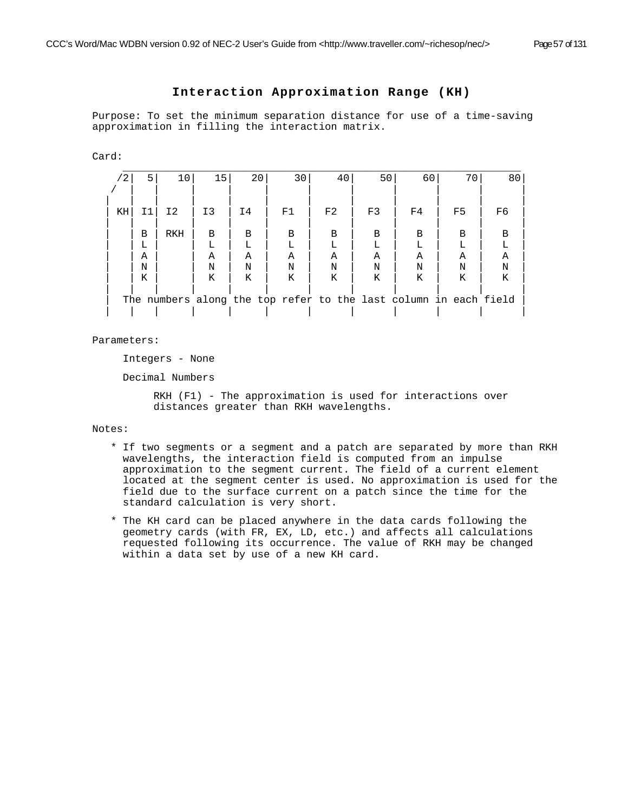# **Interaction Approximation Range (KH)**

Purpose: To set the minimum separation distance for use of a time-saving approximation in filling the interaction matrix.

Card:

| ′2 | 5            | 10  | 15           | 20  | 30 <sup>1</sup> | 40 | 50 | 60                                                               | 70 | 80             |
|----|--------------|-----|--------------|-----|-----------------|----|----|------------------------------------------------------------------|----|----------------|
|    |              |     |              |     |                 |    |    |                                                                  |    |                |
| ΚH | T 1          | I2  | I3           | T 4 | F1              | F2 | F3 | F4                                                               | F5 | F6             |
|    | B            | RKH | B            | B   | B               | B  | B  | B                                                                | B  | В              |
|    | L            |     | L            | т.  | L               | L  | т. | L                                                                | т. | L              |
|    | $\mathbb{A}$ |     | $\mathbb{A}$ | A   | A               | A  | A  | A                                                                | Α  | $\overline{A}$ |
|    | N            |     | N            | N   | N               | N  | N  | N                                                                | N  | N              |
|    | K            |     | K            | K   | K               | K  | K  | K                                                                | K  | K              |
|    |              |     |              |     |                 |    |    | The numbers along the top refer to the last column in each field |    |                |
|    |              |     |              |     |                 |    |    |                                                                  |    |                |

Parameters:

Integers - None

Decimal Numbers

RKH (F1) - The approximation is used for interactions over distances greater than RKH wavelengths.

- \* If two segments or a segment and a patch are separated by more than RKH wavelengths, the interaction field is computed from an impulse approximation to the segment current. The field of a current element located at the segment center is used. No approximation is used for the field due to the surface current on a patch since the time for the standard calculation is very short.
	- \* The KH card can be placed anywhere in the data cards following the geometry cards (with FR, EX, LD, etc.) and affects all calculations requested following its occurrence. The value of RKH may be changed within a data set by use of a new KH card.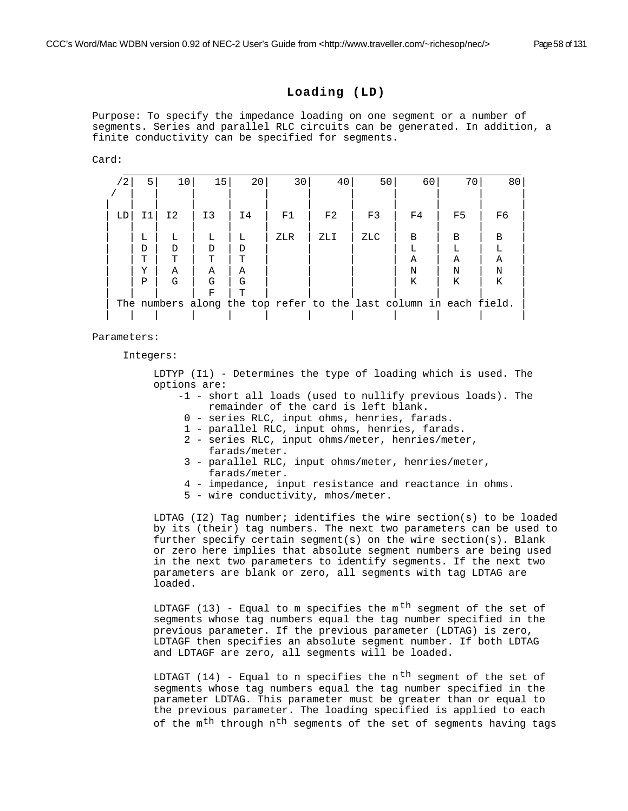### **Loading (LD)**

Purpose: To specify the impedance loading on one segment or a number of segments. Series and parallel RLC circuits can be generated. In addition, a finite conductivity can be specified for segments.

Card:

| ′2 | 5             | 10           | 15             | 20           | 30 <sup>1</sup> | 40  | 50  | 60                                                                | 70 | 80 |
|----|---------------|--------------|----------------|--------------|-----------------|-----|-----|-------------------------------------------------------------------|----|----|
|    |               |              |                |              |                 |     |     |                                                                   |    |    |
| LD | T L           | I2           | I <sub>3</sub> | Ι4           | F1              | F2  | F3  | F4                                                                | F5 | F6 |
|    | т.            | L            | L              | L            | ZLR             | ZLI | ZLC | B                                                                 | B  | B  |
|    | $\mathcal{D}$ | D            | D              | <sup>D</sup> |                 |     |     | т.                                                                |    | L  |
|    | T             | T            | T.             | T            |                 |     |     | A                                                                 | A  | A  |
|    | Y             | $\mathbf{A}$ | A              | A            |                 |     |     | N                                                                 | N  | N  |
|    | P             | G            | G              | G            |                 |     |     | K                                                                 | K  | K  |
|    |               |              | F              | T            |                 |     |     |                                                                   |    |    |
|    |               |              |                |              |                 |     |     | The numbers along the top refer to the last column in each field. |    |    |
|    |               |              |                |              |                 |     |     |                                                                   |    |    |

Parameters:

Integers:

 LDTYP (I1) - Determines the type of loading which is used. The options are:

- -1 short all loads (used to nullify previous loads). The remainder of the card is left blank.
- 0 series RLC, input ohms, henries, farads.
- 1 parallel RLC, input ohms, henries, farads.
- 2 series RLC, input ohms/meter, henries/meter, farads/meter.
- 3 parallel RLC, input ohms/meter, henries/meter, farads/meter.
- 4 impedance, input resistance and reactance in ohms.
- 5 wire conductivity, mhos/meter.

 LDTAG (I2) Tag number; identifies the wire section(s) to be loaded by its (their) tag numbers. The next two parameters can be used to further specify certain segment(s) on the wire section(s). Blank or zero here implies that absolute segment numbers are being used in the next two parameters to identify segments. If the next two parameters are blank or zero, all segments with tag LDTAG are loaded.

LDTAGF (13) - Equal to m specifies the  $m<sup>th</sup>$  segment of the set of segments whose tag numbers equal the tag number specified in the previous parameter. If the previous parameter (LDTAG) is zero, LDTAGF then specifies an absolute segment number. If both LDTAG and LDTAGF are zero, all segments will be loaded.

LDTAGT (14) - Equal to n specifies the n<sup>th</sup> segment of the set of segments whose tag numbers equal the tag number specified in the parameter LDTAG. This parameter must be greater than or equal to the previous parameter. The loading specified is applied to each of the  $m<sup>th</sup>$  through  $n<sup>th</sup>$  segments of the set of segments having tags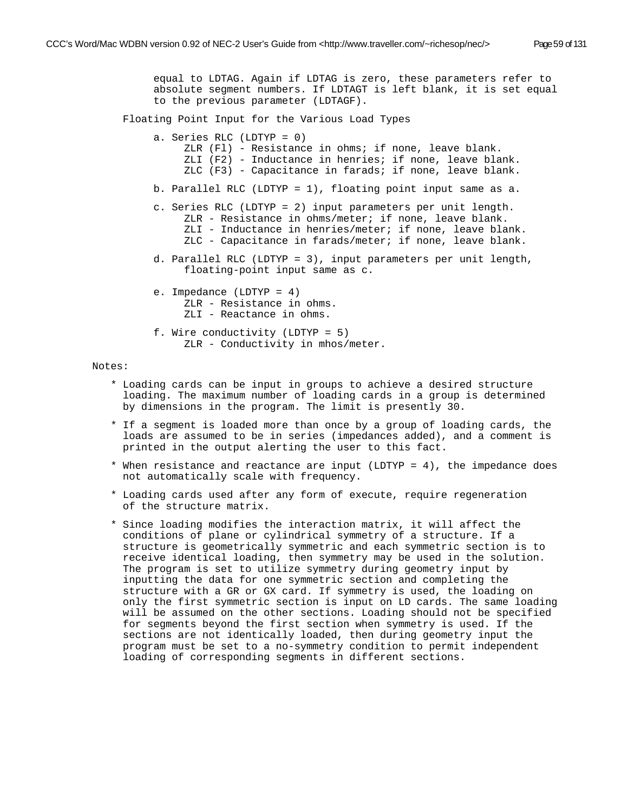equal to LDTAG. Again if LDTAG is zero, these parameters refer to absolute segment numbers. If LDTAGT is left blank, it is set equal to the previous parameter (LDTAGF).

Floating Point Input for the Various Load Types

 a. Series RLC (LDTYP = 0) ZLR (Fl) - Resistance in ohms; if none, leave blank. ZLI (F2) - Inductance in henries; if none, leave blank. ZLC (F3) - Capacitance in farads; if none, leave blank. b. Parallel RLC (LDTYP = 1), floating point input same as a. c. Series RLC (LDTYP = 2) input parameters per unit length. ZLR - Resistance in ohms/meter; if none, leave blank. ZLI - Inductance in henries/meter; if none, leave blank. ZLC - Capacitance in farads/meter; if none, leave blank. d. Parallel RLC (LDTYP = 3), input parameters per unit length, floating-point input same as c. e. Impedance (LDTYP = 4) ZLR - Resistance in ohms. ZLI - Reactance in ohms. f. Wire conductivity (LDTYP = 5)

ZLR - Conductivity in mhos/meter.

- \* Loading cards can be input in groups to achieve a desired structure loading. The maximum number of loading cards in a group is determined by dimensions in the program. The limit is presently 30.
- \* If a segment is loaded more than once by a group of loading cards, the loads are assumed to be in series (impedances added), and a comment is printed in the output alerting the user to this fact.
- \* When resistance and reactance are input (LDTYP = 4), the impedance does not automatically scale with frequency.
- \* Loading cards used after any form of execute, require regeneration of the structure matrix.
- \* Since loading modifies the interaction matrix, it will affect the conditions of plane or cylindrical symmetry of a structure. If a structure is geometrically symmetric and each symmetric section is to receive identical loading, then symmetry may be used in the solution. The program is set to utilize symmetry during geometry input by inputting the data for one symmetric section and completing the structure with a GR or GX card. If symmetry is used, the loading on only the first symmetric section is input on LD cards. The same loading will be assumed on the other sections. Loading should not be specified for segments beyond the first section when symmetry is used. If the sections are not identically loaded, then during geometry input the program must be set to a no-symmetry condition to permit independent loading of corresponding segments in different sections.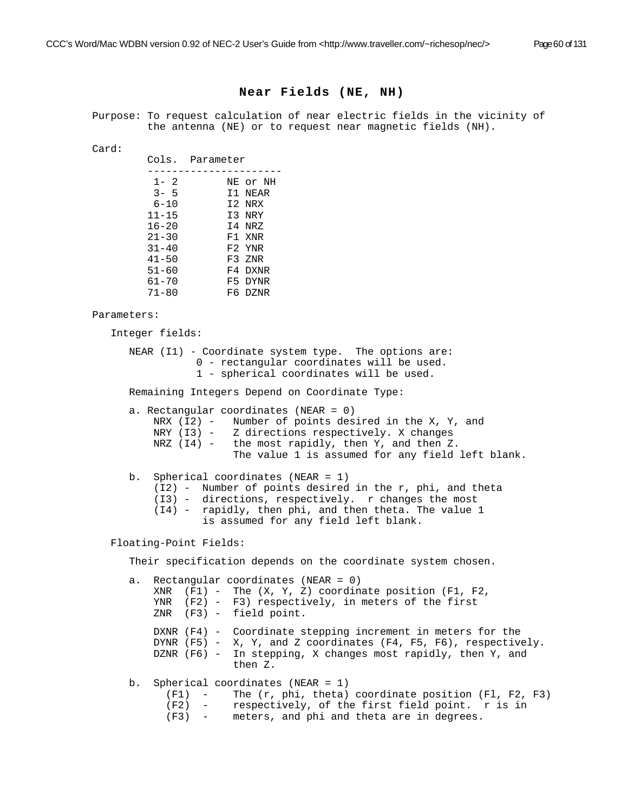### **Near Fields (NE, NH)**

Purpose: To request calculation of near electric fields in the vicinity of the antenna (NE) or to request near magnetic fields (NH).

Card:

|           | Cols. Parameter |
|-----------|-----------------|
|           |                 |
| $1 - 2$   | NE or NH        |
| $3 - 5$   | I1 NEAR         |
| $6 - 10$  | I2 NRX          |
| $11 - 15$ | T3 NRY          |
| $16 - 20$ | T4 NRZ          |
| $21 - 30$ | F1 XNR          |
| $31 - 40$ | F2 YNR          |
| $41 - 50$ | F3 ZNR          |
| $51 - 60$ | F4 DXNR         |
| $61 - 70$ | F5 DYNR         |
| $71 - 80$ | DZNR<br>F6.     |

Parameters:

Integer fields:

 NEAR (I1) - Coordinate system type. The options are: 0 - rectangular coordinates will be used. 1 - spherical coordinates will be used.

Remaining Integers Depend on Coordinate Type:

|  |  | a. Rectangular coordinates (NEAR = $0$ )               |
|--|--|--------------------------------------------------------|
|  |  | NRX $(12)$ - Number of points desired in the X, Y, and |
|  |  | $NRY (I3) - Z$ directions respectively. X changes      |
|  |  | NRZ $(14)$ - the most rapidly, then Y, and then Z.     |
|  |  | The value 1 is assumed for any field left blank.       |
|  |  |                                                        |

```
 b. Spherical coordinates (NEAR = 1)
(I2) - Number of points desired in the r, phi, and theta
```
(I3) - directions, respectively. r changes the most

 (I4) - rapidly, then phi, and then theta. The value 1 is assumed for any field left blank.

Floating-Point Fields:

Their specification depends on the coordinate system chosen.

 a. Rectangular coordinates (NEAR = 0) XNR (F1) - The (X, Y, Z) coordinate position (F1, F2, YNR (F2) - F3) respectively, in meters of the first ZNR (F3) - field point. DXNR (F4) - Coordinate stepping increment in meters for the DYNR  $(F5)$  - X, Y, and Z coordinates  $(F4, F5, F6)$ , respectively. DZNR (F6) - In stepping, X changes most rapidly, then Y, and then Z. b. Spherical coordinates (NEAR = 1)  $(F1)$  - The  $(r, \text{phi}, \text{theta})$  coordinate position  $(F1, F2, F3)$  (F2) - respectively, of the first field point. r is in (F3) - meters, and phi and theta are in degrees.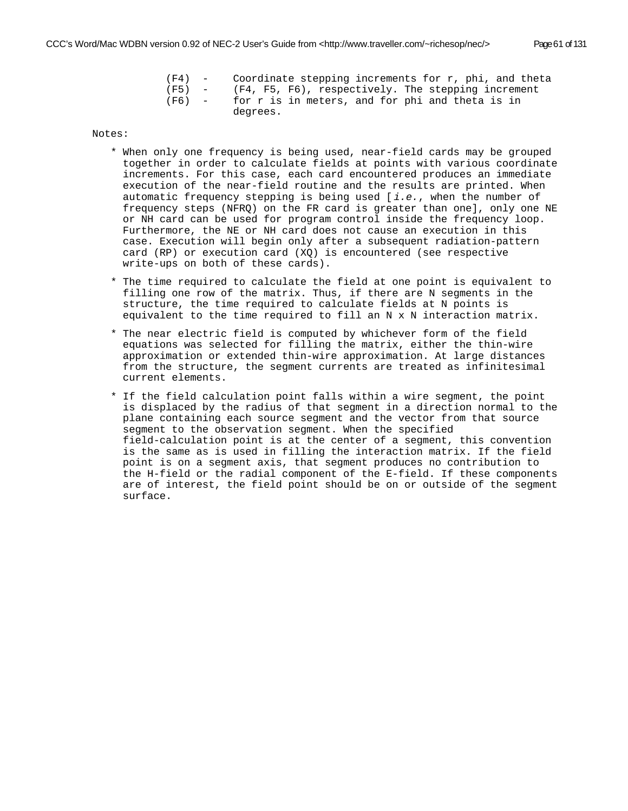|  |  |  | $(F4)$ - Coordinate stepping increments for r, phi, and theta  |  |  |  |
|--|--|--|----------------------------------------------------------------|--|--|--|
|  |  |  | $(F5)$ - $(F4, F5, F6)$ , respectively. The stepping increment |  |  |  |

 (F6) - for r is in meters, and for phi and theta is in degrees.

- \* When only one frequency is being used, near-field cards may be grouped together in order to calculate fields at points with various coordinate increments. For this case, each card encountered produces an immediate execution of the near-field routine and the results are printed. When automatic frequency stepping is being used [*i.e.*, when the number of frequency steps (NFRQ) on the FR card is greater than one], only one NE or NH card can be used for program control inside the frequency loop. Furthermore, the NE or NH card does not cause an execution in this case. Execution will begin only after a subsequent radiation-pattern card (RP) or execution card (XQ) is encountered (see respective write-ups on both of these cards).
- \* The time required to calculate the field at one point is equivalent to filling one row of the matrix. Thus, if there are N segments in the structure, the time required to calculate fields at N points is equivalent to the time required to fill an N x N interaction matrix.
- \* The near electric field is computed by whichever form of the field equations was selected for filling the matrix, either the thin-wire approximation or extended thin-wire approximation. At large distances from the structure, the segment currents are treated as infinitesimal current elements.
- \* If the field calculation point falls within a wire segment, the point is displaced by the radius of that segment in a direction normal to the plane containing each source segment and the vector from that source segment to the observation segment. When the specified field-calculation point is at the center of a segment, this convention is the same as is used in filling the interaction matrix. If the field point is on a segment axis, that segment produces no contribution to the H-field or the radial component of the E-field. If these components are of interest, the field point should be on or outside of the segment surface.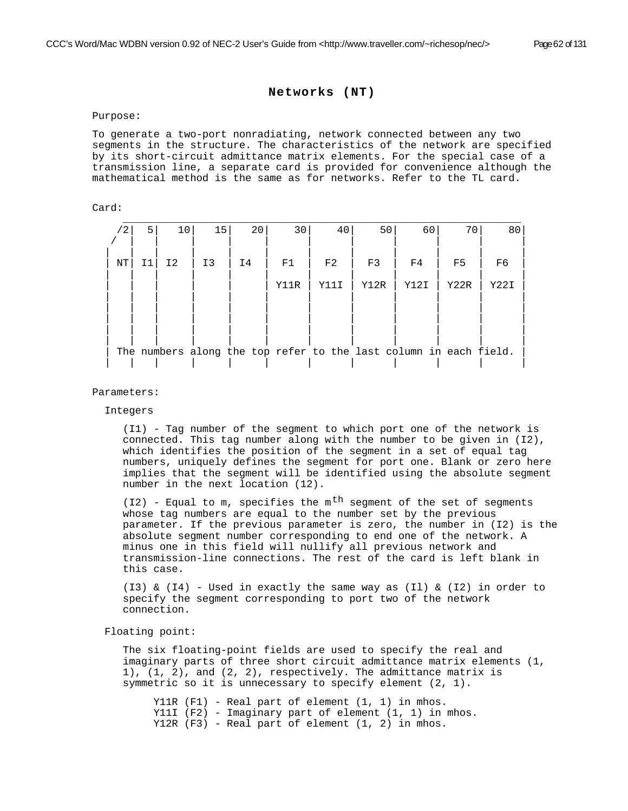### **Networks (NT)**

#### Purpose:

To generate a two-port nonradiating, network connected between any two segments in the structure. The characteristics of the network are specified by its short-circuit admittance matrix elements. For the special case of a transmission line, a separate card is provided for convenience although the mathematical method is the same as for networks. Refer to the TL card.

Card:

| $^{\prime}$ 2 | 5 <sup>1</sup> | $10 \,$ | 15 | 20  | 301  | 40                                                                | 50   | 60   | 70   | 80   |
|---------------|----------------|---------|----|-----|------|-------------------------------------------------------------------|------|------|------|------|
|               |                |         |    |     |      |                                                                   |      |      |      |      |
| ΝT            | Ι1             | I2      | I3 | I 4 | F1   | F2                                                                | F3   | F4   | F5   | F6   |
|               |                |         |    |     | Y11R | Y11I                                                              | Y12R | Y12I | Y22R | Y22I |
|               |                |         |    |     |      |                                                                   |      |      |      |      |
|               |                |         |    |     |      |                                                                   |      |      |      |      |
|               |                |         |    |     |      |                                                                   |      |      |      |      |
|               |                |         |    |     |      | The numbers along the top refer to the last column in each field. |      |      |      |      |

#### Parameters:

#### Integers

 (I1) - Tag number of the segment to which port one of the network is connected. This tag number along with the number to be given in (I2), which identifies the position of the segment in a set of equal tag numbers, uniquely defines the segment for port one. Blank or zero here implies that the segment will be identified using the absolute segment number in the next location (12).

(I2) - Equal to m, specifies the  $m<sup>th</sup>$  segment of the set of segments whose tag numbers are equal to the number set by the previous parameter. If the previous parameter is zero, the number in (I2) is the absolute segment number corresponding to end one of the network. A minus one in this field will nullify all previous network and transmission-line connections. The rest of the card is left blank in this case.

 (I3) & (I4) - Used in exactly the same way as (Il) & (I2) in order to specify the segment corresponding to port two of the network connection.

#### Floating point:

 The six floating-point fields are used to specify the real and imaginary parts of three short circuit admittance matrix elements (1, 1), (1, 2), and (2, 2), respectively. The admittance matrix is symmetric so it is unnecessary to specify element (2, 1).

 Y11R (F1) - Real part of element (1, 1) in mhos. Y11I (F2) - Imaginary part of element (1, 1) in mhos. Y12R (F3) - Real part of element (1, 2) in mhos.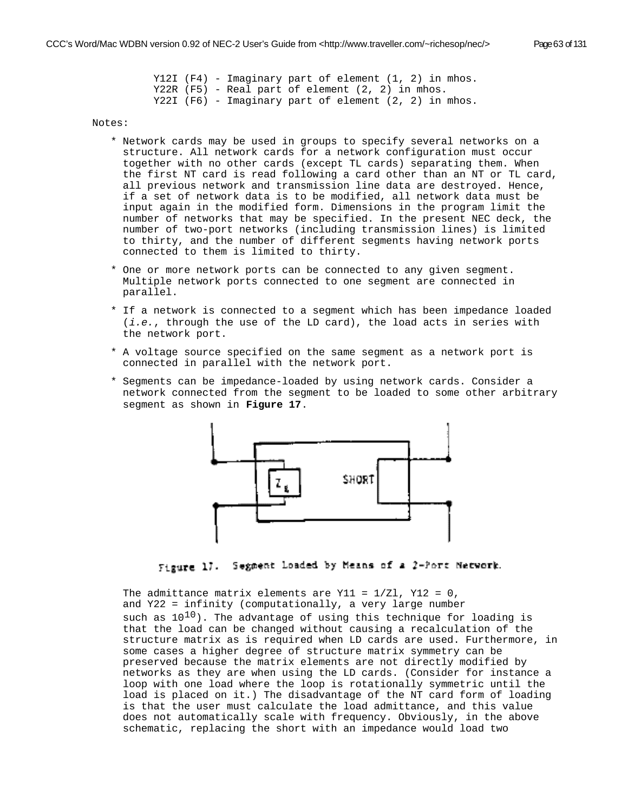Y12I (F4) - Imaginary part of element (1, 2) in mhos. Y22R (F5) - Real part of element (2, 2) in mhos. Y22I (F6) - Imaginary part of element (2, 2) in mhos.

Notes:

- \* Network cards may be used in groups to specify several networks on a structure. All network cards for a network configuration must occur together with no other cards (except TL cards) separating them. When the first NT card is read following a card other than an NT or TL card, all previous network and transmission line data are destroyed. Hence, if a set of network data is to be modified, all network data must be input again in the modified form. Dimensions in the program limit the number of networks that may be specified. In the present NEC deck, the number of two-port networks (including transmission lines) is limited to thirty, and the number of different segments having network ports connected to them is limited to thirty.
- \* One or more network ports can be connected to any given segment. Multiple network ports connected to one segment are connected in parallel.
- \* If a network is connected to a segment which has been impedance loaded (*i.e.*, through the use of the LD card), the load acts in series with the network port.
- \* A voltage source specified on the same segment as a network port is connected in parallel with the network port.
- \* Segments can be impedance-loaded by using network cards. Consider a network connected from the segment to be loaded to some other arbitrary segment as shown in **Figure 17**.



Segment loaded by Means of a 2-Port Network. Figure 17.

The admittance matrix elements are Y11 =  $1/Z1$ , Y12 = 0, and Y22 = infinity (computationally, a very large number such as  $10^{10}$ ). The advantage of using this technique for loading is that the load can be changed without causing a recalculation of the structure matrix as is required when LD cards are used. Furthermore, in some cases a higher degree of structure matrix symmetry can be preserved because the matrix elements are not directly modified by networks as they are when using the LD cards. (Consider for instance a loop with one load where the loop is rotationally symmetric until the load is placed on it.) The disadvantage of the NT card form of loading is that the user must calculate the load admittance, and this value does not automatically scale with frequency. Obviously, in the above schematic, replacing the short with an impedance would load two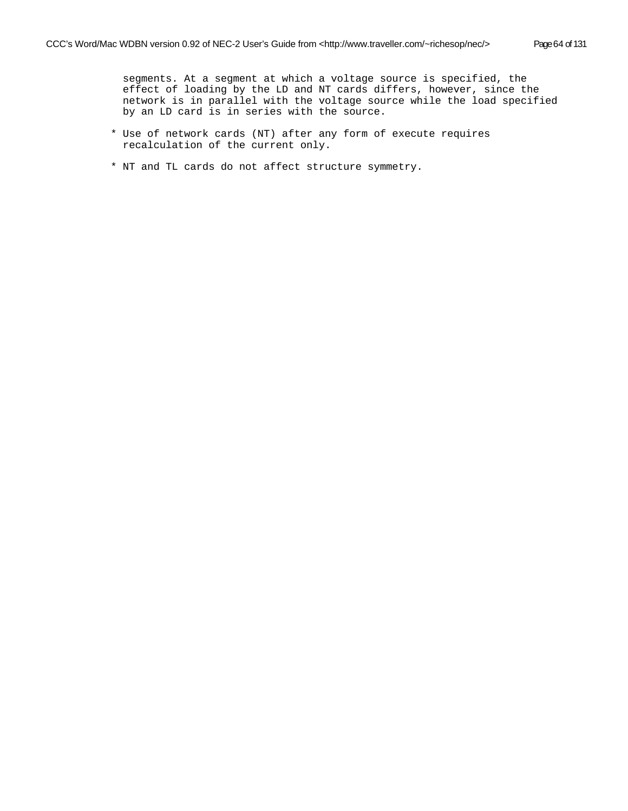segments. At a segment at which a voltage source is specified, the effect of loading by the LD and NT cards differs, however, since the network is in parallel with the voltage source while the load specified by an LD card is in series with the source.

- \* Use of network cards (NT) after any form of execute requires recalculation of the current only.
- \* NT and TL cards do not affect structure symmetry.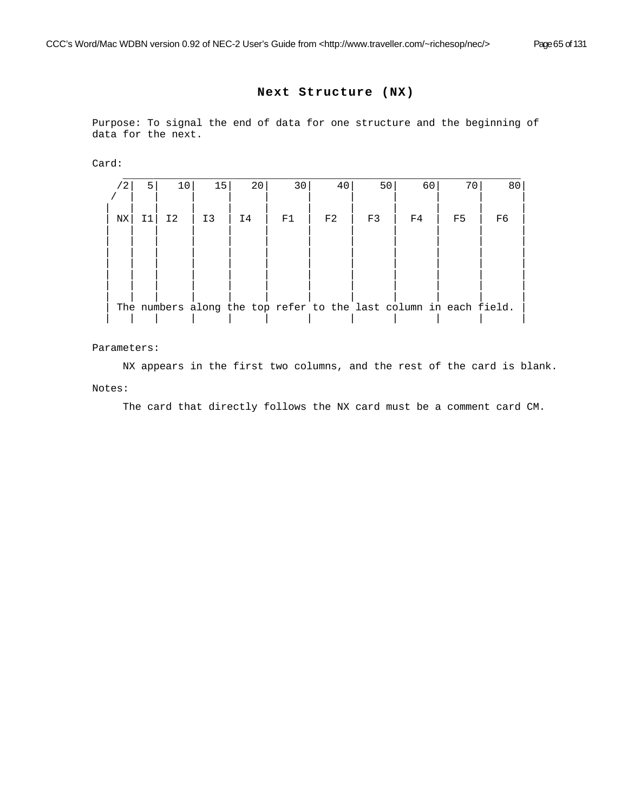# **Next Structure (NX)**

Purpose: To signal the end of data for one structure and the beginning of data for the next.

Card:

|           | 5 <sup>1</sup> | 10' | 15             | 20 | 30 <sup>1</sup> | 40 | 50 | 60                                                                | 70             | 80 |
|-----------|----------------|-----|----------------|----|-----------------|----|----|-------------------------------------------------------------------|----------------|----|
|           |                |     |                |    |                 |    |    |                                                                   |                |    |
| <b>NX</b> | I1             | I2  | I <sub>3</sub> | I4 | F1              | F2 | F3 | F4                                                                | F <sub>5</sub> | F6 |
|           |                |     |                |    |                 |    |    |                                                                   |                |    |
|           |                |     |                |    |                 |    |    |                                                                   |                |    |
|           |                |     |                |    |                 |    |    |                                                                   |                |    |
|           |                |     |                |    |                 |    |    | The numbers along the top refer to the last column in each field. |                |    |
|           |                |     |                |    |                 |    |    |                                                                   |                |    |

Parameters:

 NX appears in the first two columns, and the rest of the card is blank. Notes:

The card that directly follows the NX card must be a comment card CM.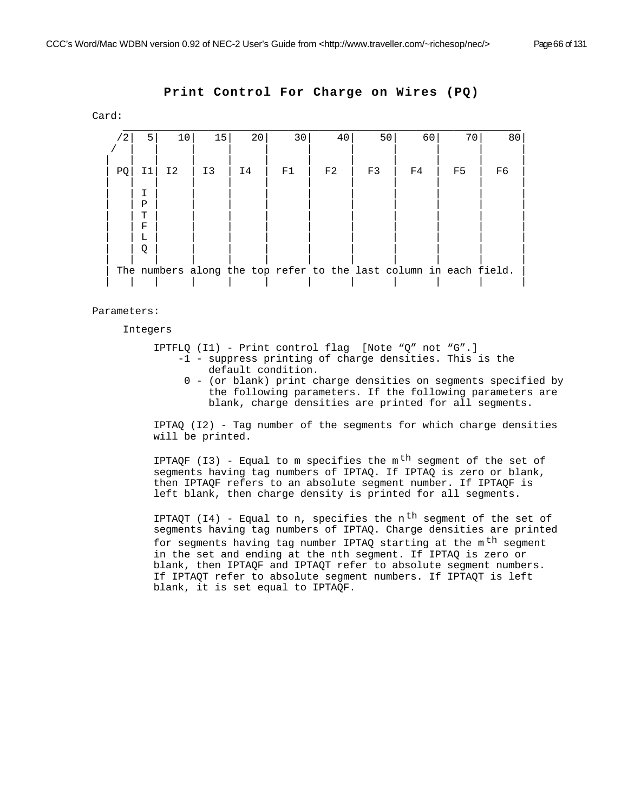|    | 5 <sup>1</sup> | 10 | 15 | 20 | 30 <sup>1</sup> | 40                                                                | 50 | 60 | 70 | 80 |
|----|----------------|----|----|----|-----------------|-------------------------------------------------------------------|----|----|----|----|
|    |                |    |    |    |                 |                                                                   |    |    |    |    |
| PQ |                | I2 | I3 | Ι4 | F1              | F2                                                                | F3 | F4 | F5 | F6 |
|    | I              |    |    |    |                 |                                                                   |    |    |    |    |
|    | $\mathbf{P}$   |    |    |    |                 |                                                                   |    |    |    |    |
|    | T              |    |    |    |                 |                                                                   |    |    |    |    |
|    | F<br>L         |    |    |    |                 |                                                                   |    |    |    |    |
|    | Q              |    |    |    |                 |                                                                   |    |    |    |    |
|    |                |    |    |    |                 | The numbers along the top refer to the last column in each field. |    |    |    |    |

### **Print Control For Charge on Wires (PQ)**

Parameters:

Card:

Integers

IPTFLQ (I1) - Print control flag [Note "Q" not "G".]

- -1 suppress printing of charge densities. This is the default condition.
	- 0 (or blank) print charge densities on segments specified by the following parameters. If the following parameters are blank, charge densities are printed for all segments.

 IPTAQ (I2) - Tag number of the segments for which charge densities will be printed.

IPTAQF (I3) - Equal to m specifies the  $m<sup>th</sup>$  segment of the set of segments having tag numbers of IPTAQ. If IPTAQ is zero or blank, then IPTAQF refers to an absolute segment number. If IPTAQF is left blank, then charge density is printed for all segments.

IPTAQT (I4) - Equal to n, specifies the  $n<sup>th</sup>$  segment of the set of segments having tag numbers of IPTAQ. Charge densities are printed for segments having tag number IPTAQ starting at the m<sup>th</sup> segment in the set and ending at the nth segment. If IPTAQ is zero or blank, then IPTAQF and IPTAQT refer to absolute segment numbers. If IPTAQT refer to absolute segment numbers. If IPTAQT is left blank, it is set equal to IPTAQF.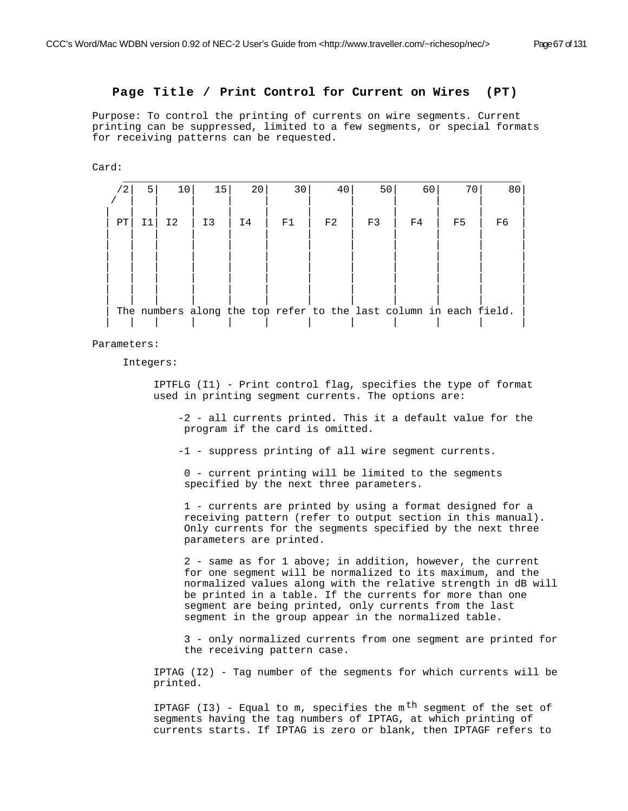### **Page Title / Print Control for Current on Wires (PT)**

Purpose: To control the printing of currents on wire segments. Current printing can be suppressed, limited to a few segments, or special formats for receiving patterns can be requested.

Card:

|    | 5 <sup>1</sup> | 10 <sup>1</sup> | 15 <sup>1</sup> | 20 <sup>1</sup> | 30 <sup>1</sup> | 40 | 50 | 60                                                                | 70 | 80 |
|----|----------------|-----------------|-----------------|-----------------|-----------------|----|----|-------------------------------------------------------------------|----|----|
|    |                |                 |                 |                 |                 |    |    |                                                                   |    |    |
| PT |                | I2              | I3              | I4              | F1              | F2 | F3 | F4                                                                | F5 | F6 |
|    |                |                 |                 |                 |                 |    |    |                                                                   |    |    |
|    |                |                 |                 |                 |                 |    |    |                                                                   |    |    |
|    |                |                 |                 |                 |                 |    |    |                                                                   |    |    |
|    |                |                 |                 |                 |                 |    |    |                                                                   |    |    |
|    |                |                 |                 |                 |                 |    |    | The numbers along the top refer to the last column in each field. |    |    |
|    |                |                 |                 |                 |                 |    |    |                                                                   |    |    |

Parameters:

Integers:

 IPTFLG (I1) - Print control flag, specifies the type of format used in printing segment currents. The options are:

 -2 - all currents printed. This it a default value for the program if the card is omitted.

-1 - suppress printing of all wire segment currents.

 0 - current printing will be limited to the segments specified by the next three parameters.

 1 - currents are printed by using a format designed for a receiving pattern (refer to output section in this manual). Only currents for the segments specified by the next three parameters are printed.

 2 - same as for 1 above; in addition, however, the current for one segment will be normalized to its maximum, and the normalized values along with the relative strength in dB will be printed in a table. If the currents for more than one segment are being printed, only currents from the last segment in the group appear in the normalized table.

 3 - only normalized currents from one segment are printed for the receiving pattern case.

 IPTAG (I2) - Tag number of the segments for which currents will be printed.

IPTAGF (I3) - Equal to m, specifies the  $m<sup>th</sup>$  seqment of the set of segments having the tag numbers of IPTAG, at which printing of currents starts. If IPTAG is zero or blank, then IPTAGF refers to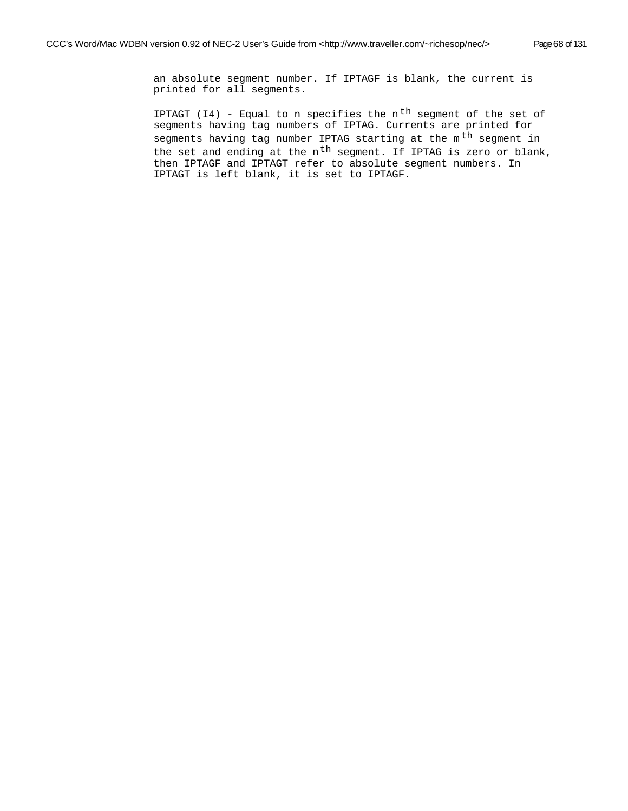an absolute segment number. If IPTAGF is blank, the current is printed for all segments.

IPTAGT (I4) - Equal to n specifies the  $n<sup>th</sup>$  segment of the set of segments having tag numbers of IPTAG. Currents are printed for segments having tag number IPTAG starting at the  $m$ <sup>th</sup> segment in the set and ending at the  $n<sup>th</sup>$  segment. If IPTAG is zero or blank, then IPTAGF and IPTAGT refer to absolute segment numbers. In IPTAGT is left blank, it is set to IPTAGF.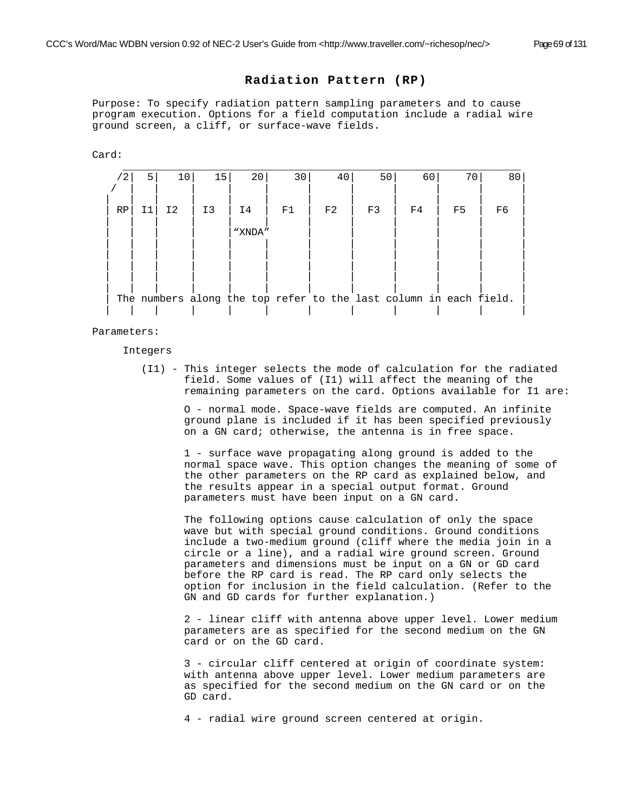#### **Radiation Pattern (RP)**

Purpose: To specify radiation pattern sampling parameters and to cause program execution. Options for a field computation include a radial wire ground screen, a cliff, or surface-wave fields.

Card:

|    | 5 | 10 | 15             | 20     | 30 <sup>1</sup> | 40 | 50 | 60                                                                | 70 | 80 |
|----|---|----|----------------|--------|-----------------|----|----|-------------------------------------------------------------------|----|----|
|    |   |    |                |        |                 |    |    |                                                                   |    |    |
| RP |   | I2 | I <sub>3</sub> | Ι4     | F1              | F2 | F3 | F4                                                                | F5 | F6 |
|    |   |    |                | "XNDA" |                 |    |    |                                                                   |    |    |
|    |   |    |                |        |                 |    |    |                                                                   |    |    |
|    |   |    |                |        |                 |    |    |                                                                   |    |    |
|    |   |    |                |        |                 |    |    | The numbers along the top refer to the last column in each field. |    |    |
|    |   |    |                |        |                 |    |    |                                                                   |    |    |

Parameters:

Integers

 (I1) - This integer selects the mode of calculation for the radiated field. Some values of (I1) will affect the meaning of the remaining parameters on the card. Options available for I1 are:

 O - normal mode. Space-wave fields are computed. An infinite ground plane is included if it has been specified previously on a GN card; otherwise, the antenna is in free space.

 1 - surface wave propagating along ground is added to the normal space wave. This option changes the meaning of some of the other parameters on the RP card as explained below, and the results appear in a special output format. Ground parameters must have been input on a GN card.

 The following options cause calculation of only the space wave but with special ground conditions. Ground conditions include a two-medium ground (cliff where the media join in a circle or a line), and a radial wire ground screen. Ground parameters and dimensions must be input on a GN or GD card before the RP card is read. The RP card only selects the option for inclusion in the field calculation. (Refer to the GN and GD cards for further explanation.)

 2 - linear cliff with antenna above upper level. Lower medium parameters are as specified for the second medium on the GN card or on the GD card.

 3 - circular cliff centered at origin of coordinate system: with antenna above upper level. Lower medium parameters are as specified for the second medium on the GN card or on the GD card.

4 - radial wire ground screen centered at origin.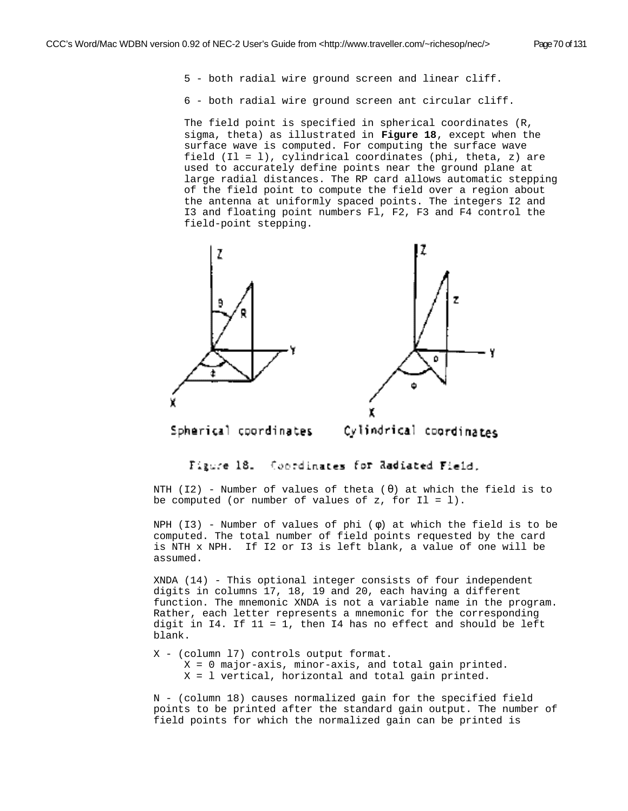5 - both radial wire ground screen and linear cliff.

6 - both radial wire ground screen ant circular cliff.

 The field point is specified in spherical coordinates (R, sigma, theta) as illustrated in **Figure 18**, except when the surface wave is computed. For computing the surface wave field (Il = l), cylindrical coordinates (phi, theta, z) are used to accurately define points near the ground plane at large radial distances. The RP card allows automatic stepping of the field point to compute the field over a region about the antenna at uniformly spaced points. The integers I2 and I3 and floating point numbers Fl, F2, F3 and F4 control the field-point stepping.





Spherical coordinates

Cylindrical coordinates

## Figure 18. Coordinates for Radiated Field,

NTH (I2) - Number of values of theta  $(\theta)$  at which the field is to be computed (or number of values of  $z$ , for  $I1 = 1$ ).

NPH (I3) - Number of values of phi  $(\phi)$  at which the field is to be computed. The total number of field points requested by the card is NTH x NPH. If I2 or I3 is left blank, a value of one will be assumed.

 XNDA (14) - This optional integer consists of four independent digits in columns 17, 18, 19 and 20, each having a different function. The mnemonic XNDA is not a variable name in the program. Rather, each letter represents a mnemonic for the corresponding digit in I4. If  $11 = 1$ , then I4 has no effect and should be left blank.

- X (column l7) controls output format.
	- X = 0 major-axis, minor-axis, and total gain printed. X = l vertical, horizontal and total gain printed.

 N - (column 18) causes normalized gain for the specified field points to be printed after the standard gain output. The number of field points for which the normalized gain can be printed is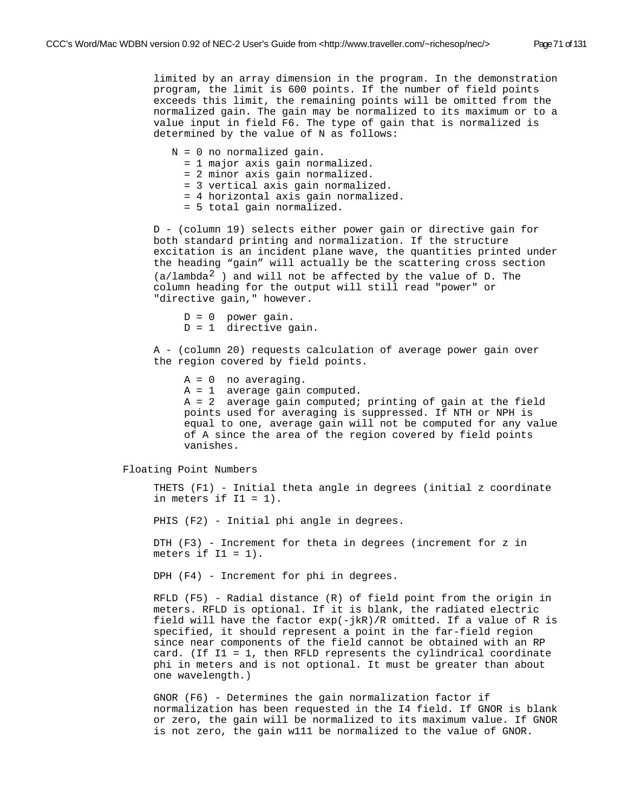limited by an array dimension in the program. In the demonstration program, the limit is 600 points. If the number of field points exceeds this limit, the remaining points will be omitted from the normalized gain. The gain may be normalized to its maximum or to a value input in field F6. The type of gain that is normalized is determined by the value of N as follows:

- N = 0 no normalized gain.
	- = 1 major axis gain normalized.
	- = 2 minor axis gain normalized.
	- = 3 vertical axis gain normalized.
	- = 4 horizontal axis gain normalized.
	- = 5 total gain normalized.

 D - (column 19) selects either power gain or directive gain for both standard printing and normalization. If the structure excitation is an incident plane wave, the quantities printed under the heading "gain" will actually be the scattering cross section  $(a/\text{lambda}^2$  ) and will not be affected by the value of D. The column heading for the output will still read "power" or "directive gain," however.

 $D = 0$  power gain.  $D = 1$  directive gain.

 A - (column 20) requests calculation of average power gain over the region covered by field points.

 $A = 0$  no averaging. A = 1 average gain computed. A = 2 average gain computed; printing of gain at the field points used for averaging is suppressed. If NTH or NPH is equal to one, average gain will not be computed for any value of A since the area of the region covered by field points vanishes.

Floating Point Numbers

 THETS (F1) - Initial theta angle in degrees (initial z coordinate in meters if  $I1 = 1$ ).

PHIS (F2) - Initial phi angle in degrees.

 DTH (F3) - Increment for theta in degrees (increment for z in meters if  $I1 = 1$ ).

DPH (F4) - Increment for phi in degrees.

 RFLD (F5) - Radial distance (R) of field point from the origin in meters. RFLD is optional. If it is blank, the radiated electric field will have the factor exp(-jkR)/R omitted. If a value of R is specified, it should represent a point in the far-field region since near components of the field cannot be obtained with an RP card. (If I1 = 1, then RFLD represents the cylindrical coordinate phi in meters and is not optional. It must be greater than about one wavelength.)

 GNOR (F6) - Determines the gain normalization factor if normalization has been requested in the I4 field. If GNOR is blank or zero, the gain will be normalized to its maximum value. If GNOR is not zero, the gain w111 be normalized to the value of GNOR.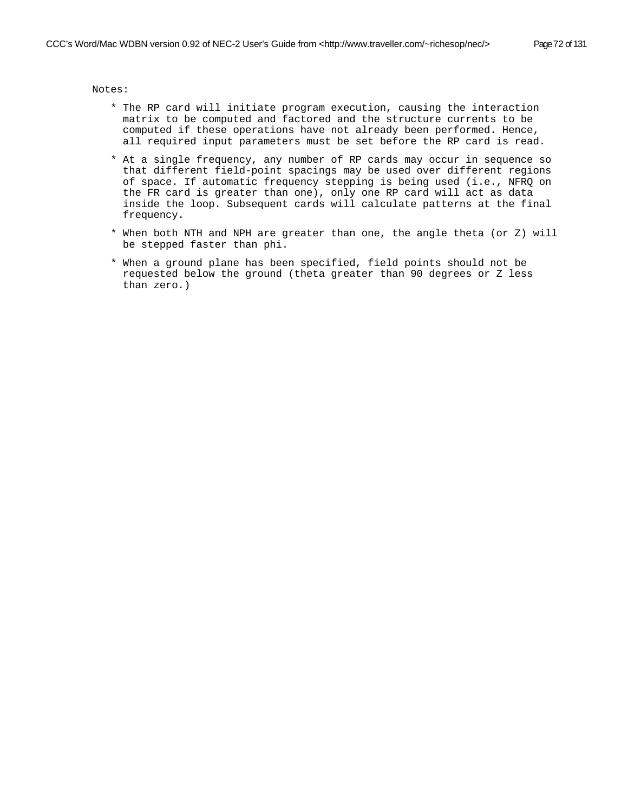- \* The RP card will initiate program execution, causing the interaction matrix to be computed and factored and the structure currents to be computed if these operations have not already been performed. Hence, all required input parameters must be set before the RP card is read.
- \* At a single frequency, any number of RP cards may occur in sequence so that different field-point spacings may be used over different regions of space. If automatic frequency stepping is being used (i.e., NFRQ on the FR card is greater than one), only one RP card will act as data inside the loop. Subsequent cards will calculate patterns at the final frequency.
- \* When both NTH and NPH are greater than one, the angle theta (or Z) will be stepped faster than phi.
- \* When a ground plane has been specified, field points should not be requested below the ground (theta greater than 90 degrees or Z less than zero.)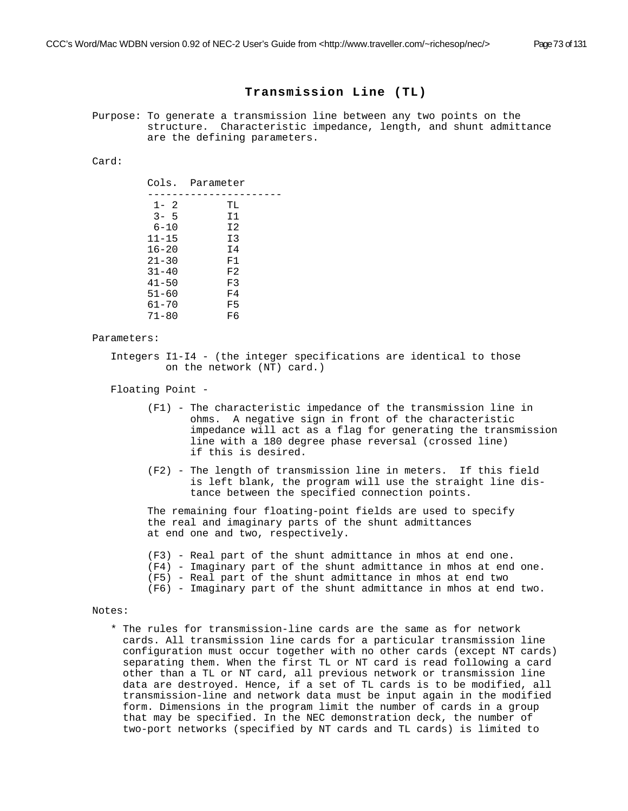# **Transmission Line (TL)**

Purpose: To generate a transmission line between any two points on the structure. Characteristic impedance, length, and shunt admittance are the defining parameters.

Card:

|           | Cols. Parameter |
|-----------|-----------------|
|           |                 |
| $1 - 2$   | TL              |
| $3 - 5$   | I1              |
| $6 - 10$  | I <sub>2</sub>  |
| $11 - 15$ | I3              |
| $16 - 20$ | I <sub>4</sub>  |
| $21 - 30$ | F1              |
| $31 - 40$ | F2              |
| $41 - 50$ | F3              |
| $51 - 60$ | F4              |
| $61 - 70$ | F5              |
| $71 - 80$ | F6              |

Parameters:

 Integers I1-I4 - (the integer specifications are identical to those on the network (NT) card.)

Floating Point -

- (F1) The characteristic impedance of the transmission line in ohms. A negative sign in front of the characteristic impedance will act as a flag for generating the transmission line with a 180 degree phase reversal (crossed line) if this is desired.
- (F2) The length of transmission line in meters. If this field is left blank, the program will use the straight line dis tance between the specified connection points.

 The remaining four floating-point fields are used to specify the real and imaginary parts of the shunt admittances at end one and two, respectively.

 (F3) - Real part of the shunt admittance in mhos at end one. (F4) - Imaginary part of the shunt admittance in mhos at end one. (F5) - Real part of the shunt admittance in mhos at end two (F6) - Imaginary part of the shunt admittance in mhos at end two.

Notes:

 \* The rules for transmission-line cards are the same as for network cards. All transmission line cards for a particular transmission line configuration must occur together with no other cards (except NT cards) separating them. When the first TL or NT card is read following a card other than a TL or NT card, all previous network or transmission line data are destroyed. Hence, if a set of TL cards is to be modified, all transmission-line and network data must be input again in the modified form. Dimensions in the program limit the number of cards in a group that may be specified. In the NEC demonstration deck, the number of two-port networks (specified by NT cards and TL cards) is limited to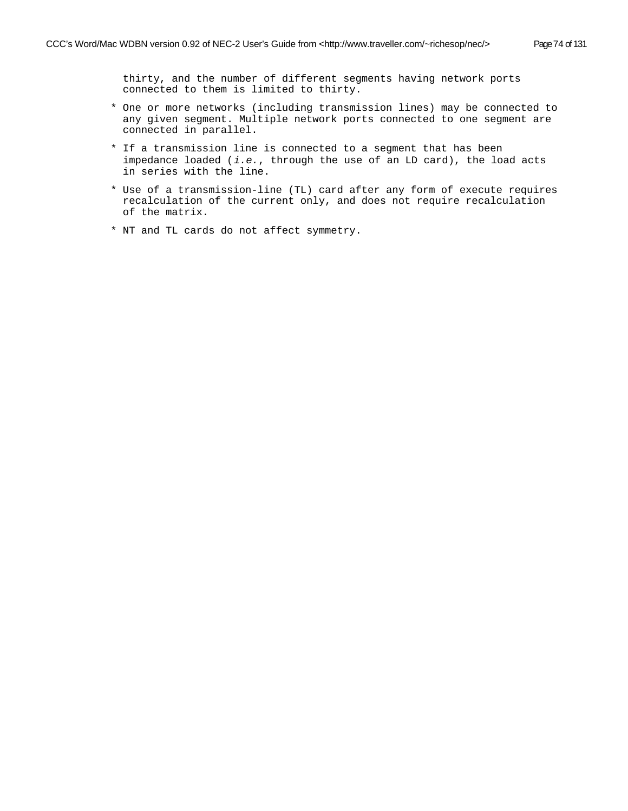thirty, and the number of different segments having network ports connected to them is limited to thirty.

- \* One or more networks (including transmission lines) may be connected to any given segment. Multiple network ports connected to one segment are connected in parallel.
- \* If a transmission line is connected to a segment that has been impedance loaded (*i.e.*, through the use of an LD card), the load acts in series with the line.
- \* Use of a transmission-line (TL) card after any form of execute requires recalculation of the current only, and does not require recalculation of the matrix.
- \* NT and TL cards do not affect symmetry.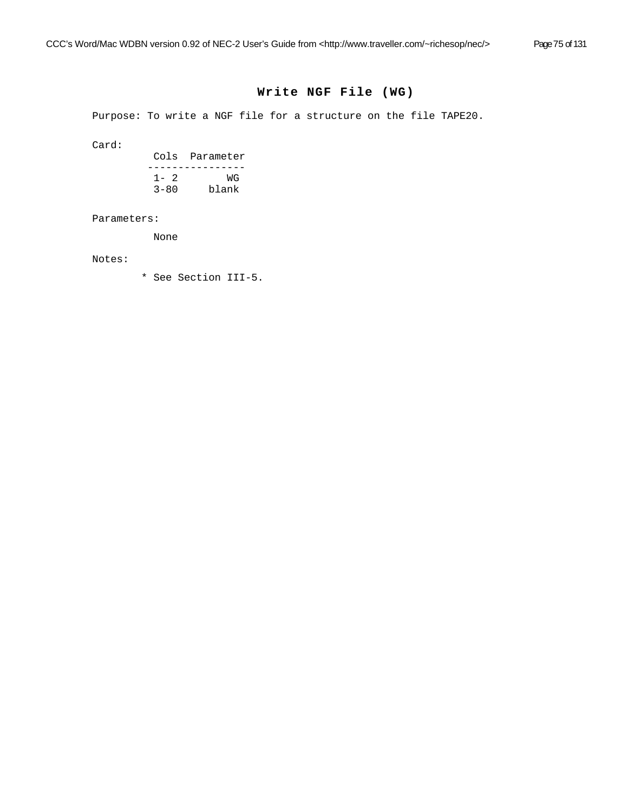# **Write NGF File (WG)**

Purpose: To write a NGF file for a structure on the file TAPE20.

Card:

 Cols Parameter ---------------<br>1- 2 WG  $1-2$  WG 3-80 blank

Parameters:

None

Notes:

\* See Section III-5.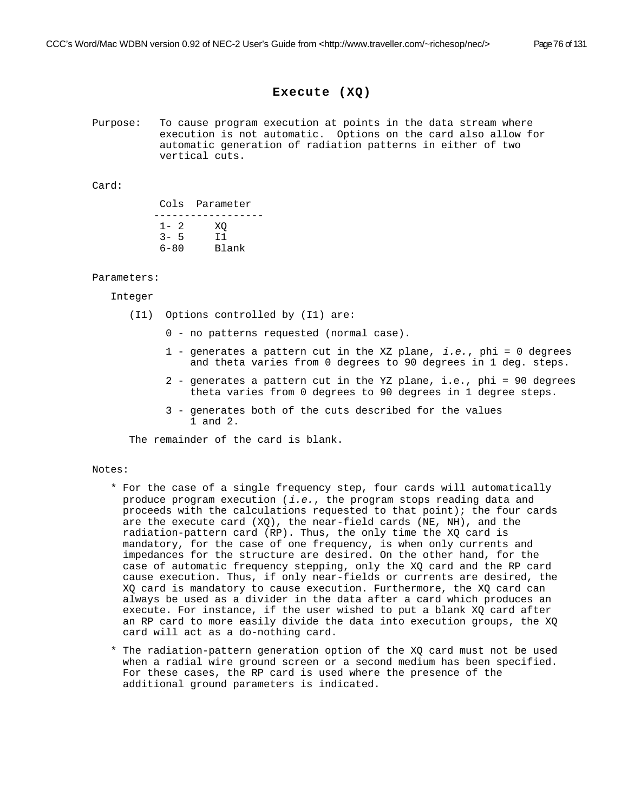# **Execute (XQ)**

Purpose: To cause program execution at points in the data stream where execution is not automatic. Options on the card also allow for automatic generation of radiation patterns in either of two vertical cuts.

Card:

|                                | Cols Parameter     |
|--------------------------------|--------------------|
| $1 - 2$<br>$3 - 5$<br>$6 - 80$ | XO<br>T 1<br>Blank |

## Parameters:

Integer

(I1) Options controlled by (I1) are:

- 0 no patterns requested (normal case).
- 1 generates a pattern cut in the XZ plane, *i.e.*, phi = 0 degrees and theta varies from 0 degrees to 90 degrees in 1 deg. steps.
- 2 generates a pattern cut in the YZ plane, i.e., phi = 90 degrees theta varies from 0 degrees to 90 degrees in 1 degree steps.
- 3 generates both of the cuts described for the values 1 and 2.

The remainder of the card is blank.

#### Notes:

- \* For the case of a single frequency step, four cards will automatically produce program execution (*i.e.*, the program stops reading data and proceeds with the calculations requested to that point); the four cards are the execute card (XQ), the near-field cards (NE, NH), and the radiation-pattern card (RP). Thus, the only time the XQ card is mandatory, for the case of one frequency, is when only currents and impedances for the structure are desired. On the other hand, for the case of automatic frequency stepping, only the XQ card and the RP card cause execution. Thus, if only near-fields or currents are desired, the XQ card is mandatory to cause execution. Furthermore, the XQ card can always be used as a divider in the data after a card which produces an execute. For instance, if the user wished to put a blank XQ card after an RP card to more easily divide the data into execution groups, the XQ card will act as a do-nothing card.
- \* The radiation-pattern generation option of the XQ card must not be used when a radial wire ground screen or a second medium has been specified. For these cases, the RP card is used where the presence of the additional ground parameters is indicated.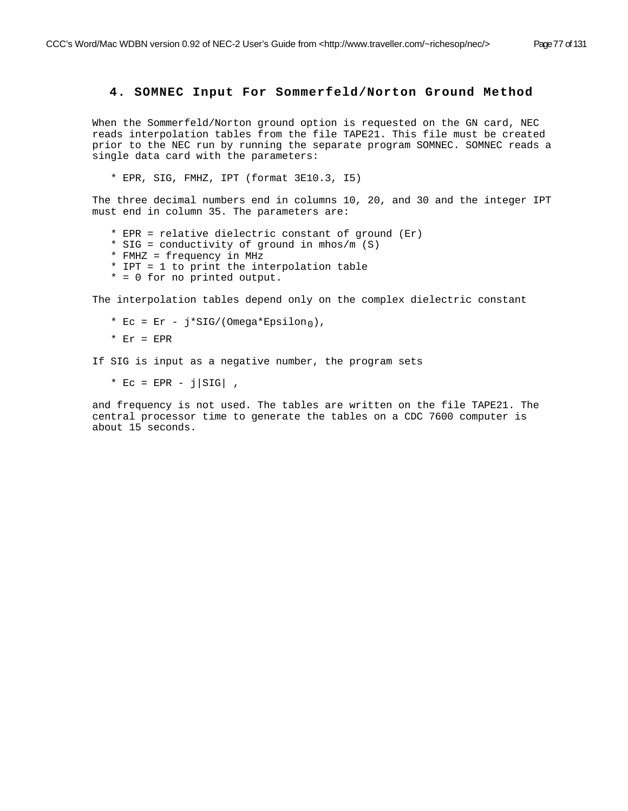# **4. SOMNEC Input For Sommerfeld/Norton Ground Method**

When the Sommerfeld/Norton ground option is requested on the GN card, NEC reads interpolation tables from the file TAPE21. This file must be created prior to the NEC run by running the separate program SOMNEC. SOMNEC reads a single data card with the parameters:

\* EPR, SIG, FMHZ, IPT (format 3E10.3, I5)

The three decimal numbers end in columns 10, 20, and 30 and the integer IPT must end in column 35. The parameters are:

- \* EPR = relative dielectric constant of ground (Er)
- \* SIG = conductivity of ground in mhos/m (S)
- \* FMHZ = frequency in MHz
- \* IPT = 1 to print the interpolation table
- \* = 0 for no printed output.

The interpolation tables depend only on the complex dielectric constant

- \* Ec = Er  $j*SIG/(Omega*Epsilon)$
- \*  $Er = EPR$

## If SIG is input as a negative number, the program sets

\* Ec = EPR -  $j|SIG|$ ,

and frequency is not used. The tables are written on the file TAPE21. The central processor time to generate the tables on a CDC 7600 computer is about 15 seconds.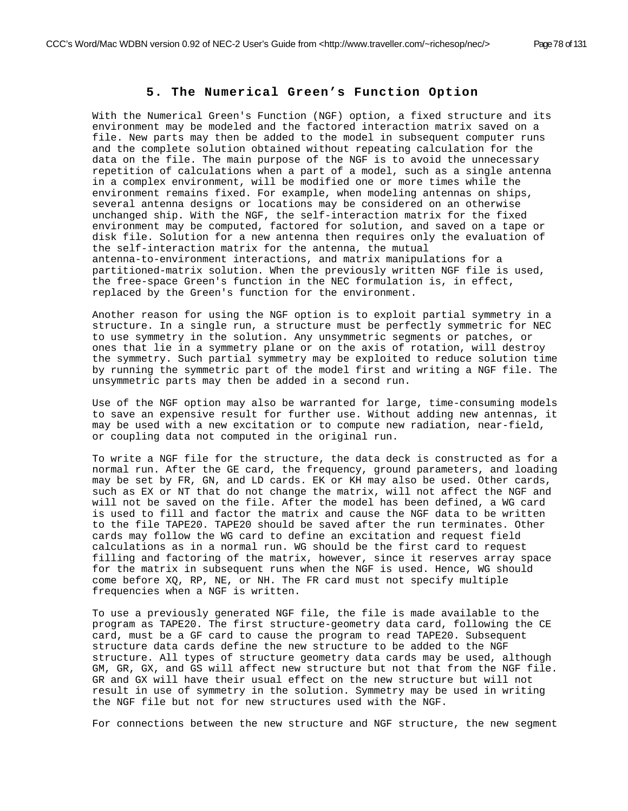# **5. The Numerical Green's Function Option**

With the Numerical Green's Function (NGF) option, a fixed structure and its environment may be modeled and the factored interaction matrix saved on a file. New parts may then be added to the model in subsequent computer runs and the complete solution obtained without repeating calculation for the data on the file. The main purpose of the NGF is to avoid the unnecessary repetition of calculations when a part of a model, such as a single antenna in a complex environment, will be modified one or more times while the environment remains fixed. For example, when modeling antennas on ships, several antenna designs or locations may be considered on an otherwise unchanged ship. With the NGF, the self-interaction matrix for the fixed environment may be computed, factored for solution, and saved on a tape or disk file. Solution for a new antenna then requires only the evaluation of the self-interaction matrix for the antenna, the mutual antenna-to-environment interactions, and matrix manipulations for a partitioned-matrix solution. When the previously written NGF file is used, the free-space Green's function in the NEC formulation is, in effect, replaced by the Green's function for the environment.

Another reason for using the NGF option is to exploit partial symmetry in a structure. In a single run, a structure must be perfectly symmetric for NEC to use symmetry in the solution. Any unsymmetric segments or patches, or ones that lie in a symmetry plane or on the axis of rotation, will destroy the symmetry. Such partial symmetry may be exploited to reduce solution time by running the symmetric part of the model first and writing a NGF file. The unsymmetric parts may then be added in a second run.

Use of the NGF option may also be warranted for large, time-consuming models to save an expensive result for further use. Without adding new antennas, it may be used with a new excitation or to compute new radiation, near-field, or coupling data not computed in the original run.

To write a NGF file for the structure, the data deck is constructed as for a normal run. After the GE card, the frequency, ground parameters, and loading may be set by FR, GN, and LD cards. EK or KH may also be used. Other cards, such as EX or NT that do not change the matrix, will not affect the NGF and will not be saved on the file. After the model has been defined, a WG card is used to fill and factor the matrix and cause the NGF data to be written to the file TAPE20. TAPE20 should be saved after the run terminates. Other cards may follow the WG card to define an excitation and request field calculations as in a normal run. WG should be the first card to request filling and factoring of the matrix, however, since it reserves array space for the matrix in subsequent runs when the NGF is used. Hence, WG should come before XQ, RP, NE, or NH. The FR card must not specify multiple frequencies when a NGF is written.

To use a previously generated NGF file, the file is made available to the program as TAPE20. The first structure-geometry data card, following the CE card, must be a GF card to cause the program to read TAPE20. Subsequent structure data cards define the new structure to be added to the NGF structure. All types of structure geometry data cards may be used, although GM, GR, GX, and GS will affect new structure but not that from the NGF file. GR and GX will have their usual effect on the new structure but will not result in use of symmetry in the solution. Symmetry may be used in writing the NGF file but not for new structures used with the NGF.

For connections between the new structure and NGF structure, the new segment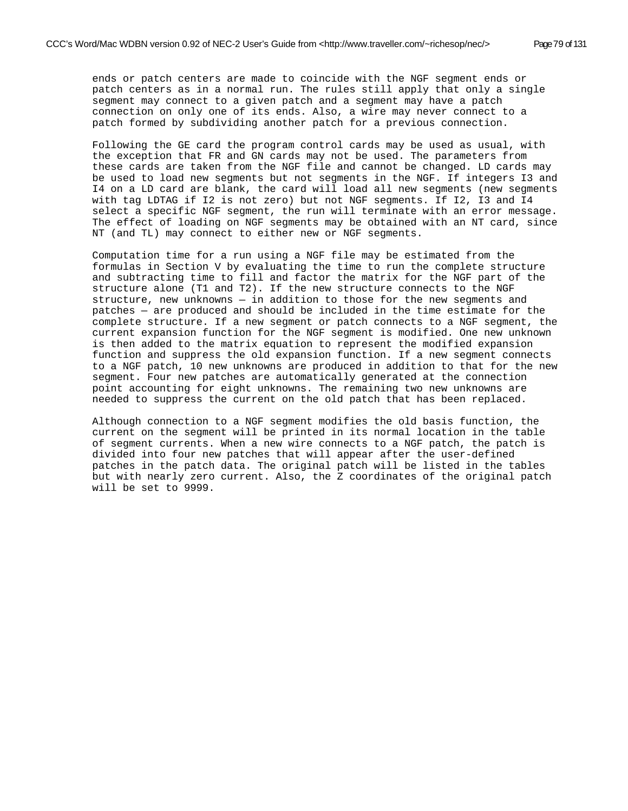ends or patch centers are made to coincide with the NGF segment ends or patch centers as in a normal run. The rules still apply that only a single segment may connect to a given patch and a segment may have a patch connection on only one of its ends. Also, a wire may never connect to a patch formed by subdividing another patch for a previous connection.

Following the GE card the program control cards may be used as usual, with the exception that FR and GN cards may not be used. The parameters from these cards are taken from the NGF file and cannot be changed. LD cards may be used to load new segments but not segments in the NGF. If integers I3 and I4 on a LD card are blank, the card will load all new segments (new segments with tag LDTAG if I2 is not zero) but not NGF segments. If I2, I3 and I4 select a specific NGF segment, the run will terminate with an error message. The effect of loading on NGF segments may be obtained with an NT card, since NT (and TL) may connect to either new or NGF segments.

Computation time for a run using a NGF file may be estimated from the formulas in Section V by evaluating the time to run the complete structure and subtracting time to fill and factor the matrix for the NGF part of the structure alone (T1 and T2). If the new structure connects to the NGF structure, new unknowns — in addition to those for the new segments and patches — are produced and should be included in the time estimate for the complete structure. If a new segment or patch connects to a NGF segment, the current expansion function for the NGF segment is modified. One new unknown is then added to the matrix equation to represent the modified expansion function and suppress the old expansion function. If a new segment connects to a NGF patch, 10 new unknowns are produced in addition to that for the new segment. Four new patches are automatically generated at the connection point accounting for eight unknowns. The remaining two new unknowns are needed to suppress the current on the old patch that has been replaced.

Although connection to a NGF segment modifies the old basis function, the current on the segment will be printed in its normal location in the table of segment currents. When a new wire connects to a NGF patch, the patch is divided into four new patches that will appear after the user-defined patches in the patch data. The original patch will be listed in the tables but with nearly zero current. Also, the Z coordinates of the original patch will be set to 9999.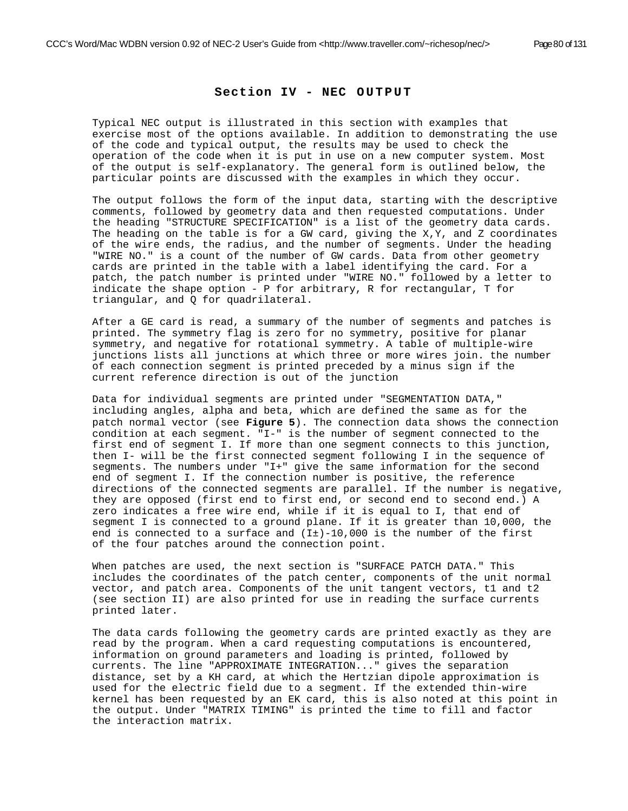## Section IV - NEC OUTPUT

Typical NEC output is illustrated in this section with examples that exercise most of the options available. In addition to demonstrating the use of the code and typical output, the results may be used to check the operation of the code when it is put in use on a new computer system. Most of the output is self-explanatory. The general form is outlined below, the particular points are discussed with the examples in which they occur.

The output follows the form of the input data, starting with the descriptive comments, followed by geometry data and then requested computations. Under the heading "STRUCTURE SPECIFICATION" is a list of the geometry data cards. The heading on the table is for a GW card, giving the X,Y, and Z coordinates of the wire ends, the radius, and the number of segments. Under the heading "WIRE NO." is a count of the number of GW cards. Data from other geometry cards are printed in the table with a label identifying the card. For a patch, the patch number is printed under "WIRE NO." followed by a letter to indicate the shape option - P for arbitrary, R for rectangular, T for triangular, and Q for quadrilateral.

After a GE card is read, a summary of the number of segments and patches is printed. The symmetry flag is zero for no symmetry, positive for planar symmetry, and negative for rotational symmetry. A table of multiple-wire junctions lists all junctions at which three or more wires join. the number of each connection segment is printed preceded by a minus sign if the current reference direction is out of the junction

Data for individual segments are printed under "SEGMENTATION DATA," including angles, alpha and beta, which are defined the same as for the patch normal vector (see **Figure 5**). The connection data shows the connection condition at each segment. "I-" is the number of segment connected to the first end of segment I. If more than one segment connects to this junction, then I- will be the first connected segment following I in the sequence of segments. The numbers under "I+" give the same information for the second end of segment I. If the connection number is positive, the reference directions of the connected segments are parallel. If the number is negative, they are opposed (first end to first end, or second end to second end.) A zero indicates a free wire end, while if it is equal to I, that end of segment I is connected to a ground plane. If it is greater than 10,000, the end is connected to a surface and  $(I^{\pm})$ -10,000 is the number of the first of the four patches around the connection point.

When patches are used, the next section is "SURFACE PATCH DATA." This includes the coordinates of the patch center, components of the unit normal vector, and patch area. Components of the unit tangent vectors, t1 and t2 (see section II) are also printed for use in reading the surface currents printed later.

The data cards following the geometry cards are printed exactly as they are read by the program. When a card requesting computations is encountered, information on ground parameters and loading is printed, followed by currents. The line "APPROXIMATE INTEGRATION..." gives the separation distance, set by a KH card, at which the Hertzian dipole approximation is used for the electric field due to a segment. If the extended thin-wire kernel has been requested by an EK card, this is also noted at this point in the output. Under "MATRIX TIMING" is printed the time to fill and factor the interaction matrix.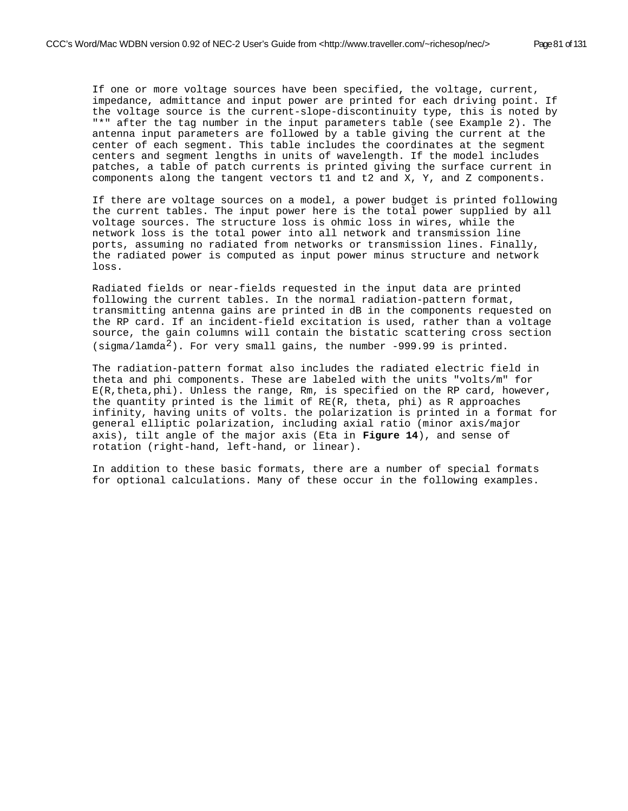If one or more voltage sources have been specified, the voltage, current, impedance, admittance and input power are printed for each driving point. If the voltage source is the current-slope-discontinuity type, this is noted by "\*" after the tag number in the input parameters table (see Example 2). The antenna input parameters are followed by a table giving the current at the center of each segment. This table includes the coordinates at the segment centers and segment lengths in units of wavelength. If the model includes patches, a table of patch currents is printed giving the surface current in components along the tangent vectors t1 and t2 and X, Y, and Z components.

If there are voltage sources on a model, a power budget is printed following the current tables. The input power here is the total power supplied by all voltage sources. The structure loss is ohmic loss in wires, while the network loss is the total power into all network and transmission line ports, assuming no radiated from networks or transmission lines. Finally, the radiated power is computed as input power minus structure and network loss.

Radiated fields or near-fields requested in the input data are printed following the current tables. In the normal radiation-pattern format, transmitting antenna gains are printed in dB in the components requested on the RP card. If an incident-field excitation is used, rather than a voltage source, the gain columns will contain the bistatic scattering cross section  $(siama/lamda<sup>2</sup>)$ . For very small gains, the number -999.99 is printed.

The radiation-pattern format also includes the radiated electric field in theta and phi components. These are labeled with the units "volts/m" for E(R,theta,phi). Unless the range, Rm, is specified on the RP card, however, the quantity printed is the limit of  $RE(R,$  theta, phi) as R approaches infinity, having units of volts. the polarization is printed in a format for general elliptic polarization, including axial ratio (minor axis/major axis), tilt angle of the major axis (Eta in **Figure 14**), and sense of rotation (right-hand, left-hand, or linear).

In addition to these basic formats, there are a number of special formats for optional calculations. Many of these occur in the following examples.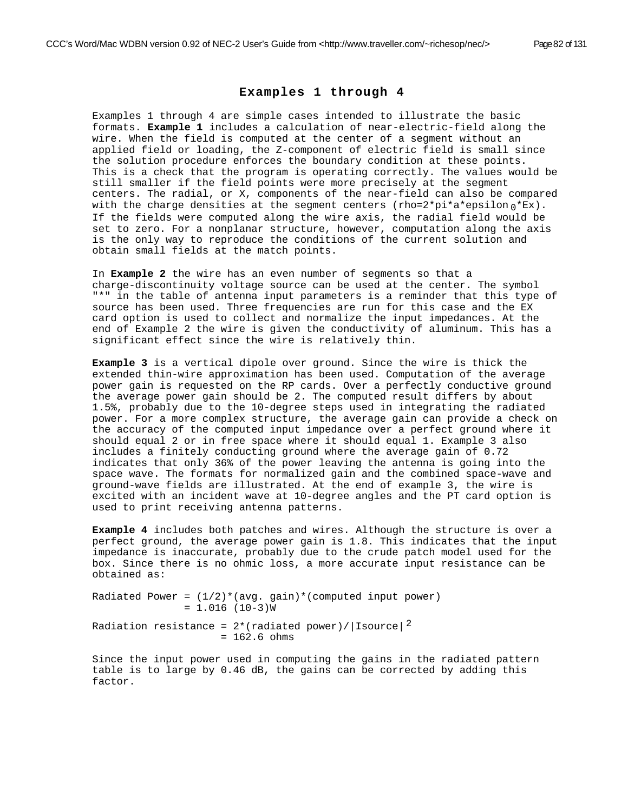# **Examples 1 through 4**

Examples 1 through 4 are simple cases intended to illustrate the basic formats. **Example 1** includes a calculation of near-electric-field along the wire. When the field is computed at the center of a segment without an applied field or loading, the Z-component of electric field is small since the solution procedure enforces the boundary condition at these points. This is a check that the program is operating correctly. The values would be still smaller if the field points were more precisely at the segment centers. The radial, or X, components of the near-field can also be compared with the charge densities at the segment centers (rho= $2*pi*a*epsilon$ ). If the fields were computed along the wire axis, the radial field would be set to zero. For a nonplanar structure, however, computation along the axis is the only way to reproduce the conditions of the current solution and obtain small fields at the match points.

In **Example 2** the wire has an even number of segments so that a charge-discontinuity voltage source can be used at the center. The symbol "\*" in the table of antenna input parameters is a reminder that this type of source has been used. Three frequencies are run for this case and the EX card option is used to collect and normalize the input impedances. At the end of Example 2 the wire is given the conductivity of aluminum. This has a significant effect since the wire is relatively thin.

**Example 3** is a vertical dipole over ground. Since the wire is thick the extended thin-wire approximation has been used. Computation of the average power gain is requested on the RP cards. Over a perfectly conductive ground the average power gain should be 2. The computed result differs by about 1.5%, probably due to the 10-degree steps used in integrating the radiated power. For a more complex structure, the average gain can provide a check on the accuracy of the computed input impedance over a perfect ground where it should equal 2 or in free space where it should equal 1. Example 3 also includes a finitely conducting ground where the average gain of 0.72 indicates that only 36% of the power leaving the antenna is going into the space wave. The formats for normalized gain and the combined space-wave and ground-wave fields are illustrated. At the end of example 3, the wire is excited with an incident wave at 10-degree angles and the PT card option is used to print receiving antenna patterns.

**Example 4** includes both patches and wires. Although the structure is over a perfect ground, the average power gain is 1.8. This indicates that the input impedance is inaccurate, probably due to the crude patch model used for the box. Since there is no ohmic loss, a more accurate input resistance can be obtained as:

Radiated Power =  $(1/2)*(avg. gain)*(computed input power)$  $= 1.016 (10-3)W$ Radiation resistance =  $2*(radiated power)/|Isource|^2$ = 162.6 ohms

Since the input power used in computing the gains in the radiated pattern table is to large by 0.46 dB, the gains can be corrected by adding this factor.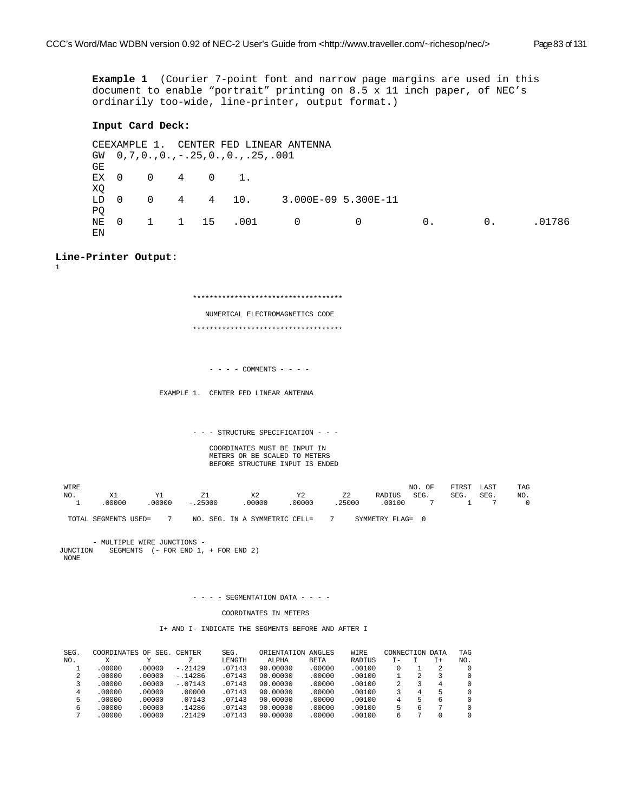**Example 1** (Courier 7-point font and narrow page margins are used in this document to enable "portrait" printing on 8.5 x 11 inch paper, of NEC's ordinarily too-wide, line-printer, output format.)

## **Input Card Deck:**

CEEXAMPLE 1. CENTER FED LINEAR ANTENNA GW 0,7,0.,0.,-.25,0.,0.,.25,.001 GE EX 0 0 4 0 1. XQ LD 0 0 4 4 10. 3.000E-09 5.300E-11 PQ<br>NE 0 1 1 15 .001 0 0 0. 0. 01786 EN

## **Line-Printer Output:**

1

 \*\*\*\*\*\*\*\*\*\*\*\*\*\*\*\*\*\*\*\*\*\*\*\*\*\*\*\*\*\*\*\*\*\*\*\* NUMERICAL ELECTROMAGNETICS CODE \*\*\*\*\*\*\*\*\*\*\*\*\*\*\*\*\*\*\*\*\*\*\*\*\*\*\*\*\*\*\*\*\*\*\*\*

 $- - - -$  COMMENTS - - - -

EXAMPLE 1. CENTER FED LINEAR ANTENNA

- - - STRUCTURE SPECIFICATION - - -

 COORDINATES MUST BE INPUT IN METERS OR BE SCALED TO METERS BEFORE STRUCTURE INPUT IS ENDED

| WIRE |         |    |                   |                            |    |                |                       | NO. OF | FIRST LAST | TAG |
|------|---------|----|-------------------|----------------------------|----|----------------|-----------------------|--------|------------|-----|
| NO.  | x1      | V1 | Z1                | X2                         | Y2 | Z <sub>2</sub> | RADIUS SEG. SEG. SEG. |        |            | NO. |
|      | 1.00000 |    | $.00000 - .25000$ | $.00000$ $.00000$ $.25000$ |    |                | $00100$ 7 1 7 0       |        |            |     |

TOTAL SEGMENTS USED= 7 NO. SEG. IN A SYMMETRIC CELL= 7 SYMMETRY FLAG= 0

 - MULTIPLE WIRE JUNCTIONS - JUNCTION SEGMENTS (- FOR END 1, + FOR END 2) NONE

 $-$  - - SEGMENTATION DATA - - - -

#### COORDINATES IN METERS

I+ AND I- INDICATE THE SEGMENTS BEFORE AND AFTER I

| SEG. | COORDINATES OF | SEG.    | CENTER    | SEG.   | ORTENTATION | ANGLES  | WIRE    | CONNECTION DATA |   |       | TAG      |
|------|----------------|---------|-----------|--------|-------------|---------|---------|-----------------|---|-------|----------|
| NO.  |                |         | z.        | LENGTH | ALPHA       | BETA    | RADIUS  | т –             |   | $T +$ | NO.      |
|      | . 00000        | .00000  | $-.21429$ | .07143 | 90.00000    | .00000  | .00100  |                 |   |       | $\Omega$ |
|      | . 00000        | .00000  | $-.14286$ | .07143 | 90.00000    | .00000  | .00100  |                 |   |       | $\Omega$ |
|      | . 00000        | .00000  | $-.07143$ | .07143 | 90.00000    | .00000  | .00100  |                 |   |       | $\Omega$ |
| 4    | . 00000        | .00000  | .00000    | .07143 | 90.00000    | .00000  | .00100  |                 | 4 |       | $\Omega$ |
| Б.   | . 00000        | .00000  | .07143    | .07143 | 90.00000    | .00000  | .00100  | 4               |   |       | $\Omega$ |
| 6    | . 00000        | .00000  | .14286    | .07143 | 90.00000    | . 00000 | .00100  | 5               | h |       | $\Omega$ |
|      | . 00000        | .00000. | . 21429   | .07143 | 90.00000    | . 00000 | .00100. | 6               |   |       | $\Omega$ |
|      |                |         |           |        |             |         |         |                 |   |       |          |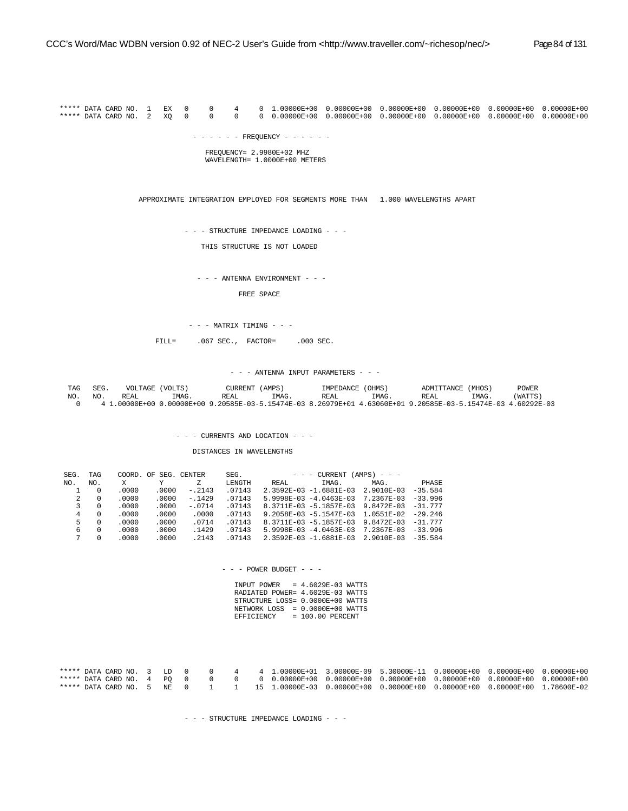\*\*\*\*\* DATA CARD NO. 1 EX 0 0 4 0 1.00000E+00 0.00000E+00 0.00000E+00 0.00000E+00 0.00000E+00 0.00000E+00 \*\*\*\*\* DATA CARD NO. 2 XQ 0 0 0 0 0.00000E+00 0.00000E+00 0.00000E+00 0.00000E+00 0.00000E+00 0.00000E+00  $-$  - - - - FREQUENCY - - - - - - FREQUENCY= 2.9980E+02 MHZ WAVELENGTH= 1.0000E+00 METERS APPROXIMATE INTEGRATION EMPLOYED FOR SEGMENTS MORE THAN 1.000 WAVELENGTHS APART  $-$  -  $\,$  STRUCTURE IMPEDANCE LOADING  $\,$  -  $\,$  -  $\,$  THIS STRUCTURE IS NOT LOADED - - - ANTENNA ENVIRONMENT - - -  $-$ FREE SPACE

- - - MATRIX TIMING - - -

FILL= .067 SEC., FACTOR= .000 SEC.

 $-$  - - ANTENNA INPUT PARAMETERS - - -

| TAG | SEG. | VOLTAGE (VOLTS) |      | CURRENT (AMPS) |       | IMPEDANCE (OHMS) |       | ADMITTANCE (MHOS)                                                                                             |       | <b>POWER</b> |
|-----|------|-----------------|------|----------------|-------|------------------|-------|---------------------------------------------------------------------------------------------------------------|-------|--------------|
| NO. | NO.  | REAL            | [MAG | REAL.          | "MAG. | REAL.            | TMAG. | REAL                                                                                                          | IMAG. | (WATTS)      |
|     |      |                 |      |                |       |                  |       | 4 1.00000E+00 0.00000E+00 9.20585E-03-5.15474E-03 8.26979E+01 4.63060E+01 9.20585E-03-5.15474E-03 4.60292E-03 |       |              |

 $-$  -  $-$  CURRENTS AND LOCATION - - -

DISTANCES IN WAVELENGTHS

| SEG.          | TAG      | COORD. | SEG.<br>OF | CENTER   | SEG.   | $  \subset$ URRENT            | $(AMPS)$ - - - |           |
|---------------|----------|--------|------------|----------|--------|-------------------------------|----------------|-----------|
| NO.           | NO.      | X      |            | 7.       | LENGTH | IMAG.<br>REAL                 | MAG.           | PHASE     |
|               | 0        | .0000. | .0000.     | $-.2143$ | .07143 | 2.3592E-03 -1.6881E-03        | 2.9010E-03     | $-35.584$ |
| $\mathcal{L}$ | 0        | .0000  | .0000      | $-.1429$ | .07143 | $5.9998E-03 -4.0463E-03$      | 7.2367E-03     | $-33.996$ |
| 3             | 0        | .0000. | .0000      | $-.0714$ | .07143 | 8.3711E-03 -5.1857E-03        | $9.8472E - 03$ | $-31$ 777 |
| 4             | $\Omega$ | .0000. | .0000      | .0000    | .07143 | $9.2058E-03 -5.1547E-03$      | 1.0551E-02     | $-29.246$ |
| 5             | 0        | .0000. | .0000      | .0714    | .07143 | $8.3711E - 03 - 5.1857E - 03$ | 9.8472E-03     | $-31.777$ |
| 6             | $\Omega$ | .0000. | .0000      | .1429    | .07143 | $5.9998E - 03 - 4.0463E - 03$ | 7.2367E-03     | $-33.996$ |
| 7             | 0        | .0000. | .0000.     | .2143    | .07143 | $2.3592E - 03 - 1.6881E - 03$ | 2.9010E-03     | $-355584$ |

- - - POWER BUDGET - - -

| TNPUT POWER $= 4.6029E-03$ WATTS   |  |
|------------------------------------|--|
| RADIATED POWER= 4.6029E-03 WATTS   |  |
| STRUCTURE LOSS= $0.0000E+00$ WATTS |  |
| NETWORK LOSS = $0.0000E+00$ WATTS  |  |
| $EFFTCIFNCY = 100.00 PRECENT$      |  |

| ***** DATA CARD NO. 3 LD 0 0 4 4 1.00000E+01 3.00000E-09 5.30000E-11 0.00000E+00 0.00000E+00 0.00000E+00       |  |  |  |  |  |  |
|----------------------------------------------------------------------------------------------------------------|--|--|--|--|--|--|
| ***** DATA CARD NO. 4 PO 0 0 0 0 0.00000E+00 0.00000E+00 0.00000E+00 0.00000E+00 0.00000E+00 0.00000E+00 +00 + |  |  |  |  |  |  |
| ***** DATA CARD NO. 5 NE. 0 1 1 15 1.00000E-03 0.0000E+00 0.0000E+00 0.0000E+00 0.0000E+00 1.78600E-02         |  |  |  |  |  |  |

 $-$  -  $\,$  - STRUCTURE IMPEDANCE LOADING  $\,$  -  $\,$  -  $\,$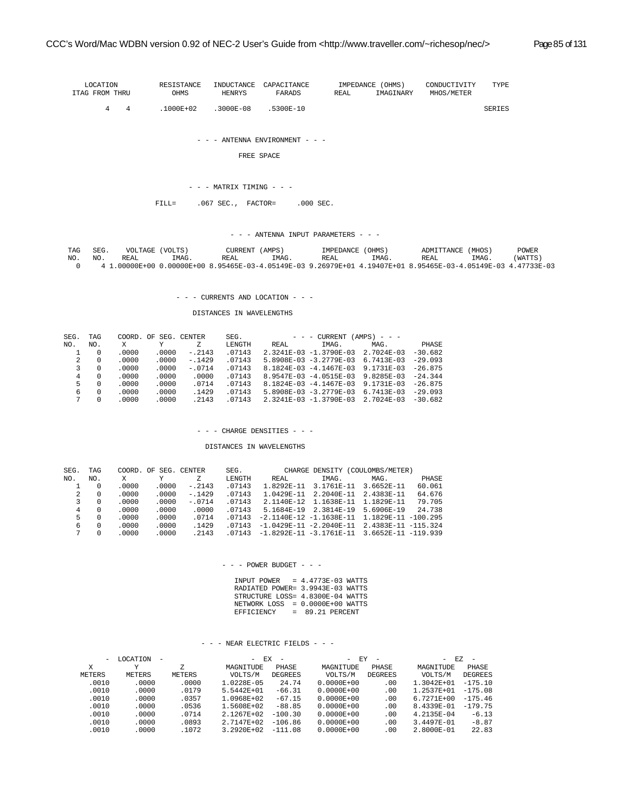| LOCATION<br>ITAG FROM THRU | INDUCTANCE<br>RESISTANCE<br>HENRYS<br>OHMS | CAPACITANCE<br>FARADS           | (OHMS)<br>IMPEDANCE<br>IMAGINARY<br>REAL | CONDUCTIVITY<br>MHOS/METER | TYPE          |
|----------------------------|--------------------------------------------|---------------------------------|------------------------------------------|----------------------------|---------------|
| 4<br>4                     | .3000E-08<br>$.1000E + 02$                 | .5300E-10                       |                                          |                            | <b>SERIES</b> |
|                            |                                            |                                 |                                          |                            |               |
|                            |                                            | $-$ - ANTENNA ENVIRONMENT - - - |                                          |                            |               |
|                            |                                            | FREE SPACE                      |                                          |                            |               |
|                            |                                            |                                 |                                          |                            |               |
|                            |                                            |                                 |                                          |                            |               |
|                            | $-$ - - MATRIX TIMING - - -                |                                 |                                          |                            |               |
|                            | $.067$ SEC.,<br>$FILL =$                   | $.000$ SEC.<br>FACTOR=          |                                          |                            |               |
|                            |                                            |                                 |                                          |                            |               |
|                            |                                            |                                 |                                          |                            |               |

#### $-$  - - ANTENNA INPUT PARAMETERS - - -

| TAG | SEG. | VOLTAGE | (VOLTS) | CURRENT | (AMPS) | IMPEDANCE | OHMS  | <b>ADMITTANCE</b>                                                                                             | (MHOS) | POWER   |
|-----|------|---------|---------|---------|--------|-----------|-------|---------------------------------------------------------------------------------------------------------------|--------|---------|
| NO. | NO.  | REAL.   | MAG.    | REAL.   | TMAG.  | REAL.     | 「MAG. | REAL                                                                                                          | IMAG.  | 'WATTS) |
|     |      |         |         |         |        |           |       | 4 1.00000E+00 0.00000E+00 8.95465E-03-4.05149E-03 9.26979E+01 4.19407E+01 8.95465E-03-4.05149E-03 4.47733E-03 |        |         |

 $-$  -  $-$  CURRENTS AND LOCATION  $-$  -  $-$ 

#### DISTANCES IN WAVELENGTHS

| SEG.            | TAG      | COORD. | SEG.<br>ΟF | CENTER   | SEG.   | $   CURRENT$                  | (AMPS) - - -   |            |
|-----------------|----------|--------|------------|----------|--------|-------------------------------|----------------|------------|
| NO.             | NO.      | X      |            | Z.       | LENGTH | IMAG.<br>REAL                 | MAG.           | PHASE      |
|                 | 0        | .0000  | .0000      | $-.2143$ | .07143 | 2.3241E-03 -1.3790E-03        | 2.7024E-03     | $-30.682$  |
| $\mathfrak{D}$  | $\Omega$ | .0000. | .0000      | $-1429$  | .07143 | $5.8908E-03 -3.2779E-03$      | $6.7413E - 03$ | $-29.093$  |
| 3               | 0        | .0000  | .0000      | $-.0714$ | .07143 | $8.1824E-03 -4.1467E-03$      | $9.1731E - 03$ | $-26.875$  |
| 4               | $\Omega$ | .0000. | .0000      | .0000    | .07143 | $8.9547E - 03 - 4.0515E - 03$ | 9.8285E-03     | $-24, 344$ |
| 5.              | $\Omega$ | .0000. | .0000      | .0714    | .07143 | $8.1824E-03 -4.1467E-03$      | $9.1731E - 03$ | $-26.875$  |
| 6               | $\Omega$ | .0000. | .0000      | .1429    | .07143 | $5.8908E - 03 - 3.2779E - 03$ | $6.7413E - 03$ | $-29.093$  |
| $7\phantom{.0}$ | 0        | .0000  | .0000.     | .2143    | .07143 | 2.3241E-03 -1.3790E-03        | 2.7024E-03     | $-30.682$  |

## $-$  -  $-$  CHARGE DENSITIES - - -

## DISTANCES IN WAVELENGTHS

| SEG.          | TAG          | COORD. | SEG.<br>OF | CENTER   | SEG.   |                                | CHARGE DENSITY | (COULOMBS/METER)         |        |
|---------------|--------------|--------|------------|----------|--------|--------------------------------|----------------|--------------------------|--------|
| NO.           | NO.          | X      | Y          | Z.       | LENGTH | REAL.                          | IMAG.          | MAG.                     | PHASE  |
|               | $\Omega$     | .0000  | .0000      | $-.2143$ | .07143 | 1.8292F-11                     | $3.1761E - 11$ | 3.6652E-11               | 60.061 |
| $\mathcal{L}$ | $\Omega$     | .0000. | .0000      | $-.1429$ | .07143 | $1.0429E - 11$                 | 2.2040E-11     | 2.4383E-11               | 64.676 |
| 3             | $\Omega$     | .0000. | .0000      | $-.0714$ | .07143 | 2.1140E-12 1.1638E-11          |                | 1.1829E-11               | 79.705 |
| 4             | $\Omega$     | .0000. | .0000      | .0000    | .07143 | $5.1684E-19$ 2.3814E-19        |                | 5.6906E-19               | 24.738 |
| 5.            | $\Omega$     | .0000. | .0000      | .0714    | .07143 | $-2.1140E-12 -1.1638E-11$      |                | 1.1829E-11 -100.295      |        |
| 6             | $\Omega$     | .0000. | .0000.     | .1429    | 07143  | $-1.0429E-11 - 2.2040E-11$     |                | $2.4383E-11 -115.324$    |        |
| 7             | <sup>n</sup> | .0000. | .0000.     | .2143    | 07143  | $-1.8292E - 11 - 3.1761E - 11$ |                | $3.6652E - 11 - 119.939$ |        |
|               |              |        |            |          |        |                                |                |                          |        |

 $-$  -  $-$  POWER BUDGET -  $-$ 

| TNPUT POWER $= 4.4773E-03$ WATTS  |  |
|-----------------------------------|--|
| RADIATED POWER= 3.9943E-03 WATTS  |  |
| STRUCTURE LOSS= 4.8300E-04 WATTS  |  |
| NETWORK LOSS = $0.0000E+00$ WATTS |  |
| $RFFTCIFNCY = 89.21 PFRCENT$      |  |

## $-$  -  $-$  NEAR ELECTRIC FIELDS -  $-$

| $\overline{\phantom{m}}$ | LOCATION | $\overline{\phantom{0}}$ | $\qquad \qquad -$ | <b>EX</b><br>$\hspace{0.1mm}-\hspace{0.1mm}$ | EY.<br>$-$     | $\overline{\phantom{a}}$ | $\overline{\phantom{0}}$ | E.Z.<br>$\hspace{0.1mm}-\hspace{0.1mm}$ |
|--------------------------|----------|--------------------------|-------------------|----------------------------------------------|----------------|--------------------------|--------------------------|-----------------------------------------|
| X                        |          | Z                        | MAGNITUDE         | PHASE                                        | MAGNITUDE      | PHASE                    | MAGNITUDE                | PHASE                                   |
| METERS                   | METERS   | METERS                   | VOLTS/M           | <b>DEGREES</b>                               | VOLTS/M        | <b>DEGREES</b>           | VOLTS/M                  | <b>DEGREES</b>                          |
| .0010                    | .0000    | .0000                    | 1.0228E-05        | 24.74                                        | $0.0000E + 00$ | .00                      | $1.3042E + 01$           | $-175.10$                               |
| .0010                    | .0000    | .0179                    | $5.5442E+01$      | $-66.31$                                     | $0.0000E + 00$ | .00                      | $1.2537E + 01$           | $-175.08$                               |
| .0010                    | .0000    | .0357                    | $1.0968E + 02$    | $-67.15$                                     | $0.0000E + 00$ | .00                      | $6.7271E + 00$           | $-175.46$                               |
| .0010                    | .0000    | .0536                    | $1.5608E + 02$    | $-88.85$                                     | $0.0000E + 00$ | .00                      | 8.4339E-01               | $-179.75$                               |
| .0010                    | .0000    | .0714                    | $2.1267E + 02$    | $-100.30$                                    | $0.0000E + 00$ | .00                      | $4.2135E - 04$           | $-6.13$                                 |
| .0010                    | .0000    | .0893                    | 2.7147E+02        | $-106.86$                                    | $0.0000E + 00$ | .00                      | 3.4497E-01               | $-8.87$                                 |
| .0010                    | .0000    | .1072                    | $3.2920E + 02$    | $-111.08$                                    | $0.0000E + 00$ | .00                      | 2.8000E-01               | 22.83                                   |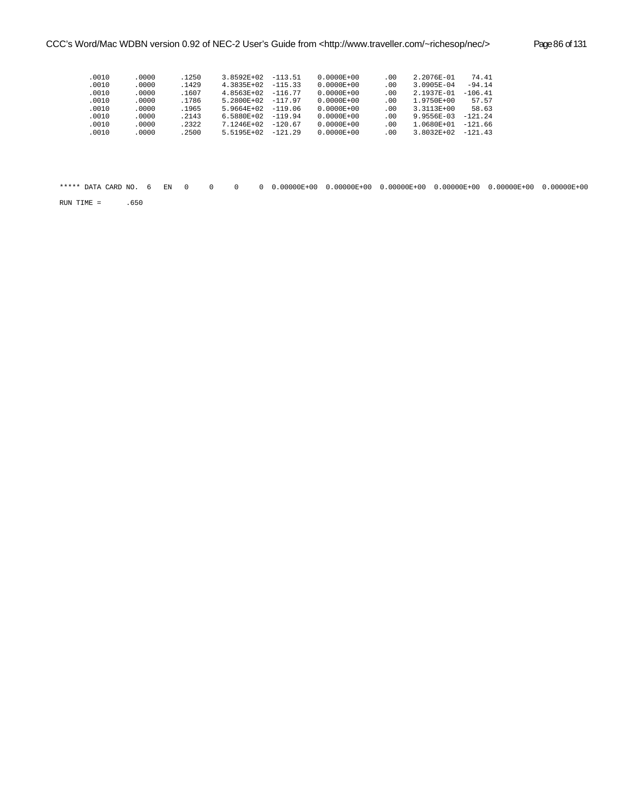| .0010 | .0000  | .1250 | $3.8592E+02 -113.51$ |           | $0.0000E + 00$ | .00  | 2.2076E-01     | 74.41     |
|-------|--------|-------|----------------------|-----------|----------------|------|----------------|-----------|
| .0010 | .0000  | .1429 | 4.3835E+02           | $-115.33$ | $0.0000E + 00$ | .00  | 3.0905E-04     | $-94.14$  |
| .0010 | .0000  | .1607 | $4.8563E+02 -116.77$ |           | $0.0000E + 00$ | .00  | 2.1937E-01     | $-106.41$ |
| .0010 | .0000. | .1786 | 5.2800E+02           | $-117.97$ | $0.0000E + 00$ | .00  | 1.9750E+00     | 57.57     |
| .0010 | .0000  | .1965 | 5.9664E+02 -119.06   |           | $0.0000E + 00$ | .00  | $3.3113E + 00$ | 58.63     |
| .0010 | .0000. | .2143 | 6.5880E+02           | $-119.94$ | $0.0000E + 00$ | .00. | 9.9556E-03     | $-121.24$ |
| .0010 | .0000. | .2322 | 7.1246E+02           | $-120.67$ | $0.0000E + 00$ | .00  | 1.0680E+01     | $-121.66$ |
| .0010 | .0000. | .2500 | 5.5195E+02           | $-121.29$ | $0.0000E + 00$ | . 00 | 3.8032E+02     | $-121.43$ |
|       |        |       |                      |           |                |      |                |           |

| ***** DATA CARD NO. 6 EN 0 0 0 0 0.00000E+00 0.00000E+00 0.00000E+00 0.00000E+00 0.00000E+00 0.00000E+00 |  |  |  |  |  |  |  |
|----------------------------------------------------------------------------------------------------------|--|--|--|--|--|--|--|
| RUN TIME =                                                                                               |  |  |  |  |  |  |  |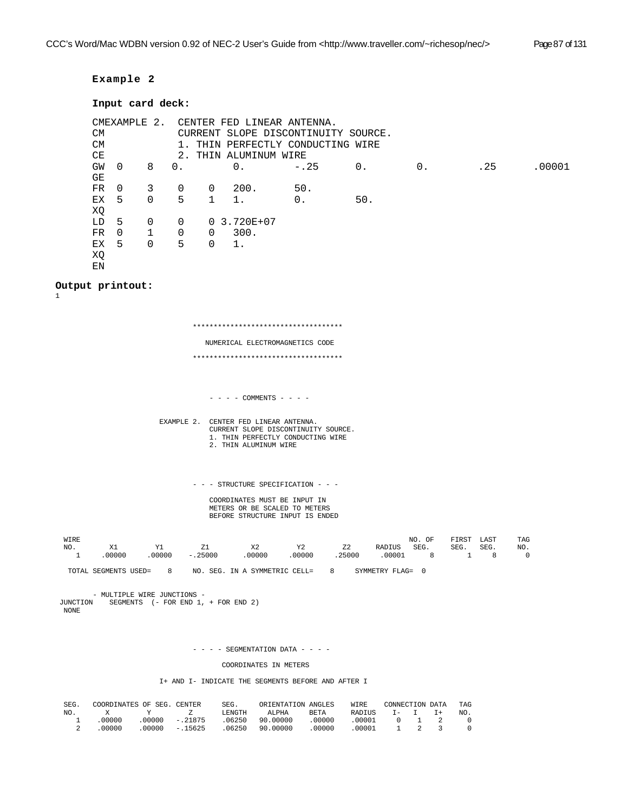# **Example 2**

# **Input card deck:**

|                                  | CM<br>CM<br>CE |                |                |                |                | CMEXAMPLE 2. CENTER FED LINEAR ANTENNA.<br>CURRENT SLOPE DISCONTINUITY SOURCE.<br>1. THIN PERFECTLY CONDUCTING WIRE<br>2. THIN ALUMINUM WIRE |         |       |    |     |        |
|----------------------------------|----------------|----------------|----------------|----------------|----------------|----------------------------------------------------------------------------------------------------------------------------------------------|---------|-------|----|-----|--------|
|                                  | GW             | $\overline{0}$ | 8              | 0.             |                | 0.                                                                                                                                           | $-0.25$ | $0$ . | 0. | .25 | .00001 |
|                                  | GE             |                |                |                |                |                                                                                                                                              |         |       |    |     |        |
|                                  | FR             | $\overline{0}$ | $\mathbf{3}$   | $\mathbf 0$    |                | $0\quad 200.50.$                                                                                                                             |         |       |    |     |        |
|                                  | EX<br>XQ       | 5              | $\Omega$       | 5              |                | $1 \quad 1.$                                                                                                                                 | $0$ .   | 50.   |    |     |        |
|                                  | LD 5           |                | 0              |                |                | $0 \t 0 \t 3.720E+07$                                                                                                                        |         |       |    |     |        |
|                                  | FR 0           |                | $\overline{1}$ | $\overline{0}$ | 0 300.         |                                                                                                                                              |         |       |    |     |        |
|                                  | EX             | - 5            | $\Omega$       | 5              | $\overline{0}$ | 1.                                                                                                                                           |         |       |    |     |        |
|                                  | XQ<br>EN       |                |                |                |                |                                                                                                                                              |         |       |    |     |        |
| Output printout:<br>$\mathbf{1}$ |                |                |                |                |                |                                                                                                                                              |         |       |    |     |        |
|                                  |                |                |                |                |                | ************************************                                                                                                         |         |       |    |     |        |
|                                  |                |                |                |                |                | NUMERICAL ELECTROMAGNETICS CODE                                                                                                              |         |       |    |     |        |
|                                  |                |                |                |                |                | ************************************                                                                                                         |         |       |    |     |        |
|                                  |                |                |                |                |                |                                                                                                                                              |         |       |    |     |        |
|                                  |                |                |                |                |                | $- - - -$ COMMENTS - - - -                                                                                                                   |         |       |    |     |        |
|                                  |                |                |                |                |                | EXAMPLE 2. CENTER FED LINEAR ANTENNA.<br>CURRENT SLOPE DISCONTINUITY SOURCE.<br>1. THIN PERFECTLY CONDUCTING WIRE<br>2. THIN ALUMINUM WIRE   |         |       |    |     |        |
|                                  |                |                |                |                |                | - - - STRUCTURE SPECIFICATION - - -                                                                                                          |         |       |    |     |        |

 COORDINATES MUST BE INPUT IN METERS OR BE SCALED TO METERS BEFORE STRUCTURE INPUT IS ENDED

| WIRE |        |    |                   |                   |    |                |                 | NO. OF | FIRST LAST |             | TAG |
|------|--------|----|-------------------|-------------------|----|----------------|-----------------|--------|------------|-------------|-----|
| NO.  | X1     | Y1 | Z1                | X2                | Y2 | Z <sub>2</sub> | RADIUS SEG.     |        | SEG.       | <b>SEG.</b> | NO. |
|      | .00000 |    | $.00000 - .25000$ | $.00000$ $.00000$ |    | .25000         | $00001$ 8 1 8 0 |        |            |             |     |

TOTAL SEGMENTS USED= 8 NO. SEG. IN A SYMMETRIC CELL= 8 SYMMETRY FLAG= 0

 - MULTIPLE WIRE JUNCTIONS - JUNCTION SEGMENTS (- FOR END 1, + FOR END 2) NONE

 $-$  - - SEGMENTATION DATA - - - -

COORDINATES IN METERS

I+ AND I- INDICATE THE SEGMENTS BEFORE AND AFTER I

| SEG. | COORDINATES OF SEG. CENTER |                   |      | SEG.    | ORIENTATION ANGLES |             | <b>WTRE</b>    | CONNECTION DATA     |  | TAG |
|------|----------------------------|-------------------|------|---------|--------------------|-------------|----------------|---------------------|--|-----|
| NO.  | <b>X</b>                   |                   | - 7. | I ENGTH | AT PHA             | <b>BETA</b> | RADTUS T- T T+ |                     |  | NO. |
|      | . 00000                    | $.00000 - .21875$ |      | . 06250 | 90.00000           | .00000      | .00001         | $0 \quad 1 \quad 2$ |  |     |
|      | . 00000.                   | $.00000 - 15625$  |      | . 06250 | 90.00000           | . 00000     | $.00001$ 1 2 3 |                     |  |     |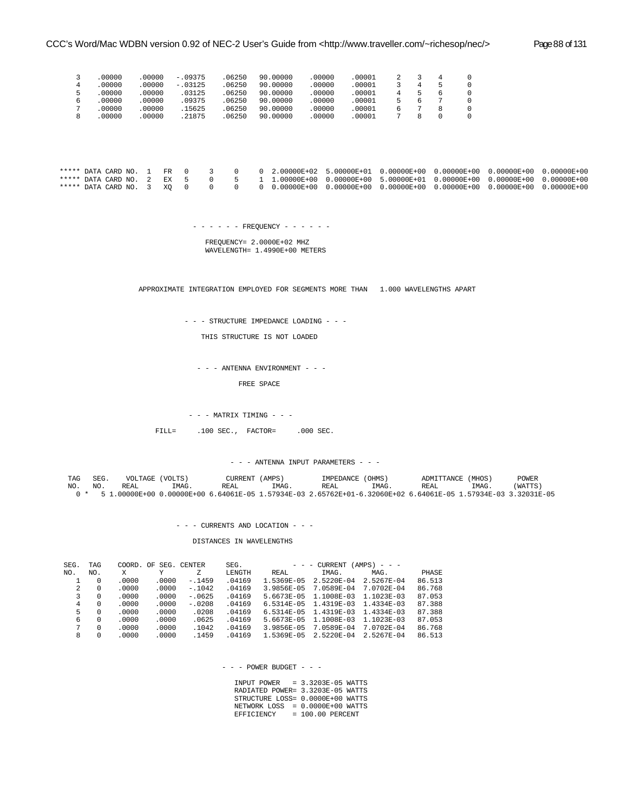| 3<br>$\overline{4}$<br>5<br>6<br>7<br>8 | .00000<br>.00000<br>.00000<br>.00000<br>.00000<br>.00000                | .00000<br>.00000<br>.00000<br>.00000<br>.00000<br>.00000 | $-.09375$<br>.09375<br>.15625<br>.21875            | .06250<br>.06250                                                                         | 90.00000<br>$-.03125$ .06250 90.00000<br>.03125 .06250 90.00000<br>.06250 90.00000<br>.06250 90.00000<br>90.00000 | .00000<br>.00000<br>.00000<br>.00000<br>.00000<br>.00000 | .00001<br>.00001<br>.00001<br>.00001<br>.00001<br>.00001 | 2<br>3<br>$\overline{3}$<br>$\overline{4}$<br>5<br>6<br>$7^{\circ}$ | 4<br>4<br>5<br>5 6<br>$\begin{array}{ccc} 7 & 0 \\ 7 & 8 & 0 \\ 8 & 0 & 0 \end{array}$ | 0<br>$\Omega$<br>$\mathbf 0$ |                                                                                                                                                                                                                                                       |  |
|-----------------------------------------|-------------------------------------------------------------------------|----------------------------------------------------------|----------------------------------------------------|------------------------------------------------------------------------------------------|-------------------------------------------------------------------------------------------------------------------|----------------------------------------------------------|----------------------------------------------------------|---------------------------------------------------------------------|----------------------------------------------------------------------------------------|------------------------------|-------------------------------------------------------------------------------------------------------------------------------------------------------------------------------------------------------------------------------------------------------|--|
|                                         | ***** DATA CARD NO. 1<br>***** DATA CARD NO. 2<br>***** DATA CARD NO. 3 |                                                          | FR<br>$\overline{0}$<br>EX<br>XO<br>$\overline{0}$ | $\mathbf 0$<br>$\overline{\mathbf{3}}$<br>$5 \t 0 \t 5$<br>$\mathbf 0$<br>$\overline{0}$ |                                                                                                                   |                                                          |                                                          |                                                                     |                                                                                        |                              | $0$ 2.00000E+02 5.00000E+01 0.00000E+00 0.00000E+00 0.00000E+00 0.00000E+00<br>$1$ $1.000000E+00$ $0.00000E+00$ $5.00000E+01$ $0.00000E+00$ $0.00000E+00$ $0.00000E+00$<br>$0.000000E+00$ 0.00000E+00 0.00000E+00 0.00000E+00 0.00000E+00 0.00000E+00 |  |
|                                         |                                                                         |                                                          |                                                    |                                                                                          | - - - - - - FREQUENCY - - - - - -<br>FREQUENCY= 2.0000E+02 MHZ<br>WAVELENGTH= 1.4990E+00 METERS                   |                                                          |                                                          |                                                                     |                                                                                        |                              |                                                                                                                                                                                                                                                       |  |
|                                         |                                                                         |                                                          |                                                    |                                                                                          | APPROXIMATE INTEGRATION EMPLOYED FOR SEGMENTS MORE THAN 1.000 WAVELENGTHS APART                                   |                                                          |                                                          |                                                                     |                                                                                        |                              |                                                                                                                                                                                                                                                       |  |
|                                         |                                                                         |                                                          |                                                    |                                                                                          | - - - STRUCTURE IMPEDANCE LOADING - - -<br>THIS STRUCTURE IS NOT LOADED                                           |                                                          |                                                          |                                                                     |                                                                                        |                              |                                                                                                                                                                                                                                                       |  |
|                                         |                                                                         |                                                          |                                                    |                                                                                          | - - - ANTENNA ENVIRONMENT - - -<br>FREE SPACE                                                                     |                                                          |                                                          |                                                                     |                                                                                        |                              |                                                                                                                                                                                                                                                       |  |
|                                         |                                                                         |                                                          |                                                    |                                                                                          |                                                                                                                   |                                                          |                                                          |                                                                     |                                                                                        |                              |                                                                                                                                                                                                                                                       |  |
|                                         |                                                                         |                                                          |                                                    | $-$ - - MATRIX TIMING - - -                                                              | FILL= .100 SEC., FACTOR= .000 SEC.                                                                                |                                                          |                                                          |                                                                     |                                                                                        |                              |                                                                                                                                                                                                                                                       |  |
|                                         |                                                                         |                                                          |                                                    |                                                                                          |                                                                                                                   |                                                          |                                                          |                                                                     |                                                                                        |                              |                                                                                                                                                                                                                                                       |  |
|                                         |                                                                         |                                                          |                                                    |                                                                                          | $-$ - - ANTENNA INPUT PARAMETERS - - -                                                                            |                                                          |                                                          |                                                                     |                                                                                        |                              |                                                                                                                                                                                                                                                       |  |
| TAG<br>NO.                              | SEG.<br>NO.                                                             | VOLTAGE (VOLTS)<br>REAL                                  | IMAG.                                              | REAL                                                                                     | CURRENT (AMPS)<br>IMAG.                                                                                           | REAL                                                     | IMPEDANCE (OHMS)                                         | IMAG.                                                               | ADMITTANCE (MHOS)<br>REAL                                                              | IMAG.                        | POWER<br>(WATTS)<br>0 * 5 1.00000E+00 0.00000E+00 6.64061E-05 1.57934E-03 2.65762E+01-6.32060E+02 6.64061E-05 1.57934E-03 3.32031E-05                                                                                                                 |  |
|                                         |                                                                         |                                                          |                                                    |                                                                                          | $-$ - $-$ CURRENTS AND LOCATION - - -                                                                             |                                                          |                                                          |                                                                     |                                                                                        |                              |                                                                                                                                                                                                                                                       |  |
|                                         |                                                                         |                                                          |                                                    | DISTANCES IN WAVELENGTHS                                                                 |                                                                                                                   |                                                          |                                                          |                                                                     |                                                                                        |                              |                                                                                                                                                                                                                                                       |  |
| NO.                                     | SEG. TAG                                                                | COORD. OF SEG. CENTER<br>NO X Y Z LENGTH                 |                                                    | SEG.                                                                                     |                                                                                                                   | $-$ - $-$ CURRENT (AMPS) - - -<br>REAL TMAG. MAG.        |                                                          |                                                                     | PHASE                                                                                  |                              |                                                                                                                                                                                                                                                       |  |

| NO.            | NO.      | X      | Y      | Z.       | LENGTH | REAL           | IMAG.          | MAG.           | PHASE  |
|----------------|----------|--------|--------|----------|--------|----------------|----------------|----------------|--------|
|                | 0        | .0000  | .0000  | $-1459$  | .04169 | 1.5369E-05     | $2.5220E - 04$ | $2.5267E - 04$ | 86.513 |
| $\mathfrak{D}$ | 0        | .0000. | .0000. | $-.1042$ | .04169 | 3.9856E-05     | 7.0589E-04     | 7.0702E-04     | 86.768 |
| 3              | 0        | .0000. | .0000. | $-.0625$ | .04169 | 5.6673E-05     | 1.1008E-03     | 1.1023E-03     | 87.053 |
| 4              | $\Omega$ | .0000. | .0000. | $-.0208$ | .04169 | $6.5314E - 05$ | 1.4319E-03     | $1.4334E - 03$ | 87.388 |
| 5.             | 0        | .0000. | .0000. | .0208    | .04169 | $6.5314E - 05$ | $1.4319E - 03$ | $1.4334E - 03$ | 87.388 |
| 6              | $\Omega$ | .0000. | .0000  | .0625    | .04169 | 5.6673E-05     | 1.1008E-03     | 1.1023E-03     | 87.053 |
| 7              | $\Omega$ | .0000. | .0000  | .1042    | .04169 | 3.9856E-05     | 7.0589E-04     | 7.0702E-04     | 86.768 |
| 8              | 0        | .0000. | .0000. | .1459    | .04169 | 1.5369E-05     | 2.5220E-04     | 2.5267E-04     | 86.513 |

- - - POWER BUDGET - - -

INPUT POWER = 3.3203E-05 WATTS RADIATED POWER= 3.3203E-05 WATTS STRUCTURE LOSS= 0.0000E+00 WATTS NETWORK LOSS = 0.0000E+00 WATTS EFFICIENCY = 100.00 PERCENT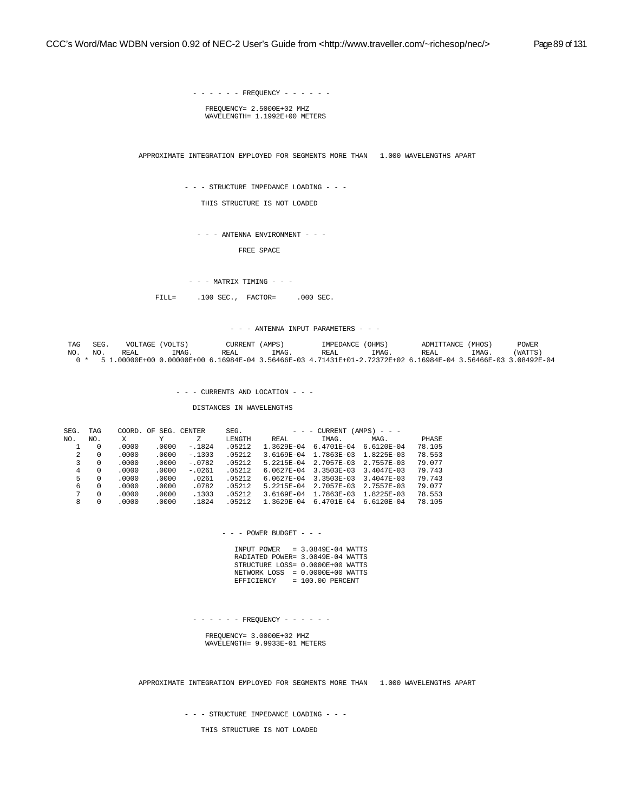- - - - - - FREQUENCY - - - - - - FREQUENCY= 2.5000E+02 MHZ WAVELENGTH= 1.1992E+00 METERS

APPROXIMATE INTEGRATION EMPLOYED FOR SEGMENTS MORE THAN 1.000 WAVELENGTHS APART

- - - STRUCTURE IMPEDANCE LOADING - - -

THIS STRUCTURE IS NOT LOADED

 $-$  -  $-$  ANTENNA ENVIRONMENT - - -

FREE SPACE

- - - MATRIX TIMING - - -

FILL= .100 SEC., FACTOR= .000 SEC.

 $-$  - ANTENNA INPUT PARAMETERS - - -

| TAG | SEG. | VOLTAGE | (VOLTS) | CURRENT | (AMPS) | IMPEDANCE (OHMS)                                                                                              |       | ADMITTANCE | (MHOS) | POWER   |
|-----|------|---------|---------|---------|--------|---------------------------------------------------------------------------------------------------------------|-------|------------|--------|---------|
| NO. | NO.  | REAL.   | TMAG.   | REAL    | TMAG.  | REAL                                                                                                          | ГMAG. | REAL       | IMAG.  | (WATTS) |
|     |      |         |         |         |        | 5 1.00000E+00 0.00000E+00 6.16984E-04 3.56466E-03 4.71431E+01-2.72372E+02 6.16984E-04 3.56466E-03 3.08492E-04 |       |            |        |         |

- - - CURRENTS AND LOCATION - - -

DISTANCES IN WAVELENGTHS

| SEG. | TAG | COORD. | SEG.<br>ΟF | CENTER   | SEG.   | $\frac{1}{2} \left( \frac{1}{2} \right) + \frac{1}{2} \left( \frac{1}{2} \right) + \frac{1}{2} \left( \frac{1}{2} \right) + \frac{1}{2} \left( \frac{1}{2} \right) + \frac{1}{2} \left( \frac{1}{2} \right) + \frac{1}{2} \left( \frac{1}{2} \right) + \frac{1}{2} \left( \frac{1}{2} \right) + \frac{1}{2} \left( \frac{1}{2} \right) + \frac{1}{2} \left( \frac{1}{2} \right) + \frac{1}{2} \left( \frac{1}{2} \right) + \frac{1}{2} \left($ | CURRENT        | 'AMPS)         |        |
|------|-----|--------|------------|----------|--------|------------------------------------------------------------------------------------------------------------------------------------------------------------------------------------------------------------------------------------------------------------------------------------------------------------------------------------------------------------------------------------------------------------------------------------------------|----------------|----------------|--------|
| NO.  | NO. | X      | Y          | Ζ        | LENGTH | REAL                                                                                                                                                                                                                                                                                                                                                                                                                                           | IMAG.          | MAG.           | PHASE  |
|      | 0   | .0000  | .0000      | $-.1824$ | .05212 | 1.3629E-04                                                                                                                                                                                                                                                                                                                                                                                                                                     | $6.4701E - 04$ | $6.6120E - 04$ | 78.105 |
| 2    | 0   | .0000  | .0000      | $-.1303$ | .05212 | 3.6169E-04                                                                                                                                                                                                                                                                                                                                                                                                                                     | 1.7863E-03     | 1.8225E-03     | 78.553 |
| 3    | 0   | .0000. | .0000.     | $-.0782$ | .05212 | $5.2215E - 04$                                                                                                                                                                                                                                                                                                                                                                                                                                 | 2.7057E-03     | 2.7557E-03     | 79.077 |
| 4    | 0   | .0000  | .0000      | $-.0261$ | .05212 | $6.0627E - 04$                                                                                                                                                                                                                                                                                                                                                                                                                                 | 3.3503E-03     | 3.4047E-03     | 79.743 |
| 5.   | 0   | .0000  | .0000      | .0261    | .05212 | $6.0627E - 04$                                                                                                                                                                                                                                                                                                                                                                                                                                 | $3.3503E - 03$ | $3.4047E - 03$ | 79.743 |
| 6    | 0   | .0000. | .0000      | .0782    | .05212 | $5.2215E - 04$                                                                                                                                                                                                                                                                                                                                                                                                                                 | 2.7057E-03     | 2.7557E-03     | 79.077 |
| 7    | 0   | .0000. | .0000.     | .1303    | .05212 | 3.6169E-04                                                                                                                                                                                                                                                                                                                                                                                                                                     | $1.7863E - 03$ | 1.8225E-03     | 78.553 |
| 8    | 0   | .0000  | .0000      | .1824    | .05212 | 1.3629E-04                                                                                                                                                                                                                                                                                                                                                                                                                                     | 6.4701E-04     | $6.6120E - 04$ | 78.105 |

- - - POWER BUDGET - - -

 INPUT POWER = 3.0849E-04 WATTS RADIATED POWER= 3.0849E-04 WATTS STRUCTURE LOSS= 0.0000E+00 WATTS NETWORK LOSS = 0.0000E+00 WATTS<br>EFFICIENCY = 100.00 PERCENT

- - - - - FREQUENCY - - - - - -

 FREQUENCY= 3.0000E+02 MHZ WAVELENGTH= 9.9933E-01 METERS

APPROXIMATE INTEGRATION EMPLOYED FOR SEGMENTS MORE THAN 1.000 WAVELENGTHS APART

- - - STRUCTURE IMPEDANCE LOADING - - -

THIS STRUCTURE IS NOT LOADED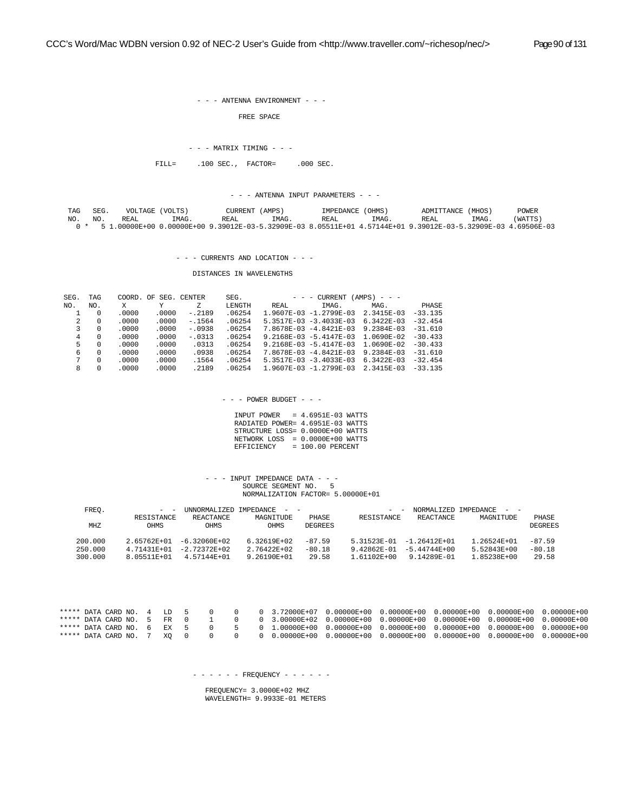#### $-$  -  $-$  ANTENNA ENVIRONMENT - - -

FREE SPACE

#### $-$  -  $-$  MATRIX TIMING - - -

 $\textrm{FILL} = \quad .100 \textrm{ SEC.}, \quad \textrm{FACTOR} = \quad .000 \textrm{ SEC.}$ 

#### $-$  -  $-$  ANTENNA INPUT PARAMETERS  $-$  -  $-$

| TAG | SEG. | VOLTAGE (VOLTS) |       | CURRENT (AMPS) |       | IMPEDANCE (OHMS) |       | ADMITTANCE (MHOS)                                                                                                 |       | POWER   |
|-----|------|-----------------|-------|----------------|-------|------------------|-------|-------------------------------------------------------------------------------------------------------------------|-------|---------|
| NO. | NO.  | REAL            | TMAG. | REAL           | TMAG. | REAL             | TMAG. | REAL                                                                                                              | IMAG. | (WATTS) |
|     |      |                 |       |                |       |                  |       | 0 * 5 1.00000E+00 0.00000E+00 9.39012E-03-5.32909E-03 8.05511E+01 4.57144E+01 9.39012E-03-5.32909E-03 4.69506E-03 |       |         |

- - - CURRENTS AND LOCATION - - -

#### DISTANCES IN WAVELENGTHS

| SEG.           | TAG      | COORD. | OF<br>SEG. | CENTER   | SEG.   | $  \subset$ URRENT            | $(AMPS)$ - - - |           |
|----------------|----------|--------|------------|----------|--------|-------------------------------|----------------|-----------|
| NO.            | NO.      | X      | Y          | 7.       | LENGTH | IMAG.<br>REAL                 | MAG.           | PHASE     |
|                |          | .0000. | .0000      | $-.2189$ | .06254 | 1.9607E-03 -1.2799E-03        | 2.3415E-03     | $-33.135$ |
| $\mathfrak{D}$ | 0        | .0000  | .0000      | $-.1564$ | .06254 | $5.3517E - 03 - 3.4033E - 03$ | $6.3422E - 03$ | $-32.454$ |
| 3              | 0        | .0000. | .0000      | $-.0938$ | .06254 | 7.8678E-03 -4.8421E-03        | 9.2384E-03     | $-31.610$ |
| 4              | $\Omega$ | .0000. | .0000      | $-.0313$ | .06254 | $9.2168E - 03 - 5.4147E - 03$ | 1.0690E-02     | $-30.433$ |
| 5.             | $\Omega$ | .0000. | .0000      | .0313    | .06254 | $9.2168E - 03 - 5.4147E - 03$ | 1.0690E-02     | $-30.433$ |
| 6              | 0        | .0000. | .0000      | .0938    | .06254 | 7.8678E-03 -4.8421E-03        | 9.2384E-03     | $-31.610$ |
| $7^{\circ}$    | 0        | .0000. | .0000      | .1564    | .06254 | $5.3517E - 03 - 3.4033E - 03$ | $6.3422E - 03$ | $-32.454$ |
| 8              | $\Omega$ | .0000. | .0000      | .2189    | .06254 | 1.9607E-03 -1.2799E-03        | 2.3415E-03     | $-33.135$ |

- - - POWER BUDGET - - -

INPUT POWER =  $4.6951E-03$  WATTS RADIATED POWER= 4.6951E-03 WATTS STRUCTURE LOSS= 0.0000E+00 WATTS NETWORK LOSS = 0.0000E+00 WATTS<br>EFFICIENCY = 100.00 PERCENT

# - - - INPUT IMPEDANCE DATA - - - SOURCE SEGMENT NO. 5 NORMALIZATION FACTOR= 5.00000E+01

| FREO.   | $ -$        | UNNORMALIZED IMPEDANCE   | $ -$            |          | $ -$              |                                 | $NORMAIJZED IMPEDANCE = -$ |          |
|---------|-------------|--------------------------|-----------------|----------|-------------------|---------------------------------|----------------------------|----------|
|         | RESISTANCE  | <b>REACTANCE</b>         | MAGNITUDE       | PHASE    | <b>RESISTANCE</b> | <b>REACTANCE</b>                | MAGNITUDE                  | PHASE    |
| MHZ     | OHMS        | OHMS                     | OHMS            | DEGREES  |                   |                                 |                            | DEGREES  |
|         |             |                          |                 |          |                   |                                 |                            |          |
| 200.000 |             | 2.65762E+01 -6.32060E+02 | $6.32619E + 02$ | $-87.59$ |                   | $5.31523E - 01 - 1.26412E + 01$ | $1.26524E+01$              | $-87.59$ |
| 250,000 | 4.71431E+01 | -2.72372E+02             | 2.76422E+02     | $-80.18$ | 9.42862E-01       | $-5.44744E+00$                  | 5.52843E+00                | $-80.18$ |
| 300,000 | 8.05511E+01 | $4.57144E+01$            | 9.26190E+01     | 29.58    | 1.61102E+00       | 9.14289E-01                     | 1.85238E+00                | 29.58    |

|  |  |  |  |  |  | ***** DATA CARD NO. 4 LD 5 0 0 0 3.72000E+07 0.00000E+00 0.00000E+00 0.00000E+00 0.0000E+00 0.0000E+00   |  |  |
|--|--|--|--|--|--|----------------------------------------------------------------------------------------------------------|--|--|
|  |  |  |  |  |  | ***** DATA CARD NO. 5 FR 0 1 0 03.0000E+02 0.0000E+00 0.0000E+00 0.00000E+00 0.0000E+00 0.00000E+00 +    |  |  |
|  |  |  |  |  |  | ***** DATA CARD NO. 6 EX 5 0 5 0 1.00000E+00 0.00000E+00 0.00000E+00 0.00000E+00 0.00000E+00 0.00000E+00 |  |  |
|  |  |  |  |  |  | ***** DATA CARD NO. 7 XO 0 0 0 0.00000E+00 0.00000E+00 0.00000E+00 0.00000E+00 0.00000E+00 0.00000E+00   |  |  |

- - - - - - FREQUENCY - - - - - -

 FREQUENCY= 3.0000E+02 MHZ WAVELENGTH= 9.9933E-01 METERS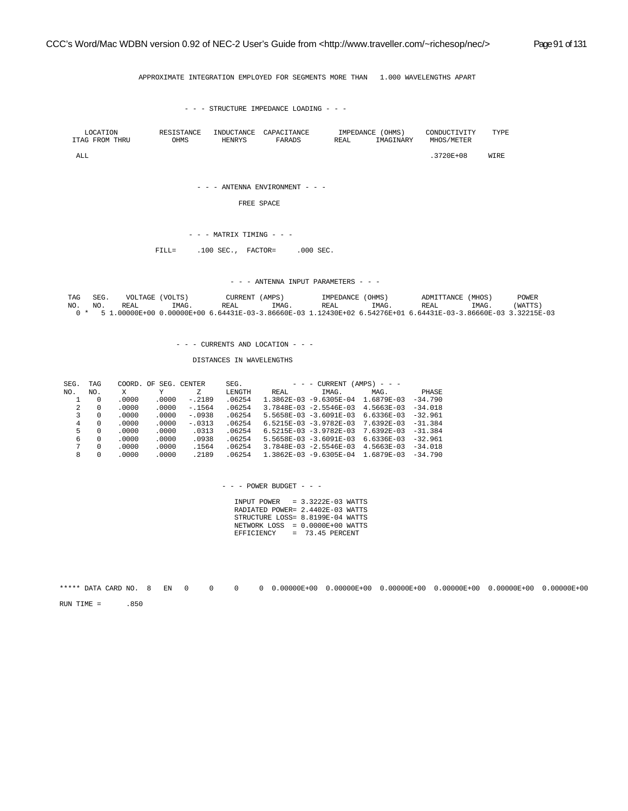APPROXIMATE INTEGRATION EMPLOYED FOR SEGMENTS MORE THAN 1.000 WAVELENGTHS APART

#### $-$  -  $-$  STRUCTURE IMPEDANCE LOADING - - -

| LOCATION<br>ITAG FROM THRU | RESISTANCE<br>OHMS | INDUCTANCE<br>HENRYS          | CAPACITANCE<br>FARADS           | REAL | IMPEDANCE (OHMS)<br>IMAGINARY | CONDUCTIVITY<br>MHOS/METER | TYPE |
|----------------------------|--------------------|-------------------------------|---------------------------------|------|-------------------------------|----------------------------|------|
| ALL                        |                    |                               |                                 |      |                               | .3720E+08                  | WIRE |
|                            |                    |                               |                                 |      |                               |                            |      |
|                            |                    |                               | $-$ - ANTENNA ENVIRONMENT - - - |      |                               |                            |      |
|                            |                    |                               | FREE SPACE                      |      |                               |                            |      |
|                            |                    |                               |                                 |      |                               |                            |      |
|                            |                    | $-$ - $-$ MATRIX TIMING - - - |                                 |      |                               |                            |      |
|                            | $FILL =$           | $.100$ SEC., FACTOR=          | $.000$ SEC.                     |      |                               |                            |      |
|                            |                    |                               |                                 |      |                               |                            |      |
|                            |                    |                               |                                 |      |                               |                            |      |

 $-$  - - ANTENNA INPUT PARAMETERS - - -

| TAG | SEG | VOLTAGE (VOLTS) |       | CURRENT | (AMPS) | IMPEDANCE ( | (OHMS) | ADMITTANCE                                                                                                       | (MHOS) | <b>POWER</b> |
|-----|-----|-----------------|-------|---------|--------|-------------|--------|------------------------------------------------------------------------------------------------------------------|--------|--------------|
| NΟ  | NO. | REAL.           | TMAG. | REAL.   | TMAG.  | REAL        | TMAG.  | REAL                                                                                                             | IMAG.  | (WATTS)      |
|     |     |                 |       |         |        |             |        | 0 * 5 1.00000E+00 0.0000E+00 6.64431E-03-3.86660E-03 1.12430E+02 6.54276E+01 6.64431E-03-3.86660E-03 3.32215E-03 |        |              |

- - - CURRENTS AND LOCATION - - -

DISTANCES IN WAVELENGTHS

| SEG.           | TAG | COORD. | SEG.<br>OF | CENTER   | SEG.   | $   CURRENT$                  | $(AMPS)$ - - - |           |
|----------------|-----|--------|------------|----------|--------|-------------------------------|----------------|-----------|
| NO.            | NO. |        |            | 7.       | LENGTH | IMAG.<br>REAL.                | MAG.           | PHASE     |
|                | 0   | .0000  | .0000      | $-.2189$ | .06254 | $1.3862E-03 -9.6305E-04$      | 1.6879E-03     | $-34.790$ |
| $\mathfrak{D}$ | 0   | .0000. | .0000      | $-.1564$ | .06254 | $3.7848E - 03 - 2.5546E - 03$ | $4.5663E - 03$ | $-34.018$ |
| 3              | 0   | .0000. | .0000      | $-.0938$ | .06254 | $5.5658E-03 -3.6091E-03$      | $6.6336E - 03$ | $-32.961$ |
| 4              | 0   | .0000. | .0000      | $-.0313$ | .06254 | $6.5215E-03 -3.9782E-03$      | 7.6392E-03     | $-31.384$ |
| 5.             | 0   | .0000. | .0000      | .0313    | .06254 | $6.5215E-03 -3.9782E-03$      | 7.6392E-03     | $-31.384$ |
| 6              | 0   | .0000. | .0000      | .0938    | .06254 | $5.5658E - 03 - 3.6091E - 03$ | 6.6336E-03     | $-32.961$ |
| 7              | 0   | .0000. | .0000.     | .1564    | .06254 | $3.7848E - 03 - 2.5546E - 03$ | $4.5663E - 03$ | $-34.018$ |
| 8              | 0   | .0000. | .0000      | .2189    | .06254 | $1.3862E-03 -9.6305E-04$      | 1.6879E-03     | $-34.790$ |

 $-$  -  $-$  POWER BUDGET -  $-$ 

| $TNPUT$ POWER = 3.3222E-03 WATTS |  |
|----------------------------------|--|
| RADIATED POWER= 2.4402E-03 WATTS |  |
| STRUCTURE LOSS= 8.8199E-04 WATTS |  |
| NETWORK LOSS = 0.0000E+00 WATTS  |  |
| $RFFTCIFNCY = 73.45 PRECENT$     |  |

 \*\*\*\*\* DATA CARD NO. 8 EN 0 0 0 0 0.00000E+00 0.00000E+00 0.00000E+00 0.00000E+00 0.00000E+00 0.00000E+00 RUN TIME  $=$  .850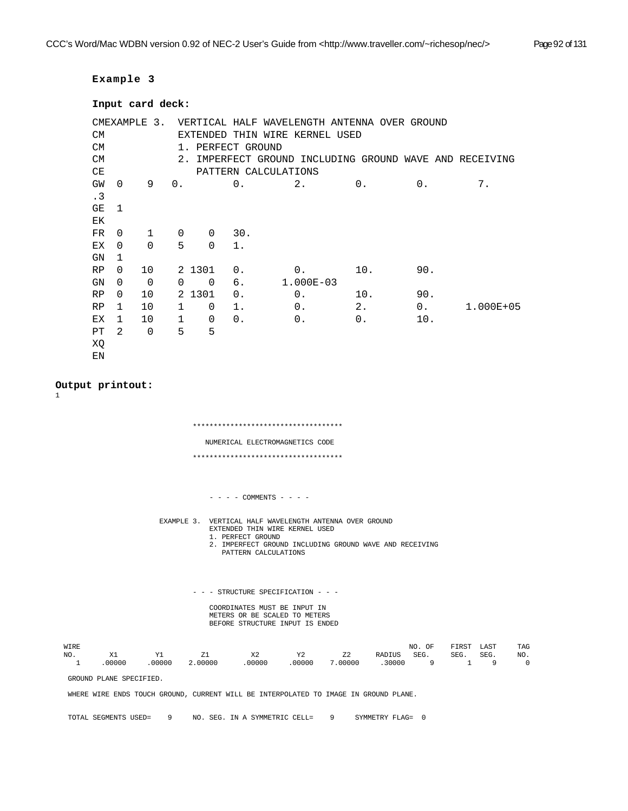# **Example 3**

# **Input card deck:**

|           |                | CMEXAMPLE 3. |              |          |                | VERTICAL HALF WAVELENGTH ANTENNA OVER GROUND         |       |     |               |
|-----------|----------------|--------------|--------------|----------|----------------|------------------------------------------------------|-------|-----|---------------|
| CM        |                |              |              |          |                | EXTENDED THIN WIRE KERNEL USED                       |       |     |               |
| <b>CM</b> |                |              | $1$ .        |          | PERFECT GROUND |                                                      |       |     |               |
| <b>CM</b> |                |              | $2$ .        |          |                | IMPERFECT GROUND INCLUDING GROUND WAVE AND RECEIVING |       |     |               |
| CE        |                |              |              |          |                | PATTERN CALCULATIONS                                 |       |     |               |
| GW        | $\Omega$       | 9            | 0.           |          | 0.             | 2.                                                   | 0.    | 0.  | 7.            |
| $\cdot$ 3 |                |              |              |          |                |                                                      |       |     |               |
| GE        | $\mathbf{1}$   |              |              |          |                |                                                      |       |     |               |
| ЕK        |                |              |              |          |                |                                                      |       |     |               |
| FR        | $\Omega$       |              | 0            | 0        | 30.            |                                                      |       |     |               |
| ЕX        | $\Omega$       | $\Omega$     | 5            | $\Omega$ | 1.             |                                                      |       |     |               |
| GN        |                |              |              |          |                |                                                      |       |     |               |
| RP        | $\Omega$       | 10           |              | 2 1301   | 0.             | $0$ .                                                | 10.   | 90. |               |
| GN        | $\Omega$       | 0            | $\Omega$     | 0        | б.             | $1.000E-03$                                          |       |     |               |
| RP        | $\Omega$       | 10           |              | 2 1301   | 0.             | 0.                                                   | 10.   | 90. |               |
| RP        |                | 10           | $\mathbf{1}$ | $\Omega$ | 1.             | $0$ .                                                | $2$ . | 0.  | $1.000E + 05$ |
| ЕX        |                | 10           | $\mathbf{1}$ | 0        | 0.             | $0$ .                                                | 0.    | 10. |               |
| PT        | $\mathfrak{D}$ | $\Omega$     | 5            | 5        |                |                                                      |       |     |               |
| XQ        |                |              |              |          |                |                                                      |       |     |               |

```
EN
```
**Output printout:**

1

 \*\*\*\*\*\*\*\*\*\*\*\*\*\*\*\*\*\*\*\*\*\*\*\*\*\*\*\*\*\*\*\*\*\*\*\* NUMERICAL ELECTROMAGNETICS CODE \*\*\*\*\*\*\*\*\*\*\*\*\*\*\*\*\*\*\*\*\*\*\*\*\*\*\*\*\*\*\*\*\*\*\*\*  $- - - -$  COMMENTS - - - - EXAMPLE 3. VERTICAL HALF WAVELENGTH ANTENNA OVER GROUND EXTENDED THIN WIRE KERNEL USED 1. PERFECT GROUND 2. IMPERFECT GROUND INCLUDING GROUND WAVE AND RECEIVING PATTERN CALCULATIONS - - - STRUCTURE SPECIFICATION - - - COORDINATES MUST BE INPUT IN METERS OR BE SCALED TO METERS BEFORE STRUCTURE INPUT IS ENDED WIRE WELL SEE THE STATE OF STATE OF STATE OF STATE OF STATE OF STATE OF STATE OF STATE OF STATE OF STATE OF STATE OF STATE OF STATE OF STATE OF STATE OF STATE OF STATE OF STATE OF STATE OF STATE OF STATE OF STATE OF STATE NO. X1 Y1 Z1 X2 Y2 Z2 RADIUS SEG. SEG. SEG. NO.  $2.00000$  .00000 GROUND PLANE SPECIFIED. WHERE WIRE ENDS TOUCH GROUND, CURRENT WILL BE INTERPOLATED TO IMAGE IN GROUND PLANE. TOTAL SEGMENTS USED= 9 NO. SEG. IN A SYMMETRIC CELL= 9 SYMMETRY FLAG= 0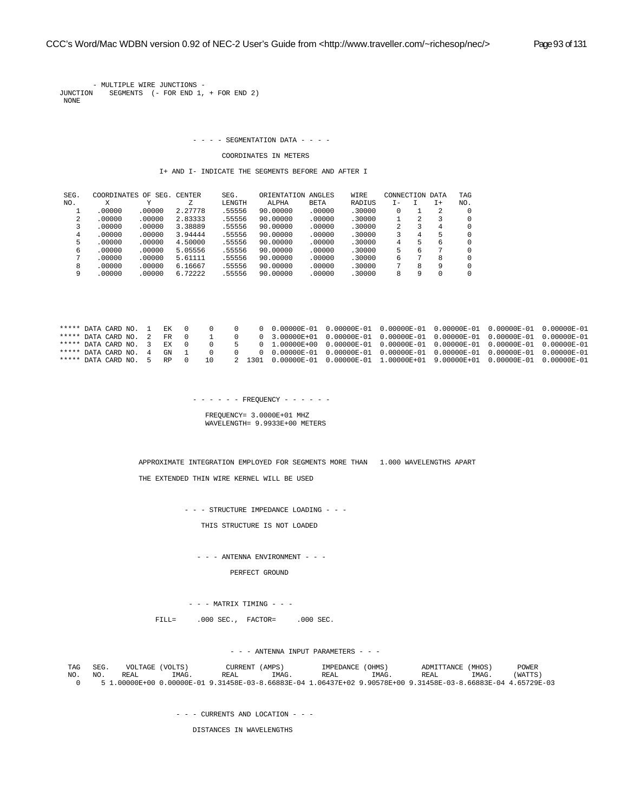- MULTIPLE WIRE JUNCTIONS - JUNCTION SEGMENTS (- FOR END 1, + FOR END 2) NONE

- - - - SEGMENTATION DATA - - - -

COORDINATES IN METERS

I+ AND I- INDICATE THE SEGMENTS BEFORE AND AFTER I

| SEG. | COORDINATES OF | SEG.   | CENTER  | SEG.   | OR TENTATION | ANGLES | WIRE   | CONNECTION DATA |    |       | TAG      |
|------|----------------|--------|---------|--------|--------------|--------|--------|-----------------|----|-------|----------|
| NO.  | Х              | v      | 7.      | LENGTH | ALPHA        | BETA   | RADIUS | $T -$           |    | $T +$ | NO.      |
|      | .00000.        | .00000 | 2.27778 | .55556 | 90.00000     | .00000 | .30000 | 0               |    |       | 0        |
| 2    | .00000         | .00000 | 2.83333 | .55556 | 90.00000     | .00000 | .30000 |                 | 2  |       | $\Omega$ |
|      | .00000         | .00000 | 3.38889 | .55556 | 90.00000     | .00000 | .30000 | $\mathfrak{D}$  | ર  | 4     | $\Omega$ |
| 4    | .00000         | .00000 | 3.94444 | .55556 | 90.00000     | .00000 | .30000 |                 | 4  | 5     | $\Omega$ |
| 5.   | .00000.        | .00000 | 4.50000 | .55556 | 90.00000     | .00000 | .30000 | 4               | г, | 6     | $\Omega$ |
| 6    | .00000.        | .00000 | 5.05556 | .55556 | 90.00000     | .00000 | .30000 | 5               | 6  |       | $\Omega$ |
|      | .00000         | .00000 | 5.61111 | .55556 | 90.00000     | .00000 | .30000 | 6               |    | 8     | $\Omega$ |
| 8    | .00000         | .00000 | 6.16667 | .55556 | 90.00000     | .00000 | .30000 | 7               | R  | 9     | $\Omega$ |
| 9    | .00000         | .00000 | 6.72222 | .55556 | 90.00000     | .00000 | .30000 | 8               | 9  |       | $\Omega$ |
|      |                |        |         |        |              |        |        |                 |    |       |          |

|  |  |  |  |  |  | ***** DATA CARD NO. 1 EK 0 0 0 0 0.00000E-01 0.00000E-01 0.00000E-01 0.00000E-01 0.00000E-01 0.00000E-01 ***** |  |  |
|--|--|--|--|--|--|----------------------------------------------------------------------------------------------------------------|--|--|
|  |  |  |  |  |  | ***** DATA CARD NO. 2 FR 0 1 0 0 3.00000E+01 0.00000E-01 0.00000E-01 0.00000E-01 0.00000E-01 0.00000E-01       |  |  |
|  |  |  |  |  |  | ***** DATA CARD NO. 3 EX 0 0 5 0 1.00000E+00 0.00000E-01 0.00000E-01 0.00000E-01 0.00000E-01 0.00000E-01 ***** |  |  |
|  |  |  |  |  |  | ***** DATA CARD NO. 4 GN 1 0 0 0.00000E-01 0.00000E-01 0.00000E-01 0.00000E-01 0.00000E-01 0.00000E-01 + ****  |  |  |
|  |  |  |  |  |  | ***** DATA CARD NO. 5 RP 0 10 2 1301 0.00000R-01 0.00000R-01 1.00000R+01 9.00000R+01 0.00000R-01 0.00000R-01   |  |  |

- - - - - - FREQUENCY - - - - - -

FREQUENCY= 3.0000E+01 MHZ WAVELENGTH= 9.9933E+00 METERS

 APPROXIMATE INTEGRATION EMPLOYED FOR SEGMENTS MORE THAN 1.000 WAVELENGTHS APART THE EXTENDED THIN WIRE KERNEL WILL BE USED

 $-$  -  $\,$  STRUCTURE IMPEDANCE LOADING  $\,$  -  $\,$  -  $\,$ 

THIS STRUCTURE IS NOT LOADED

 $-$  - - ANTENNA ENVIRONMENT - - -

PERFECT GROUND

 $-$  -  $-$  MATRIX TIMING - - -

FILL= .000 SEC., FACTOR= .000 SEC.

 $-$  - - ANTENNA INPUT PARAMETERS - - -

| TAG | SEG | VOLTAGE (VOLTS) |       | CURRENT | (AMPS) | IMPEDANCE (OHMS) |       | ADMITTANCE                                                                                                    | (MHOS) | <b>POWER</b> |
|-----|-----|-----------------|-------|---------|--------|------------------|-------|---------------------------------------------------------------------------------------------------------------|--------|--------------|
| NO  | NO  | REAL            | TMAG. | REAL.   | MAG.   | REAL             | TMAG. | REAL                                                                                                          | IMAG.  | (WATTS)      |
|     |     |                 |       |         |        |                  |       | 5 1.00000E+00 0.00000E-01 9.31458E-03-8.66883E-04 1.06437E+02 9.90578E+00 9.31458E-03-8.66883E-04 4.65729E-03 |        |              |

- - - CURRENTS AND LOCATION - - -

DISTANCES IN WAVELENGTHS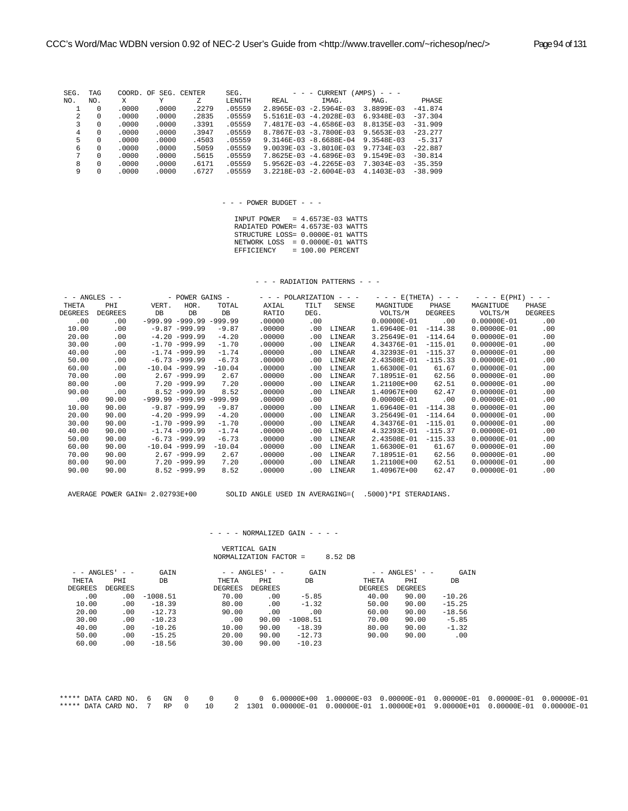| SEG. | TAG      | COORD. | SEG.<br>ΟF | <b>CENTER</b> | SEG.   | CURRENT<br>$\overline{\phantom{a}}$ | (AMPS)<br>$\frac{1}{2} \left( \frac{1}{2} \right) \left( \frac{1}{2} \right) \left( \frac{1}{2} \right) \left( \frac{1}{2} \right) \left( \frac{1}{2} \right)$ |           |
|------|----------|--------|------------|---------------|--------|-------------------------------------|----------------------------------------------------------------------------------------------------------------------------------------------------------------|-----------|
| NO.  | NO.      | X      | Y          | Z             | LENGTH | REAL<br>IMAG.                       | MAG.                                                                                                                                                           | PHASE     |
|      | 0        | .0000  | .0000      | .2279         | .05559 | $2.8965E - 03 - 2.5964E - 03$       | 3.8899E-03                                                                                                                                                     | $-41.874$ |
| 2    | 0        | .0000. | .0000      | .2835         | .05559 | $5.5161E-03 -4.2028E-03$            | $6.9348E - 03$                                                                                                                                                 | $-37.304$ |
| 3    | 0        | .0000. | .0000      | .3391         | .05559 | $7.4817E - 03 - 4.6586E - 03$       | 8.8135E-03                                                                                                                                                     | $-31.909$ |
| 4    | 0        | .0000. | .0000      | .3947         | .05559 | $8.7867E - 03 - 3.7800E - 03$       | $9.5653E - 03$                                                                                                                                                 | $-23.277$ |
| 5.   | 0        | .0000. | .0000      | .4503         | .05559 | $9.3146E - 03 - 8.6688E - 04$       | 9.3548E-03                                                                                                                                                     | $-5.317$  |
| 6    | 0        | .0000. | .0000      | .5059         | .05559 | $9.0039E - 03 - 3.8010E - 03$       | $9.7734E - 03$                                                                                                                                                 | $-22.887$ |
| 7    | 0        | .0000  | .0000      | .5615         | .05559 | $7.8625E - 03 - 4.6896E - 03$       | $9.1549E - 03$                                                                                                                                                 | $-30.814$ |
| 8    | 0        | .0000. | .0000.     | .6171         | .05559 | $-4.2265E - 03$<br>$5.9562E - 03$   | 7.3034E-03                                                                                                                                                     | $-35.359$ |
| 9    | $\Omega$ | .0000. | .0000      | .6727         | .05559 | $3.2218E - 03 - 2.6004E - 03$       | 4.1403E-03                                                                                                                                                     | $-38.909$ |

- - - POWER BUDGET - - -

 INPUT POWER = 4.6573E-03 WATTS RADIATED POWER= 4.6573E-03 WATTS STRUCTURE LOSS= 0.0000E-01 WATTS NETWORK LOSS = 0.0000E-01 WATTS<br>EFFICIENCY = 100.00 PERCENT

- - - RADIATION PATTERNS - - -

| $-$ - ANGLES   | $ -$           |           | - POWER GAINS -    |           |              | POLARIZATION | $ -$   | E (THETA)<br>$\overline{a}$ | $\overline{\phantom{a}}$<br>$ -$ | E(PHI)<br>$\overline{\phantom{0}}$ | Ξ.             |
|----------------|----------------|-----------|--------------------|-----------|--------------|--------------|--------|-----------------------------|----------------------------------|------------------------------------|----------------|
| THETA          | PHI            | VERT.     | HOR.               | TOTAL     | AXIAL        | TILT         | SENSE  | MAGNITUDE                   | PHASE                            | MAGNITUDE                          | PHASE          |
| <b>DEGREES</b> | <b>DEGREES</b> | DB        | DB                 | $DB$      | <b>RATIO</b> | DEG.         |        | VOLTS/M                     | <b>DEGREES</b>                   | VOLTS/M                            | <b>DEGREES</b> |
| .00            | .00            | $-999.99$ | $-999.99$          | $-999.99$ | .00000       | .00          |        | $0.00000E - 01$             | .00                              | $0.00000E - 01$                    | .00            |
| 10.00          | .00            | $-9.87$   | $-999.99$          | $-9.87$   | .00000       | .00          | LINEAR | 1.69640E-01                 | $-114.38$                        | $0.00000E - 01$                    | .00            |
| 20.00          | .00            |           | $-4.20 - 999.99$   | $-4.20$   | .00000       | .00          | LINEAR | 3.25649E-01                 | $-114.64$                        | $0.00000E - 01$                    | .00            |
| 30.00          | .00            |           | $-1.70 - 999.99$   | $-1.70$   | .00000       | .00          | LINEAR | 4.34376E-01                 | $-115.01$                        | $0.00000E - 01$                    | .00            |
| 40.00          | .00            |           | $-1.74 - 999.99$   | $-1.74$   | .00000       | .00          | LINEAR | 4.32393E-01                 | $-115.37$                        | $0.00000E - 01$                    | .00            |
| 50.00          | .00            |           | $-6.73 - 999.99$   | $-6.73$   | .00000       | .00          | LINEAR | 2.43508E-01                 | $-115.33$                        | $0.00000E - 01$                    | .00            |
| 60.00          | .00            |           | $-10.04 -999.99$   | $-10.04$  | .00000       | .00          | LINEAR | 1.66300E-01                 | 61.67                            | $0.00000E - 01$                    | .00            |
| 70.00          | .00            |           | $2.67 - 999.99$    | 2.67      | .00000       | .00          | LINEAR | 7.18951E-01                 | 62.56                            | $0.00000E - 01$                    | .00            |
| 80.00          | .00            |           | $7.20 - 999.99$    | 7.20      | .00000       | .00          | LINEAR | 1.21100E+00                 | 62.51                            | $0.00000E - 01$                    | .00            |
| 90.00          | .00            |           | $8.52 - 999.99$    | 8.52      | .00000       | .00          | LINEAR | 1.40967E+00                 | 62.47                            | $0.00000E - 01$                    | .00            |
| .00            | 90.00          |           | $-999.99 - 999.99$ | $-999.99$ | .00000       | .00          |        | $0.00000E - 01$             | .00                              | $0.00000E - 01$                    | .00            |
| 10.00          | 90.00          |           | $-9.87 - 999.99$   | $-9.87$   | .00000       | .00          | LINEAR | 1.69640E-01                 | $-114.38$                        | $0.00000E - 01$                    | .00            |
| 20.00          | 90.00          |           | $-4.20 - 999.99$   | $-4.20$   | .00000       | .00          | LINEAR | 3.25649E-01                 | $-114.64$                        | $0.00000E - 01$                    | .00            |
| 30.00          | 90.00          |           | $-1.70 - 999.99$   | $-1.70$   | .00000       | .00          | LINEAR | 4.34376E-01                 | $-115.01$                        | $0.00000E - 01$                    | .00            |
| 40.00          | 90.00          |           | $-1.74 - 999.99$   | $-1.74$   | .00000       | .00          | LINEAR | 4.32393E-01                 | $-115.37$                        | $0.00000E - 01$                    | .00            |
| 50.00          | 90.00          |           | $-6.73 - 999.99$   | $-6.73$   | .00000       | .00          | LINEAR | 2.43508E-01                 | $-115.33$                        | $0.00000E - 01$                    | .00            |
| 60.00          | 90.00          |           | $-10.04 -999.99$   | $-10.04$  | .00000       | .00          | LINEAR | 1.66300E-01                 | 61.67                            | $0.00000E - 01$                    | .00            |
| 70.00          | 90.00          |           | $2.67 - 999.99$    | 2.67      | .00000       | .00          | LINEAR | 7.18951E-01                 | 62.56                            | $0.00000E - 01$                    | .00            |
| 80.00          | 90.00          |           | $7.20 - 999.99$    | 7.20      | .00000       | .00          | LINEAR | 1.21100E+00                 | 62.51                            | $0.00000E - 01$                    | .00            |
| 90.00          | 90.00          |           | $8.52 - 999.99$    | 8.52      | .00000       | .00          | LINEAR | 1.40967E+00                 | 62.47                            | $0.00000E - 01$                    | .00            |
|                |                |           |                    |           |              |              |        |                             |                                  |                                    |                |

AVERAGE POWER GAIN= 2.02793E+00 SOLID ANGLE USED IN AVERAGING=( .5000)\*PI STERADIANS.

 $-$  - - NORMALIZED GAIN - - - -

 VERTICAL GAIN NORMALIZATION FACTOR = 8.52 DB

| $ -$ ANGLES' | $ -$    | GATN       | $ -$    | $ANGLES'$ - -  | GATN       | $ -$           | ANGLES'<br>$ -$ | GAIN     |
|--------------|---------|------------|---------|----------------|------------|----------------|-----------------|----------|
| THETA        | PHI     | DB         | THETA   | PHI            | DB         | THETA          | PHI             | DB       |
| DEGREES      | DEGREES |            | DEGREES | <b>DEGREES</b> |            | <b>DEGREES</b> | <b>DEGREES</b>  |          |
| .00          | . 00    | $-1008.51$ | 70.00   | .00            | $-5.85$    | 40.00          | 90.00           | $-10.26$ |
| 10.00        | .00     | $-18.39$   | 80.00   | .00            | $-1.32$    | 50.00          | 90.00           | $-15.25$ |
| 20.00        | .00     | $-12.73$   | 90.00   | .00            | .00.       | 60.00          | 90.00           | $-18.56$ |
| 30.00        | .00     | $-10.23$   | .00     | 90.00          | $-1008.51$ | 70.00          | 90.00           | $-5.85$  |
| 40.00        | .00     | $-10.26$   | 10.00   | 90.00          | $-18.39$   | 80.00          | 90.00           | $-1.32$  |
| 50.00        | .00     | $-15.25$   | 20.00   | 90.00          | $-12.73$   | 90.00          | 90.00           | .00      |
| 60.00        | .00     | $-18.56$   | 30.00   | 90.00          | $-10.23$   |                |                 |          |
|              |         |            |         |                |            |                |                 |          |

| ***** DATA CARD NO. 6 GN 0 0 0 0 6.00000E+00 1.00000E-03 0.00000E-01 0.00000E-01 0.0000E-01 0.00000E-01      |  |  |  |  |  |  |
|--------------------------------------------------------------------------------------------------------------|--|--|--|--|--|--|
| ***** DATA CARD NO. 7 RP 0 10 2 1301 0.00000E-01 0.00000E-01 1.00000E+01 9.00000E+01 0.00000E-01 0.00000E-01 |  |  |  |  |  |  |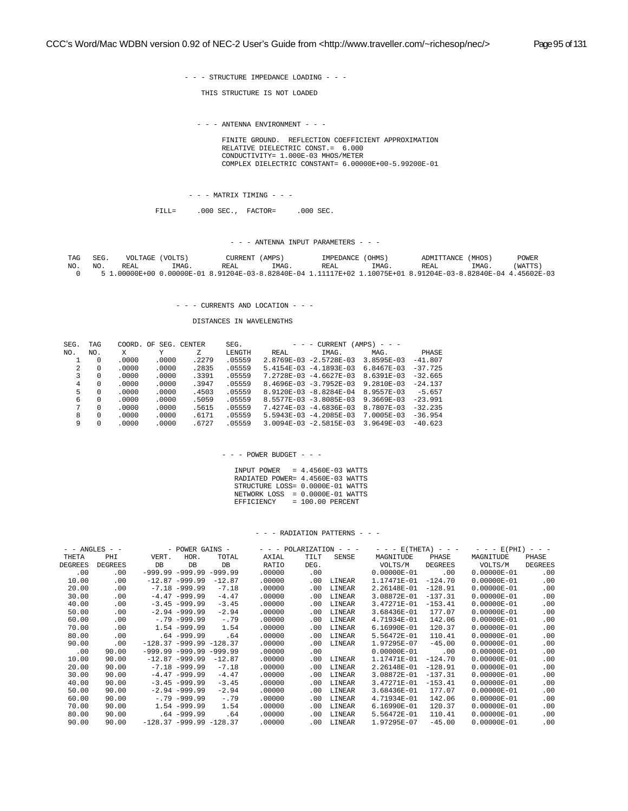- - - STRUCTURE IMPEDANCE LOADING - - -

THIS STRUCTURE IS NOT LOADED

- - - ANTENNA ENVIRONMENT - - -  $-$ 

 FINITE GROUND. REFLECTION COEFFICIENT APPROXIMATION RELATIVE DIELECTRIC CONST.= 6.000<br>CONDUCTIVITY= 1.000E-03 MHOS/METER<br>COMPLEX DIELECTRIC CONSTANT= 6.00000E+00-5.99200E-01

- - - MATRIX TIMING - - -

FILL= .000 SEC., FACTOR= .000 SEC.

 $-$  –  $-$  ANTENNA INPUT PARAMETERS  $-$  –  $-$ 

| TAG | SEG | VOLTAGE (VOLTS) |       | CURRENT | (AMPS) | IMPEDANCE ( | (OHMS) | <b>ADMITTANCE</b>                                                                                             | (MHOS) | POWER   |
|-----|-----|-----------------|-------|---------|--------|-------------|--------|---------------------------------------------------------------------------------------------------------------|--------|---------|
| NΟ  | NO. | REAL.           | TMAG. | REAL.   | IMAG.  | REAL        | TMAG.  | <b>REAL</b>                                                                                                   | IMAG.  | (WATTS) |
|     |     |                 |       |         |        |             |        | 5 1.00000E+00 0.00000E-01 8.91204E-03-8.82840E-04 1.11117E+02 1.10075E+01 8.91204E-03-8.82840E-04 4.45602E-03 |        |         |

 $-$  -  $\,$  - CURRENTS AND LOCATION  $\,$  -  $\,$  -  $\,$  -  $\,$ 

#### DISTANCES IN WAVELENGTHS

| SEG. | TAG      | COORD. | SEG.<br>OF | CENTER | SEG.   | CURRENT<br>$\overline{\phantom{a}}$ | $AMPS$ ) - - - |           |
|------|----------|--------|------------|--------|--------|-------------------------------------|----------------|-----------|
| NO.  | NO.      | Х      | Y          | Ζ      | LENGTH | REAL<br>IMAG.                       | MAG.           | PHASE     |
|      | 0        | .0000  | .0000      | .2279  | 05559  | $-2.5728E - 03$<br>2.8769E-03       | $3.8595E - 03$ | $-41.807$ |
| 2.   | 0        | .0000. | .0000      | .2835  | 05559  | $5.4154E-03 -4.1893E-03$            | $6.8467E - 03$ | $-37.725$ |
| 3    | 0        | .0000. | .0000      | .3391  | .05559 | $7.2728E - 03 - 4.6627E - 03$       | $8.6391E - 03$ | $-32.665$ |
| 4    | 0        | .0000  | .0000      | .3947  | 05559  | $8.4696E - 03 - 3.7952E - 03$       | $9.2810E - 03$ | $-24.137$ |
| 5.   | 0        | .0000. | .0000      | .4503  | .05559 | $8.9120E - 03 - 8.8284E - 04$       | 8.9557E-03     | $-5.657$  |
| б.   | 0        | .0000  | .0000      | .5059  | .05559 | $8.5577E-03 -3.8085E-03$            | 9.3669E-03     | $-23.991$ |
| 7    | 0        | .0000. | .0000      | .5615  | .05559 | $7.4274E - 03 - 4.6836E - 03$       | 8.7807E-03     | $-32.235$ |
| 8    | 0        | .0000. | .0000.     | .6171  | .05559 | $-4.2085E - 03$<br>$5.5943E - 03$   | 7.0005E-03     | $-36.954$ |
| 9    | $\Omega$ | .0000  | .0000      | .6727  | 05559  | $3.0094E - 03 - 2.5815E - 03$       | $3.9649E - 03$ | $-40.623$ |

- - - POWER BUDGET - - -

|            | $TNPUT$ POWER = 4.4560E-03 WATTS |  |
|------------|----------------------------------|--|
|            | RADIATED POWER= 4.4560E-03 WATTS |  |
|            | STRUCTURE LOSS= 0.0000E-01 WATTS |  |
|            | NETWORK LOSS = 0.0000E-01 WATTS  |  |
| EFFICIENCY | $= 100.00$ PERCENT               |  |

#### - - - RADIATION PATTERNS - - -

| $-$ - ANGLES   | $ -$           |           | - POWER GAINS -    |           |        | POLARIZATION |        | E (THETA)<br>$\overline{\phantom{a}}$ | $\overline{\phantom{a}}$ | E(PHI)<br>$ -$  |                |
|----------------|----------------|-----------|--------------------|-----------|--------|--------------|--------|---------------------------------------|--------------------------|-----------------|----------------|
| THETA          | PHI            | VERT.     | HOR.               | TOTAL     | AXIAL  | TILT         | SENSE  | MAGNITUDE                             | PHASE                    | MAGNITUDE       | PHASE          |
| <b>DEGREES</b> | <b>DEGREES</b> | DB        | DB                 | DB        | RATIO  | DEG.         |        | VOLTS/M                               | <b>DEGREES</b>           | VOLTS/M         | <b>DEGREES</b> |
| .00            | .00            | $-999.99$ | $-999.99$          | $-999.99$ | .00000 | .00          |        | $0.00000E - 01$                       | .00                      | $0.00000E - 01$ | .00            |
| 10.00          | .00            | $-12.87$  | $-999.99$          | $-12.87$  | .00000 | .00          | LINEAR | 1.17471E-01                           | $-124.70$                | $0.00000E - 01$ | .00            |
| 20.00          | .00            | $-7.18$   | $-999.99$          | $-7.18$   | .00000 | .00          | LINEAR | 2.26148E-01                           | $-128.91$                | $0.00000E - 01$ | .00            |
| 30.00          | .00            |           | $-4.47 - 999.99$   | $-4.47$   | .00000 | .00          | LINEAR | 3.08872E-01                           | $-137.31$                | $0.00000E - 01$ | .00            |
| 40.00          | .00            |           | $-3.45 - 999.99$   | $-3.45$   | .00000 | .00          | LINEAR | 3.47271E-01                           | $-153.41$                | $0.00000E - 01$ | .00            |
| 50.00          | .00            |           | $-2.94 - 999.99$   | $-2.94$   | .00000 | .00          | LINEAR | 3.68436E-01                           | 177.07                   | $0.00000E - 01$ | .00            |
| 60.00          | .00            |           | $-.79 - 999.99$    | $-.79$    | .00000 | .00          | LINEAR | 4.71934E-01                           | 142.06                   | $0.00000E - 01$ | .00            |
| 70.00          | .00            |           | $1.54 - 999.99$    | 1.54      | .00000 | .00          | LINEAR | 6.16990E-01                           | 120.37                   | $0.00000E - 01$ | .00            |
| 80.00          | .00            |           | $.64 - 999.99$     | .64       | .00000 | .00          | LINEAR | 5.56472E-01                           | 110.41                   | $0.00000E - 01$ | .00            |
| 90.00          | .00            | $-128.37$ | $-999.99$          | $-128.37$ | .00000 | .00          | LINEAR | 1.97295E-07                           | $-45.00$                 | $0.00000E - 01$ | .00            |
| .00            | 90.00          | $-999.99$ | -999.99            | $-999.99$ | .00000 | .00          |        | $0.00000E - 01$                       | .00                      | $0.00000E - 01$ | .00            |
| 10.00          | 90.00          | $-12.87$  | -999.99            | $-12.87$  | .00000 | .00          | LINEAR | 1.17471E-01                           | $-124.70$                | $0.00000E - 01$ | .00            |
| 20.00          | 90.00          | $-7.18$   | -999.99            | $-7.18$   | .00000 | .00          | LINEAR | 2.26148E-01                           | $-128.91$                | $0.00000E - 01$ | .00            |
| 30.00          | 90.00          |           | $-4.47 - 999.99$   | $-4.47$   | .00000 | .00          | LINEAR | 3.08872E-01                           | $-137.31$                | $0.00000E - 01$ | .00            |
| 40.00          | 90.00          |           | $-3.45 - 999.99$   | $-3.45$   | .00000 | .00          | LINEAR | 3.47271E-01                           | $-153.41$                | $0.00000E - 01$ | .00            |
| 50.00          | 90.00          |           | $-2.94 - 999.99$   | $-2.94$   | .00000 | .00          | LINEAR | 3.68436E-01                           | 177.07                   | $0.00000E - 01$ | .00            |
| 60.00          | 90.00          | $-.79$    | -999.99            | $-.79$    | .00000 | .00          | LINEAR | 4.71934E-01                           | 142.06                   | $0.00000E - 01$ | .00            |
| 70.00          | 90.00          |           | $1.54 - 999.99$    | 1.54      | .00000 | .00          | LINEAR | 6.16990E-01                           | 120.37                   | $0.00000E - 01$ | .00            |
| 80.00          | 90.00          |           | $.64 - 999.99$     | .64       | .00000 | .00          | LINEAR | 5.56472E-01                           | 110.41                   | $0.00000E - 01$ | .00            |
| 90.00          | 90.00          |           | $-128.37 - 999.99$ | $-128.37$ | .00000 | .00          | LINEAR | 1.97295E-07                           | $-45.00$                 | $0.00000E - 01$ | .00            |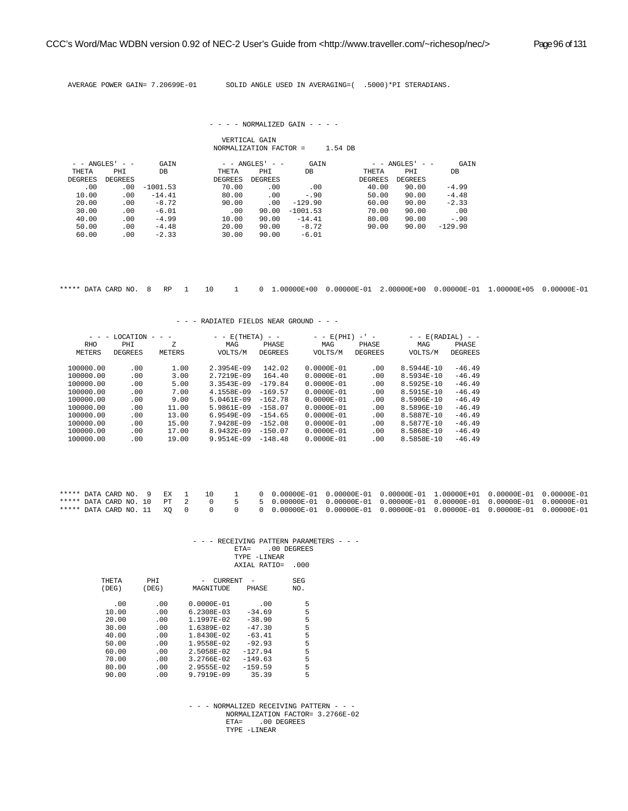AVERAGE POWER GAIN= 7.20699E-01 SOLID ANGLE USED IN AVERAGING=( .5000)\*PI STERADIANS.

# $-$  - - NORMALIZED GAIN - - - -VERTICAL GAIN

NORMALIZATION FACTOR = 1.54 DB

| - - ANGLES'    | $ -$           | GAIN       | $ -$ ANGLES'   | $ -$           | GATN       |                | $-$ - ANGLES'<br>$ -$ | GAIN      |
|----------------|----------------|------------|----------------|----------------|------------|----------------|-----------------------|-----------|
| <b>THETA</b>   | PHT            | DB         | THETA          | PHT            | <b>DB</b>  | THETA          | PHT                   | <b>DB</b> |
| <b>DEGREES</b> | <b>DEGREES</b> |            | <b>DEGREES</b> | <b>DEGREES</b> |            | <b>DEGREES</b> | DEGREES               |           |
| .00            | .00            | $-1001.53$ | 70.00          | .00            | .00        | 40.00          | 90.00                 | $-4.99$   |
| 10.00          | .00            | $-14.41$   | 80.00          | .00            | $-.90$     | 50.00          | 90.00                 | $-4.48$   |
| 20.00          | .00            | $-8.72$    | 90.00          | .00            | $-129.90$  | 60.00          | 90.00                 | $-2.33$   |
| 30.00          | .00            | $-6.01$    | .00            | 90.00          | $-1001.53$ | 70.00          | 90.00                 | .00       |
| 40.00          | .00            | $-4.99$    | 10.00          | 90.00          | $-14.41$   | 80.00          | 90.00                 | $-.90$    |
| 50.00          | .00            | $-4.48$    | 20.00          | 90.00          | $-8.72$    | 90.00          | 90.00                 | $-129.90$ |
| 60.00          | . 00           | $-2.33$    | 30.00          | 90.00          | $-6.01$    |                |                       |           |

\*\*\*\*\* DATA CARD NO. 8 RP 1 10 1 0 1.00000E+00 0.00000E-01 2.00000E+00 0.00000E-01 1.00000E+05 0.00000E-01

 $-$  -  $-$  RADIATED FIELDS NEAR GROUND - - -

|               | LOCATION |        | $-$ - $E$ (THETA) | $ -$           | E(PHI)<br>$ -$ | $-1$ $-$ | $-$ - $E(RADIAL)$ | $ -$           |
|---------------|----------|--------|-------------------|----------------|----------------|----------|-------------------|----------------|
| <b>RHO</b>    | PHI      | Ζ      | MAG               | PHASE          | MAG            | PHASE    | MAG               | PHASE          |
| <b>METERS</b> | DEGREES  | METERS | VOLTS/M           | <b>DEGREES</b> | VOLTS/M        | DEGREES  | VOLTS/M           | <b>DEGREES</b> |
| 100000.00     | .00      | 1.00   | $2.3954E - 09$    | 142.02         | $0.0000E - 01$ | .00      | $8.5944E - 10$    | $-46.49$       |
| 100000.00     | .00      | 3.00   | $2.7219E - 09$    | 164.40         | $0.0000E - 01$ | .00      | 8.5934E-10        | $-46.49$       |
| 100000.00     | .00      | 5.00   | $3.3543E - 09$    | $-179.84$      | $0.0000E - 01$ | .00      | 8.5925E-10        | $-46.49$       |
| 100000.00     | .00      | 7.00   | 4.1558E-09        | $-169.57$      | $0.0000E - 01$ | .00      | $8.5915E - 10$    | $-46.49$       |
| 100000.00     | .00      | 9.00   | $5.0461E - 09$    | $-162.78$      | $0.0000E - 01$ | .00      | 8.5906E-10        | $-46.49$       |
| 100000.00     | .00      | 11.00  | $5.9861E - 09$    | $-158.07$      | $0.0000E - 01$ | .00      | 8.5896E-10        | $-46.49$       |
| 100000.00     | .00      | 13.00  | $6.9549E - 09$    | $-154.65$      | $0.0000E - 01$ | .00      | 8.5887E-10        | $-46.49$       |
| 100000.00     | .00      | 15.00  | 7.9428E-09        | $-152.08$      | $0.0000E - 01$ | .00      | 8.5877E-10        | $-46.49$       |
| 100000.00     | .00      | 17.00  | 8.9432E-09        | $-150.07$      | $0.0000E - 01$ | .00      | 8.5868E-10        | $-46.49$       |
| 100000.00     | .00      | 19.00  | $9.9514E - 09$    | $-148.48$      | $0.0000E - 01$ | .00      | 8.5858E-10        | $-46.49$       |
|               |          |        |                   |                |                |          |                   |                |

|  |  |  |  |  |                                                                                                           |  | ***** DATA CARD NO. 9 EX 1 10 1 0.00000E-01 0.00000E-01 0.00000E-01 1.00000E+01 0.00000E-01 0.00000E-01 |
|--|--|--|--|--|-----------------------------------------------------------------------------------------------------------|--|---------------------------------------------------------------------------------------------------------|
|  |  |  |  |  | ***** DATA CARD NO. 10 PT 2 0 5 5 0.00000E-01 0.00000E-01 0.00000E-01 0.00000E-01 0.00000E-01 0.00000E-01 |  |                                                                                                         |
|  |  |  |  |  | ***** DATA CARD NO. 11 XO 0 0 0 0.00000E-01 0.00000E-01 0.00000E-01 0.00000E-01 0.00000E-01 0.00000E-01 + |  |                                                                                                         |

## - - - RECEIVING PATTERN PARAMETERS - - - ETA= .00 DEGREES TYPE -LINEAR AXIAL RATIO= .000

| 5<br>.00<br>.00<br>$0.0000E - 01$<br>.00<br>5<br>6.2308E-03<br>$-34.69$<br>10.00<br>.00<br>5<br>.00<br>1.1997E-02<br>20.00<br>$-38.90$<br>5<br>.00<br>1.6389E-02<br>30.00<br>$-47.30$<br>5<br>.00<br>40.00<br>$1.8430E - 02$<br>$-63.41$<br>5<br>1.9558E-02<br>$-92.93$<br>.00<br>50.00<br>5<br>2.5058E-02<br>.00<br>$-127.94$<br>60.00<br>5<br>.00<br>$3.2766E - 02$<br>$-149.63$<br>70.00<br>5<br>.00<br>$-159.59$<br>80.00<br>$2.9555E - 02$ | THETA<br>(DEG) | <b>PHT</b><br>(DEG) | <b>CURRENT</b><br>$\qquad \qquad$<br><b>MAGNITUDE</b> | $\overline{\phantom{0}}$<br>PHASE | SEG<br>NO. |
|-------------------------------------------------------------------------------------------------------------------------------------------------------------------------------------------------------------------------------------------------------------------------------------------------------------------------------------------------------------------------------------------------------------------------------------------------|----------------|---------------------|-------------------------------------------------------|-----------------------------------|------------|
| 5<br>9.7919E-09<br>90.00<br>35.39<br>.00                                                                                                                                                                                                                                                                                                                                                                                                        |                |                     |                                                       |                                   |            |

 - - - NORMALIZED RECEIVING PATTERN - - - NORMALIZATION FACTOR= 3.2766E-02 ETA= .00 DEGREES TYPE -LINEAR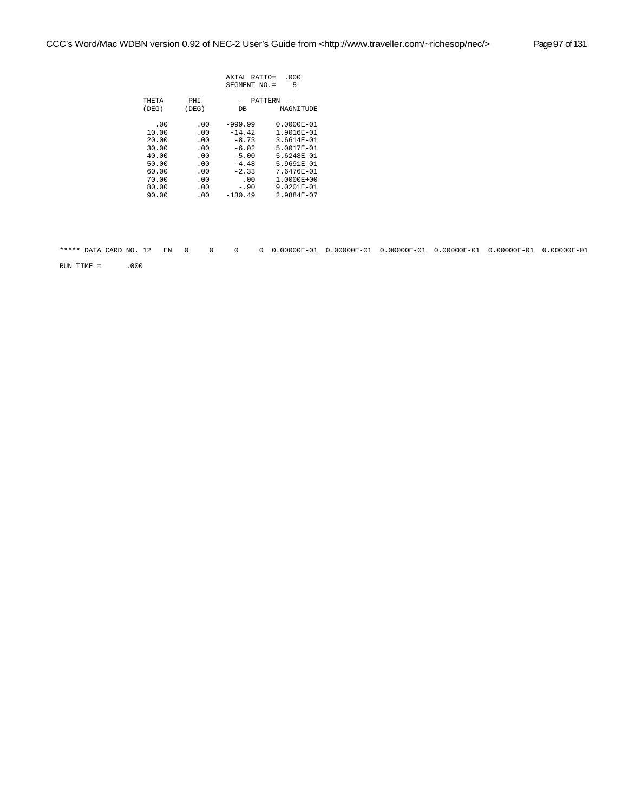|       |       | AXIAL RATIO=<br>SEGMENT NO. = | .000<br>5      |
|-------|-------|-------------------------------|----------------|
| THETA | PHI   | $\qquad \qquad -$             | PATTERN        |
| (DEG) | (DEG) | DB                            | MAGNITUDE      |
| .00   | .00   | $-999.99$                     | $0.0000E - 01$ |
| 10.00 | .00   | $-14.42$                      | $1.9016E - 01$ |
| 20.00 | .00   | $-8.73$                       | 3.6614E-01     |
| 30.00 | .00   | $-6.02$                       | $5.0017E - 01$ |
| 40.00 | .00   | $-5.00$                       | 5.6248E-01     |
| 50.00 | .00   | $-4.48$                       | 5.9691E-01     |
| 60.00 | .00   | $-2.33$                       | 7.6476E-01     |
| 70.00 | .00   | .00                           | 1.0000E+00     |
| 80.00 | .00   | $-.90$                        | 9.0201E-01     |
| 90.00 | .00   | $-130.49$                     | 2.9884E-07     |

\*\*\*\*\* DATA CARD NO. 12 EN 0 0 0 0 0.00000E-01 0.00000E-01 0.00000E-01 0.00000E-01 0.00000E-01 0.00000E-01

 $RUN TIME = .000$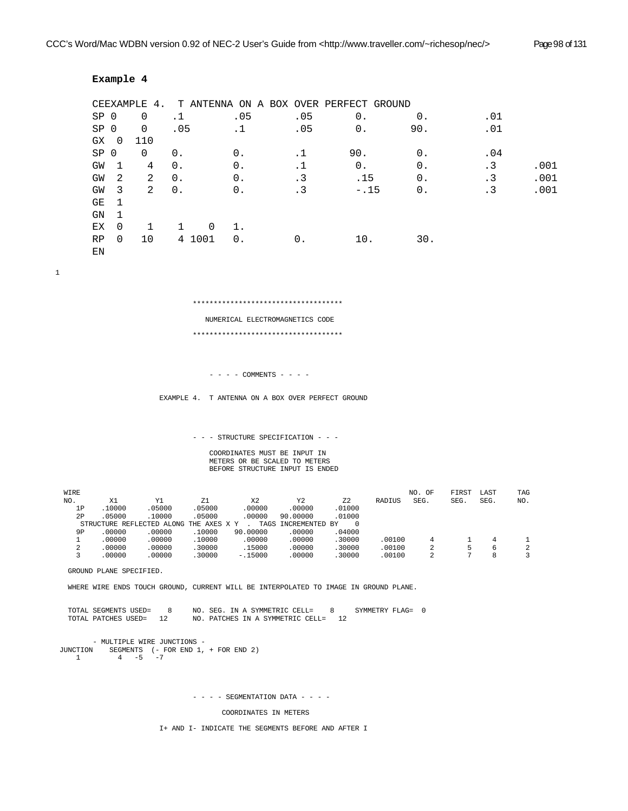1

|                          |          | Example 4           |                             |              |                                     |                                                          |                                                                                                  |                  |                  |                     |                   |                     |                   |
|--------------------------|----------|---------------------|-----------------------------|--------------|-------------------------------------|----------------------------------------------------------|--------------------------------------------------------------------------------------------------|------------------|------------------|---------------------|-------------------|---------------------|-------------------|
|                          |          |                     |                             |              |                                     |                                                          | CEEXAMPLE 4. T ANTENNA ON A BOX OVER PERFECT GROUND                                              |                  |                  |                     |                   |                     |                   |
|                          | SP 0     |                     | 0                           | $\cdot$ 1    |                                     | .05                                                      | .05                                                                                              | 0.               |                  | 0.                  |                   | .01                 |                   |
|                          | SP 0     |                     | 0                           | .05          |                                     | $\cdot$ 1                                                | .05                                                                                              | 0.               |                  | 90.                 |                   | .01                 |                   |
|                          | GX       | $\overline{0}$      | 110                         |              |                                     |                                                          |                                                                                                  |                  |                  |                     |                   |                     |                   |
|                          | SP 0     |                     | $\mathbf{0}$                | 0.           |                                     | 0.                                                       | .1                                                                                               | 90.              |                  | 0.                  |                   | .04                 |                   |
|                          | GW       | 1                   | 4                           | 0.           |                                     | 0.                                                       | $\cdot$ 1                                                                                        | $0$ .            |                  | 0.                  |                   | $\cdot$ 3           | .001              |
|                          | GW       | -2                  | 2                           | 0.           |                                     | 0.                                                       | $\cdot$ 3                                                                                        | .15              |                  | 0.                  |                   | $\cdot$ 3           | .001              |
|                          | GW<br>GE | $\overline{3}$<br>1 | 2                           | 0.           |                                     | 0.                                                       | $\cdot$ 3                                                                                        | $-.15$           |                  | 0.                  |                   | .3                  | .001              |
|                          | GN       | 1                   |                             |              |                                     |                                                          |                                                                                                  |                  |                  |                     |                   |                     |                   |
|                          | ЕX       | 0                   | $\mathbf{1}$                | $\mathbf{1}$ | 0                                   | 1.                                                       |                                                                                                  |                  |                  |                     |                   |                     |                   |
|                          | RP       | 0                   | 10                          |              | 4 1001                              | 0.                                                       | 0.                                                                                               | 10.              |                  | 30.                 |                   |                     |                   |
|                          | ΕN       |                     |                             |              |                                     |                                                          |                                                                                                  |                  |                  |                     |                   |                     |                   |
| 1                        |          |                     |                             |              |                                     |                                                          |                                                                                                  |                  |                  |                     |                   |                     |                   |
|                          |          |                     |                             |              |                                     |                                                          |                                                                                                  |                  |                  |                     |                   |                     |                   |
|                          |          |                     |                             |              |                                     |                                                          | *********************************                                                                |                  |                  |                     |                   |                     |                   |
|                          |          |                     |                             |              |                                     |                                                          | NUMERICAL ELECTROMAGNETICS CODE                                                                  |                  |                  |                     |                   |                     |                   |
|                          |          |                     |                             |              |                                     |                                                          | ************************************                                                             |                  |                  |                     |                   |                     |                   |
|                          |          |                     |                             |              |                                     |                                                          |                                                                                                  |                  |                  |                     |                   |                     |                   |
|                          |          |                     |                             |              |                                     | - - - - COMMENTS - - - -                                 |                                                                                                  |                  |                  |                     |                   |                     |                   |
|                          |          |                     |                             |              |                                     |                                                          |                                                                                                  |                  |                  |                     |                   |                     |                   |
|                          |          |                     |                             |              |                                     |                                                          | EXAMPLE 4. T ANTENNA ON A BOX OVER PERFECT GROUND                                                |                  |                  |                     |                   |                     |                   |
|                          |          |                     |                             |              |                                     |                                                          |                                                                                                  |                  |                  |                     |                   |                     |                   |
|                          |          |                     |                             |              |                                     |                                                          | - - - STRUCTURE SPECIFICATION - - -                                                              |                  |                  |                     |                   |                     |                   |
|                          |          |                     |                             |              |                                     |                                                          | COORDINATES MUST BE INPUT IN<br>METERS OR BE SCALED TO METERS<br>BEFORE STRUCTURE INPUT IS ENDED |                  |                  |                     |                   |                     |                   |
| WIRE                     |          |                     |                             |              |                                     |                                                          |                                                                                                  |                  |                  | NO. OF              | FIRST LAST        |                     | TAG               |
| NO.                      |          | X1                  | Y1                          |              | Z1                                  | X2                                                       | Y2                                                                                               | Z2               | RADIUS           | SEG.                | SEG.              | SEG.                | NO.               |
| 1P<br>2P                 |          | .10000<br>.05000    | .05000<br>.10000            |              | .05000<br>.05000                    | .00000<br>.00000                                         | .00000<br>90.00000                                                                               | .01000<br>.01000 |                  |                     |                   |                     |                   |
| 9P                       |          | .00000              | .00000                      |              |                                     |                                                          | STRUCTURE REFLECTED ALONG THE AXES X Y . TAGS INCREMENTED BY<br>.00000                           | 0<br>.04000      |                  |                     |                   |                     |                   |
| $\mathbf{1}$<br>2        |          | .00000<br>.00000    | .00000                      |              |                                     | 10000 90.00000.<br>10000 00000.<br>15000 00000<br>.15000 | .00000                                                                                           | .30000           |                  | 4<br>$\overline{a}$ | $\mathbf{1}$<br>5 | $\overline{4}$<br>6 | $\mathbf{1}$<br>2 |
| 3                        |          | .00000              |                             |              |                                     |                                                          |                                                                                                  |                  |                  | 2                   | $7^{\circ}$       | 8                   | 3                 |
|                          |          |                     | GROUND PLANE SPECIFIED.     |              |                                     |                                                          |                                                                                                  |                  |                  |                     |                   |                     |                   |
|                          |          |                     |                             |              |                                     |                                                          | WHERE WIRE ENDS TOUCH GROUND, CURRENT WILL BE INTERPOLATED TO IMAGE IN GROUND PLANE.             |                  |                  |                     |                   |                     |                   |
|                          |          |                     | TOTAL SEGMENTS USED= 8      |              |                                     |                                                          | NO. SEG. IN A SYMMETRIC CELL= 8                                                                  |                  | SYMMETRY FLAG= 0 |                     |                   |                     |                   |
|                          |          |                     | TOTAL PATCHES USED= 12      |              |                                     |                                                          | NO. PATCHES IN A SYMMETRIC CELL= 12                                                              |                  |                  |                     |                   |                     |                   |
|                          |          |                     | - MULTIPLE WIRE JUNCTIONS - |              |                                     |                                                          |                                                                                                  |                  |                  |                     |                   |                     |                   |
| JUNCTION<br>$\mathbf{1}$ |          |                     | $4 - 5 - 7$                 |              | SEGMENTS (- FOR END 1, + FOR END 2) |                                                          |                                                                                                  |                  |                  |                     |                   |                     |                   |
|                          |          |                     |                             |              |                                     |                                                          |                                                                                                  |                  |                  |                     |                   |                     |                   |
|                          |          |                     |                             |              |                                     |                                                          | $-$ - - SEGMENTATION DATA - - - -                                                                |                  |                  |                     |                   |                     |                   |
|                          |          |                     |                             |              |                                     | COORDINATES IN METERS                                    |                                                                                                  |                  |                  |                     |                   |                     |                   |
|                          |          |                     |                             |              |                                     |                                                          | I+ AND I- INDICATE THE SEGMENTS BEFORE AND AFTER I                                               |                  |                  |                     |                   |                     |                   |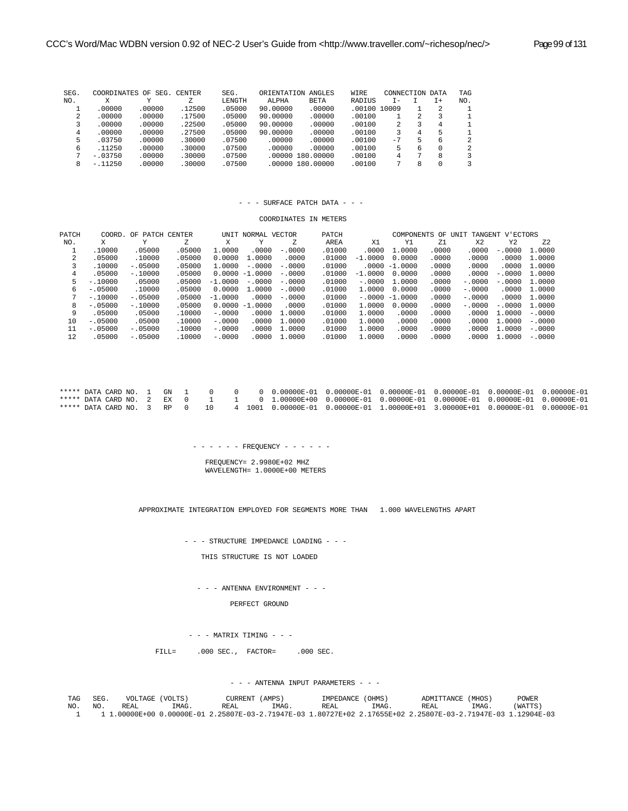| SEG. | COORDINATES OF | SEG.   | CENTER | SEG.   | ORIENTATION | ANGLES           | WIRE          | CONNECTION DATA |   |       | TAG            |
|------|----------------|--------|--------|--------|-------------|------------------|---------------|-----------------|---|-------|----------------|
| NO.  |                |        | Ζ      | LENGTH | ALPHA       | <b>BETA</b>      | <b>RADIUS</b> | $T -$           |   | $T +$ | NO.            |
|      | .00000         | .00000 | .12500 | .05000 | 90,00000    | .00000           | .00100 10009  |                 |   |       |                |
|      | .00000.        | .00000 | .17500 | .05000 | 90.00000    | .00000.          | .00100        |                 |   |       |                |
|      | .00000         | .00000 | .22500 | .05000 | 90,00000    | .00000           | .00100        | 2.              |   |       |                |
| 4    | .00000.        | .00000 | .27500 | .05000 | 90.00000    | .00000.          | .00100        | 3               | 4 |       |                |
| 5.   | .03750         | .00000 | .30000 | .07500 | .00000      | .00000           | .00100        | $-7$            | 5 | 6     |                |
| 6    | .11250         | .00000 | .30000 | .07500 | .00000.     | .00000.          | .00100        | 5.              | 6 |       | $\mathfrak{D}$ |
| 7    | $-.03750$      | .00000 | .30000 | .07500 |             | .00000 180.00000 | .00100        | 4               |   | 8     |                |
| 8    | $-.11250$      | .00000 | .30000 | .07500 |             | .00000 180.00000 | .00100        |                 |   |       |                |

## - - - SURFACE PATCH DATA - - -  $-$

#### COORDINATES IN METERS

| PATCH          | <b>COORD</b> | OF        | PATCH CENTER | tint t    | NORMAL VECTOR |          | PATCH  |           | <b>COMPONENTS</b> | OF             | TANGENT<br>UNIT | V'ECTORS |                |
|----------------|--------------|-----------|--------------|-----------|---------------|----------|--------|-----------|-------------------|----------------|-----------------|----------|----------------|
| NO.            | X            |           | Ζ            | Χ         | <b>T</b>      | Ζ        | AREA   | X1        | Y1                | Z <sub>1</sub> | X <sub>2</sub>  | Y2       | Z <sub>2</sub> |
|                | .10000       | .05000    | .05000       | 1.0000    | .0000         | $-.0000$ | .01000 | .0000     | 1.0000            | .0000          | .0000           | $-.0000$ | 1.0000         |
| $\mathfrak{D}$ | .05000       | .10000    | .05000       | 0.0000    | 1.0000        | .0000    | .01000 | $-1.0000$ | 0.0000            | .0000          | .0000           | .0000    | 1,0000         |
| 3              | .10000       | $-.05000$ | .05000       | 1.0000    | $-.0000$      | $-.0000$ | .01000 | .0000.    | $-1.0000$         | .0000          | .0000           | .0000.   | 1.0000         |
| 4              | .05000       | $-.10000$ | .05000       | 0.0000    | $-1.0000$     | $-.0000$ | .01000 | $-1.0000$ | 0.0000            | .0000          | .0000           | $-.0000$ | 1.0000         |
| 5              | $-.10000$    | .05000    | .05000       | $-1.0000$ | $-.0000$      | $-.0000$ | .01000 | $-.0000$  | 1.0000            | .0000          | $-.0000$        | $-.0000$ | 1.0000         |
| 6              | $-.05000$    | .10000    | .05000       | 0.0000    | 1.0000        | $-.0000$ | .01000 | 1,0000    | 0.0000            | .0000          | $-.0000$        | .0000    | 1.0000         |
|                | $-.10000$    | $-.05000$ | .05000       | $-1.0000$ | .0000         | $-.0000$ | .01000 | $-.0000$  | $-1.0000$         | .0000          | $-.0000$        | .0000.   | 1.0000         |
| 8              | $-.05000$    | $-.10000$ | .05000       | 0.0000    | $-1.0000$     | .0000    | .01000 | 1.0000    | 0.0000            | .0000          | $-.0000$        | $-.0000$ | 1.0000         |
| 9              | .05000       | .05000    | .10000       | $-.0000$  | .0000         | 0.0000   | .01000 | 1.0000    | .0000             | .0000          | .0000           | 1.0000   | $-.0000$       |
| 10             | $-.05000$    | .05000    | .10000       | $-.0000$  | .0000         | L. 0000  | .01000 | 1,0000    | .0000             | .0000          | .0000           | 1.0000   | $-.0000$       |
| 11             | $-.05000$    | $-.05000$ | .10000       | $-.0000$  | .0000         | L. 0000  | .01000 | 1,0000    | .0000             | .0000          | .0000           | 1.0000   | $-.0000$       |
| 12             | .05000       | $-.05000$ | .10000       | $-.0000$  | .0000         | 0.0000   | .01000 | 1.0000    | .0000             | .0000          | .0000.          | 1.0000   | $-.0000$       |

| ***** DATA CARD NO. 1 GN 1 0 0 0.00000E-01 0.00000E-01 0.00000E-01 0.00000E-01 0.00000E-01 0.00000E-01 *****    |  |  |  |  |  |  |
|-----------------------------------------------------------------------------------------------------------------|--|--|--|--|--|--|
| ***** DATA CARD NO. 2 FX 0 1 1 0 1.00000F+00 0.00000F-01 0.00000F-01 0.00000F-01 0.00000F-01 0.00000F-01 + **** |  |  |  |  |  |  |
| ***** DATA CARD NO. 3 RP 0 10 4 1001 0.00000E-01 0.00000E-01 1.00000E+01 3.00000E+01 0.00000E-01 0.00000E-01    |  |  |  |  |  |  |

- - - - - - FREQUENCY - - - - - -

 FREQUENCY= 2.9980E+02 MHZ WAVELENGTH= 1.0000E+00 METERS

APPROXIMATE INTEGRATION EMPLOYED FOR SEGMENTS MORE THAN 1.000 WAVELENGTHS APART

- - - STRUCTURE IMPEDANCE LOADING - - -

THIS STRUCTURE IS NOT LOADED

 $-$  -  $-$  ANTENNA ENVIRONMENT - - -

PERFECT GROUND

- - - MATRIX TIMING - - -

FILL= .000 SEC., FACTOR= .000 SEC.

 $-$  -  $-$  ANTENNA INPUT PARAMETERS  $-$  -  $-$ 

TAG SEG. VOLTAGE(VOLTS) CURRENT(AMPS) IMPEDANCE(OHMS) ADMITTANCE(MHOS) POWER<br>NO. NO. REAL IMAG. REAL IMAG. REAL IMAG. REAL IMAG. REAL IMAG. (WATTS)<br>11.00000E+000.00000E-012.25807E-03-2.71947E-031.80727E+022.17655E+022.2580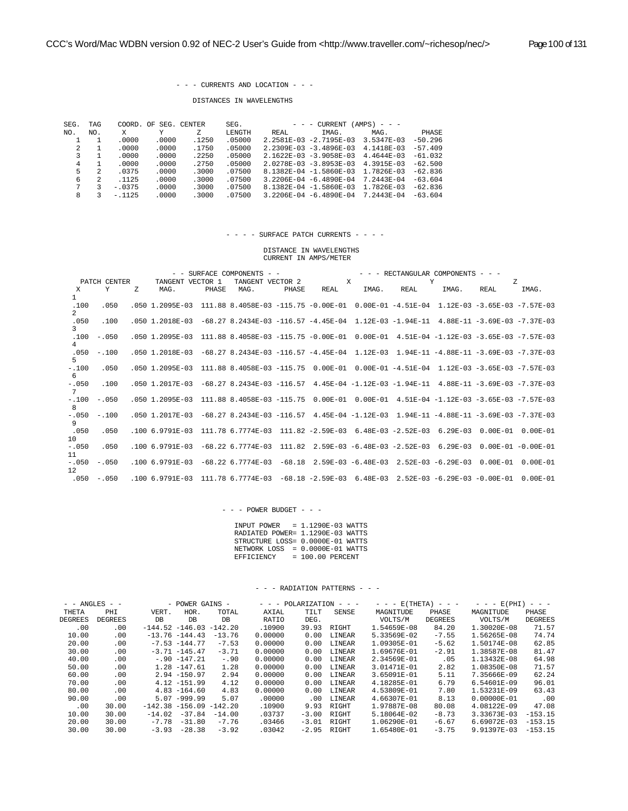$-$  -  $-$  CURRENTS AND LOCATION - - -

DISTANCES IN WAVELENGTHS

| SEG.            | TAG            | COORD.   | SEG.<br>ΟF | CENTER | SEG.   | $-$ - $-$ CURRENT             | $(MPS)$ - - -  |           |
|-----------------|----------------|----------|------------|--------|--------|-------------------------------|----------------|-----------|
| NO.             | NO.            | X        | Y          | Z.     | LENGTH | REAL<br>IMAG.                 | MAG.           | PHASE     |
|                 |                | .0000    | .0000      | .1250  | .05000 | 2.2581E-03 -2.7195E-03        | 3.5347E-03     | $-50.296$ |
| $\mathfrak{D}$  | $\mathbf{1}$   | .0000.   | .0000      | .1750  | .05000 | $2.2309E-03 -3.4896E-03$      | 4.1418E-03     | $-57.409$ |
| 3               |                | .0000    | .0000      | .2250  | .05000 | $2.1622E - 03 - 3.9058E - 03$ | $4.4644E - 03$ | $-61.032$ |
| 4               |                | .0000.   | .0000.     | .2750  | .05000 | $2.0278E - 03 - 3.8953E - 03$ | $4.3915E - 03$ | $-62.500$ |
| 5.              | 2              | .0375    | .0000      | .3000  | .07500 | 8.1382E-04 -1.5860E-03        | 1.7826E-03     | $-62.836$ |
| 6               | $\mathfrak{D}$ | .1125    | .0000.     | .3000  | .07500 | $3.2206E - 04 - 6.4890E - 04$ | 7.2443E-04     | $-63.604$ |
| $7\phantom{.0}$ | 3              | $-.0375$ | .0000.     | .3000  | .07500 | 8.1382E-04 -1.5860E-03        | 1.7826E-03     | $-62.836$ |
| 8               | 3              | $-.1125$ | .0000      | .3000  | .07500 | $3.2206E-04 -6.4890E-04$      | 7.2443E-04     | $-63.604$ |

#### - - - - SURFACE PATCH CURRENTS - - - -

DISTANCE IN WAVELENGTHS CURRENT IN AMPS/METER

| SURFACE COMPONENTS           |              |    |                      |          |                                                                                       |       | - - - RECTANGULAR COMPONENTS - - - |              |                                                   |                                                |                                  |                           |  |
|------------------------------|--------------|----|----------------------|----------|---------------------------------------------------------------------------------------|-------|------------------------------------|--------------|---------------------------------------------------|------------------------------------------------|----------------------------------|---------------------------|--|
|                              | PATCH CENTER |    | <b>TANGENT</b>       | VECTOR 1 | TANGENT VECTOR 2                                                                      |       |                                    | $\mathbf{x}$ |                                                   | Y                                              |                                  | $Z_{\rm i}$               |  |
| X                            | Y            | Z. | MAG.                 | PHASE    | MAG.                                                                                  | PHASE | <b>REAL</b>                        | IMAG.        | <b>REAL</b>                                       | IMAG.                                          | <b>REAL</b>                      | IMAG.                     |  |
| $\mathbf{1}$                 |              |    |                      |          |                                                                                       |       |                                    |              |                                                   |                                                |                                  |                           |  |
| .100<br>$\overline{a}$       | .050         |    | $.050$ 1.2095E-03    |          | $111.88$ 8.4058E-03 -115.75 -0.00E-01 0.00E-01 -4.51E-04                              |       |                                    |              |                                                   |                                                | $1.12E-03 - 3.65E-03 - 7.57E-03$ |                           |  |
| .050<br>$\mathbf{R}$         | .100         |    | $.050$ 1.2018 $E-03$ |          | $-68.27$ 8.2434E-03 -116.57 -4.45E-04 1.12E-03 -1.94E-11 4.88E-11 -3.69E-03 -7.37E-03 |       |                                    |              |                                                   |                                                |                                  |                           |  |
| .100<br>4                    | $-050$       |    | $.050$ 1.2095E-03    |          | $111.88$ 8.4058E-03 -115.75 -0.00E-01 0.00E-01                                        |       |                                    |              |                                                   | $4.51E-04 -1.12E-03 -3.65E-03 -7.57E-03$       |                                  |                           |  |
| .050<br>5                    | $-100$       |    | 050 1 2018E-03       |          | $-68.27$ 8.2434E-03 -116.57 -4.45E-04 1.12E-03                                        |       |                                    |              |                                                   | $1.94E-11$ $-4.88E-11$ $-3.69E-03$ $-7.37E-03$ |                                  |                           |  |
| $-.100$<br>6                 | .050         |    | $.050$ 1.2095E-03    |          | $111.88$ 8.4058E-03 -115.75 0.00E-01 0.00E-01 -4.51E-04 1.12E-03 -3.65E-03 -7.57E-03  |       |                                    |              |                                                   |                                                |                                  |                           |  |
| $-.050$<br>7                 | 1 Q Q        |    | $.050$ 1.2017 $E-03$ |          | $-68.278.2434E-03 -116.57$ 4.45E-04 -1.12E-03 -1.94E-11 4.88E-11 -3.69E-03 -7.37E-03  |       |                                    |              |                                                   |                                                |                                  |                           |  |
| $-.100$<br>$\mathsf{R}$      | $-.050$      |    | $.050$ 1.2095E-03    |          | 111.88 8.4058E-03 -115.75 0.00E-01                                                    |       |                                    |              | $0.00E-01$ 4.51E-04 -1.12E-03 -3.65E-03 -7.57E-03 |                                                |                                  |                           |  |
| $-.050$<br>9                 | $-.100$      |    | $.050$ 1.2017E-03    |          | $-68.27$ 8.2434E-03 -116.57 4.45E-04 -1.12E-03 1.94E-11 -4.88E-11 -3.69E-03 -7.37E-03 |       |                                    |              |                                                   |                                                |                                  |                           |  |
| .050<br>10                   | .050         |    | $.1006.9791E-03$     |          | $111.78$ 6.7774F-03 111.82 -2.59F-03 6.48F-03 -2.52F-03                               |       |                                    |              |                                                   | $6.29E - 03$                                   | $0.00E - 01$                     | $0.00E - 01$              |  |
| $-.050$<br>11                | 0.50         |    | $.100$ 6.9791 $E-03$ |          | $-68.22$ 6.7774F-03 111.82 2.59F-03 -6.48F-03 -2.52F-03                               |       |                                    |              |                                                   | $6.29E - 03$                                   |                                  | $0.00E - 01 - 0.00E - 01$ |  |
| $-.050$<br>$12 \overline{ }$ | - 050        |    | $.100\,6.9791E-03$   |          | $-68.22$ 6.7774E-03 $-68.18$ 2.59E-03 -6.48E-03 2.52E-03 -6.29E-03                    |       |                                    |              |                                                   |                                                | $0.00E - 01$                     | $0.00E - 01$              |  |
| .050                         | $-.050$      |    | $.1006.9791E-03$     |          | 111.78 6.7774E-03                                                                     |       | $-68.18 - 2.59E - 03$              | $6.48E - 03$ |                                                   | $2.52E-03 -6.29E-03 -0.00E-01$                 |                                  | $0.00E - 01$              |  |

- - - POWER BUDGET - - -

INPUT POWER  $= 1.1290E-03$  WATTS RADIATED POWER= 1.1290E-03 WATTS<br>STRUCTURE LOSS= 0.0000E-01 WATTS<br>NETWORK LOSS = 0.0000E-01 WATTS<br>EFFICIENCY = 100.00 PERCENT

#### - - - RADIATION PATTERNS - - -

| $ -$ ANGLES    | $ -$           |          | - POWER GAINS -             |           |         | POLARIZATION |               | E (THETA)<br>$\overline{\phantom{a}}$ | $ -$<br>$\overline{\phantom{0}}$ | E(PHI)<br>$ -$<br>$\overline{\phantom{0}}$ |                |
|----------------|----------------|----------|-----------------------------|-----------|---------|--------------|---------------|---------------------------------------|----------------------------------|--------------------------------------------|----------------|
| THETA          | PHI            | VERT.    | HOR.                        | TOTAL     | AXIAL   | TILT         | SENSE         | MAGNITUDE                             | PHASE                            | MAGNITUDE                                  | PHASE          |
| <b>DEGREES</b> | <b>DEGREES</b> | DB       | DB                          | DB        | RATIO   | DEG.         |               | VOLTS/M                               | <b>DEGREES</b>                   | VOLTS/M                                    | <b>DEGREES</b> |
| .00            | .00            |          | $-144.52 - 146.03$          | $-142.20$ | .10900  | 39.93        | RIGHT         | 1.54659E-08                           | 84.20                            | 1.30020E-08                                | 71.57          |
| 10.00          | .00            |          | $-13.76 - 144.43$           | $-13.76$  | 0.00000 | 0.00         | LINEAR        | 5.33569E-02                           | $-7.55$                          | 1.56265E-08                                | 74.74          |
| 20.00          | .00            |          | $-7.53 - 144.77$            | $-7.53$   | 0.00000 | 0.00         | LINEAR        | 1.09305E-01                           | $-5.62$                          | 1.50174E-08                                | 62.85          |
| 30.00          | .00            |          | $-3.71 - 145.47$            | $-3.71$   | 0.00000 | 0.00         | LINEAR        | 1.69676E-01                           | $-2.91$                          | 1.38587E-08                                | 81.47          |
| 40.00          | .00            |          | $-.90 - 147.21$             | $-.90$    | 0.00000 | 0.00         | LINEAR        | $2.34569E - 01$                       | .05                              | 1.13432E-08                                | 64.98          |
| 50.00          | .00            |          | $1.28 - 147.61$             | 1.28      | 0.00000 | 0.00         | LINEAR        | 3.01471E-01                           | 2.82                             | 1.08350E-08                                | 71.57          |
| 60.00          | .00            |          | $2.94 - 150.97$             | 2.94      | 0.00000 | 0.00         | LINEAR        | 3.65091E-01                           | 5.11                             | 7.35666E-09                                | 62.24          |
| 70.00          | .00            |          | $4.12 - 151.99$             | 4.12      | 0.00000 | 0.00         | LINEAR        | 4.18285E-01                           | 6.79                             | 6.54601E-09                                | 96.01          |
| 80.00          | .00            |          | $4.83 - 164.60$             | 4.83      | 0.00000 | 0.00         | <b>LINEAR</b> | 4.53809E-01                           | 7.80                             | $1.53231E - 09$                            | 63.43          |
| 90.00          | .00            |          | $5.07 - 999.99$             | 5.07      | .00000  | .00          | LINEAR        | 4.66307E-01                           | 8.13                             | $0.00000E - 01$                            | .00            |
| .00            | 30.00          |          | $-142.38 - 156.09 - 142.20$ |           | .10900  | 9.93         | <b>RTGHT</b>  | 1.97887E-08                           | 80.08                            | 4.08122E-09                                | 47.08          |
| 10.00          | 30.00          | $-14.02$ | $-37.84$                    | $-14.00$  | .03737  | $-3.00$      | RIGHT         | 5.18064E-02                           | $-8.73$                          | 3.33673E-03                                | $-153.15$      |
| 20.00          | 30.00          | $-7.78$  | $-31.80$                    | $-7.76$   | .03466  | $-3.01$      | <b>RTGHT</b>  | $1.06290E - 01$                       | $-6.67$                          | $6.69072E - 03$                            | $-153.15$      |
| 30.00          | 30.00          | $-3.93$  | $-28.38$                    | $-3.92$   | .03042  | $-2.95$      | RIGHT         | 1.65480E-01                           | $-3.75$                          | 9.91397E-03                                | $-153.15$      |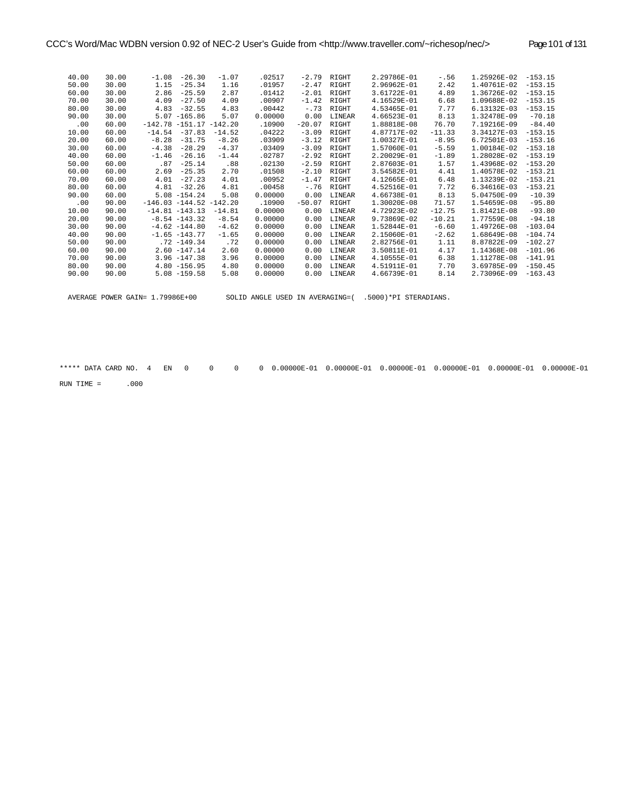| 40.00 | 30.00 | $-1.08$ | $-26.30$                    | $-1.07$  | .02517  | $-2.79$  | RIGHT        | 2.29786E-01     | $-.56$   | 1.25926E-02     | $-153.15$ |
|-------|-------|---------|-----------------------------|----------|---------|----------|--------------|-----------------|----------|-----------------|-----------|
| 50.00 | 30.00 | 1.15    | $-25.34$                    | 1.16     | .01957  | $-2.47$  | <b>RTGHT</b> | $2.96962E - 01$ | 2.42     | $1.40761E - 02$ | $-153.15$ |
| 60.00 | 30.00 | 2.86    | $-25.59$                    | 2.87     | .01412  | $-2.01$  | RIGHT        | 3.61722E-01     | 4.89     | 1.36726E-02     | $-153.15$ |
| 70.00 | 30.00 | 4.09    | $-27.50$                    | 4.09     | .00907  | $-1.42$  | RIGHT        | 4.16529E-01     | 6.68     | 1.09688E-02     | $-153.15$ |
| 80.00 | 30.00 | 4.83    | $-32.55$                    | 4.83     | .00442  | $-.73$   | RIGHT        | 4.53465E-01     | 7.77     | 6.13132E-03     | $-153.15$ |
| 90.00 | 30.00 |         | $5.07 - 165.86$             | 5.07     | 0.00000 | 0.00     | LINEAR       | 4.66523E-01     | 8.13     | 1.32478E-09     | $-70.18$  |
| .00   | 60.00 |         | $-142.78 - 151.17 - 142.20$ |          | .10900  | $-20.07$ | RIGHT        | 1.88818E-08     | 76.70    | 7.19216E-09     | $-84.40$  |
| 10.00 | 60.00 |         | $-14.54 - 37.83$            | $-14.52$ | .04222  | $-3.09$  | RIGHT        | 4.87717E-02     | $-11.33$ | 3.34127E-03     | $-153.15$ |
| 20.00 | 60.00 | $-8.28$ | $-31.75$                    | $-8.26$  | .03909  | $-3.12$  | RIGHT        | 1.00327E-01     | $-8.95$  | 6.72501E-03     | $-153.16$ |
| 30.00 | 60.00 | $-4.38$ | $-28.29$                    | $-4.37$  | .03409  | $-3.09$  | RIGHT        | 1.57060E-01     | $-5.59$  | 1.00184E-02     | $-153.18$ |
| 40.00 | 60.00 | $-1.46$ | $-26.16$                    | $-1.44$  | .02787  | $-2.92$  | RIGHT        | 2.20029E-01     | $-1.89$  | 1.28028E-02     | $-153.19$ |
| 50.00 | 60.00 | .87     | $-25.14$                    | .88      | .02130  | $-2.59$  | RIGHT        | 2.87603E-01     | 1.57     | 1.43968E-02     | $-153.20$ |
| 60.00 | 60.00 | 2.69    | $-25.35$                    | 2.70     | .01508  | $-2.10$  | RIGHT        | 3.54582E-01     | 4.41     | 1.40578E-02     | $-153.21$ |
| 70.00 | 60.00 | 4.01    | $-27.23$                    | 4.01     | .00952  | $-1.47$  | RIGHT        | 4.12665E-01     | 6.48     | 1.13239E-02     | $-153.21$ |
| 80.00 | 60.00 | 4.81    | $-32.26$                    | 4.81     | .00458  | $-.76$   | RIGHT        | 4.52516E-01     | 7.72     | 6.34616E-03     | $-153.21$ |
| 90.00 | 60.00 |         | $5.08 - 154.24$             | 5.08     | 0.00000 | 0.00     | LINEAR       | 4.66738E-01     | 8.13     | 5.04750E-09     | $-10.39$  |
| .00   | 90.00 |         | $-146.03 - 144.52 - 142.20$ |          | .10900  | $-50.07$ | RIGHT        | 1.30020E-08     | 71.57    | 1.54659E-08     | $-95.80$  |
| 10.00 | 90.00 |         | $-14.81 - 143.13$           | $-14.81$ | 0.00000 | 0.00     | LINEAR       | 4.72923E-02     | $-12.75$ | 1.81421E-08     | $-93.80$  |
| 20.00 | 90.00 |         | $-8.54 - 143.32$            | $-8.54$  | 0.00000 | 0.00     | LINEAR       | 9.73869E-02     | $-10.21$ | 1.77559E-08     | $-94.18$  |
| 30.00 | 90.00 |         | $-4.62 - 144.80$            | $-4.62$  | 0.00000 | 0.00     | LINEAR       | 1.52844E-01     | $-6.60$  | 1.49726E-08     | $-103.04$ |
| 40.00 | 90.00 |         | $-1.65 - 143.77$            | $-1.65$  | 0.00000 | 0.00     | LINEAR       | 2.15060E-01     | $-2.62$  | 1.68649E-08     | $-104.74$ |
| 50.00 | 90.00 |         | $.72 - 149.34$              | .72      | 0.00000 | 0.00     | LINEAR       | 2.82756E-01     | 1.11     | 8.87822E-09     | $-102.27$ |
| 60.00 | 90.00 |         | $2.60 - 147.14$             | 2.60     | 0.00000 | 0.00     | LINEAR       | 3.50811E-01     | 4.17     | 1.14368E-08     | $-101.96$ |
| 70.00 | 90.00 |         | $3.96 - 147.38$             | 3.96     | 0.00000 | 0.00     | LINEAR       | 4.10555E-01     | 6.38     | 1.11278E-08     | $-141.91$ |
| 80.00 | 90.00 |         | $4.80 - 156.95$             | 4.80     | 0.00000 | 0.00     | LINEAR       | 4.51911E-01     | 7.70     | 3.69785E-09     | $-150.45$ |
| 90.00 | 90.00 |         | $5.08 - 159.58$             | 5.08     | 0.00000 | 0.00     | LINEAR       | 4.66739E-01     | 8.14     | 2.73096E-09     | $-163.43$ |
|       |       |         |                             |          |         |          |              |                 |          |                 |           |

AVERAGE POWER GAIN= 1.79986E+00 SOLID ANGLE USED IN AVERAGING=( .5000)\*PI STERADIANS.

\*\*\*\*\* DATA CARD NO. 4 EN 0 0 0 0 0.00000E-01 0.00000E-01 0.00000E-01 0.00000E-01 0.00000E-01 0.00000E-01

 $RUN TIME = .000$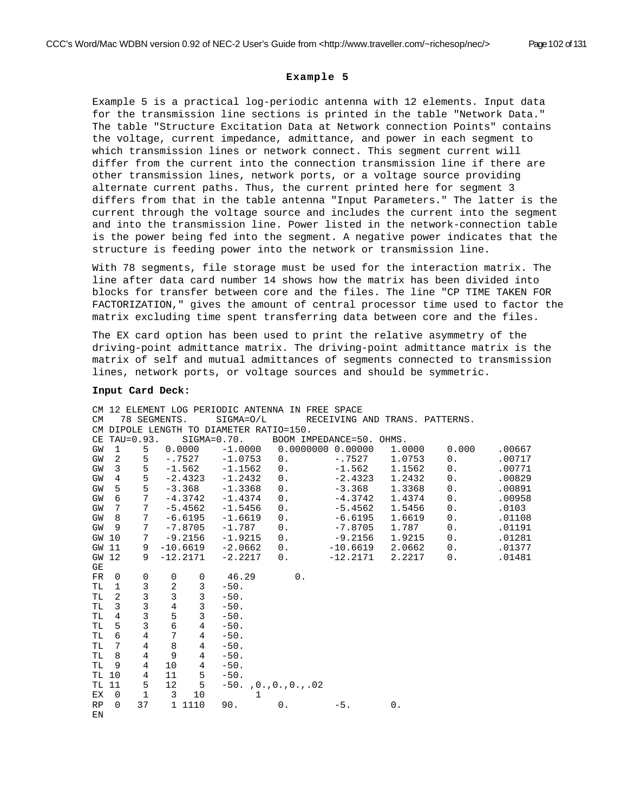## **Example 5**

Example 5 is a practical log-periodic antenna with 12 elements. Input data for the transmission line sections is printed in the table "Network Data." The table "Structure Excitation Data at Network connection Points" contains the voltage, current impedance, admittance, and power in each segment to which transmission lines or network connect. This segment current will differ from the current into the connection transmission line if there are other transmission lines, network ports, or a voltage source providing alternate current paths. Thus, the current printed here for segment 3 differs from that in the table antenna "Input Parameters." The latter is the current through the voltage source and includes the current into the segment and into the transmission line. Power listed in the network-connection table is the power being fed into the segment. A negative power indicates that the structure is feeding power into the network or transmission line.

With 78 segments, file storage must be used for the interaction matrix. The line after data card number 14 shows how the matrix has been divided into blocks for transfer between core and the files. The line "CP TIME TAKEN FOR FACTORIZATION," gives the amount of central processor time used to factor the matrix excluding time spent transferring data between core and the files.

The EX card option has been used to print the relative asymmetry of the driving-point admittance matrix. The driving-point admittance matrix is the matrix of self and mutual admittances of segments connected to transmission lines, network ports, or voltage sources and should be symmetric.

#### **Input Card Deck:**

|           |                |                |             |                |                                                      |                           | CM 12 ELEMENT LOG PERIODIC ANTENNA IN FREE SPACE |        |       |        |
|-----------|----------------|----------------|-------------|----------------|------------------------------------------------------|---------------------------|--------------------------------------------------|--------|-------|--------|
| <b>CM</b> |                | 78 SEGMENTS.   |             |                | SIGMA=O/L<br>CM DIPOLE LENGTH TO DIAMETER RATIO=150. |                           | RECEIVING AND TRANS. PATTERNS.                   |        |       |        |
| CE        |                | $TAU = 0.93$ . |             |                | $SIGMA=0.70$ .                                       |                           | BOOM IMPEDANCE=50. OHMS.                         |        |       |        |
| GM        | $\mathbf{1}$   | 5              | 0.0000      |                |                                                      |                           | $-1.0000$ 0.0000000 0.00000                      | 1.0000 | 0.000 | .00667 |
| GM        | 2              | 5              | $-.7527$    |                | $-1.0753$                                            | 0.                        | $-.7527$                                         | 1.0753 | 0.    | .00717 |
| GW        | $\mathbf{3}$   | 5              | $-1.562$    |                | $-1.1562$                                            | $0$ .                     | $-1.562$                                         | 1.1562 | $0$ . | .00771 |
| GW        | 4              | 5              | $-2.4323$   |                | $-1.2432$                                            | 0.                        | $-2.4323$                                        | 1.2432 | 0.    | .00829 |
| GW        | 5              | 5              | $-3.368$    |                | $-1.3368$                                            | 0.                        | $-3.368$                                         | 1.3368 | $0$ . | .00891 |
| GW        | 6              | 7              | $-4.3742$   |                | $-1.4374$                                            | $0$ .                     | $-4.3742$                                        | 1.4374 | $0$ . | .00958 |
| GW        | 7              | 7              | $-5.4562$   |                | $-1.5456$                                            | 0.                        | $-5.4562$                                        | 1.5456 | $0$ . | .0103  |
| GW        | 8              | 7              | $-6.6195$   |                | $-1.6619$                                            | 0.                        | $-6.6195$                                        | 1.6619 | $0$ . | .01108 |
| GW        | 9              | 7              | $-7.8705$   |                | $-1.787$                                             | 0.                        | -7.8705                                          | 1.787  | 0.    | .01191 |
|           | GW 10          | 7              | $-9.2156$   |                | $-1.9215$                                            | 0.                        | $-9.2156$                                        | 1.9215 | $0$ . | .01281 |
| GW 11     |                | 9              | $-10.6619$  |                | $-2.0662$                                            | 0.                        | $-10.6619$                                       | 2.0662 | $0$ . | .01377 |
|           | GW 12          | 9              | $-12.2171$  |                | $-2.2217$                                            | 0.                        | $-12.2171$                                       | 2.2217 | 0.    | .01481 |
| GE        |                |                |             |                |                                                      |                           |                                                  |        |       |        |
| FR.       | $\overline{0}$ | 0              | 0           | 0              | 46.29                                                | $0$ .                     |                                                  |        |       |        |
| TL        | $\mathbf{1}$   | $\mathsf{3}$   | 2           | $\mathbf{3}$   | $-50.$                                               |                           |                                                  |        |       |        |
| TL        | 2              | $\mathbf{3}$   | $\mathsf 3$ | 3              | $-50.$                                               |                           |                                                  |        |       |        |
| TL        | 3              | 3              | 4           | $\mathbf{3}$   | $-50.$                                               |                           |                                                  |        |       |        |
| TL        | 4              | $\mathbf{3}$   | 5           | $\mathbf{3}$   | $-50.$                                               |                           |                                                  |        |       |        |
| TL        | 5              | $\overline{3}$ | 6           | $\overline{4}$ | $-50.$                                               |                           |                                                  |        |       |        |
| TL        | 6              | 4              | 7           | $\overline{4}$ | $-50.$                                               |                           |                                                  |        |       |        |
| TL.       | 7              | 4              | 8           | 4              | $-50.$                                               |                           |                                                  |        |       |        |
| TL        | 8              | $\overline{4}$ | 9           | 4              | $-50.$                                               |                           |                                                  |        |       |        |
| TL        | 9              | 4              | 10          | 4              | $-50.$                                               |                           |                                                  |        |       |        |
|           | TL 10          | 4              | 11          | 5              | $-50.$                                               |                           |                                                  |        |       |        |
| TL 11     |                | 5              | 12          | 5              |                                                      | $-50.$ , 0., 0., 0., 0.02 |                                                  |        |       |        |
| ЕX        | 0              | $\mathbf{1}$   | 3           | 10             |                                                      | $\mathbf 1$               |                                                  |        |       |        |
| RP        | $\Omega$       | 37             | 1 1110      |                | 90.                                                  | 0.                        | $-5.$                                            | 0.     |       |        |
| EN.       |                |                |             |                |                                                      |                           |                                                  |        |       |        |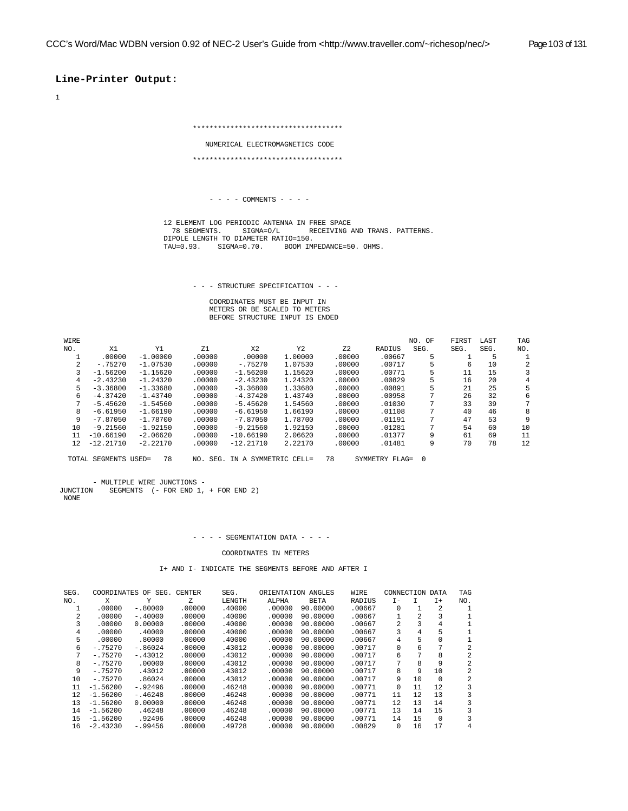# **Line-Printer Output:**

1

\*\*\*\*\*\*\*\*\*\*\*\*\*\*\*\*\*\*\*\*\*\*\*\*\*\*\*\*\*\*\*\*\*\*\*\*

NUMERICAL ELECTROMAGNETICS CODE

\*\*\*\*\*\*\*\*\*\*\*\*\*\*\*\*\*\*\*\*\*\*\*\*\*\*\*\*\*\*\*\*\*\*\*\*

 $- - - -$  COMMENTS - - - -

 12 ELEMENT LOG PERIODIC ANTENNA IN FREE SPACE 78 SEGMENTS. SIGMA=O/L RECEIVING AND TRANS. PATTERNS. DIPOLE LENGTH TO DIAMETER RATIO=150. TAU=0.93. SIGMA=0.70. BOOM IMPEDANCE=50. OHMS.

- - - STRUCTURE SPECIFICATION - - -

 COORDINATES MUST BE INPUT IN METERS OR BE SCALED TO METERS<br>BEFORE STRUCTURE INPUT IS ENDED

| WIRE |             |            |        |                |         |                |               | NO. OF | FIRST | LAST | TAG |
|------|-------------|------------|--------|----------------|---------|----------------|---------------|--------|-------|------|-----|
| NO.  | X1          | Y1         | Z1     | X <sub>2</sub> | Y2      | Z <sub>2</sub> | <b>RADIUS</b> | SEG.   | SEG.  | SEG. | NO. |
|      | .00000      | $-1.00000$ | .00000 | .00000         | 1,00000 | .00000         | .00667        | 5      |       |      |     |
| 2    | $-.75270$   | $-1.07530$ | .00000 | $-.75270$      | 1.07530 | .00000         | .00717        | 5.     | 6     | 10   | 2   |
|      | $-1.56200$  | $-1.15620$ | .00000 | $-1.56200$     | 1.15620 | .00000         | .00771        | 5.     | 11    | 15   | 3   |
| 4    | $-2.43230$  | $-1.24320$ | .00000 | $-2.43230$     | 1.24320 | .00000         | .00829        | 5.     | 16    | 20   | 4   |
| 5.   | $-3.36800$  | $-1.33680$ | .00000 | $-3.36800$     | 1.33680 | .00000         | .00891        | 5      | 21    | 25   | 5   |
| 6    | $-4.37420$  | $-1.43740$ | .00000 | $-4.37420$     | 1.43740 | .00000         | .00958        |        | 26    | 32   | 6   |
|      | $-5.45620$  | $-1.54560$ | .00000 | $-5.45620$     | 1.54560 | .00000         | .01030        | 7      | 33    | 39   |     |
| 8    | $-6.61950$  | $-1.66190$ | .00000 | $-6.61950$     | 1.66190 | .00000         | .01108        |        | 40    | 46   | 8   |
| 9    | $-7.87050$  | $-1.78700$ | .00000 | $-7.87050$     | 1.78700 | .00000         | .01191        |        | 47    | 53   | 9   |
| 10   | $-9.21560$  | $-1.92150$ | .00000 | $-9.21560$     | 1.92150 | .00000         | .01281        |        | 54    | 60   | 10  |
| 11   | $-10.66190$ | $-2.06620$ | .00000 | $-10.66190$    | 2.06620 | .00000         | .01377        | 9      | 61    | 69   | 11  |
| 12   | $-12.21710$ | $-2.22170$ | .00000 | $-12.21710$    | 2.22170 | .00000         | .01481        | 9      | 70    | 78   | 12  |
|      |             |            |        |                |         |                |               |        |       |      |     |

TOTAL SEGMENTS USED= 78 NO. SEG. IN A SYMMETRIC CELL= 78 SYMMETRY FLAG= 0

|          | - MULTIPLE WIRE JUNCTIONS -                   |  |  |  |  |
|----------|-----------------------------------------------|--|--|--|--|
| JUNCTION | SEGMENTS $(-$ FOR END $1$ , $+$ FOR END $2$ ) |  |  |  |  |
| NONE.    |                                               |  |  |  |  |

- - - - SEGMENTATION DATA - - - -

#### COORDINATES IN METERS

I+ AND I- INDICATE THE SEGMENTS BEFORE AND AFTER I

| SEG. | COORDINATES | OF<br>SEG. | <b>CENTER</b> | SEG.   | ORIENTATION | ANGLES      | WIRE          | CONNECTION     |                | DATA           | TAG            |
|------|-------------|------------|---------------|--------|-------------|-------------|---------------|----------------|----------------|----------------|----------------|
| NO.  | Х           | Υ          | Ζ             | LENGTH | ALPHA       | <b>BETA</b> | <b>RADIUS</b> | $T -$          | т              | $T +$          | NO.            |
|      | .00000      | $-.80000$  | .00000        | .40000 | .00000      | 90.00000    | .00667        | 0              |                | $\mathfrak{D}$ |                |
| 2    | .00000      | $-.40000$  | .00000        | .40000 | .00000      | 90.00000    | .00667        |                | $\mathfrak{D}$ | 3              |                |
|      | .00000      | 0.00000    | .00000        | .40000 | .00000      | 90.00000    | .00667        | $\mathfrak{D}$ |                | 4              |                |
| 4    | .00000      | .40000     | .00000        | .40000 | .00000      | 90.00000    | .00667        | 3              | 4              | 5              |                |
| 5.   | .00000      | .80000     | .00000        | .40000 | .00000      | 90.00000    | .00667        | 4              | 5              |                |                |
| 6    | $-.75270$   | $-.86024$  | .00000        | .43012 | .00000      | 90.00000    | .00717        | $\Omega$       | 6              |                | $\mathfrak{D}$ |
| 7    | $-.75270$   | $-.43012$  | .00000        | .43012 | .00000      | 90.00000    | .00717        | 6              |                | 8              | $\mathfrak{D}$ |
| 8    | $-.75270$   | .00000     | .00000        | .43012 | .00000      | 90.00000    | .00717        | 7              | 8              | 9              | 2              |
| 9    | $-.75270$   | .43012     | .00000        | .43012 | .00000      | 90.00000    | .00717        | 8              | 9              | 10             | $\mathfrak{D}$ |
| 10   | $-.75270$   | .86024     | .00000        | .43012 | .00000      | 90.00000    | .00717        | 9              | 10             |                | $\mathfrak{D}$ |
| 11   | $-1.56200$  | $-.92496$  | .00000        | .46248 | .00000      | 90.00000    | .00771        | $\Omega$       | 11             | 12             | 3              |
| 12.  | $-1.56200$  | $-.46248$  | .00000        | .46248 | .00000      | 90.00000    | .00771        | 11             | 12             | 13             | 3              |
| 13   | $-1.56200$  | 0.00000    | .00000        | .46248 | .00000      | 90.00000    | .00771        | 12.            | 13             | 14             | 3              |
| 14   | $-1.56200$  | .46248     | .00000        | .46248 | .00000      | 90.00000    | .00771        | 13             | 14             | 15             | 3              |
| 15   | $-1.56200$  | .92496     | .00000        | .46248 | .00000      | 90.00000    | .00771        | 14             | 15             |                |                |
| 16   | $-2.43230$  | $-.99456$  | .00000        | .49728 | .00000      | 90.00000    | .00829        | $\Omega$       | 16             | 17             |                |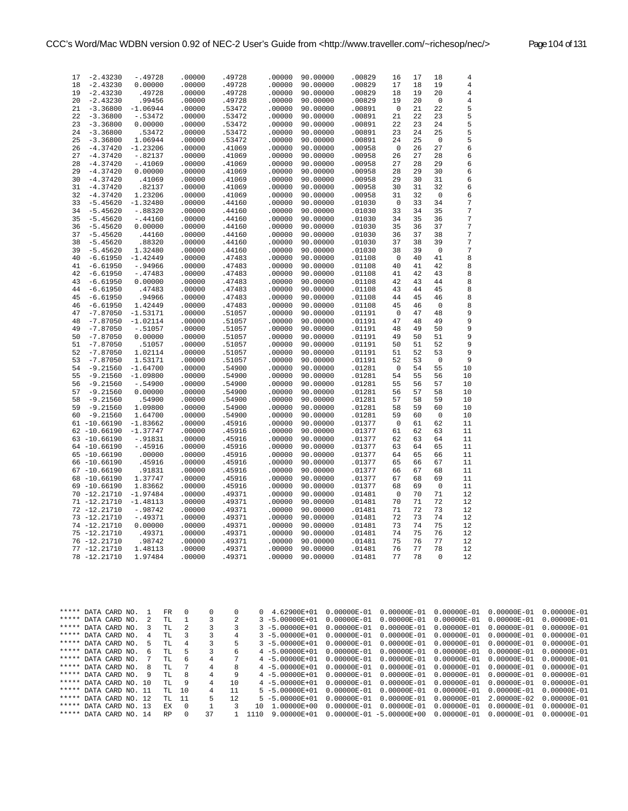| 17 | $-2.43230$             | $-.49728$  |            | .00000 |   | .49728 | .00000                | 90.00000        | .00829          | 16              | 17 | 18          | 4               |                 |                 |
|----|------------------------|------------|------------|--------|---|--------|-----------------------|-----------------|-----------------|-----------------|----|-------------|-----------------|-----------------|-----------------|
| 18 | $-2.43230$             | 0.00000    |            | .00000 |   | .49728 | .00000                | 90.00000        | .00829          | 17              | 18 | 19          | 4               |                 |                 |
| 19 | $-2.43230$             | .49728     |            | .00000 |   | .49728 | .00000                | 90.00000        | .00829          | 18              | 19 | 20          | 4               |                 |                 |
| 20 | $-2.43230$             | .99456     |            | .00000 |   | .49728 | .00000                | 90.00000        | .00829          | 19              | 20 | $\mathbf 0$ | 4               |                 |                 |
| 21 | $-3.36800$             |            |            |        |   |        | .00000                | 90.00000        |                 | 0               | 21 | 22          | 5               |                 |                 |
|    |                        | $-1.06944$ |            | .00000 |   | .53472 |                       |                 | .00891          |                 |    |             |                 |                 |                 |
| 22 | $-3.36800$             | $-.53472$  |            | .00000 |   | .53472 | .00000                | 90.00000        | .00891          | 21              | 22 | 23          | 5               |                 |                 |
| 23 | $-3.36800$             | 0.00000    |            | .00000 |   | .53472 | .00000                | 90.00000        | .00891          | 22              | 23 | 24          | 5               |                 |                 |
| 24 | $-3.36800$             | .53472     |            | .00000 |   | .53472 | .00000                | 90.00000        | .00891          | 23              | 24 | 25          | 5               |                 |                 |
| 25 | $-3.36800$             | 1.06944    |            | .00000 |   | .53472 | .00000                | 90.00000        | .00891          | 24              | 25 | $\mathbf 0$ | 5               |                 |                 |
| 26 | $-4.37420$             | $-1.23206$ |            | .00000 |   | .41069 | .00000                | 90.00000        | .00958          | 0               | 26 | 27          | 6               |                 |                 |
| 27 | $-4.37420$             | $-.82137$  |            | .00000 |   | .41069 | .00000                | 90.00000        | .00958          | 26              | 27 | 28          | 6               |                 |                 |
| 28 | $-4.37420$             | $-.41069$  |            | .00000 |   | .41069 | .00000                | 90.00000        | .00958          | 27              | 28 | 29          | 6               |                 |                 |
| 29 | $-4.37420$             | 0.00000    |            | .00000 |   | .41069 | .00000                | 90.00000        | .00958          | 28              | 29 | 30          | 6               |                 |                 |
| 30 | $-4.37420$             | .41069     |            | .00000 |   | .41069 | .00000                | 90.00000        | .00958          | 29              | 30 | 31          | 6               |                 |                 |
| 31 | $-4.37420$             |            |            |        |   |        | .00000                | 90.00000        |                 | 30              | 31 | 32          | 6               |                 |                 |
|    |                        | .82137     |            | .00000 |   | .41069 |                       |                 | .00958          |                 |    |             |                 |                 |                 |
| 32 | $-4.37420$             | 1.23206    |            | .00000 |   | .41069 | .00000                | 90.00000        | .00958          | 31              | 32 | $\mathbf 0$ | 6               |                 |                 |
| 33 | $-5.45620$             | $-1.32480$ |            | .00000 |   | .44160 | .00000                | 90.00000        | .01030          | 0               | 33 | 34          | 7               |                 |                 |
| 34 | $-5.45620$             | $-.88320$  |            | .00000 |   | .44160 | .00000                | 90.00000        | .01030          | 33              | 34 | 35          | 7               |                 |                 |
| 35 | $-5.45620$             | $-.44160$  |            | .00000 |   | .44160 | .00000                | 90.00000        | .01030          | 34              | 35 | 36          | 7               |                 |                 |
| 36 | $-5.45620$             | 0.00000    |            | .00000 |   | .44160 | .00000                | 90.00000        | .01030          | 35              | 36 | 37          | 7               |                 |                 |
| 37 | $-5.45620$             | .44160     |            | .00000 |   | .44160 | .00000                | 90.00000        | .01030          | 36              | 37 | 38          | 7               |                 |                 |
| 38 | $-5.45620$             | .88320     |            | .00000 |   | .44160 | .00000                | 90.00000        | .01030          | 37              | 38 | 39          | 7               |                 |                 |
| 39 | $-5.45620$             | 1.32480    |            | .00000 |   | .44160 | .00000                | 90.00000        | .01030          | 38              | 39 | $\mathbf 0$ | 7               |                 |                 |
| 40 | $-6.61950$             | $-1.42449$ |            | .00000 |   | .47483 | .00000                | 90.00000        | .01108          | 0               | 40 | 41          | 8               |                 |                 |
|    | $-6.61950$             |            |            |        |   | .47483 | .00000                | 90.00000        |                 |                 | 41 | 42          | 8               |                 |                 |
| 41 |                        | $-.94966$  |            | .00000 |   |        |                       |                 | .01108          | 40              |    |             |                 |                 |                 |
| 42 | $-6.61950$             | $-.47483$  |            | .00000 |   | .47483 | .00000                | 90.00000        | .01108          | 41              | 42 | 43          | 8               |                 |                 |
| 43 | $-6.61950$             | 0.00000    |            | .00000 |   | .47483 | .00000                | 90.00000        | .01108          | 42              | 43 | 44          | 8               |                 |                 |
| 44 | $-6.61950$             | .47483     |            | .00000 |   | .47483 | .00000                | 90.00000        | .01108          | 43              | 44 | 45          | 8               |                 |                 |
| 45 | $-6.61950$             | .94966     |            | .00000 |   | .47483 | .00000                | 90.00000        | .01108          | 44              | 45 | 46          | 8               |                 |                 |
| 46 | $-6.61950$             | 1.42449    |            | .00000 |   | .47483 | .00000                | 90.00000        | .01108          | 45              | 46 | 0           | 8               |                 |                 |
| 47 | $-7.87050$             | $-1.53171$ |            | .00000 |   | .51057 | .00000                | 90.00000        | .01191          | 0               | 47 | 48          | 9               |                 |                 |
| 48 | $-7.87050$             | $-1.02114$ |            | .00000 |   | .51057 | .00000                | 90.00000        | .01191          | 47              | 48 | 49          | 9               |                 |                 |
| 49 | $-7.87050$             | $-.51057$  |            | .00000 |   | .51057 | .00000                | 90.00000        | .01191          | 48              | 49 | 50          | 9               |                 |                 |
| 50 | $-7.87050$             | 0.00000    |            | .00000 |   | .51057 | .00000                | 90.00000        | .01191          | 49              | 50 | 51          | 9               |                 |                 |
| 51 | $-7.87050$             | .51057     |            | .00000 |   | .51057 | .00000                | 90.00000        | .01191          | 50              | 51 | 52          | 9               |                 |                 |
|    |                        |            |            |        |   | .51057 |                       |                 | .01191          |                 | 52 | 53          | 9               |                 |                 |
| 52 | $-7.87050$             | 1.02114    |            | .00000 |   |        | .00000                | 90.00000        |                 | 51              |    |             |                 |                 |                 |
| 53 | $-7.87050$             | 1.53171    |            | .00000 |   | .51057 | .00000                | 90.00000        | .01191          | 52              | 53 | $\mathbf 0$ | 9               |                 |                 |
| 54 | $-9.21560$             | $-1.64700$ |            | .00000 |   | .54900 | .00000                | 90.00000        | .01281          | 0               | 54 | 55          | 10              |                 |                 |
| 55 | $-9.21560$             | $-1.09800$ |            | .00000 |   | .54900 | .00000                | 90.00000        | .01281          | 54              | 55 | 56          | 10              |                 |                 |
| 56 | $-9.21560$             | $-.54900$  |            | .00000 |   | .54900 | .00000                | 90.00000        | .01281          | 55              | 56 | 57          | 10              |                 |                 |
| 57 | $-9.21560$             | 0.00000    |            | .00000 |   | .54900 | .00000                | 90.00000        | .01281          | 56              | 57 | 58          | 10              |                 |                 |
| 58 | $-9.21560$             | .54900     |            | .00000 |   | .54900 | .00000                | 90.00000        | .01281          | 57              | 58 | 59          | 10              |                 |                 |
| 59 | $-9.21560$             | 1.09800    |            | .00000 |   | .54900 | .00000                | 90.00000        | .01281          | 58              | 59 | 60          | 10              |                 |                 |
| 60 | $-9.21560$             | 1.64700    |            | .00000 |   | .54900 | .00000                | 90.00000        | .01281          | 59              | 60 | 0           | 10              |                 |                 |
|    | 61 -10.66190           | $-1.83662$ |            | .00000 |   | .45916 | .00000                | 90.00000        | .01377          | 0               | 61 | 62          | 11              |                 |                 |
|    | 62 -10.66190           | $-1.37747$ |            | .00000 |   | .45916 | .00000                | 90.00000        | .01377          | 61              | 62 | 63          | 11              |                 |                 |
|    | 63 -10.66190           | -.91831    |            | .00000 |   | .45916 | .00000                | 90.00000        | .01377          | 62              | 63 | 64          | 11              |                 |                 |
|    |                        |            |            |        |   |        |                       |                 |                 |                 |    |             |                 |                 |                 |
|    | 64 -10.66190           | $-.45916$  |            | .00000 |   | .45916 | .00000                | 90.00000        | .01377          | 63              | 64 | 65          | 11              |                 |                 |
|    | 65 -10.66190           | .00000     |            | .00000 |   | .45916 | .00000                | 90.00000        | .01377          | 64              | 65 | 66          | 11              |                 |                 |
|    | 66 -10.66190           | .45916     |            | .00000 |   | .45916 | .00000                | 90.00000        | .01377          | 65              | 66 | 67          | 11              |                 |                 |
|    | 67 -10.66190           | .91831     |            | .00000 |   | .45916 | .00000                | 90.00000        | .01377          | 66              | 67 | 68          | 11              |                 |                 |
|    | 68 -10.66190           | 1.37747    |            | .00000 |   | .45916 | .00000                | 90.00000        | .01377          | 67              | 68 | 69          | 11              |                 |                 |
|    | 69 -10.66190           | 1.83662    |            | .00000 |   | .45916 | .00000                | 90.00000        | .01377          | 68              | 69 | 0           | 11              |                 |                 |
|    | 70 -12.21710           | $-1.97484$ |            | .00000 |   | .49371 | .00000                | 90.00000        | .01481          | 0               | 70 | 71          | 12              |                 |                 |
|    | 71 -12.21710           | $-1.48113$ |            | .00000 |   | .49371 | .00000                | 90.00000        | .01481          | 70              | 71 | 72          | 12              |                 |                 |
|    | 72 -12.21710           | $-.98742$  |            | .00000 |   | .49371 | .00000                | 90.00000        | .01481          | 71              | 72 | 73          | 12              |                 |                 |
|    | 73 -12.21710           | $-.49371$  |            | .00000 |   | .49371 | .00000                | 90.00000        | .01481          | 72              | 73 | 74          | 12              |                 |                 |
|    | 74 -12.21710           | 0.00000    |            | .00000 |   | .49371 |                       | .00000 90.00000 | .01481          | 73              | 74 | 75          | 12              |                 |                 |
|    | 75 -12.21710           | .49371     |            | .00000 |   | .49371 |                       | .00000 90.00000 | .01481          | 74              | 75 | 76          | 12              |                 |                 |
|    | 76 -12.21710           | .98742     |            | .00000 |   | .49371 | .00000                | 90.00000        | .01481          | 75              | 76 | 77          | 12              |                 |                 |
|    | 77 -12.21710           | 1.48113    |            | .00000 |   | .49371 | .00000                | 90.00000        | .01481          | 76              | 77 | 78          | 12              |                 |                 |
|    |                        |            |            |        |   |        |                       |                 |                 |                 |    |             |                 |                 |                 |
|    | 78 -12.21710           | 1.97484    |            | .00000 |   | .49371 | .00000                | 90.00000        | .01481          | 77              | 78 | 0           | 12              |                 |                 |
|    |                        |            |            |        |   |        |                       |                 |                 |                 |    |             |                 |                 |                 |
|    | ***** DATA CARD NO.    | 1          | ${\rm FR}$ | 0      | 0 | 0      | $0 \quad 4.62900E+01$ |                 | $0.00000E-01$   | $0.00000E-01$   |    |             | $0.00000E-01$   | $0.00000E-01$   | $0.00000E - 01$ |
|    | ***** DATA CARD NO.    | 2          | TL         | 1      | 3 | 2      | $3 - 5.00000E + 01$   |                 | $0.00000E - 01$ | $0.00000E - 01$ |    |             | $0.00000E - 01$ | $0.00000E - 01$ | $0.00000E - 01$ |
|    | ***** DATA CARD NO.    | 3          | TL         | 2      | 3 | 3      | $3 - 5.00000E + 01$   |                 | $0.00000E-01$   | $0.00000E - 01$ |    |             | $0.00000E-01$   | $0.00000E-01$   | $0.00000E - 01$ |
|    | ***** DATA CARD NO.    | 4          | TL         | 3      | 3 | 4      | $3 - 5.00000E + 01$   |                 | $0.00000E - 01$ | $0.00000E - 01$ |    |             | $0.00000E - 01$ | $0.00000E - 01$ | $0.00000E - 01$ |
|    | ***** DATA CARD NO.    | 5          | TL         | 4      | 3 | 5      | $3 - 5.00000E + 01$   |                 | $0.00000E - 01$ | $0.00000E - 01$ |    |             | $0.00000E-01$   | $0.00000E - 01$ | $0.00000E - 01$ |
|    | ***** DATA CARD NO.    | 6          | TL         | 5      | 3 | 6      | $4 - 5.00000E + 01$   |                 | $0.00000E - 01$ | $0.00000E - 01$ |    |             | $0.00000E - 01$ | $0.00000E - 01$ | $0.00000E - 01$ |
|    | ***** DATA CARD NO.    | 7          | TL         | 6      | 4 | 7      | $4 - 5.00000E + 01$   |                 | $0.00000E-01$   | $0.00000E-01$   |    |             | $0.00000E - 01$ | $0.00000E - 01$ | $0.00000E - 01$ |
|    |                        |            |            |        |   |        |                       |                 |                 |                 |    |             |                 |                 |                 |
|    | ***** DATA CARD NO.    | 8          | TL         | 7      | 4 | 8      | 4 -5.00000E+01        |                 | $0.00000E-01$   | $0.00000E - 01$ |    |             | $0.00000E-01$   | $0.00000E - 01$ | $0.00000E - 01$ |
|    | ***** DATA CARD NO.    | 9          | TL         | 8      | 4 | 9      | $4 - 5.00000E + 01$   |                 | $0.00000E - 01$ | $0.00000E - 01$ |    |             | $0.00000E - 01$ | $0.00000E - 01$ | $0.00000E - 01$ |
|    | ***** DATA CARD NO. 10 |            | TL         | 9      | 4 | 10     | $4 - 5.00000E + 01$   |                 | $0.00000E-01$   | $0.00000E - 01$ |    |             | $0.00000E-01$   | $0.00000E-01$   | $0.00000E - 01$ |
|    | ***** DATA CARD NO. 11 |            | TL         | 10     | 4 | 11     | 5 -5.00000E+01        |                 | $0.00000E-01$   | $0.00000E-01$   |    |             | $0.00000E - 01$ | $0.00000E-01$   | $0.00000E - 01$ |

\*\*\*\*\* DATA CARD NO. 12 TL 11 5 12 5-5.00000E+01 0.00000E-01 0.00000E-01 0.00000E-01 2.00000E-02 0.00000E-01<br>\*\*\*\*\* DATA CARD NO. 13 EX 0 1 3 10 1.00000E+00 0.00000E-01 0.00000E-01 0.00000E-01 0.00000E-01 0.00000E-01<br>\*\*\*\*\* D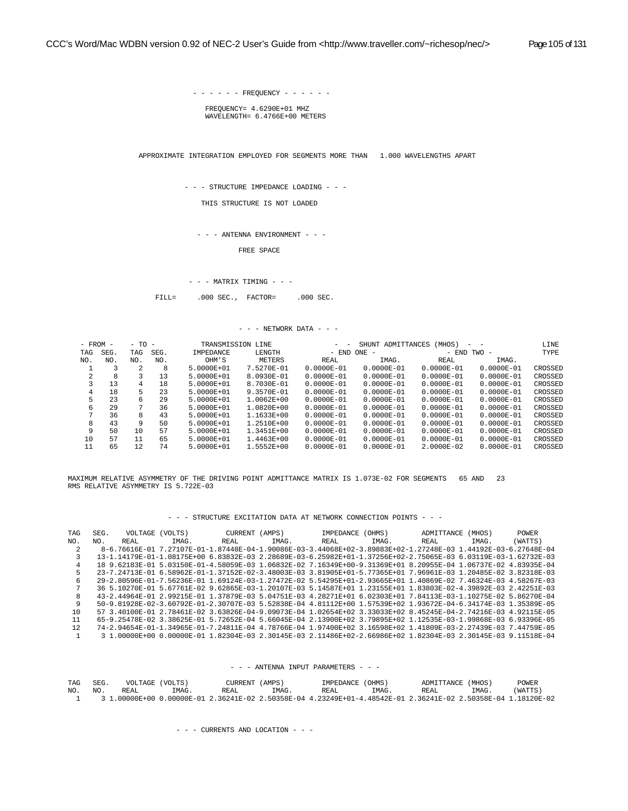- - - - - - FREQUENCY - - - - - -

FREQUENCY= 4.6290E+01 MHZ WAVELENGTH= 6.4766E+00 METERS

APPROXIMATE INTEGRATION EMPLOYED FOR SEGMENTS MORE THAN 1.000 WAVELENGTHS APART

- - - STRUCTURE IMPEDANCE LOADING - - -

THIS STRUCTURE IS NOT LOADED

- - - ANTENNA ENVIRONMENT - - -  $-$ 

FREE SPACE

 $-$  -  $-$  MATRIX TIMING - - -

FILL= .000 SEC., FACTOR= .000 SEC.

 $-$  -  $\sim$  NETWORK DATA - - -

|     | $-$ FROM $-$ | $- TO -$ |      | TRANSMISSION LINE |                | $\overline{\phantom{0}}$<br>$\qquad \qquad$ | SHUNT ADMITTANCES | (MHOS)<br>-     |                | LINE    |
|-----|--------------|----------|------|-------------------|----------------|---------------------------------------------|-------------------|-----------------|----------------|---------|
| TAG | SEG.         | TAG      | SEG. | IMPEDANCE         | LENGTH         | $-$ END ONE $-$                             |                   | $-$ END TWO $-$ |                | TYPE    |
| NO. | NO.          | NO.      | NO.  | OHM'S             | METERS         | REAL                                        | IMAG.             | REAL            | IMAG.          |         |
|     | З.           | 2        | 8    | $5.0000E + 01$    | 7.5270E-01     | $0.0000E - 01$                              | $0.0000E - 01$    | $0.0000E - 01$  | $0.0000E - 01$ | CROSSED |
|     | 8            |          | 13   | $5.0000E + 01$    | 8.0930E-01     | $0.0000E - 01$                              | $0.0000E - 01$    | $0.0000E - 01$  | $0.0000E - 01$ | CROSSED |
|     | 13           | 4        | 18   | $5.0000E + 01$    | 8.7030E-01     | $0.0000E - 01$                              | $0.0000E - 01$    | $0.0000E - 01$  | $0.0000E - 01$ | CROSSED |
| 4   | 18           | 5.       | 23   | $5.0000E + 01$    | $9.3570E - 01$ | $0.0000E - 01$                              | $0.0000E - 01$    | $0.0000E - 01$  | $0.0000E - 01$ | CROSSED |
|     | 23           | 6        | 29   | 5.0000E+01        | $1.0062E + 00$ | $0.0000E - 01$                              | $0.0000E - 01$    | $0.0000E-01$    | $0.0000E - 01$ | CROSSED |
| 6   | 29           |          | 36   | $5.0000E + 01$    | $1.0820E + 00$ | $0.0000E - 01$                              | $0.0000E - 01$    | $0.0000E - 01$  | $0.0000E - 01$ | CROSSED |
|     | 36           | 8        | 43   | $5.0000E + 01$    | $1.1633E + 00$ | $0.0000E - 01$                              | $0.0000E - 01$    | $0.0000E - 01$  | $0.0000E - 01$ | CROSSED |
| 8   | 43           | 9        | 50   | $5.0000E + 01$    | 1.2510E+00     | $0.0000E - 01$                              | $0.0000E - 01$    | $0.0000E - 01$  | $0.0000E - 01$ | CROSSED |
| q   | 50           | 10       | 57   | $5.0000E + 01$    | $1.3451E + 00$ | $0.0000E - 01$                              | $0.0000E - 01$    | $0.0000E - 01$  | $0.0000E - 01$ | CROSSED |
| 10  | 57           | 11       | 65   | $5.0000E + 01$    | 1.4463E+00     | $0.0000E - 01$                              | $0.0000E - 01$    | $0.0000E - 01$  | $0.0000E - 01$ | CROSSED |
| 11  | 65           | 12       | 74   | 5.0000E+01        | 1.5552E+00     | $0.0000E - 01$                              | $0.0000E - 01$    | 2.0000E-02      | $0.0000E - 01$ | CROSSED |
|     |              |          |      |                   |                |                                             |                   |                 |                |         |

 MAXIMUM RELATIVE ASYMMETRY OF THE DRIVING POINT ADMITTANCE MATRIX IS 1.073E-02 FOR SEGMENTS 65 AND 23 RMS RELATIVE ASYMMETRY IS 5.722E-03

- - - STRUCTURE EXCITATION DATA AT NETWORK CONNECTION POINTS - - -

| TAG | SEG. | VOLTAGE | (VOLTS) | CURRENT | (AMPS) | IMPEDANCE | (OHMS) | ADMITTANCE                                                                                                     | (MHOS) | <b>POWER</b> |
|-----|------|---------|---------|---------|--------|-----------|--------|----------------------------------------------------------------------------------------------------------------|--------|--------------|
| NO. | NO.  | REAL    | TMAG.   | REAL    | TMAG.  | REAL      | TMAG.  | REAL                                                                                                           | IMAG.  | (WATTS)      |
|     |      |         |         |         |        |           |        | 8-6.76616E-01 7.27107E-01-1.87448E-04-1.90086E-03-3.44068E+02-3.89883E+02-1.27248E-03 1.44192E-03-6.27648E-04  |        |              |
|     |      |         |         |         |        |           |        | 13-1.14179E-01-1.08175E+00 6.83832E-03 2.28689E-03-6.25982E+01-1.37256E+02-2.75065E-03 6.03119E-03-1.62732E-03 |        |              |
| 4   |      |         |         |         |        |           |        | 18 9.62183E-01 5.03150E-01-4.58059E-03 1.06832E-02 7.16349E+00-9.31369E+01 8.20955E-04 1.06737E-02 4.83935E-04 |        |              |
|     |      |         |         |         |        |           |        | 23-7.24713E-01 6.58962E-01-1.37152E-02-3.48003E-03 3.81905E+01-5.77365E+01 7.96961E-03 1.20485E-02 3.82318E-03 |        |              |
| б.  |      |         |         |         |        |           |        | 29-2.80596E-01-7.56236E-01 1.69124E-03-1.27472E-02 5.54295E+01-2.93665E+01 1.40869E-02 7.46324E-03 4.58267E-03 |        |              |
|     |      |         |         |         |        |           |        | 36 5.10270E-01 5.67761E-02 9.62865E-03-1.20107E-03 5.14587E+01 1.23155E+01 1.83803E-02-4.39892E-03 2.42251E-03 |        |              |
| 8   |      |         |         |         |        |           |        | 43-2.44964E-01 2.99215E-01 1.37879E-03 5.04751E-03 4.28271E+01 6.02303E+01 7.84113E-03-1.10275E-02 5.86270E-04 |        |              |
| 9   |      |         |         |         |        |           |        | 50-9.81928E-02-3.60792E-01-2.30707E-03 5.52838E-04 4.81112E+00 1.57539E+02 1.93672E-04-6.34174E-03 1.35389E-05 |        |              |
| 10  |      |         |         |         |        |           |        | 57 3.40100E-01 2.78461E-02 3.63826E-04-9.09073E-04 1.02654E+02 3.33033E+02 8.45245E-04-2.74216E-03 4.92115E-05 |        |              |
|     |      |         |         |         |        |           |        | 65-9.25478E-02.3.38625E-01.5.72652E-04.5.66045E-04.2.13900E+02.3.79895E+02.1.12535E-03-1.99868E-03.6.93396E-05 |        |              |
| 12. |      |         |         |         |        |           |        | 74-2.94654E-01-1.34965E-01-7.24811E-04 4.78766E-04 1.97400E+02 3.16598E+02 1.41809E-03-2.27439E-03 7.44759E-05 |        |              |
|     |      |         |         |         |        |           |        | 3 1.00000E+00 0.00000E-01 1.82304E-03 2.30145E-03 2.11486E+02-2.66986E+02 1.82304E-03 2.30145E-03 9.11518E-04  |        |              |

- - - ANTENNA INPUT PARAMETERS - - -  $-$ 

| TAG | <b>SEG</b> | VOLTAGE (VOLTS) |        | CURRENT (AMPS) |      | TMPEDANCE (OHMS)                                                                                              |       | ADMITTANCE | (MHOS) | POWER   |
|-----|------------|-----------------|--------|----------------|------|---------------------------------------------------------------------------------------------------------------|-------|------------|--------|---------|
| NΟ  | NO.        | REAL.           | "MAG . | REAL           | MAG. | REAL                                                                                                          | IMAG. | REAL       | IMAG   | (WATTS) |
|     |            |                 |        |                |      | 3 1.00000E+00 0.00000E-01 2.36241E-02 2.50358E-04 4.23249E+01-4.48542E-01 2.36241E-02 2.50358E-04 1.18120E-02 |       |            |        |         |

- - - CURRENTS AND LOCATION - - -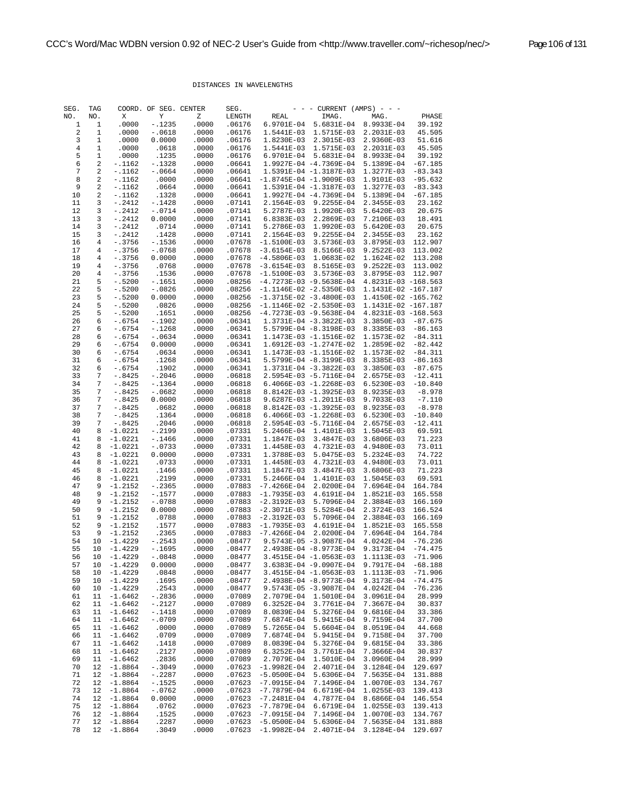## DISTANCES IN WAVELENGTHS

| SEG.     | TAG            |                        | COORD. OF SEG. CENTER |                | SEG.             |                                | $- - -$ CURRENT (AMPS) - - -                           |                                            |                        |
|----------|----------------|------------------------|-----------------------|----------------|------------------|--------------------------------|--------------------------------------------------------|--------------------------------------------|------------------------|
| NO.      | NO.            | Χ                      | Υ                     | Ζ              | LENGTH           | REAL                           | IMAG.                                                  | MAG.                                       | PHASE                  |
| 1<br>2   | 1<br>1         | .0000<br>.0000         | $-.1235$<br>$-.0618$  | .0000<br>.0000 | .06176<br>.06176 | 6.9701E-04<br>1.5441E-03       | 5.6831E-04<br>1.5715E-03                               | 8.9933E-04<br>2.2031E-03                   | 39.192<br>45.505       |
| 3        | 1              | .0000                  | 0.0000                | .0000          | .06176           | 1.8230E-03                     | 2.3015E-03                                             | 2.9360E-03                                 | 51.616                 |
| $\bf 4$  | $\mathbf 1$    | .0000                  | .0618                 | .0000          | .06176           | 1.5441E-03                     | 1.5715E-03                                             | 2.2031E-03                                 | 45.505                 |
| 5        | 1              | .0000                  | .1235                 | .0000          | .06176           | 6.9701E-04                     | 5.6831E-04                                             | 8.9933E-04                                 | 39.192                 |
| 6        | $\overline{a}$ | $-.1162$               | $-.1328$              | .0000          | .06641           |                                | 1.9927E-04 -4.7369E-04                                 | 5.1389E-04                                 | $-67.185$              |
| 7        | 2              | $-.1162$               | $-.0664$              | .0000          | .06641           |                                | 1.5391E-04 -1.3187E-03                                 | 1.3277E-03                                 | $-83.343$              |
| 8<br>9   | 2<br>2         | $-.1162$<br>$-.1162$   | .0000<br>.0664        | .0000<br>.0000 | .06641<br>.06641 |                                | $-1.8745E-04 -1.9009E-03$<br>1.5391E-04 -1.3187E-03    | 1.9101E-03<br>1.3277E-03                   | $-95.632$<br>$-83.343$ |
| 10       | 2              | $-.1162$               | .1328                 | .0000          | .06641           |                                | 1.9927E-04 -4.7369E-04                                 | 5.1389E-04                                 | $-67.185$              |
| 11       | 3              | $-0.2412$              | $-.1428$              | .0000          | .07141           | 2.1564E-03                     | 9.2255E-04                                             | 2.3455E-03                                 | 23.162                 |
| 12       | 3              | $-.2412$               | $-.0714$              | .0000          | .07141           | 5.2787E-03                     | 1.9920E-03                                             | 5.6420E-03                                 | 20.675                 |
| 13       | 3              | $-.2412$               | 0.0000                | .0000          | .07141           | 6.8383E-03                     | 2.2869E-03                                             | 7.2106E-03                                 | 18.491                 |
| 14<br>15 | 3<br>3         | $-.2412$<br>$-.2412$   | .0714<br>.1428        | .0000<br>.0000 | .07141<br>.07141 | 5.2786E-03<br>2.1564E-03       | 1.9920E-03<br>9.2255E-04                               | 5.6420E-03<br>2.3455E-03                   | 20.675<br>23.162       |
| 16       | 4              | $-.3756$               | $-.1536$              | .0000          | .07678           | $-1.5100E-03$                  | 3.5736E-03                                             | 3.8795E-03                                 | 112.907                |
| 17       | 4              | $-.3756$               | $-.0768$              | .0000          | .07678           | $-3.6154E-03$                  | 8.5166E-03                                             | 9.2522E-03                                 | 113.002                |
| 18       | 4              | $-.3756$               | 0.0000                | .0000          | .07678           | $-4.5806E-03$                  | 1.0683E-02                                             | 1.1624E-02                                 | 113.208                |
| 19       | $\overline{4}$ | $-.3756$               | .0768                 | .0000          | .07678           | $-3.6154E-03$                  | 8.5165E-03                                             | 9.2522E-03                                 | 113.002                |
| 20       | $\overline{4}$ | $-.3756$               | .1536                 | .0000          | .07678           | $-1.5100E-03$                  | 3.5736E-03                                             | 3.8795E-03                                 | 112.907                |
| 21<br>22 | 5<br>5         | $-.5200$<br>$-.5200$   | $-.1651$<br>$-.0826$  | .0000<br>.0000 | .08256<br>.08256 |                                | $-4.7273E-03 -9.5638E-04$<br>$-1.1146E-02 -2.5350E-03$ | 4.8231E-03 -168.563<br>1.1431E-02 -167.187 |                        |
| 23       | 5              | $-.5200$               | 0.0000                | .0000          | .08256           |                                | $-1.3715E-02 -3.4800E-03$                              | 1.4150E-02 -165.762                        |                        |
| 24       | 5              | $-.5200$               | .0826                 | .0000          | .08256           |                                | $-1.1146E-02 -2.5350E-03$                              | 1.1431E-02 -167.187                        |                        |
| 25       | 5              | $-.5200$               | .1651                 | .0000          | .08256           |                                | $-4.7273E-03 -9.5638E-04$                              | 4.8231E-03 -168.563                        |                        |
| 26       | 6              | $-.6754$               | $-.1902$              | .0000          | .06341           |                                | 1.3731E-04 -3.3822E-03                                 | 3.3850E-03                                 | $-87.675$              |
| 27<br>28 | 6<br>6         | $-0.6754$<br>$-.6754$  | $-.1268$<br>$-.0634$  | .0000<br>.0000 | .06341<br>.06341 |                                | $5.5799E-04 -8.3198E-03$<br>1.1473E-03 -1.1516E-02     | 8.3385E-03<br>1.1573E-02                   | $-86.163$<br>$-84.311$ |
| 29       | 6              | $-.6754$               | 0.0000                | .0000          | .06341           |                                | 1.6912E-03 -1.2747E-02                                 | 1.2859E-02                                 | $-82.442$              |
| 30       | 6              | $-.6754$               | .0634                 | .0000          | .06341           |                                | 1.1473E-03 -1.1516E-02                                 | 1.1573E-02                                 | $-84.311$              |
| 31       | 6              | $-0.6754$              | .1268                 | .0000          | .06341           |                                | 5.5799E-04 -8.3199E-03                                 | 8.3385E-03                                 | $-86.163$              |
| 32       | 6              | $-.6754$               | .1902                 | .0000          | .06341           |                                | 1.3731E-04 -3.3822E-03                                 | 3.3850E-03                                 | $-87.675$              |
| 33<br>34 | 7<br>7         | $-0.8425$<br>$-0.8425$ | $-.2046$<br>$-.1364$  | .0000<br>.0000 | .06818           |                                | 2.5954E-03 -5.7116E-04                                 | 2.6575E-03<br>6.5230E-03                   | $-12.411$              |
| 35       | 7              | $-0.8425$              | $-.0682$              | .0000          | .06818<br>.06818 |                                | $6.4066E-03 -1.2268E-03$<br>8.8142E-03 -1.3925E-03     | 8.9235E-03                                 | $-10.840$<br>$-8.978$  |
| 36       | $\sqrt{ }$     | $-0.8425$              | 0.0000                | .0000          | .06818           |                                | 9.6287E-03 -1.2011E-03                                 | 9.7033E-03                                 | $-7.110$               |
| 37       | 7              | $-0.8425$              | .0682                 | .0000          | .06818           |                                | 8.8142E-03 -1.3925E-03                                 | 8.9235E-03                                 | $-8.978$               |
| 38       | 7              | $-0.8425$              | .1364                 | .0000          | .06818           |                                | $6.4066E-03 -1.2268E-03$                               | 6.5230E-03                                 | $-10.840$              |
| 39       | $\sqrt{ }$     | $-.8425$               | .2046                 | .0000          | .06818           |                                | 2.5954E-03 -5.7116E-04                                 | 2.6575E-03                                 | $-12.411$              |
| 40<br>41 | 8<br>8         | $-1.0221$<br>$-1.0221$ | $-.2199$<br>$-.1466$  | .0000<br>.0000 | .07331<br>.07331 | 5.2466E-04<br>1.1847E-03       | 1.4101E-03<br>3.4847E-03                               | 1.5045E-03<br>3.6806E-03                   | 69.591<br>71.223       |
| 42       | 8              | $-1.0221$              | $-.0733$              | .0000          | .07331           | 1.4458E-03                     | 4.7321E-03                                             | 4.9480E-03                                 | 73.011                 |
| 43       | 8              | $-1.0221$              | 0.0000                | .0000          | .07331           | 1.3788E-03                     | 5.0475E-03                                             | 5.2324E-03                                 | 74.722                 |
| 44       | 8              | $-1.0221$              | .0733                 | .0000          | .07331           | 1.4458E-03                     | 4.7321E-03                                             | 4.9480E-03                                 | 73.011                 |
| 45       | 8              | $-1.0221$              | .1466                 | .0000          | .07331           | 1.1847E-03                     | 3.4847E-03                                             | 3.6806E-03                                 | 71.223                 |
| 46<br>47 | 8<br>9         | $-1.0221$<br>$-1.2152$ | .2199<br>$-.2365$     | .0000<br>.0000 | .07331<br>.07883 | 5.2466E-04<br>$-7.4266E-04$    | 1.4101E-03<br>2.0200E-04                               | 1.5045E-03<br>7.6964E-04                   | 69.591<br>164.784      |
| 48       | 9              | $-1.2152$              | $-.1577$              | .0000          | .07883           | $-1.7935E-03$                  | 4.6191E-04                                             | 1.8521E-03                                 | 165.558                |
| 49       | 9              | $-1.2152$              | $-.0788$              | .0000          | .07883           | $-2.3192E-03$                  | 5.7096E-04                                             | 2.3884E-03                                 | 166.169                |
| 50       | 9              | $-1.2152$              | 0.0000                | .0000          | .07883           | $-2.3071E-03$                  | 5.5284E-04                                             | 2.3724E-03                                 | 166.524                |
| 51       | 9              | $-1.2152$              | .0788                 | .0000          | .07883           | $-2.3192E-03$                  | 5.7096E-04                                             | 2.3884E-03                                 | 166.169                |
| 52       | 9              | $-1.2152$              | .1577                 | .0000          | .07883           | $-1.7935E-03$                  | 4.6191E-04                                             | 1.8521E-03                                 | 165.558                |
| 53<br>54 | 9<br>10        | $-1.2152$<br>$-1.4229$ | .2365<br>$-12543$     | .0000<br>.0000 | .07883<br>.08477 | $-7.4266E-04$                  | 2.0200E-04<br>9.5743E-05 -3.9087E-04                   | 7.6964E-04<br>4.0242E-04                   | 164.784<br>$-76.236$   |
| 55       | 10             | $-1.4229$              | $-.1695$              | .0000          | .08477           |                                | 2.4938E-04 -8.9773E-04                                 | 9.3173E-04                                 | $-74.475$              |
| 56       | 10             | $-1.4229$              | $-.0848$              | .0000          | .08477           |                                | 3.4515E-04 -1.0563E-03                                 | 1.1113E-03                                 | $-71.906$              |
| 57       | 10             | $-1.4229$              | 0.0000                | .0000          | .08477           |                                | 3.6383E-04 -9.0907E-04                                 | 9.7917E-04                                 | $-68.188$              |
| 58       | 10             | $-1.4229$              | .0848                 | .0000          | .08477           |                                | 3.4515E-04 -1.0563E-03                                 | 1.1113E-03                                 | $-71.906$              |
| 59<br>60 | 10<br>10       | $-1.4229$<br>$-1.4229$ | .1695<br>.2543        | .0000<br>.0000 | .08477<br>.08477 |                                | 2.4938E-04 -8.9773E-04<br>9.5743E-05 -3.9087E-04       | 9.3173E-04<br>4.0242E-04                   | $-74.475$<br>$-76.236$ |
| 61       | 11             | $-1.6462$              | $-.2836$              | .0000          | .07089           | 2.7079E-04                     | 1.5010E-04                                             | 3.0961E-04                                 | 28.999                 |
| 62       | 11             | $-1.6462$              | $-.2127$              | .0000          | .07089           | 6.3252E-04                     | 3.7761E-04                                             | 7.3667E-04                                 | 30.837                 |
| 63       | 11             | $-1.6462$              | $-.1418$              | .0000          | .07089           | 8.0839E-04                     | 5.3276E-04                                             | 9.6816E-04                                 | 33.386                 |
| 64       | 11             | $-1.6462$              | $-.0709$              | .0000          | .07089           | 7.6874E-04                     | 5.9415E-04                                             | 9.7159E-04                                 | 37.700                 |
| 65<br>66 | 11<br>11       | $-1.6462$<br>$-1.6462$ | .0000<br>.0709        | .0000<br>.0000 | .07089<br>.07089 | 5.7265E-04<br>7.6874E-04       | 5.6604E-04<br>5.9415E-04                               | 8.0519E-04<br>9.7158E-04                   | 44.668<br>37.700       |
| 67       | 11             | $-1.6462$              | .1418                 | .0000          | .07089           | 8.0839E-04                     | 5.3276E-04                                             | 9.6815E-04                                 | 33.386                 |
| 68       | 11             | $-1.6462$              | .2127                 | .0000          | .07089           | 6.3252E-04                     | 3.7761E-04                                             | 7.3666E-04                                 | 30.837                 |
| 69       | 11             | $-1.6462$              | .2836                 | .0000          | .07089           | 2.7079E-04                     | 1.5010E-04                                             | 3.0960E-04                                 | 28.999                 |
| 70       | 12             | $-1.8864$              | $-.3049$              | .0000          | .07623           | $-1.9982E-04$                  | 2.4071E-04                                             | 3.1284E-04                                 | 129.697                |
| 71       | 12             | $-1.8864$              | $-.2287$              | .0000          | .07623           | $-5.0500E-04$                  | 5.6306E-04<br>7.1496E-04                               | 7.5635E-04                                 | 131.888                |
| 72<br>73 | 12<br>12       | $-1.8864$<br>$-1.8864$ | $-.1525$<br>$-.0762$  | .0000<br>.0000 | .07623<br>.07623 | $-7.0915E-04$<br>$-7.7879E-04$ | 6.6719E-04                                             | 1.0070E-03<br>1.0255E-03                   | 134.767<br>139.413     |
| 74       | 12             | $-1.8864$              | 0.0000                | .0000          | .07623           | $-7.2481E-04$                  | 4.7877E-04                                             | 8.6866E-04                                 | 146.554                |
| 75       | 12             | $-1.8864$              | .0762                 | .0000          | .07623           | $-7.7879E-04$                  | 6.6719E-04                                             | 1.0255E-03                                 | 139.413                |
| 76       | 12             | $-1.8864$              | .1525                 | .0000          | .07623           | $-7.0915E-04$                  | 7.1496E-04                                             | 1.0070E-03                                 | 134.767                |
| 77       | 12             | $-1.8864$              | .2287                 | .0000          | .07623           | $-5.0500E-04$                  | 5.6306E-04                                             | 7.5635E-04                                 | 131.888                |
| 78       | 12             | $-1.8864$              | .3049                 | .0000          | .07623           | $-1.9982E-04$                  | 2.4071E-04                                             | 3.1284E-04                                 | 129.697                |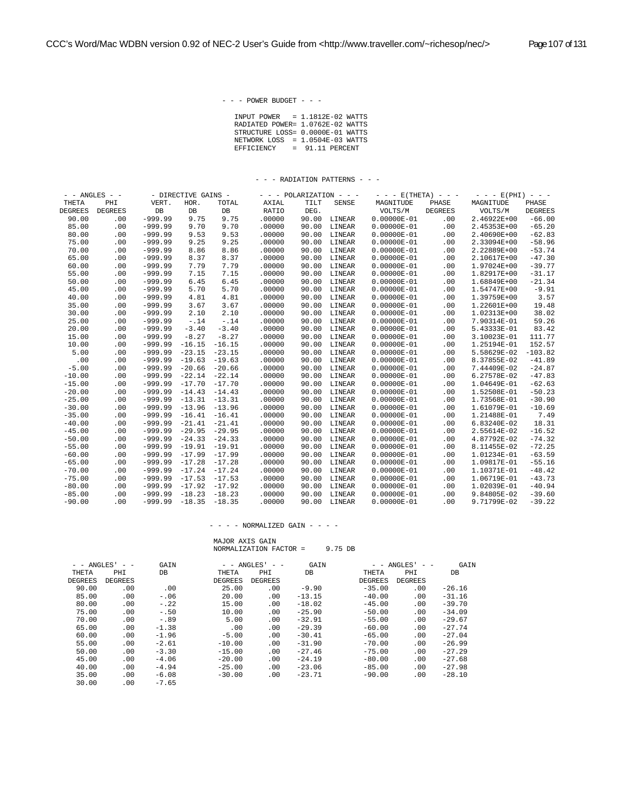- - - POWER BUDGET - - -

| TNPUT POWER $= 1.1812E-02$ watts |  |
|----------------------------------|--|
| RADIATED POWER= 1.0762E-02 WATTS |  |
| STRUCTURE LOSS= 0.0000E-01 WATTS |  |
| NETWORK LOSS = 1.0504E-03 WATTS  |  |
| $RFFTCIFNCY = 91.11 PRECENT$     |  |

- - - RADIATION PATTERNS - - -

| $-$ - ANGLES - $-$ |                | - DIRECTIVE GAINS - |          |          |              | $-$ - - POLARIZATION - - - |              | $- - - E(THETA) - - -$ |                | $- - - E(PHI) - - -$ |                |
|--------------------|----------------|---------------------|----------|----------|--------------|----------------------------|--------------|------------------------|----------------|----------------------|----------------|
| THETA              | PHI            | VERT.               | HOR.     | TOTAL    | AXIAL        | TILT                       | <b>SENSE</b> | MAGNITUDE              | PHASE          | MAGNITUDE            | PHASE          |
| <b>DEGREES</b>     | <b>DEGREES</b> | DB                  | DB       | DB       | <b>RATIO</b> | DEG.                       |              | VOLTS/M                | <b>DEGREES</b> | VOLTS/M              | <b>DEGREES</b> |
| 90.00              | .00            | $-999.99$           | 9.75     | 9.75     | .00000       | 90.00                      | LINEAR       | $0.00000E - 01$        | .00            | 2.46922E+00          | $-66.00$       |
| 85.00              | .00            | $-999.99$           | 9.70     | 9.70     | .00000       | 90.00                      | LINEAR       | $0.00000E - 01$        | .00            | 2.45353E+00          | $-65.20$       |
| 80.00              | .00            | $-999.99$           | 9.53     | 9.53     | .00000       | 90.00                      | LINEAR       | $0.00000E-01$          | .00            | 2.40690E+00          | $-62.83$       |
| 75.00              | .00            | $-999.99$           | 9.25     | 9.25     | .00000       | 90.00                      | LINEAR       | $0.00000E - 01$        | .00            | 2.33094E+00          | $-58.96$       |
| 70.00              | .00            | $-999.99$           | 8.86     | 8.86     | .00000       | 90.00                      | LINEAR       | $0.00000E - 01$        | .00            | 2.22889E+00          | $-53.74$       |
| 65.00              | .00            | $-999.99$           | 8.37     | 8.37     | .00000       | 90.00                      | LINEAR       | $0.00000E - 01$        | .00            | 2.10617E+00          | $-47.30$       |
| 60.00              | .00            | $-999.99$           | 7.79     | 7.79     | .00000       | 90.00                      | LINEAR       | $0.00000E - 01$        | .00            | 1.97024E+00          | $-39.77$       |
| 55.00              | .00            | $-999.99$           | 7.15     | 7.15     | .00000       | 90.00                      | LINEAR       | $0.00000E - 01$        | .00            | 1.82917E+00          | $-31.17$       |
| 50.00              | .00            | $-999.99$           | 6.45     | 6.45     | .00000       | 90.00                      | LINEAR       | $0.00000E - 01$        | .00            | 1.68849E+00          | $-21.34$       |
| 45.00              | .00            | $-999.99$           | 5.70     | 5.70     | .00000       | 90.00                      | LINEAR       | $0.00000E - 01$        | .00            | 1.54747E+00          | $-9.91$        |
| 40.00              | .00            | $-999.99$           | 4.81     | 4.81     | .00000       | 90.00                      | LINEAR       | $0.00000E - 01$        | .00            | 1.39759E+00          | 3.57           |
| 35.00              | .00            | $-999.99$           | 3.67     | 3.67     | .00000       | 90.00                      | LINEAR       | $0.00000E - 01$        | .00            | 1.22601E+00          | 19.48          |
| 30.00              | .00            | $-999.99$           | 2.10     | 2.10     | .00000       | 90.00                      | LINEAR       | $0.00000E - 01$        | .00            | 1.02313E+00          | 38.02          |
| 25.00              | .00            | $-999.99$           | $-.14$   | $-.14$   | .00000       | 90.00                      | LINEAR       | $0.00000E - 01$        | .00            | 7.90314E-01          | 59.26          |
| 20.00              | .00            | $-999.99$           | $-3.40$  | $-3.40$  | .00000       | 90.00                      | LINEAR       | $0.00000E - 01$        | .00            | 5.43333E-01          | 83.42          |
| 15.00              | .00            | $-999.99$           | $-8.27$  | $-8.27$  | .00000       | 90.00                      | LINEAR       | $0.00000E - 01$        | .00            | 3.10023E-01          | 111.77         |
| 10.00              | .00            | $-999.99$           | $-16.15$ | $-16.15$ | .00000       | 90.00                      | LINEAR       | $0.00000E - 01$        | .00            | 1.25194E-01          | 152.57         |
| 5.00               | .00            | $-999.99$           | $-23.15$ | $-23.15$ | .00000       | 90.00                      | LINEAR       | $0.00000E - 01$        | .00            | 5.58629E-02          | $-103.82$      |
| .00                | .00            | $-999.99$           | $-19.63$ | $-19.63$ | .00000       | 90.00                      | LINEAR       | $0.00000E - 01$        | .00            | 8.37855E-02          | $-41.89$       |
| $-5.00$            | .00            | $-999.99$           | $-20.66$ | $-20.66$ | .00000       | 90.00                      | LINEAR       | $0.00000E - 01$        | .00            | 7.44409E-02          | $-24.87$       |
| $-10.00$           | .00            | $-999.99$           | $-22.14$ | $-22.14$ | .00000       | 90.00                      | LINEAR       | $0.00000E - 01$        | .00            | 6.27578E-02          | $-47.83$       |
| $-15.00$           | .00            | $-999.99$           | $-17.70$ | $-17.70$ | .00000       | 90.00                      | LINEAR       | $0.00000E - 01$        | .00            | 1.04649E-01          | $-62.63$       |
| $-20.00$           | .00            | $-999.99$           | $-14.43$ | $-14.43$ | .00000       | 90.00                      | LINEAR       | $0.00000E - 01$        | .00            | 1.52508E-01          | $-50.23$       |
| $-25.00$           | .00            | $-999.99$           | $-13.31$ | $-13.31$ | .00000       | 90.00                      | LINEAR       | $0.00000E - 01$        | .00            | 1.73568E-01          | $-30.90$       |
| $-30.00$           | .00            | $-999.99$           | $-13.96$ | $-13.96$ | .00000       | 90.00                      | LINEAR       | $0.00000E - 01$        | .00            | 1.61079E-01          | $-10.69$       |
| $-35.00$           | .00            | $-999.99$           | $-16.41$ | $-16.41$ | .00000       | 90.00                      | LINEAR       | $0.00000E - 01$        | .00            | 1.21488E-01          | 7.49           |
| $-40.00$           | .00            | $-999.99$           | $-21.41$ | $-21.41$ | .00000       | 90.00                      | LINEAR       | $0.00000E - 01$        | .00            | 6.83240E-02          | 18.31          |
| $-45.00$           | .00            | $-999.99$           | $-29.95$ | $-29.95$ | .00000       | 90.00                      | LINEAR       | $0.00000E - 01$        | .00            | 2.55614E-02          | $-16.52$       |
| $-50.00$           | .00            | $-999.99$           | $-24.33$ | $-24.33$ | .00000       | 90.00                      | LINEAR       | $0.00000E - 01$        | .00            | 4.87792E-02          | $-74.32$       |
| $-55.00$           | .00            | $-999.99$           | $-19.91$ | $-19.91$ | .00000       | 90.00                      | LINEAR       | $0.00000E - 01$        | .00            | 8.11455E-02          | $-72.25$       |
| $-60.00$           | .00            | $-999.99$           | $-17.99$ | $-17.99$ | .00000       | 90.00                      | LINEAR       | $0.00000E-01$          | .00            | 1.01234E-01          | $-63.59$       |
| $-65.00$           | .00            | $-999.99$           | $-17.28$ | $-17.28$ | .00000       | 90.00                      | LINEAR       | $0.00000E - 01$        | .00            | 1.09817E-01          | $-55.16$       |
| $-70.00$           | .00            | $-999.99$           | $-17.24$ | $-17.24$ | .00000       | 90.00                      | LINEAR       | $0.00000E - 01$        | .00            | 1.10371E-01          | $-48.42$       |
| $-75.00$           | .00            | $-999.99$           | $-17.53$ | $-17.53$ | .00000       | 90.00                      | LINEAR       | $0.00000E - 01$        | .00            | 1.06719E-01          | $-43.73$       |
| $-80.00$           | .00            | $-999.99$           | $-17.92$ | $-17.92$ | .00000       | 90.00                      | LINEAR       | $0.00000E-01$          | .00            | 1.02039E-01          | $-40.94$       |
| $-85.00$           | .00            | $-999.99$           | $-18.23$ | $-18.23$ | .00000       | 90.00                      | LINEAR       | $0.00000E - 01$        | .00            | 9.84805E-02          | $-39.60$       |
| $-90.00$           | .00            | $-999.99$           | $-18.35$ | $-18.35$ | .00000       | 90.00                      | LINEAR       | $0.00000E - 01$        | .00            | 9.71799E-02          | $-39.22$       |

 $-$  - - - NORMALIZED GAIN - - - -

MAJOR AXIS GAIN NORMALIZATION FACTOR = 9.75 DB

| - - ANGLES'<br>$ -$ |                | GATN    | $ -$           | ANGLES'        | GAIN     | $ -$           | ANGLES'        |          |  |
|---------------------|----------------|---------|----------------|----------------|----------|----------------|----------------|----------|--|
| <b>THETA</b>        | PHI            | DB      | THETA          | PHT            | DB       | THETA          | PHI            | DB       |  |
| DEGREES             | <b>DEGREES</b> |         | <b>DEGREES</b> | <b>DEGREES</b> |          | <b>DEGREES</b> | <b>DEGREES</b> |          |  |
| 90.00               | .00            | .00     | 25.00          | .00            | $-9.90$  | $-35.00$       | .00            | $-26.16$ |  |
| 85.00               | .00            | $-.06$  | 20.00          | .00            | $-13.15$ | $-40.00$       | .00            | $-31.16$ |  |
| 80.00               | .00            | $-.22$  | 15.00          | .00            | $-18.02$ | $-45.00$       | .00            | $-39.70$ |  |
| 75.00               | .00            | $-.50$  | 10.00          | .00            | $-25.90$ | $-50.00$       | .00            | $-34.09$ |  |
| 70.00               | .00            | $-.89$  | 5.00           | .00            | $-32.91$ | $-55.00$       | .00            | $-29.67$ |  |
| 65.00               | .00            | $-1.38$ | .00            | .00            | $-29.39$ | $-60.00$       | .00.           | $-27.74$ |  |
| 60.00               | .00            | $-1.96$ | $-5.00$        | .00            | $-30.41$ | $-65.00$       | .00            | $-27.04$ |  |
| 55.00               | .00            | $-2.61$ | $-10.00$       | .00            | $-31.90$ | $-70.00$       | .00            | $-26.99$ |  |
| 50.00               | .00            | $-3.30$ | $-15.00$       | .00            | $-27.46$ | $-75.00$       | .00            | $-27.29$ |  |
| 45.00               | .00            | $-4.06$ | $-20.00$       | .00.           | $-24.19$ | $-80.00$       | .00.           | $-27.68$ |  |
| 40.00               | .00            | $-4.94$ | $-25.00$       | .00            | $-23.06$ | $-85.00$       | .00            | $-27.98$ |  |
| 35.00               | .00            | $-6.08$ | $-30.00$       | .00            | $-23.71$ | $-90.00$       | .00            | $-28.10$ |  |
| 30.00               | .00            | $-7.65$ |                |                |          |                |                |          |  |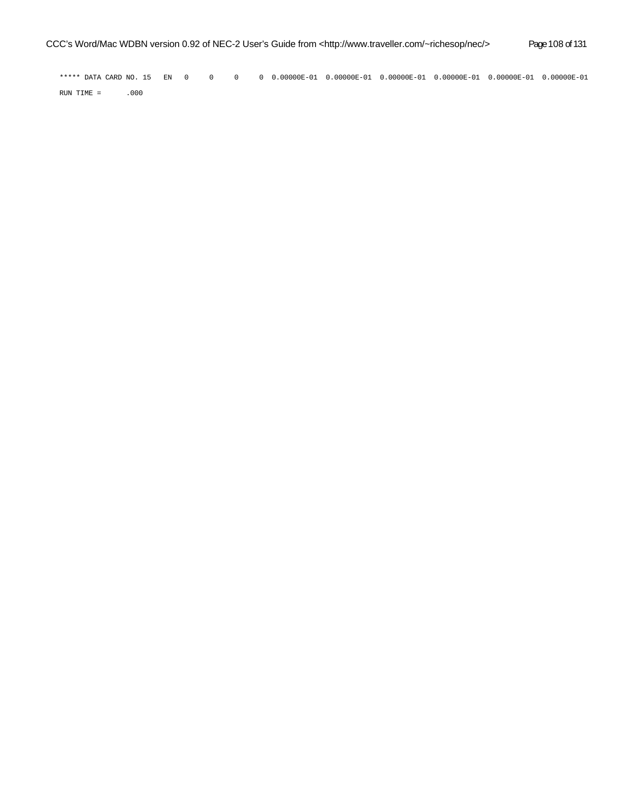\*\*\*\*\* DATA CARD NO. 15 EN 0 0 0 0 0.00000E-01 0.00000E-01 0.00000E-01 0.00000E-01 0.00000E-01 0.00000E-01 RUN TIME  $=$  .000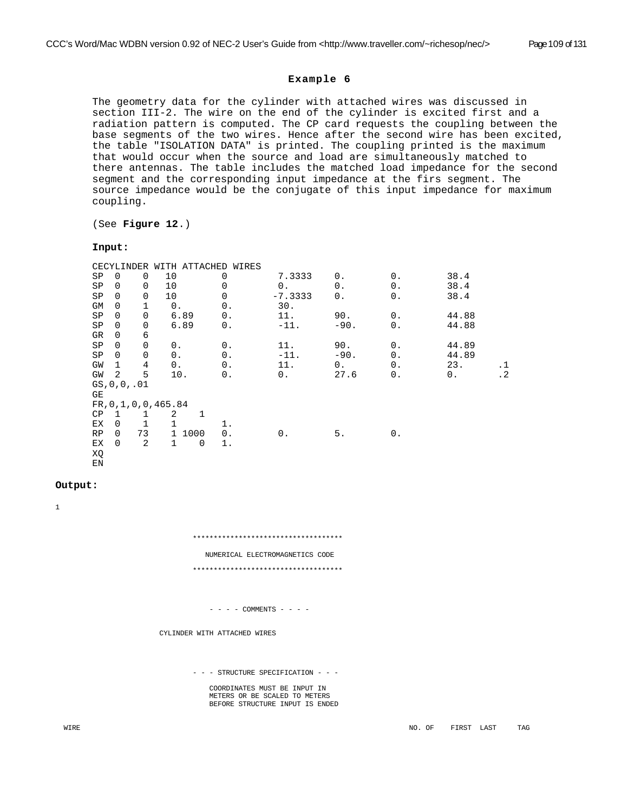## **Example 6**

The geometry data for the cylinder with attached wires was discussed in section III-2. The wire on the end of the cylinder is excited first and a radiation pattern is computed. The CP card requests the coupling between the base segments of the two wires. Hence after the second wire has been excited, the table "ISOLATION DATA" is printed. The coupling printed is the maximum that would occur when the source and load are simultaneously matched to there antennas. The table includes the matched load impedance for the second segment and the corresponding input impedance at the firs segment. The source impedance would be the conjugate of this input impedance for maximum coupling.

(See **Figure 12**.)

#### **Input:**

|     |              | CECYLINDER    | WITH ATTACHED          | WIRES       |           |        |    |       |     |
|-----|--------------|---------------|------------------------|-------------|-----------|--------|----|-------|-----|
| SP. | $\Omega$     | 0             | 10                     | $\Omega$    | 7.3333    | 0.     | 0. | 38.4  |     |
| SP  | $\Omega$     | 0             | 10                     | 0           | 0.        | 0.     | 0. | 38.4  |     |
| SP  | $\mathbf 0$  | $\mathbf 0$   | 10                     | $\mathbf 0$ | $-7.3333$ | 0.     | 0. | 38.4  |     |
| GМ  | $\Omega$     | 1             | 0.                     | 0.          | 30.       |        |    |       |     |
| SP  | 0            | $\mathbf 0$   | 6.89                   | 0.          | 11.       | 90.    | 0. | 44.88 |     |
| SP  | 0            | 0             | 6.89                   | 0.          | $-11.$    | $-90.$ | 0. | 44.88 |     |
| GR  | 0            | 6             |                        |             |           |        |    |       |     |
| SP  | 0            | 0             | 0.                     | 0.          | 11.       | 90.    | 0. | 44.89 |     |
| SP  | 0            | 0             | 0.                     | 0.          | $-11.$    | $-90.$ | 0. | 44.89 |     |
| GM  | 1            | 4             | 0.                     | 0.          | 11.       | 0.     | 0. | 23.   | .1  |
| GM  | 2            | 5             | 10.                    | 0.          | 0.        | 27.6   | 0. | 0.    | . 2 |
|     |              | GS, 0, 0, .01 |                        |             |           |        |    |       |     |
| GE  |              |               |                        |             |           |        |    |       |     |
|     |              |               | FR, 0, 1, 0, 0, 465.84 |             |           |        |    |       |     |
| CP  | $\mathbf{1}$ | 1             | $\mathbf{1}$<br>2      |             |           |        |    |       |     |
| ЕX  | $\Omega$     | 1             | 1                      | $1$ .       |           |        |    |       |     |
| RP  | 0            | 73            | 1 1000                 | 0.          | 0.        | 5.     | 0. |       |     |
| ЕX  | $\Omega$     | 2             | 1<br>0                 | 1.          |           |        |    |       |     |
| XQ  |              |               |                        |             |           |        |    |       |     |

#### **Output:**

EN

1

 \*\*\*\*\*\*\*\*\*\*\*\*\*\*\*\*\*\*\*\*\*\*\*\*\*\*\*\*\*\*\*\*\*\*\*\* NUMERICAL ELECTROMAGNETICS CODE \*\*\*\*\*\*\*\*\*\*\*\*\*\*\*\*\*\*\*\*\*\*\*\*\*\*\*\*\*\*\*\*\*\*\*\*

 $- - - -$  COMMENTS  $- - -$ 

CYLINDER WITH ATTACHED WIRES

- - - STRUCTURE SPECIFICATION - - -

 COORDINATES MUST BE INPUT IN METERS OR BE SCALED TO METERS BEFORE STRUCTURE INPUT IS ENDED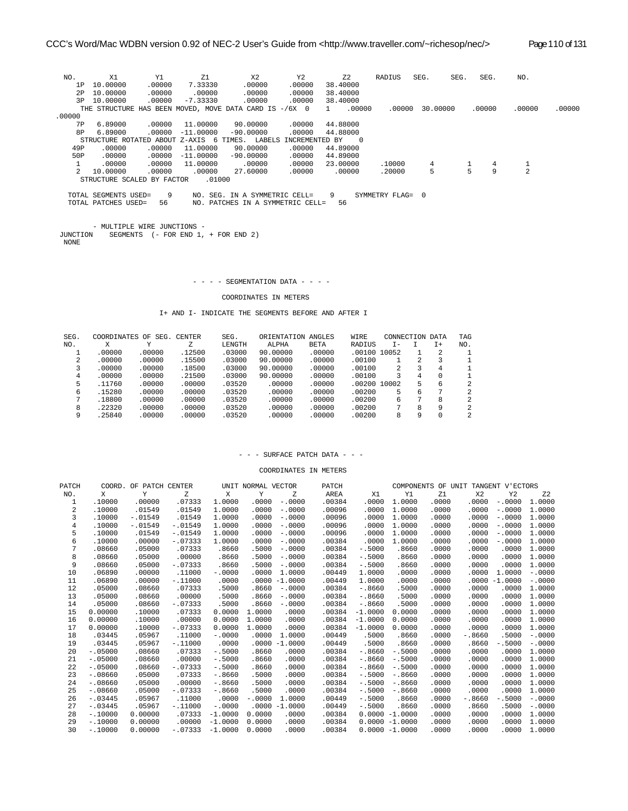| NO.    | X1                         | Y1     | Z1                    | X <sub>2</sub>                                         | Y <sub>2</sub> | Z <sub>2</sub>         | RADIUS | SEG.     | SEG. | SEG.   | NO.    |        |
|--------|----------------------------|--------|-----------------------|--------------------------------------------------------|----------------|------------------------|--------|----------|------|--------|--------|--------|
| 1P     | 10.00000                   | .00000 | 7.33330               | .00000                                                 | .00000         | 38,40000               |        |          |      |        |        |        |
| 2P     | 10.00000                   | .00000 | .00000                | .00000                                                 | .00000         | 38,40000               |        |          |      |        |        |        |
| 3P     | 10.00000                   | .00000 | $-7.33330$            | .00000                                                 | .00000         | 38,40000               |        |          |      |        |        |        |
|        |                            |        |                       | THE STRUCTURE HAS BEEN MOVED, MOVE DATA CARD IS -/6X 0 |                | .00000<br>$\mathbf{1}$ | .00000 | 30,00000 |      | .00000 | .00000 | .00000 |
| .00000 |                            |        |                       |                                                        |                |                        |        |          |      |        |        |        |
| 7P     | 6.89000                    | .00000 | 11,00000              | 90.00000                                               | .00000         | 44.88000               |        |          |      |        |        |        |
| 8P     | 6.89000                    | .00000 | $-11.00000$           | $-90.00000$                                            | .00000         | 44.88000               |        |          |      |        |        |        |
|        | STRUCTURE ROTATED          |        | ABOUT Z-AXIS 6 TIMES. | <b>LABELS</b>                                          | INCREMENTED BY | $\bigcirc$             |        |          |      |        |        |        |
| 49P    | .00000                     | .00000 | 11,00000              | 90.00000                                               | .00000         | 44.89000               |        |          |      |        |        |        |
| 50P    | .00000                     | .00000 | $-11.00000$           | $-90.00000$                                            | .00000         | 44.89000               |        |          |      |        |        |        |
|        | .00000                     | .00000 | 11,00000              | .00000                                                 | .00000         | 23,00000               | .10000 | 4        |      | 4      |        |        |
|        | 10.00000                   | .00000 | .00000                | 27.60000                                               | .00000         | .00000                 | .20000 | 5        |      | 5<br>9 | 2      |        |
|        | STRUCTURE SCALED BY FACTOR |        | .01000                |                                                        |                |                        |        |          |      |        |        |        |
|        |                            |        |                       |                                                        |                |                        |        |          |      |        |        |        |

TOTAL SEGMENTS USED= 9 NO. SEG. IN A SYMMETRIC CELL= 9 SYMMETRY FLAG= 0 TOTAL PATCHES USED= 56 NO. PATCHES IN A SYMMETRIC CELL= 56

 - MULTIPLE WIRE JUNCTIONS - JUNCTION SEGMENTS (- FOR END 1, + FOR END 2) NONE

 $-$  - - SEGMENTATION DATA - - - -

#### COORDINATES IN METERS

I+ AND I- INDICATE THE SEGMENTS BEFORE AND AFTER I

| SEG.          | COORDINATES OF | SEG.   | CENTER | SEG.          | ORIENTATION | ANGLES      | WIRE         |       | CONNECTION DATA |       | TAG           |
|---------------|----------------|--------|--------|---------------|-------------|-------------|--------------|-------|-----------------|-------|---------------|
| NO.           | Х              | τz     | 7.     | <b>LENGTH</b> | ALPHA       | <b>BETA</b> | RADIUS       | $T -$ |                 | $T +$ | NO.           |
|               | .00000         | .00000 | .12500 | .03000        | 90.00000    | .00000      | .00100 10052 |       |                 |       |               |
| $\mathcal{L}$ | .00000         | .00000 | .15500 | .03000        | 90.00000    | .00000      | .00100       |       |                 |       |               |
|               | .00000         | .00000 | .18500 | .03000        | 90.00000    | .00000      | .00100       | 2.    |                 | 4     |               |
| 4             | .00000         | .00000 | .21500 | .03000        | 90.00000    | .00000      | .00100       | ς     |                 |       |               |
| 5.            | .11760         | .00000 | .00000 | .03520        | .00000      | .00000      | .00200 10002 |       | 5               | 6     | $\mathcal{L}$ |
| 6             | .15280         | .00000 | .00000 | .03520        | .00000      | .00000      | .00200       | 5.    |                 |       | $\mathcal{L}$ |
| 7             | .18800         | .00000 | .00000 | .03520        | .00000      | .00000      | .00200       | 6     |                 | 8     | $\mathcal{L}$ |
| 8             | .22320         | .00000 | .00000 | .03520        | .00000      | .00000      | .00200       |       | 8               | 9     | $\mathcal{L}$ |
| 9             | .25840         | .00000 | .00000 | .03520        | .00000      | .00000      | .00200       | 8     | q               |       | $\mathcal{L}$ |

#### $-$  -  $-$  SURFACE PATCH DATA -  $-$

#### COORDINATES IN METERS

| PATCH | COORD.    | OF        | PATCH CENTER |           | UNIT NORMAL VECTOR |                  | PATCH  |           | COMPONENTS        | OF UNIT |                | TANGENT V'ECTORS |                |
|-------|-----------|-----------|--------------|-----------|--------------------|------------------|--------|-----------|-------------------|---------|----------------|------------------|----------------|
| NO.   | X         | Υ         | Ζ            | X         | Y                  | Z                | AREA   | X1        | Y1                | Z1      | X <sub>2</sub> | Y <sub>2</sub>   | Z <sub>2</sub> |
| 1     | .10000    | .00000    | .07333       | 1,0000    | .0000              | $-.0000$         | .00384 | .0000     | 1,0000            | .0000   | .0000          | $-.0000$         | 1,0000         |
| 2     | .10000    | .01549    | .01549       | 1,0000    | .0000              | $-.0000$         | .00096 | .0000     | 1,0000            | .0000   | .0000          | $-.0000$         | 1,0000         |
| 3     | .10000    | $-.01549$ | .01549       | 1,0000    | .0000              | $-.0000$         | .00096 | .0000     | 1,0000            | .0000   | .0000          | $-.0000$         | 1,0000         |
| 4     | .10000    | $-.01549$ | $-.01549$    | 1,0000    | .0000              | $-.0000$         | .00096 | .0000     | 1,0000            | .0000   | .0000          | $-.0000$         | 1,0000         |
| 5     | .10000    | .01549    | $-.01549$    | 1,0000    | .0000              | $-.0000$         | .00096 | .0000     | 1,0000            | .0000   | .0000          | $-.0000$         | 1,0000         |
| 6     | .10000    | .00000    | $-.07333$    | 1,0000    | .0000              | $-.0000$         | .00384 | .0000     | 1,0000            | .0000   | .0000          | $-.0000$         | 1,0000         |
|       | .08660    | .05000    | .07333       | .8660     | .5000              | $-.0000$         | .00384 | $-15000$  | .8660             | .0000   | .0000          | .0000            | 1.0000         |
| 8     | .08660    | .05000    | .00000       | .8660     | .5000              | $-.0000$         | .00384 | $-15000$  | .8660             | .0000   | .0000          | .0000            | 1,0000         |
| 9     | .08660    | .05000    | $-.07333$    | .8660     | .5000              | $-.0000$         | .00384 | $-15000$  | .8660             | .0000   | .0000          | .0000            | 1,0000         |
| 10    | .06890    | .00000    | .11000       | $-.0000$  | .0000              | 1,0000           | .00449 | 1,0000    | .0000             | .0000   | .0000          | 1,0000           | $-10000$       |
| 11    | .06890    | .00000    | $-.11000$    | .0000     |                    | $.0000 - 1.0000$ | .00449 | 1,0000    | .0000             | .0000   |                | $.0000 - 1.0000$ | $-.0000$       |
| 12    | .05000    | .08660    | .07333       | .5000     | .8660              | $-10000$         | .00384 | $-.8660$  | .5000             | .0000   | .0000          | .0000            | 1,0000         |
| 13    | .05000    | .08660    | .00000       | .5000     | .8660              | $-.0000$         | .00384 | $-0.8660$ | .5000             | .0000   | .0000          | .0000            | 1,0000         |
| 14    | .05000    | .08660    | $-.07333$    | .5000     | .8660              | $-.0000$         | .00384 | $-0.8660$ | .5000             | .0000   | .0000          | .0000            | 1,0000         |
| 15    | 0.00000   | .10000    | .07333       | 0.0000    | 1,0000             | .0000            | .00384 | $-1.0000$ | 0.0000            | .0000   | .0000          | .0000            | 1,0000         |
| 16    | 0.00000   | .10000    | .00000       | 0.0000    | 1,0000             | .0000            | .00384 | $-1.0000$ | 0.0000            | .0000   | .0000          | .0000            | 1,0000         |
| 17    | 0.00000   | .10000    | $-.07333$    | 0.0000    | 1,0000             | .0000            | .00384 | $-1.0000$ | 0.0000            | .0000   | .0000          | .0000            | 1,0000         |
| 18    | .03445    | .05967    | .11000       | $-0000$   | .0000              | 1,0000           | .00449 | .5000     | .8660             | .0000   | $-.8660$       | .5000            | $-10000$       |
| 19    | .03445    | .05967    | $-.11000$    | .0000     |                    | $.0000 - 1.0000$ | .00449 | .5000     | .8660             | .0000   | .8660          | $-.5000$         | $-10000$       |
| 20    | $-.05000$ | .08660    | .07333       | $-.5000$  | .8660              | .0000            | .00384 | $-.8660$  | $-.5000$          | .0000   | .0000          | .0000            | 1.0000         |
| 21    | $-.05000$ | .08660    | .00000       | $-.5000$  | .8660              | .0000            | .00384 | $-0.8660$ | $-.5000$          | .0000   | .0000          | .0000            | 1,0000         |
| 22    | $-.05000$ | .08660    | $-.07333$    | $-.5000$  | .8660              | .0000            | .00384 | $-0.8660$ | $-.5000$          | .0000   | .0000          | .0000            | 1,0000         |
| 23    | $-.08660$ | .05000    | .07333       | $-.8660$  | .5000              | .0000            | .00384 | $-15000$  | $-.8660$          | .0000   | .0000          | .0000            | 1,0000         |
| 24    | $-.08660$ | .05000    | .00000       | $-.8660$  | .5000              | .0000            | .00384 | $-15000$  | $-.8660$          | .0000   | .0000          | .0000            | 1,0000         |
| 25    | $-.08660$ | .05000    | $-.07333$    | $-.8660$  | .5000              | .0000            | .00384 | $-15000$  | $-.8660$          | .0000   | .0000          | .0000            | 1,0000         |
| 26    | $-0.3445$ | .05967    | .11000       | .0000     | $-.0000$           | 1,0000           | .00449 | $-.5000$  | .8660             | .0000   | $-.8660$       | $-15000$         | $-10000$       |
| 27    | $-0.3445$ | .05967    | $-.11000$    | $-.0000$  |                    | $.0000 - 1.0000$ | .00449 | $-15000$  | .8660             | .0000   | .8660          | .5000            | $-10000$       |
| 28    | $-.10000$ | 0.00000   | .07333       | $-1.0000$ | 0.0000             | .0000            | .00384 |           | $0.0000 - 1.0000$ | .0000   | .0000          | .0000            | 1,0000         |
| 29    | $-.10000$ | 0.00000   | .00000       | $-1.0000$ | 0.0000             | .0000            | .00384 |           | $0.0000 - 1.0000$ | .0000   | .0000          | .0000            | 1,0000         |
| 30    | $-.10000$ | 0.00000   | $-.07333$    | $-1.0000$ | 0.0000             | .0000            | .00384 |           | $0.0000 - 1.0000$ | .0000   | .0000          | .0000            | 1,0000         |
|       |           |           |              |           |                    |                  |        |           |                   |         |                |                  |                |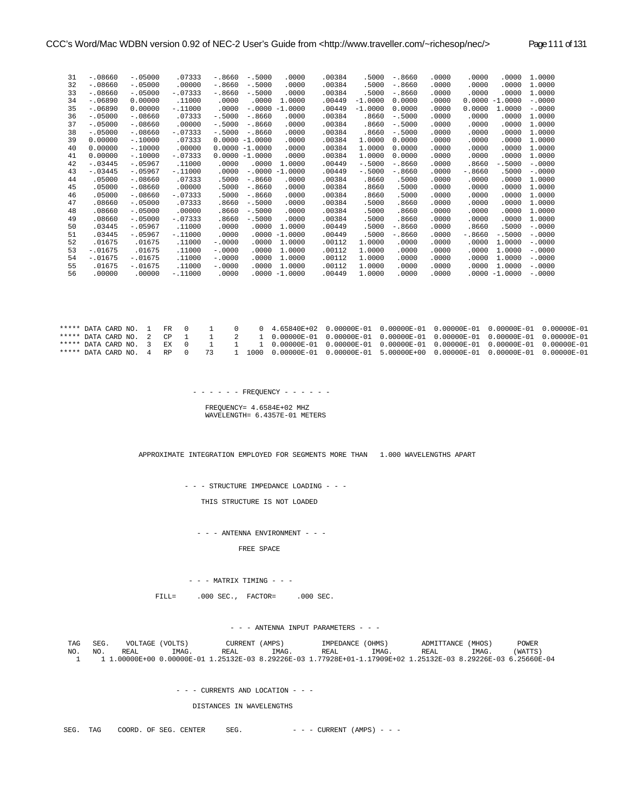| 31 | $-.08660$ | $-.05000$ | .07333    | $-.8660$ | $-.5000$          | .0000     | .00384 | .5000     | $-.8660$ | .0000 | .0000    | .0000            | 1,0000   |
|----|-----------|-----------|-----------|----------|-------------------|-----------|--------|-----------|----------|-------|----------|------------------|----------|
| 32 | $-.08660$ | $-.05000$ | .00000    | $-.8660$ | $-.5000$          | .0000     | .00384 | .5000     | $-.8660$ | .0000 | .0000    | .0000            | 1,0000   |
| 33 | $-.08660$ | $-.05000$ | $-.07333$ | $-.8660$ | $-.5000$          | .0000     | .00384 | .5000     | $-.8660$ | .0000 | .0000    | .0000            | 1,0000   |
| 34 | $-.06890$ | 0.00000   | .11000    | .0000    | .0000             | 1,0000    | .00449 | $-1.0000$ | 0.0000   | .0000 | 0.0000   | $-1.0000$        | $-.0000$ |
| 35 | $-.06890$ | 0.00000   | $-.11000$ | .0000    | $-.0000$          | $-1.0000$ | .00449 | $-1.0000$ | 0.0000   | .0000 | 0.0000   | 1,0000           | $-.0000$ |
| 36 | $-.05000$ | $-.08660$ | .07333    | $-.5000$ | $-.8660$          | .0000     | .00384 | .8660     | $-.5000$ | .0000 | .0000    | .0000            | 1,0000   |
| 37 | $-.05000$ | $-.08660$ | .00000    | $-.5000$ | $-.8660$          | .0000     | .00384 | .8660     | $-.5000$ | .0000 | .0000    | .0000            | 1,0000   |
| 38 | $-.05000$ | $-.08660$ | $-.07333$ | $-.5000$ | $-.8660$          | .0000     | .00384 | .8660     | $-.5000$ | .0000 | .0000    | .0000            | 1,0000   |
| 39 | 0.00000   | $-.10000$ | .07333    |          | $0.0000 - 1.0000$ | .0000     | .00384 | 1,0000    | 0.0000   | .0000 | .0000    | .0000            | 1,0000   |
| 40 | 0.00000   | $-.10000$ | .00000    |          | $0.0000 - 1.0000$ | .0000     | .00384 | 1,0000    | 0.0000   | .0000 | .0000    | .0000            | 1.0000   |
| 41 | 0.00000   | $-.10000$ | $-.07333$ |          | $0.0000 - 1.0000$ | .0000     | .00384 | 1,0000    | 0.0000   | .0000 | .0000    | .0000            | 1.0000   |
| 42 | $-.03445$ | $-.05967$ | .11000    | .0000    | .0000             | 1,0000    | .00449 | $-15000$  | $-.8660$ | .0000 | .8660    | $-.5000$         | $-.0000$ |
| 43 | $-.03445$ | $-.05967$ | $-.11000$ | .0000    | $-.0000$          | $-1.0000$ | .00449 | $-.5000$  | $-.8660$ | .0000 | $-.8660$ | .5000            | $-.0000$ |
| 44 | .05000    | $-.08660$ | .07333    | .5000    | $-.8660$          | .0000     | .00384 | .8660     | .5000    | .0000 | .0000    | .0000            | 1,0000   |
| 45 | .05000    | $-.08660$ | .00000    | .5000    | $-.8660$          | .0000     | .00384 | .8660     | .5000    | .0000 | .0000    | .0000            | 1.0000   |
| 46 | .05000    | $-.08660$ | $-.07333$ | .5000    | $-.8660$          | .0000     | .00384 | .8660     | .5000    | .0000 | .0000    | .0000            | 1,0000   |
| 47 | .08660    | $-.05000$ | .07333    | .8660    | $-.5000$          | .0000     | .00384 | .5000     | .8660    | .0000 | .0000    | .0000            | 1.0000   |
| 48 | .08660    | $-.05000$ | .00000    | .8660    | $-.5000$          | .0000     | .00384 | .5000     | .8660    | .0000 | .0000    | .0000            | 1,0000   |
| 49 | .08660    | $-.05000$ | $-.07333$ | .8660    | $-.5000$          | .0000     | .00384 | .5000     | .8660    | .0000 | .0000    | .0000            | 1.0000   |
| 50 | .03445    | $-.05967$ | .11000    | .0000    | .0000             | 1,0000    | .00449 | .5000     | $-.8660$ | .0000 | .8660    | .5000            | $-.0000$ |
| 51 | .03445    | $-.05967$ | $-.11000$ | .0000    | .0000             | $-1.0000$ | .00449 | .5000     | $-.8660$ | .0000 | $-.8660$ | $-.5000$         | $-.0000$ |
| 52 | .01675    | .01675    | .11000    | $-.0000$ | .0000             | 1,0000    | .00112 | 1,0000    | .0000    | .0000 | .0000    | 1,0000           | $-.0000$ |
| 53 | $-.01675$ | .01675    | .11000    | $-.0000$ | .0000             | 1,0000    | .00112 | 1,0000    | .0000    | .0000 | .0000    | 1,0000           | $-.0000$ |
| 54 | $-.01675$ | $-.01675$ | .11000    | $-.0000$ | .0000             | 1,0000    | .00112 | 1,0000    | .0000    | .0000 | .0000    | 1,0000           | $-.0000$ |
| 55 | .01675    | $-.01675$ | .11000    | $-.0000$ | .0000             | 1.0000    | .00112 | 1,0000    | .0000    | .0000 | .0000    | 1,0000           | $-.0000$ |
| 56 | .00000    | .00000    | $-.11000$ | .0000    | .0000             | $-1.0000$ | .00449 | 1,0000    | .0000    | .0000 |          | $.0000 - 1.0000$ | $-.0000$ |

|  |  |  |  |  |  | ***** DATA CARD NO. 1 FR 0 1 0 0 4.65840E+02 0.00000E-01 0.00000E-01 0.00000E-01 0.0000E-01 0.00000E-01      |  |  |
|--|--|--|--|--|--|--------------------------------------------------------------------------------------------------------------|--|--|
|  |  |  |  |  |  | ***** DATA CARD NO. 2 CP 1 1 2 1 0.00000E-01 0.00000E-01 0.00000E-01 0.00000E-01 0.00000E-01 0.00000E-01     |  |  |
|  |  |  |  |  |  | ***** DATA CARD NO. 3 EX 0 1 1 1 0.00000E-01 0.00000E-01 0.00000E-01 0.00000E-01 0.00000E-01 0.00000E-01     |  |  |
|  |  |  |  |  |  | ***** DATA CARD NO. 4 RP 0 73 1 1000 0.00000E-01 0.00000E-01 5.00000E+00 0.00000E-01 0.00000E-01 0.00000E-01 |  |  |
|  |  |  |  |  |  |                                                                                                              |  |  |

 $-$  - - - - FREQUENCY - - - - - -

 FREQUENCY= 4.6584E+02 MHZ WAVELENGTH= 6.4357E-01 METERS

APPROXIMATE INTEGRATION EMPLOYED FOR SEGMENTS MORE THAN 1.000 WAVELENGTHS APART

 $-$  -  $\,$  STRUCTURE IMPEDANCE LOADING  $\,$  -  $\,$  -  $\,$ 

THIS STRUCTURE IS NOT LOADED

 $-$  - - ANTENNA ENVIRONMENT - - -

FREE SPACE

#### - - - MATRIX TIMING - - -

 $\textrm{FILL} = \qquad \textrm{.000} \ \textrm{SEC.} \, , \quad \textrm{FACTOR} = \qquad \quad \textrm{.000} \ \ \textrm{SEC.}$ 

 $-$  -  $-$  ANTENNA INPUT PARAMETERS  $-$  -  $-$ 

| TAG | SEG. | VOLTAGE | (VOLTS) | CURRENT | (AMPS) | IMPEDANCE (OHMS)                                                                                              |       | ADMITTANCE | (MHOS) | POWER   |
|-----|------|---------|---------|---------|--------|---------------------------------------------------------------------------------------------------------------|-------|------------|--------|---------|
| NΟ  | NO.  | REAL    | TMAG.   | REAL    | "MAG.  | REAL                                                                                                          | TMAG. | REAL       | IMAG.  | (WATTS) |
|     |      |         |         |         |        | 1 1.00000E+00 0.00000E-01 1.25132E-03 8.29226E-03 1.77928E+01-1.17909E+02 1.25132E-03 8.29226E-03 6.25660E-04 |       |            |        |         |

 $- -$  - CURRENTS AND LOCATION  $- -$ 

DISTANCES IN WAVELENGTHS

SEG. TAG COORD. OF SEG. CENTER SEG.  $- - -$  CURRENT (AMPS) - -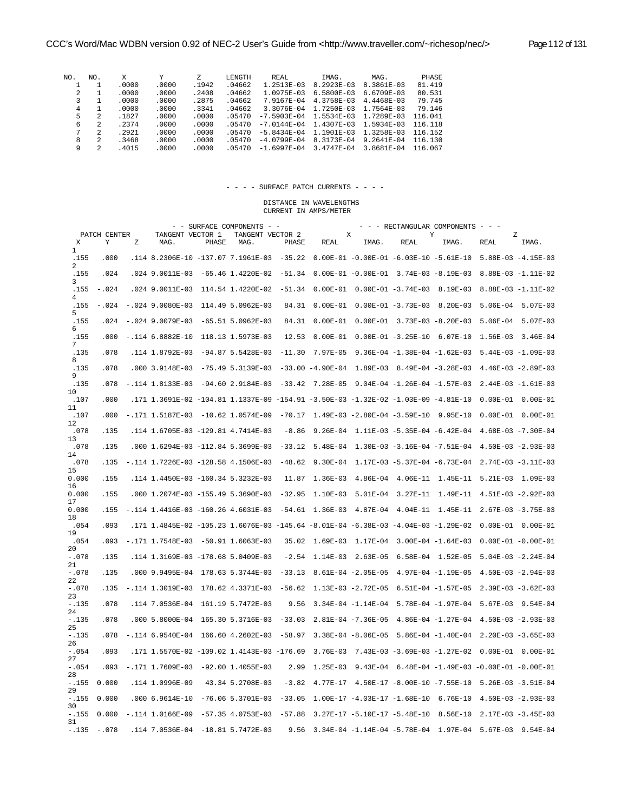| NO. | NO.            | x      | Υ      | Z.     | LENGTH | REAL            | IMAG.          | MAG.           | PHASE   |
|-----|----------------|--------|--------|--------|--------|-----------------|----------------|----------------|---------|
|     |                | .0000  | .0000  | .1942  | .04662 | $1.2513E - 03$  | 8.2923E-03     | 8.3861E-03     | 81.419  |
| 2   | 1              | .0000. | .0000  | .2408  | .04662 | 1.0975E-03      | 6.5800E-03     | $6.6709E - 03$ | 80.531  |
| 3   | $\mathbf{1}$   | .0000. | .0000. | .2875  | .04662 | 7.9167E-04      | 4.3758E-03     | $4.4468E - 03$ | 79.745  |
| 4   |                | .0000  | .0000  | .3341  | .04662 | 3.3076E-04      | 1.7250E-03     | 1.7564E-03     | 79.146  |
| 5   | 2              | .1827  | .0000. | .0000  | .05470 | $-7.5903E - 04$ | $1.5534E - 03$ | 1.7289E-03     | 116.041 |
| 6   | 2              | . 2374 | .0000  | .0000  | .05470 | $-7.0144E - 04$ | 1.4307E-03     | $1.5934E - 03$ | 116.118 |
| 7   | $\mathfrak{D}$ | . 2921 | .0000  | .0000. | .05470 | $-5.8434E - 04$ | $1.1901E - 03$ | 1.3258E-03     | 116.152 |
| 8   | 2              | .3468  | .0000  | .0000  | .05470 | $-4.0799E - 04$ | 8.3173E-04     | $9.2641E - 04$ | 116.130 |
| 9   | 2              | .4015  | .0000  | .0000  | .05470 | $-1.6997E - 04$ | 3.4747E-04     | $3.8681E - 04$ | 116.067 |
|     |                |        |        |        |        |                 |                |                |         |

#### $-$  - - SURFACE PATCH CURRENTS - - - -

# DISTANCE IN WAVELENGTHS CURRENT IN AMPS/METER

|               |                   |   |                          |       | - - SURFACE COMPONENTS - -                                                                           |          |                       |                               |                               | - - - RECTANGULAR COMPONENTS                                            |                    |                       |
|---------------|-------------------|---|--------------------------|-------|------------------------------------------------------------------------------------------------------|----------|-----------------------|-------------------------------|-------------------------------|-------------------------------------------------------------------------|--------------------|-----------------------|
| X<br>1        | PATCH CENTER<br>Y | Z | TANGENT VECTOR 1<br>MAG. | PHASE | TANGENT VECTOR 2<br>MAG.                                                                             | PHASE    | <b>REAL</b>           | X<br>IMAG.                    | <b>REAL</b>                   | Y<br>IMAG.                                                              | <b>REAL</b>        | $Z_{\rm i}$<br>IMAG.  |
| .155<br>2     | .000              |   |                          |       | .114 8.2306E-10 -137.07 7.1961E-03                                                                   | $-35.22$ |                       |                               |                               | $0.00E-01 - 0.00E-01 - 6.03E-10 -5.61E-10 5.88E-03 -4.15E-03$           |                    |                       |
| .155          | .024              |   |                          |       | .024 9.0011E-03 -65.46 1.4220E-02                                                                    | -51.34   |                       |                               |                               | $0.00E-01 - 0.00E-01$ 3.74 $E-03$ -8.19 $E-03$ 8.88 $E-03$ -1.11 $E-02$ |                    |                       |
| 3<br>.155     | $-.024$           |   | .024 9.0011E-03          |       | 114.54 1.4220E-02                                                                                    | $-51.34$ | $0.00E-01$            |                               | $0.00E-01 -3.74E-03 8.19E-03$ |                                                                         |                    | 8.88E-03 -1.11E-02    |
| 4<br>.155     | $-.024$           |   | $-.024$ 9.0080E-03       |       | 114.49 5.0962E-03                                                                                    | 84.31    | $0.00E-01$            |                               | $0.00E-01 -3.73E-03$ 8.20E-03 |                                                                         |                    | 5.06E-04 5.07E-03     |
| 5<br>.155     | .024              |   | $-.024$ 9.0079E-03       |       | $-65.51$ 5.0962E-03                                                                                  | 84.31    | $0.00E-01$            |                               |                               | $0.00E-01$ 3.73E-03 -8.20E-03                                           |                    | 5.06E-04 5.07E-03     |
| 6<br>.155     | .000              |   |                          |       | $-.114$ 6.8882E-10 118.13 1.5973E-03                                                                 | 12.53    | $0.00E-01$            |                               |                               | $0.00E-01 -3.25E-10 6.07E-10$                                           |                    | $1.56E-03$ 3.46E-04   |
| 7<br>.135     | .078              |   | .114 1.8792E-03          |       | -94.87 5.5428E-03                                                                                    | $-11.30$ | 7.97E-05              |                               |                               | $9.36E-04 -1.38E-04 -1.62E-03$                                          | 5.44E-03 -1.09E-03 |                       |
| 8<br>.135     | .078              |   |                          |       | .000 3.9148E-03 -75.49 5.3139E-03                                                                    |          | $-33.00 - 4.90E - 04$ |                               |                               | 1.89E-03 8.49E-04 -3.28E-03                                             |                    | $4.46E-03 -2.89E-03$  |
| 9<br>.135     | .078              |   |                          |       | $-.114$ 1.8133E-03 -94.60 2.9184E-03 -33.42 7.28E-05 9.04E-04 -1.26E-04 -1.57E-03                    |          |                       |                               |                               |                                                                         |                    | 2.44E-03 -1.61E-03    |
| 10<br>.107    | .000              |   |                          |       | .171 1.3691E-02 -104.81 1.1337E-09 -154.91 -3.50E-03 -1.32E-02 -1.03E-09 -4.81E-10                   |          |                       |                               |                               |                                                                         |                    | $0.00E-01$ 0.00E-01   |
| 11<br>.107    | .000              |   |                          |       | $-171$ 1.5187E-03 -10.62 1.0574E-09 -70.17 1.49E-03 -2.80E-04 -3.59E-10 9.95E-10                     |          |                       |                               |                               |                                                                         |                    | $0.00E-01$ $0.00E-01$ |
| 12<br>.078    | .135              |   |                          |       | .114 1.6705E-03 -129.81 4.7414E-03                                                                   |          |                       |                               |                               | $-8.86$ 9.26E-04 1.11E-03 $-5.35E-04$ $-6.42E-04$                       |                    | $4.68E-03 -7.30E-04$  |
| 13<br>.078    | .135              |   |                          |       | .000 1.6294E-03 -112.84 5.3699E-03                                                                   |          | $-33.12$ 5.48E-04     |                               | 1.30E-03 -3.16E-04 -7.51E-04  |                                                                         |                    | $4.50E-03 -2.93E-03$  |
| 14<br>.078    | .135              |   |                          |       | $-.114$ 1.7226E-03 -128.58 4.1506E-03                                                                |          | $-48.62$ 9.30E-04     |                               |                               | $1.17E-03$ -5.37E-04 -6.73E-04 2.74E-03 -3.11E-03                       |                    |                       |
| 15<br>0.000   | .155              |   |                          |       | .114 1.4450E-03 -160.34 5.3232E-03                                                                   |          | 11.87 1.36E-03        |                               |                               | 4.86E-04  4.06E-11  1.45E-11  5.21E-03  1.09E-03                        |                    |                       |
| 16<br>0.000   | .155              |   |                          |       | .000 1.2074E-03 -155.49 5.3690E-03                                                                   |          |                       |                               |                               | $-32.95$ 1.10E-03 5.01E-04 3.27E-11 1.49E-11 4.51E-03 -2.92E-03         |                    |                       |
| 17<br>0.000   | .155              |   |                          |       | $-.114$ 1.4416E-03 -160.26 4.6031E-03 -54.61 1.36E-03                                                |          |                       |                               |                               | 4.87E-04  4.04E-11  1.45E-11  2.67E-03 -3.75E-03                        |                    |                       |
| 18<br>.054    | .093              |   |                          |       | .171 1.4845E-02 -105.23 1.6076E-03 -145.64 -8.01E-04 -6.38E-03 -4.04E-03 -1.29E-02 0.00E-01 0.00E-01 |          |                       |                               |                               |                                                                         |                    |                       |
| 19<br>.054    | .093              |   |                          |       | $-.171$ 1.7548E-03 -50.91 1.6063E-03                                                                 |          |                       |                               |                               | 35.02 1.69E-03 1.17E-04 3.00E-04 -1.64E-03 0.00E-01 -0.00E-01           |                    |                       |
| 20<br>$-.078$ | .135              |   |                          |       | .114 1.3169E-03 -178.68 5.0409E-03                                                                   | $-2.54$  | 1.14E-03              | $2.63E-05$                    |                               | 6.58E-04 1.52E-05                                                       |                    | $5.04E-03 -2.24E-04$  |
| 21<br>$-.078$ | .135              |   |                          |       | .000 9.9495E-04 178.63 5.3744E-03                                                                    |          |                       | $-33.13$ 8.61E-04 $-2.05E-05$ |                               | $4.97E-04 -1.19E-05$                                                    |                    | $4.50E-03 -2.94E-03$  |
| 22<br>$-.078$ | .135              |   | $-.114$ $1.3019E-03$     |       | 178.62 4.3371E-03 -56.62 1.13E-03 -2.72E-05 6.51E-04 -1.57E-05                                       |          |                       |                               |                               |                                                                         |                    | $2.39E-03 -3.62E-03$  |
| 23<br>$-.135$ | .078              |   |                          |       | .114 7.0536E-04 161.19 5.7472E-03                                                                    | 9.56     |                       |                               |                               | 3.34E-04 -1.14E-04 5.78E-04 -1.97E-04                                   |                    | 5.67E-03 9.54E-04     |
| 24<br>$-.135$ | .078              |   |                          |       | .000 5.8000E-04 165.30 5.3716E-03 -33.03 2.81E-04 -7.36E-05 4.86E-04 -1.27E-04 4.50E-03 -2.93E-03    |          |                       |                               |                               |                                                                         |                    |                       |
| 25<br>$-.135$ | .078              |   |                          |       | $-.114$ 6.9540E-04 166.60 4.2602E-03 -58.97                                                          |          |                       |                               |                               | $3.38E-04 -8.06E-05$ 5.86E-04 -1.40E-04 2.20E-03 -3.65E-03              |                    |                       |
| 26<br>$-.054$ | .093              |   |                          |       | .171 1.5570E-02 -109.02 1.4143E-03 -176.69                                                           |          |                       |                               |                               | $3.76E-03$ 7.43E-03 -3.69E-03 -1.27E-02 0.00E-01 0.00E-01               |                    |                       |
| 27<br>$-.054$ | .093              |   | $-.171$ 1.7609E-03       |       | -92.00 1.4055E-03                                                                                    | 2.99     | $1.25E-03$            |                               |                               | $9.43E-04$ 6.48E-04 -1.49E-03 -0.00E-01 -0.00E-01                       |                    |                       |
| 28            | $-.155 0.000$     |   | .114 1.0996E-09          |       | 43.34 5.2708E-03                                                                                     | $-3.82$  |                       |                               |                               | $4.77E-17$ $4.50E-17$ $-8.00E-10$ $-7.55E-10$ $5.26E-03$ $-3.51E-04$    |                    |                       |
| 29<br>$-.155$ | 0.000             |   | .000 6.9614E-10          |       | $-76.06$ 5.3701E-03                                                                                  |          |                       |                               |                               | $-33.05$ 1.00E-17 $-4.03E-17$ $-1.68E-10$ 6.76E-10                      |                    | $4.50E-03 -2.93E-03$  |
| 30<br>$-.155$ | 0.000             |   | $-.114$ 1.0166E-09       |       | $-57.35$ 4.0753E-03 $-57.88$                                                                         |          |                       |                               |                               | 3.27E-17 -5.10E-17 -5.48E-10 8.56E-10                                   |                    | 2.17E-03 -3.45E-03    |
| 31<br>$-.135$ | $-0.78$           |   | .114 7.0536E-04          |       | $-18.81$ 5.7472E-03                                                                                  | 9.56     |                       | 3.34E-04 -1.14E-04 -5.78E-04  |                               | 1.97E-04                                                                | $5.67E-03$         | $9.54E - 04$          |
|               |                   |   |                          |       |                                                                                                      |          |                       |                               |                               |                                                                         |                    |                       |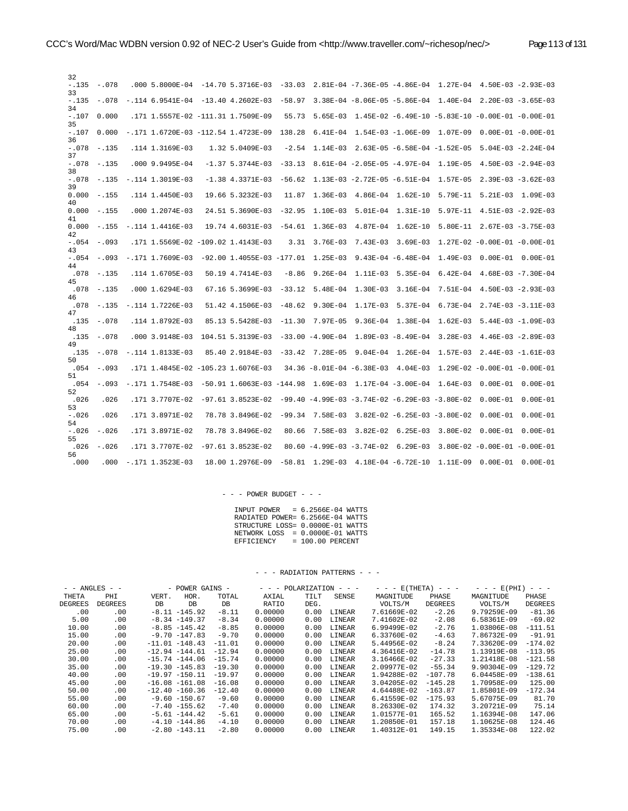| 32                  | $-.135-.078$ |                                       | .000 5.8000E-04 -14.70 5.3716E-03 -33.03                         |          |                                                              |            | $2.81E-04$ -7.36E-05 -4.86E-04 1.27E-04                    |            |                                      | $4.50E-03 -2.93E-03$  |
|---------------------|--------------|---------------------------------------|------------------------------------------------------------------|----------|--------------------------------------------------------------|------------|------------------------------------------------------------|------------|--------------------------------------|-----------------------|
| 33<br>$-.135$<br>34 | $-.078$      | $-.114$ 6.9541E-04 -13.40 4.2602E-03  |                                                                  | $-58.97$ |                                                              |            | $3.38E-04$ -8.06E-05 -5.86E-04 1.40E-04 2.20E-03 -3.65E-03 |            |                                      |                       |
| $-.107$<br>35       | 0.000        | .171 1.5557E-02 -111.31 1.7509E-09    |                                                                  | 55.73    | $5.65E-03$                                                   |            | $1.45E-02 -6.49E-10 -5.83E-10 -0.00E-01 -0.00E-01$         |            |                                      |                       |
| $-107$<br>36        | 0.000        | $-.171$ 1.6720E-03 -112.54 1.4723E-09 |                                                                  | 138.28   | $6.41E-04$                                                   |            | 1.54E-03 -1.06E-09 1.07E-09                                |            |                                      | $0.00E-01 - 0.00E-01$ |
| $-.078$<br>37       | $-.135$      | .114 1.3169E-03                       | 1.32 5.0409E-03                                                  | $-2.54$  | $1.14E-03$                                                   |            | $2.63E-05 -6.58E-04 -1.52E-05$                             |            |                                      | $5.04E-03 -2.24E-04$  |
| $-.078$<br>38       | $-.135$      | .000 9.9495E-04                       | $-1.37$ 5.3744E-03                                               | $-33.13$ |                                                              |            | 8.61E-04 -2.05E-05 -4.97E-04 1.19E-05                      |            |                                      | $4.50E-03 -2.94E-03$  |
| $-.078$<br>39       | $-.135$      | $-.114$ 1.3019E-03                    | $-1.38$ 4.3371E-03                                               | $-56.62$ |                                                              |            | 1.13E-03 -2.72E-05 -6.51E-04 1.57E-05                      |            |                                      | $2.39E-03 -3.62E-03$  |
| 0.000<br>40         | $-.155$      | .114 1.4450E-03                       | 19.66 5.3232E-03                                                 | 11.87    | $1.36E-03$                                                   |            | 4.86E-04 1.62E-10                                          | 5.79E-11   |                                      | 5.21E-03 1.09E-03     |
| 0.000<br>41         | $-.155$      | .000 1.2074E-03                       | 24.51 5.3690E-03                                                 | $-32.95$ | $1.10E-03$                                                   |            | 5.01E-04 1.31E-10                                          | $5.97E-11$ |                                      | $4.51E-03 -2.92E-03$  |
| 0.000<br>42         | $-.155$      | $-.114$ 1.4416E-03                    | 19.74 4.6031E-03                                                 | $-54.61$ | $1.36E-03$                                                   |            | 4.87E-04 1.62E-10                                          |            | 5.80E-11 2.67E-03 -3.75E-03          |                       |
| $-0.54$<br>43       | $-.093$      | .171 1.5569E-02 -109.02 1.4143E-03    |                                                                  | 3.31     | $3.76E-03$                                                   |            | $7.43E-03$ 3.69E-03                                        |            | 1.27E-02 -0.00E-01 -0.00E-01         |                       |
| $-.054$<br>44       | $-0.93$      | $-.171$ 1.7609E-03                    | $-92.00$ 1.4055E-03 $-177.01$                                    |          | $1.25E-03$                                                   |            | $9.43E-04 -6.48E-04$ 1.49E-03 0.00E-01 0.00E-01            |            |                                      |                       |
| .078<br>45          | $-.135$      | .114 1.6705E-03                       | 50.19 4.7414E-03                                                 | $-8.86$  | 9.26E-04                                                     |            | 1.11E-03 5.35E-04 6.42E-04                                 |            |                                      | $4.68E-03 -7.30E-04$  |
| .078<br>46          | $-.135$      | .000 1.6294E-03                       | 67.16 5.3699E-03                                                 | $-33.12$ | $5.48E-04$                                                   | $1.30E-03$ | $3.16E-04$                                                 | 7.51E-04   |                                      | $4.50E-03 -2.93E-03$  |
| .078<br>47          | $-.135$      | $-.114$ 1.7226E-03                    | 51.42 4.1506E-03                                                 | -48.62   | $9.30E-04$                                                   | 1.17E-03   |                                                            |            | 5.37E-04 6.73E-04 2.74E-03 -3.11E-03 |                       |
| .135<br>48          | $-.078$      | .114 1.8792E-03                       | 85.13 5.5428E-03                                                 | $-11.30$ | 7.97E-05                                                     |            | 9.36E-04 1.38E-04 1.62E-03                                 |            |                                      | $5.44E-03 -1.09E-03$  |
| .135<br>49          | $-.078$      | .000 3.9148E-03                       | 104.51 5.3139E-03                                                |          | $-33.00 - 4.90E - 04$                                        |            | $1.89E-03 - 8.49E-04$                                      | $3.28E-03$ |                                      | $4.46E-03 -2.89E-03$  |
| .135<br>50          | $-.078$      | $-.114$ $1.8133E-03$                  | 85.40 2.9184E-03                                                 | $-33.42$ | 7.28E-05                                                     |            | 9.04E-04 1.26E-04 1.57E-03                                 |            |                                      | $2.44E-03 -1.61E-03$  |
| .054<br>51          | $-.093$      | .171 1.4845E-02 -105.23 1.6076E-03    |                                                                  |          | $34.36 - 8.01E - 04 - 6.38E - 03$ 4.04E-03                   |            |                                                            |            | 1.29E-02 -0.00E-01 -0.00E-01         |                       |
| .054<br>52          | $-.093$      | $-.171$ 1.7548E-03                    | $-50.91$ 1.6063E-03 -144.98 1.69E-03 1.17E-04 -3.00E-04 1.64E-03 |          |                                                              |            |                                                            |            |                                      | $0.00E-01$ $0.00E-01$ |
| .026<br>53          | .026         | .171 3.7707E-02                       | $-97.61$ 3.8523E-02                                              |          | $-99.40 - 4.99E - 03 - 3.74E - 02 - 6.29E - 03 - 3.80E - 02$ |            |                                                            |            | $0.00E-01$                           | $0.00E-01$            |
| $-.026$<br>54       | .026         | .171 3.8971E-02                       | 78.78 3.8496E-02                                                 | $-99.34$ | 7.58E-03                                                     |            | $3.82E-02 - 6.25E-03 - 3.80E-02$                           |            | $0.00E-01$                           | $0.00E - 01$          |
| $-.026$<br>55       | $-.026$      | .171 3.8971E-02                       | 78.78 3.8496E-02                                                 | 80.66    | 7.58E-03                                                     | $3.82E-02$ | 6.25E-03                                                   | $3.80E-02$ | $0.00E-01$                           | $0.00E-01$            |
| .026<br>56          | $-.026$      | .171 3.7707E-02                       | $-97.61$ 3.8523E-02                                              |          | $80.60 - 4.99E - 03 - 3.74E - 02$                            |            | $6.29E-03$                                                 |            | 3.80E-02 -0.00E-01 -0.00E-01         |                       |
| .000                | .000         | -.171 1.3523E-03                      | 18.00 1.2976E-09                                                 |          | $-58.81$ 1.29E-03                                            |            | $4.18E-04 -6.72E-10$                                       | 1.11E-09   |                                      | $0.00E-01$ $0.00E-01$ |

- - - POWER BUDGET - - -

INPUT POWER = 6.2566E-04 WATTS RADIATED POWER= 6.2566E-04 WATTS STRUCTURE LOSS= 0.0000E-01 WATTS NETWORK LOSS = 0.0000E-01 WATTS EFFICIENCY = 100.00 PERCENT

- - - RADIATION PATTERNS - - -

| ANGLES<br>$ -$ | $ -$           |         | - POWER GAINS -   |          |              | POLARIZATION |               | E (THETA)<br>$\overline{\phantom{a}}$ |                | E(PHI)<br>$\overline{\phantom{a}}$ | $\overline{\phantom{a}}$ |
|----------------|----------------|---------|-------------------|----------|--------------|--------------|---------------|---------------------------------------|----------------|------------------------------------|--------------------------|
| THETA          | PHI            | VERT.   | HOR.              | TOTAL    | AXIAL        | TILT         | SENSE         | MAGNITUDE                             | PHASE          | MAGNITUDE                          | PHASE                    |
| <b>DEGREES</b> | <b>DEGREES</b> | $DB$    | DB                | DB       | <b>RATIO</b> | DEG.         |               | VOLTS/M                               | <b>DEGREES</b> | VOLTS/M                            | <b>DEGREES</b>           |
| .00            | .00            | $-8.11$ | $-145.92$         | $-8.11$  | 0.00000      | 0.00         | LINEAR        | 7.61669E-02                           | $-2.26$        | 9.79259E-09                        | $-81.36$                 |
| 5.00           | .00            |         | $-8.34 - 149.37$  | $-8.34$  | 0.00000      | 0.00         | LINEAR        | 7.41602E-02                           | $-2.08$        | 6.58361E-09                        | $-69.02$                 |
| 10.00          | .00            |         | $-8.85 - 145.42$  | $-8.85$  | 0.00000      | 0.00         | LINEAR        | 6.99499E-02                           | $-2.76$        | 1.03806E-08                        | $-111.51$                |
| 15.00          | .00            |         | $-9.70 - 147.83$  | $-9.70$  | 0.00000      | 0.00         | LINEAR        | 6.33760E-02                           | $-4.63$        | 7.86732E-09                        | $-91.91$                 |
| 20.00          | .00            |         | $-11.01 - 148.43$ | $-11.01$ | 0.00000      | 0.00         | LINEAR        | 5.44956E-02                           | $-8.24$        | 7.33620E-09                        | $-174.02$                |
| 25.00          | .00            |         | $-12.94 - 144.61$ | $-12.94$ | 0.00000      | 0.00         | LINEAR        | 4.36416E-02                           | $-14.78$       | 1.13919E-08                        | $-113.95$                |
| 30.00          | .00            |         | $-15.74 - 144.06$ | $-15.74$ | 0.00000      | 0.00         | <b>LINEAR</b> | $3.16466E - 02$                       | $-27.33$       | 1.21418E-08                        | $-121.58$                |
| 35.00          | .00            |         | $-19.30 - 145.83$ | $-19.30$ | 0.00000      | 0.00         | LINEAR        | 2.09977E-02                           | $-55.34$       | 9.90304E-09                        | $-129.72$                |
| 40.00          | .00            |         | $-19.97 - 150.11$ | $-19.97$ | 0.00000      | 0.00         | LINEAR        | 1.94288E-02                           | $-107.78$      | 6.04458E-09                        | $-138.61$                |
| 45.00          | .00            |         | $-16.08 - 161.08$ | $-16.08$ | 0.00000      | 0.00         | LINEAR        | 3.04205E-02                           | $-145.28$      | 1.70958E-09                        | 125.00                   |
| 50.00          | .00            |         | $-12.40 - 160.36$ | $-12.40$ | 0.00000      | 0.00         | LINEAR        | 4.64488E-02                           | $-163.87$      | 1.85801E-09                        | $-172.34$                |
| 55.00          | .00            |         | $-9.60 - 150.67$  | $-9.60$  | 0.00000      | 0.00         | LINEAR        | 6.41559E-02                           | $-175.93$      | 5.67075E-09                        | 81.70                    |
| 60.00          | .00            |         | $-7.40 - 155.62$  | $-7.40$  | 0.00000      | 0.00         | LINEAR        | 8.26330E-02                           | 174.32         | 3.20721E-09                        | 75.14                    |
| 65.00          | .00            |         | $-5.61 - 144.42$  | $-5.61$  | 0.00000      | 0.00         | LINEAR        | 1.01577E-01                           | 165.52         | 1.16394E-08                        | 147.06                   |
| 70.00          | .00            |         | $-4.10 - 144.86$  | $-4.10$  | 0.00000      | 0.00         | <b>LINEAR</b> | 1.20850E-01                           | 157.18         | 1.10625E-08                        | 124.46                   |
| 75.00          | .00            |         | $-2.80 - 143.11$  | $-2.80$  | 0.00000      | 0.00         | LINEAR        | 1.40312E-01                           | 149.15         | 1.35334E-08                        | 122.02                   |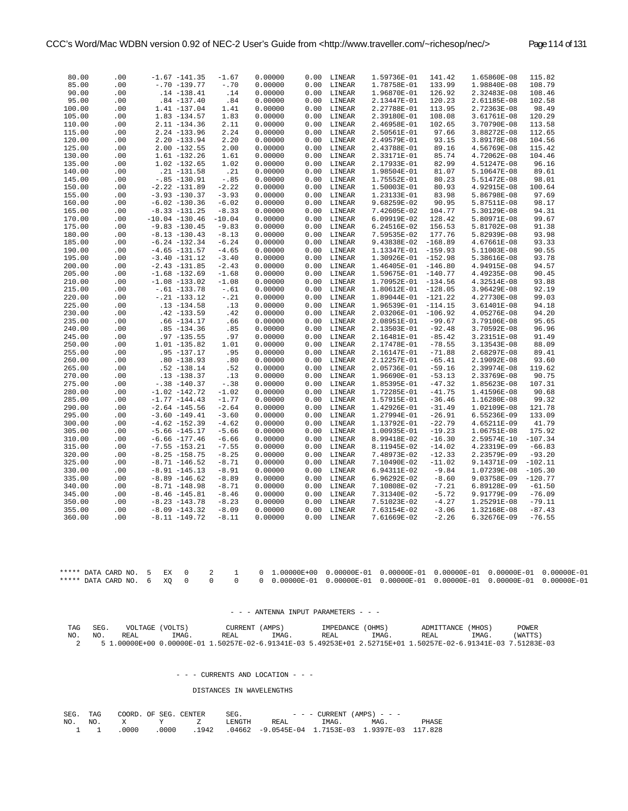| 80.00  | .00 | $-1.67 - 141.35$  | $-1.67$  | 0.00000 | 0.00 | LINEAR | 1.59736E-01 | 141.42    | 1.65860E-08 | 115.82    |
|--------|-----|-------------------|----------|---------|------|--------|-------------|-----------|-------------|-----------|
| 85.00  | .00 | $-.70 - 139.77$   | $-.70$   | 0.00000 | 0.00 | LINEAR | 1.78758E-01 | 133.99    | 1.98840E-08 | 108.79    |
| 90.00  | .00 | $.14 - 138.41$    | .14      | 0.00000 | 0.00 | LINEAR | 1.96870E-01 | 126.92    | 2.32483E-08 | 108.46    |
| 95.00  | .00 | $.84 - 137.40$    | .84      | 0.00000 | 0.00 | LINEAR | 2.13447E-01 | 120.23    | 2.61185E-08 | 102.58    |
| 100.00 | .00 | 1.41 -137.04      | 1.41     | 0.00000 | 0.00 | LINEAR | 2.27788E-01 | 113.95    | 2.72363E-08 | 98.49     |
| 105.00 | .00 | $1.83 - 134.57$   | 1.83     | 0.00000 | 0.00 | LINEAR | 2.39180E-01 | 108.08    | 3.61761E-08 | 120.29    |
| 110.00 | .00 | $2.11 - 134.36$   | 2.11     | 0.00000 | 0.00 | LINEAR | 2.46958E-01 | 102.65    | 3.70790E-08 | 113.58    |
| 115.00 | .00 | $2.24 - 133.96$   | 2.24     | 0.00000 | 0.00 | LINEAR | 2.50561E-01 | 97.66     | 3.88272E-08 | 112.65    |
| 120.00 | .00 | $2.20 - 133.94$   | 2.20     | 0.00000 | 0.00 | LINEAR | 2.49579E-01 | 93.15     | 3.89178E-08 | 104.56    |
| 125.00 | .00 | $2.00 - 132.55$   | 2.00     | 0.00000 | 0.00 | LINEAR | 2.43788E-01 | 89.16     | 4.56769E-08 | 115.42    |
| 130.00 | .00 | $1.61 - 132.26$   | 1.61     | 0.00000 | 0.00 | LINEAR | 2.33171E-01 | 85.74     | 4.72062E-08 | 104.46    |
| 135.00 | .00 | $1.02 - 132.65$   | 1.02     | 0.00000 | 0.00 | LINEAR | 2.17933E-01 | 82.99     | 4.51247E-08 | 96.16     |
| 140.00 | .00 | $.21 - 131.58$    | .21      | 0.00000 | 0.00 | LINEAR | 1.98504E-01 | 81.07     | 5.10647E-08 | 89.61     |
| 145.00 | .00 | $-.85 - 130.91$   | $-.85$   | 0.00000 | 0.00 | LINEAR | 1.75552E-01 | 80.23     | 5.51472E-08 | 98.01     |
|        |     |                   |          |         |      |        |             |           |             |           |
| 150.00 | .00 | $-2.22 - 131.89$  | $-2.22$  | 0.00000 | 0.00 | LINEAR | 1.50003E-01 | 80.93     | 4.92915E-08 | 100.64    |
| 155.00 | .00 | $-3.93 - 130.37$  | $-3.93$  | 0.00000 | 0.00 | LINEAR | 1.23133E-01 | 83.98     | 5.86798E-08 | 97.69     |
| 160.00 | .00 | $-6.02 - 130.36$  | $-6.02$  | 0.00000 | 0.00 | LINEAR | 9.68259E-02 | 90.95     | 5.87511E-08 | 98.17     |
| 165.00 | .00 | $-8.33 - 131.25$  | $-8.33$  | 0.00000 | 0.00 | LINEAR | 7.42605E-02 | 104.77    | 5.30129E-08 | 94.31     |
| 170.00 | .00 | $-10.04 - 130.46$ | $-10.04$ | 0.00000 | 0.00 | LINEAR | 6.09919E-02 | 128.42    | 5.80971E-08 | 99.67     |
| 175.00 | .00 | $-9.83 - 130.45$  | $-9.83$  | 0.00000 | 0.00 | LINEAR | 6.24516E-02 | 156.53    | 5.81702E-08 | 91.38     |
| 180.00 | .00 | $-8.13 - 130.43$  | $-8.13$  | 0.00000 | 0.00 | LINEAR | 7.59535E-02 | 177.76    | 5.82939E-08 | 93.98     |
| 185.00 | .00 | $-6.24 - 132.34$  | $-6.24$  | 0.00000 | 0.00 | LINEAR | 9.43838E-02 | $-168.89$ | 4.67661E-08 | 93.33     |
| 190.00 | .00 | $-4.65 - 131.57$  | $-4.65$  | 0.00000 | 0.00 | LINEAR | 1.13347E-01 | $-159.93$ | 5.11003E-08 | 90.55     |
| 195.00 | .00 | $-3.40 - 131.12$  | $-3.40$  | 0.00000 | 0.00 | LINEAR | 1.30926E-01 | $-152.98$ | 5.38616E-08 | 93.78     |
| 200.00 | .00 | $-2.43 - 131.85$  | $-2.43$  | 0.00000 | 0.00 | LINEAR | 1.46405E-01 | $-146.80$ | 4.94915E-08 | 94.57     |
| 205.00 | .00 | $-1.68 - 132.69$  | $-1.68$  | 0.00000 | 0.00 | LINEAR | 1.59675E-01 | $-140.77$ | 4.49235E-08 | 90.45     |
| 210.00 | .00 | $-1.08 - 133.02$  | $-1.08$  | 0.00000 | 0.00 | LINEAR | 1.70952E-01 | $-134.56$ | 4.32514E-08 | 93.88     |
| 215.00 | .00 | $-.61 - 133.78$   | -.61     | 0.00000 | 0.00 | LINEAR | 1.80612E-01 | $-128.05$ | 3.96429E-08 | 92.19     |
| 220.00 | .00 | $-.21 - 133.12$   | $-.21$   | 0.00000 | 0.00 | LINEAR | 1.89044E-01 | $-121.22$ | 4.27730E-08 | 99.03     |
| 225.00 | .00 | $.13 - 134.58$    | .13      | 0.00000 | 0.00 | LINEAR | 1.96539E-01 | $-114.15$ | 3.61401E-08 | 94.18     |
| 230.00 | .00 | $.42 - 133.59$    | .42      | 0.00000 | 0.00 | LINEAR | 2.03206E-01 | $-106.92$ | 4.05276E-08 | 94.20     |
| 235.00 | .00 | $.66 - 134.17$    | .66      | 0.00000 | 0.00 | LINEAR | 2.08951E-01 | $-99.67$  | 3.79106E-08 | 95.65     |
| 240.00 | .00 | $.85 - 134.36$    | .85      | 0.00000 | 0.00 | LINEAR | 2.13503E-01 | $-92.48$  | 3.70592E-08 | 96.96     |
| 245.00 | .00 | $.97 - 135.55$    | .97      | 0.00000 | 0.00 | LINEAR | 2.16481E-01 | $-85.42$  | 3.23151E-08 | 91.49     |
| 250.00 | .00 | $1.01 - 135.82$   | 1.01     | 0.00000 | 0.00 | LINEAR | 2.17478E-01 | $-78.55$  | 3.13543E-08 | 88.09     |
| 255.00 | .00 | $.95 - 137.17$    | .95      | 0.00000 | 0.00 | LINEAR | 2.16147E-01 | $-71.88$  | 2.68297E-08 | 89.41     |
| 260.00 | .00 | $.80 - 138.93$    | .80      | 0.00000 | 0.00 | LINEAR | 2.12257E-01 | $-65.41$  | 2.19092E-08 | 93.60     |
| 265.00 | .00 | $.52 - 138.14$    | .52      | 0.00000 | 0.00 | LINEAR | 2.05736E-01 | $-59.16$  | 2.39974E-08 | 119.62    |
| 270.00 | .00 | $.13 - 138.37$    | .13      | 0.00000 | 0.00 | LINEAR | 1.96690E-01 | $-53.13$  | 2.33769E-08 | 90.75     |
| 275.00 | .00 | $-.38 - 140.37$   | $-.38$   | 0.00000 | 0.00 | LINEAR | 1.85395E-01 | $-47.32$  | 1.85623E-08 | 107.31    |
| 280.00 | .00 | $-1.02 - 142.72$  | $-1.02$  | 0.00000 | 0.00 | LINEAR | 1.72285E-01 | $-41.75$  | 1.41596E-08 | 90.68     |
| 285.00 | .00 | $-1.77 - 144.43$  | $-1.77$  | 0.00000 | 0.00 | LINEAR | 1.57915E-01 | $-36.46$  | 1.16280E-08 | 99.32     |
| 290.00 | .00 | $-2.64 - 145.56$  | $-2.64$  | 0.00000 | 0.00 | LINEAR | 1.42926E-01 | $-31.49$  | 1.02109E-08 | 121.78    |
| 295.00 | .00 | $-3.60 - 149.41$  | $-3.60$  | 0.00000 | 0.00 | LINEAR | 1.27994E-01 | $-26.91$  | 6.55236E-09 | 133.09    |
| 300.00 | .00 | $-4.62 - 152.39$  | $-4.62$  | 0.00000 | 0.00 | LINEAR | 1.13792E-01 | $-22.79$  | 4.65211E-09 | 41.79     |
| 305.00 | .00 | $-5.66 - 145.17$  | $-5.66$  | 0.00000 | 0.00 | LINEAR | 1.00935E-01 | $-19.23$  | 1.06751E-08 | 175.92    |
| 310.00 | .00 | $-6.66 - 177.46$  | $-6.66$  | 0.00000 | 0.00 | LINEAR | 8.99418E-02 | $-16.30$  | 2.59574E-10 | $-107.34$ |
| 315.00 | .00 | $-7.55 - 153.21$  | $-7.55$  | 0.00000 | 0.00 | LINEAR | 8.11945E-02 | $-14.02$  | 4.23319E-09 | $-66.83$  |
| 320.00 | .00 | $-8.25 - 158.75$  | $-8.25$  | 0.00000 | 0.00 | LINEAR | 7.48973E-02 | $-12.33$  | 2.23579E-09 | $-93.20$  |
| 325.00 | .00 | $-8.71 - 146.52$  | $-8.71$  | 0.00000 | 0.00 | LINEAR | 7.10490E-02 | $-11.02$  | 9.14371E-09 | $-102.11$ |
| 330.00 | .00 | $-8.91 - 145.13$  | $-8.91$  | 0.00000 | 0.00 | LINEAR | 6.94311E-02 | $-9.84$   | 1.07239E-08 | $-105.30$ |
| 335.00 | .00 | $-8.89 - 146.62$  | $-8.89$  | 0.00000 | 0.00 | LINEAR | 6.96292E-02 | $-8.60$   | 9.03758E-09 | $-120.77$ |
| 340.00 | .00 | $-8.71 - 148.98$  | $-8.71$  | 0.00000 | 0.00 | LINEAR | 7.10808E-02 | $-7.21$   | 6.89128E-09 | $-61.50$  |
| 345.00 | .00 | $-8.46 - 145.81$  | $-8.46$  | 0.00000 | 0.00 | LINEAR | 7.31340E-02 | $-5.72$   | 9.91779E-09 | $-76.09$  |
| 350.00 | .00 | $-8.23 - 143.78$  | $-8.23$  | 0.00000 | 0.00 | LINEAR | 7.51023E-02 | $-4.27$   | 1.25291E-08 | $-79.11$  |
| 355.00 | .00 | $-8.09 - 143.32$  | $-8.09$  | 0.00000 | 0.00 | LINEAR | 7.63154E-02 | $-3.06$   | 1.32168E-08 | $-87.43$  |
| 360.00 | .00 | $-8.11 - 149.72$  | $-8.11$  | 0.00000 | 0.00 | LINEAR | 7.61669E-02 | $-2.26$   | 6.32676E-09 | $-76.55$  |
|        |     |                   |          |         |      |        |             |           |             |           |

| ***** DATA CARD NO. 5 EX 0 2 1 0 1.00000E+00 0.00000E-01 0.00000E-01 0.00000E-01 0.00000E-01 0.00000E-01    |  |  |  |  |  |  |
|-------------------------------------------------------------------------------------------------------------|--|--|--|--|--|--|
| ***** DATA CARD NO. 6 XO 0 0 0 0.00000E-01 0.00000E-01 0.00000E-01 0.00000E-01 0.0000E-01 0.00000E-01 ***** |  |  |  |  |  |  |

#### $-$  -  $-$  ANTENNA INPUT PARAMETERS  $-$  -  $-$

| TAG | <b>SEG</b> | VOLTAGE | (VOLTS) | CURRENT | (AMPS) | IMPEDANCE | (OHMS) | ADMITTANCE                                                                                                    | (MHOS) | POWER   |
|-----|------------|---------|---------|---------|--------|-----------|--------|---------------------------------------------------------------------------------------------------------------|--------|---------|
| NO  | NO.        | REAL.   | TMAG.   | REAL.   | EMAG.  | REAL      | TMAG.  | REAL                                                                                                          | IMAG.  | (WATTS) |
|     |            |         |         |         |        |           |        | 5 1.00000E+00 0.00000E-01 1.50257E-02-6.91341E-03 5.49253E+01 2.52715E+01 1.50257E-02-6.91341E-03 7.51283E-03 |        |         |

## - - - CURRENTS AND LOCATION - - -  $-$

#### DISTANCES IN WAVELENGTHS

| SEG. | TAG |              | COORD. OF SEG. CENTER |         | SEG.   |                                                        | - - - CURRENT (AMPS) - - - |      |       |
|------|-----|--------------|-----------------------|---------|--------|--------------------------------------------------------|----------------------------|------|-------|
| NO.  | NO. | $\mathbf{x}$ |                       | $Y = 7$ | LENGTH | REAL.                                                  | TMAG.                      | MAG. | PHASE |
|      |     | .0000        | .0000                 |         |        | .1942 .04662 -9.0545E-04 1.7153E-03 1.9397E-03 117.828 |                            |      |       |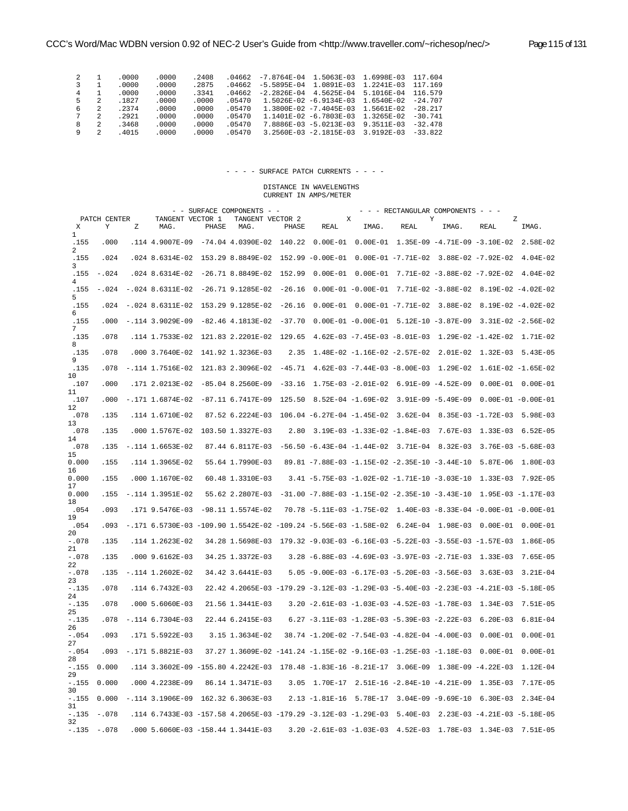|     |                | .0000  | .0000  | .2408  |        | $.04662$ -7.8764E-04 1.5063E-03 1.6998E-03 117.604    |                                                  |  |
|-----|----------------|--------|--------|--------|--------|-------------------------------------------------------|--------------------------------------------------|--|
| 3   |                | .0000. | .0000  | .2875  |        | $.04662 - 5.5895E - 04$ 1.0891E-03 1.2241E-03 117.169 |                                                  |  |
| 4   | $\overline{1}$ | .0000  | .0000  | .3341  |        | $.04662 - 2.2826E - 04$ 4.5625E-04 5.1016E-04 116.579 |                                                  |  |
| 5 - | $\overline{2}$ | . 1827 | . 0000 | .0000. |        | $.05470$ 1.5026E-02 -6.9134E-03 1.6540E-02 -24.707    |                                                  |  |
| 6   | $\mathcal{L}$  | . 2374 | .0000  | .0000. | .05470 |                                                       | 1.3800E-02 -7.4045E-03 1.5661E-02 -28.217        |  |
| 7   | $\mathcal{L}$  | . 2921 | .0000  | .0000. | .05470 |                                                       | 1.1401E-02 -6.7803E-03 1.3265E-02 -30.741        |  |
| 8   | $2^{1}$        | 3468   | .0000  | .0000. | .05470 |                                                       | $7.8886E-03 - 5.0213E-03$ 9.3511E-03 -32.478     |  |
| 9   | $\overline{2}$ | 4015   | .0000  | .0000  | .05470 |                                                       | $3.2560E-03 - 2.1815E-03$ $3.9192E-03$ $-33.822$ |  |
|     |                |        |        |        |        |                                                       |                                                  |  |

- - - - SURFACE PATCH CURRENTS - - - -

DISTANCE IN WAVELENGTHS CURRENT IN AMPS/METER

|                     |              |   |                                    |       | SURFACE COMPONENTS                                                                                                       |       |      |                                                                              |            | - RECTANGULAR COMPONENTS |                       |                     |
|---------------------|--------------|---|------------------------------------|-------|--------------------------------------------------------------------------------------------------------------------------|-------|------|------------------------------------------------------------------------------|------------|--------------------------|-----------------------|---------------------|
|                     | PATCH CENTER |   | TANGENT VECTOR 1                   |       | TANGENT VECTOR 2                                                                                                         |       | x    |                                                                              | Y          |                          | z                     |                     |
| X<br>$\mathbf{1}$   | Υ            | Ζ | MAG.                               | PHASE | MAG.                                                                                                                     | PHASE | REAL | IMAG.                                                                        | REAL       | IMAG.                    | REAL                  | IMAG.               |
| .155<br>2           | .000         |   | .114 4.9007E-09                    |       | $-74.04$ 4.0390E-02 140.22                                                                                               |       |      | $0.00E-01$ $0.00E-01$ $1.35E-09$ $-4.71E-09$ $-3.10E-02$ $2.58E-02$          |            |                          |                       |                     |
| .155<br>3           | .024         |   |                                    |       | .024 8.6314E-02 153.29 8.8849E-02 152.99 -0.00E-01 0.00E-01 -7.71E-02 3.88E-02 -7.92E-02                                 |       |      |                                                                              |            |                          |                       | $4.04E-02$          |
| .155<br>4           | $-.024$      |   |                                    |       | .024 8.6314E-02 -26.71 8.8849E-02 152.99                                                                                 |       |      | $0.00E-01$ 0.00 $E-01$ 7.71 $E-02$ -3.88 $E-02$ -7.92 $E-02$ 4.04 $E-02$     |            |                          |                       |                     |
| .155<br>5           | $-.024$      |   |                                    |       | $-.024$ 8.6311E-02 -26.71 9.1285E-02 -26.16                                                                              |       |      | $0.00E-01 - 0.00E-01$ 7.71E-02 -3.88E-02 8.19E-02 -4.02E-02                  |            |                          |                       |                     |
| .155<br>б.          | .024         |   |                                    |       | $-.024$ 8.6311E-02 153.29 9.1285E-02 -26.16                                                                              |       |      | $0.00E-01$ 0.00 $E-01$ -7.71 $E-02$ 3.88 $E-02$ 8.19 $E-02$ -4.02 $E-02$     |            |                          |                       |                     |
| .155<br>7           | .000         |   |                                    |       | $-.114$ 3.9029E-09 -82.46 4.1813E-02 -37.70 0.00E-01 -0.00E-01 5.12E-10 -3.87E-09 3.31E-02 -2.56E-02                     |       |      |                                                                              |            |                          |                       |                     |
| .135<br>8           | .078         |   |                                    |       | .114 1.7533E-02 121.83 2.2201E-02 129.65 4.62E-03 -7.45E-03 -8.01E-03 1.29E-02 -1.42E-02 1.71E-02                        |       |      |                                                                              |            |                          |                       |                     |
| .135                | .078         |   | .000 3.7640E-02 141.92 1.3236E-03  |       |                                                                                                                          |       |      | 2.35 1.48E-02 -1.16E-02 -2.57E-02 2.01E-02 1.32E-03 5.43E-05                 |            |                          |                       |                     |
| 9<br>.135           | .078         |   |                                    |       | $-.114$ $1.7516E-02$ $121.83$ $2.3096E-02$ $-45.71$ $4.62E-03$ $-7.44E-03$ $-8.00E-03$ $1.29E-02$ $1.61E-02$ $-1.65E-02$ |       |      |                                                                              |            |                          |                       |                     |
| 10<br>.107          | .000         |   |                                    |       | .171 2.0213E-02 -85.04 8.2560E-09                                                                                        |       |      | $-33.16$ 1.75E-03 $-2.01E-02$ 6.91E-09 $-4.52E-09$                           |            |                          |                       | $0.00E-01$ 0.00E-01 |
| 11<br>.107          | .000         |   |                                    |       | $-.171$ 1.6874E-02 -87.11 6.7417E-09 125.50 8.52E-04 -1.69E-02 3.91E-09 -5.49E-09                                        |       |      |                                                                              |            |                          | $0.00E-01 - 0.00E-01$ |                     |
| 12<br>.078          | .135         |   | .114 1.6710E-02                    |       | 87.52 6.2224E-03 106.04 -6.27E-04 -1.45E-02 3.62E-04 8.35E-03 -1.72E-03 5.98E-03                                         |       |      |                                                                              |            |                          |                       |                     |
| 13<br>.078          | .135         |   | .000 1.5767E-02                    |       | 103.50 1.3327E-03                                                                                                        |       |      | 2.80 3.19E-03 -1.33E-02 -1.84E-03 7.67E-03 1.33E-03 6.52E-05                 |            |                          |                       |                     |
| 14<br>.078          | .135         |   | $-.114$ 1.6653E-02                 |       | 87.44 6.8117E-03 -56.50 -6.43E-04 -1.44E-02 3.71E-04 8.32E-03 3.76E-03 -5.68E-03                                         |       |      |                                                                              |            |                          |                       |                     |
| 15<br>0.000         | .155         |   | .114 1.3965E-02                    |       | 55.64 1.7990E-03                                                                                                         |       |      | 89.81 -7.88E-03 -1.15E-02 -2.35E-10 -3.44E-10                                |            |                          |                       | 5.87E-06 1.80E-03   |
| 16<br>0.000         | .155         |   | .000 1.1670E-02                    |       | 60.48 1.3310E-03                                                                                                         |       |      | 3.41 -5.75E-03 -1.02E-02 -1.71E-10 -3.03E-10 1.33E-03 7.92E-05               |            |                          |                       |                     |
| 17<br>0.000         | .155         |   | $-.114$ 1.3951E-02                 |       | 55.62 2.2807E-03                                                                                                         |       |      | $-31.00$ -7.88E-03 -1.15E-02 -2.35E-10 -3.43E-10 1.95E-03 -1.17E-03          |            |                          |                       |                     |
| 18<br>.054<br>19    | .093         |   | .171 9.5476E-03                    |       | $-98.11$ $1.5574E-02$                                                                                                    |       |      | 70.78 -5.11E-03 -1.75E-02 1.40E-03 -8.33E-04 -0.00E-01 -0.00E-01             |            |                          |                       |                     |
| .054<br>20          | .093         |   |                                    |       | $-.171$ 6.5730E-03 -109.90 1.5542E-02 -109.24 -5.56E-03 -1.58E-02 6.24E-04 1.98E-03 0.00E-01 0.00E-01                    |       |      |                                                                              |            |                          |                       |                     |
| $-.078$<br>21       | .135         |   | .114 1.2623E-02                    |       | 34.28 1.5698E-03 179.32 -9.03E-03 -6.16E-03 -5.22E-03 -3.55E-03 -1.57E-03 1.86E-05                                       |       |      |                                                                              |            |                          |                       |                     |
| $-.078$<br>22       | .135         |   | .000 9.6162E-03                    |       | 34.25 1.3372E-03                                                                                                         |       |      | $3.28 - 6.88E - 03 - 4.69E - 03 - 3.97E - 03 - 2.71E - 03$ 1.33E-03 7.65E-05 |            |                          |                       |                     |
| $-.078$<br>23       | .135         |   | $-.114$ 1.2602E-02                 |       | 34.42 3.6441E-03                                                                                                         |       |      | 5.05 -9.00E-03 -6.17E-03 -5.20E-03 -3.56E-03 3.63E-03 3.21E-04               |            |                          |                       |                     |
| $-.135$<br>24       | .078         |   | .114 6.7432E-03                    |       | 22.42 4.2065E-03 -179.29 -3.12E-03 -1.29E-03 -5.40E-03 -2.23E-03 -4.21E-03 -5.18E-05                                     |       |      |                                                                              |            |                          |                       |                     |
| $-.135$<br>25       | .078         |   | $.000 5.6060E-03$                  |       | 21.56 1.3441E-03                                                                                                         |       |      | $3.20 - 2.61E - 03 - 1.03E - 03 - 4.52E - 03 - 1.78E - 03$ 1.34E-03 7.51E-05 |            |                          |                       |                     |
| $-.135$<br>26       | .078         |   | $-.1146.7304E-03$                  |       | 22.44 6.2415E-03                                                                                                         |       |      | 6.27 -3.11E-03 -1.28E-03 -5.39E-03 -2.22E-03 6.20E-03 6.81E-04               |            |                          |                       |                     |
| $-.054$<br>27       | .093         |   | .171 5.5922E-03                    |       | 3.15 1.3634E-02                                                                                                          |       |      | 38.74 -1.20E-02 -7.54E-03 -4.82E-04 -4.00E-03 0.00E-01 0.00E-01              |            |                          |                       |                     |
| $-.054$<br>28       | .093         |   | $-.171$ 5.8821E-03                 |       | 37.27 1.3609E-02 -141.24 -1.15E-02 -9.16E-03 -1.25E-03 -1.18E-03 0.00E-01 0.00E-01                                       |       |      |                                                                              |            |                          |                       |                     |
| $-.155$             | 0.000        |   |                                    |       | .114 3.3602E-09 -155.80 4.2242E-03 178.48 -1.83E-16 -8.21E-17 3.06E-09 1.38E-09 -4.22E-03                                |       |      |                                                                              |            |                          |                       | 1.12E-04            |
| 29<br>$-.155$       | 0.000        |   | .000 4.2238E-09                    |       | 86.14 1.3471E-03                                                                                                         |       |      | 3.05 1.70E-17 2.51E-16 -2.84E-10 -4.21E-09 1.35E-03 7.17E-05                 |            |                          |                       |                     |
| 30<br>$-.155$<br>31 | 0.000        |   | $-.114$ 3.1906E-09                 |       | 162.32 6.3063E-03                                                                                                        |       |      | 2.13 -1.81E-16 5.78E-17 3.04E-09 -9.69E-10 6.30E-03 2.34E-04                 |            |                          |                       |                     |
| $-.135$             | $-.078$      |   |                                    |       | .114 6.7433E-03 -157.58 4.2065E-03 -179.29 -3.12E-03 -1.29E-03 5.40E-03 2.23E-03 -4.21E-03 -5.18E-05                     |       |      |                                                                              |            |                          |                       |                     |
| 32                  | $-.135-.078$ |   | .000 5.6060E-03 -158.44 1.3441E-03 |       |                                                                                                                          |       |      | $3.20 - 2.61E - 03 - 1.03E - 03$                                             | $4.52E-03$ | 1.78E-03                 | 1.34E-03              | 7.51E-05            |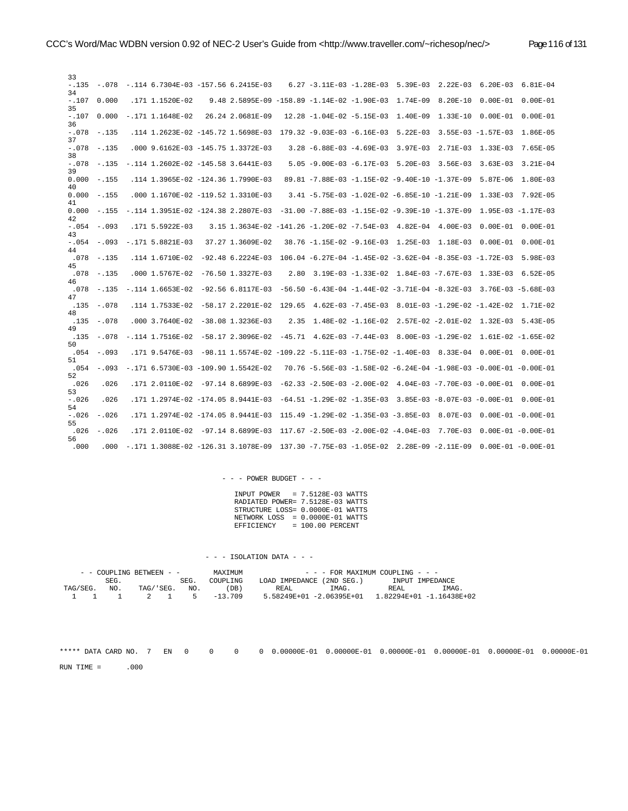| 33<br>$-135$  |               | $-0.078$ $-114$ 6.7304E-03 -157.56 6.2415E-03                                       |                                                                                   |        |                                  | $6.27 - 3.11E-03 - 1.28E-03$                               | $5.39E-03$ | $2.22E-03$                                                                | 6.20E-03             | 6.81E-04              |
|---------------|---------------|-------------------------------------------------------------------------------------|-----------------------------------------------------------------------------------|--------|----------------------------------|------------------------------------------------------------|------------|---------------------------------------------------------------------------|----------------------|-----------------------|
| 34            |               |                                                                                     |                                                                                   |        |                                  |                                                            |            |                                                                           |                      |                       |
| $-.107$<br>35 | 0.000         | .171 1.1520E-02                                                                     | 9.48 2.5895E-09 -158.89 -1.14E-02 -1.90E-03                                       |        |                                  |                                                            | 1.74E-09   | $8.20E-10$                                                                | $0.00E-01$           | $0.00E-01$            |
| $-.107$       | 0.000         | $-.1711.1648E-02$                                                                   | 26.24 2.0681E-09                                                                  |        | $12.28 - 1.04E-02 - 5.15E-03$    |                                                            | $1.40E-09$ | $1.33E-10$                                                                | $0.00E-01$           | $0.00E-01$            |
| 36<br>$-.078$ | $-.135$       | .114 1.2623E-02 -145.72 1.5698E-03                                                  |                                                                                   |        | $179.32 - 9.03E-03 - 6.16E-03$   |                                                            | $5.22E-03$ |                                                                           | $3.55E-03 -1.57E-03$ | 1.86E-05              |
| 37            |               |                                                                                     |                                                                                   |        |                                  |                                                            |            |                                                                           |                      |                       |
| $-.078$<br>38 | $-.135$       | .000 9.6162E-03 -145.75 1.3372E-03                                                  |                                                                                   |        | $3.28 - 6.88E - 03 - 4.69E - 03$ |                                                            | $3.97E-03$ |                                                                           | 2.71E-03 1.33E-03    | 7.65E-05              |
| $-.078$<br>39 | $-.135$       | $-.114$ 1.2602E-02 -145.58 3.6441E-03                                               |                                                                                   |        |                                  | $5.05 - 9.00E - 03 - 6.17E - 03$                           | $5.20E-03$ | 3.56E-03                                                                  | $3.63E-03$           | $3.21E-04$            |
| 0.000<br>40   | $-.155$       | .114 1.3965E-02 -124.36 1.7990E-03                                                  |                                                                                   |        |                                  | 89.81 -7.88E-03 -1.15E-02 -9.40E-10 -1.37E-09              |            |                                                                           | 5.87E-06             | 1.80 $E-03$           |
| 0.000<br>41   | $-.155$       | .000 1.1670E-02 -119.52 1.3310E-03                                                  |                                                                                   |        |                                  | $3.41 - 5.75E - 03 - 1.02E - 02 - 6.85E - 10 - 1.21E - 09$ |            |                                                                           | 1.33E-03 7.92E-05    |                       |
| 0.000<br>42   | $-.155$       | $-.114$ 1.3951E-02 -124.38 2.2807E-03                                               |                                                                                   |        |                                  | $-31.00$ $-7.88E-03$ $-1.15E-02$ $-9.39E-10$ $-1.37E-09$   |            |                                                                           | 1.95E-03 -1.17E-03   |                       |
| 43            | $-.054-.093$  | .171 5.5922E-03                                                                     | 3.15 1.3634E-02 -141.26 -1.20E-02 -7.54E-03                                       |        |                                  |                                                            |            | 4.82E-04 4.00E-03                                                         | $0.00E-01$           | $0.00E-01$            |
| $-0.54$       | $-.093$       | $-.171$ 5.8821E-03                                                                  | 37.27 1.3609E-02                                                                  |        |                                  | 38.76 -1.15E-02 -9.16E-03 1.25E-03 1.18E-03                |            |                                                                           | $0.00E-01$           | $0.00E - 01$          |
| 44<br>.078    | $-.135$       | .114 1.6710E-02                                                                     | $-92.48$ 6.2224E-03                                                               |        |                                  |                                                            |            | $106.04 - 6.27E - 04 - 1.45E - 02 - 3.62E - 04 - 8.35E - 03 - 1.72E - 03$ |                      | $5.98E-03$            |
| 45            |               |                                                                                     |                                                                                   |        |                                  |                                                            |            |                                                                           |                      |                       |
| .078<br>46    | $-.135$       | .000 1.5767E-02                                                                     | $-76.50$ 1.3327E-03                                                               | 2.80   |                                  |                                                            |            | 3.19E-03 -1.33E-02 1.84E-03 -7.67E-03 1.33E-03 6.52E-05                   |                      |                       |
| .078          | $-.135$       | $-.114$ 1.6653E-02                                                                  | $-92.566.8117E-03$                                                                |        |                                  |                                                            |            | $-56.50 - 6.43E - 04 - 1.44E - 02 - 3.71E - 04 - 8.32E - 03$              |                      | $3.76E-03 -5.68E-03$  |
| 47<br>.135    | $-.078$       | .114 1.7533E-02                                                                     | $-58.17$ 2.2201E-02                                                               | 129.65 |                                  |                                                            |            | $4.62E-03$ -7.45E-03 8.01E-03 -1.29E-02 -1.42E-02 1.71E-02                |                      |                       |
| 48            |               |                                                                                     |                                                                                   |        |                                  |                                                            |            |                                                                           |                      |                       |
| .135<br>49    | $-.078$       | $.0003.7640E-02$                                                                    | $-38.08$ 1.3236E-03                                                               | 2.35   |                                  | $1.48E-02 -1.16E-02$                                       |            | 2.57E-02 -2.01E-02 1.32E-03 5.43E-05                                      |                      |                       |
| .135          | $-.078$       | $-.114$ 1.7516E-02                                                                  | -58.17 2.3096E-02 -45.71 4.62E-03 -7.44E-03 8.00E-03 -1.29E-02 1.61E-02 -1.65E-02 |        |                                  |                                                            |            |                                                                           |                      |                       |
| 50            | $.054 - .093$ | .171 9.5476E-03                                                                     | $-98.11$ 1.5574E-02 $-109.22$ -5.11E-03 $-1.75$ E-02 $-1.40$ E-03 8.33E-04        |        |                                  |                                                            |            |                                                                           |                      | $0.00E-01$ $0.00E-01$ |
| 51            |               |                                                                                     |                                                                                   |        |                                  |                                                            |            |                                                                           |                      |                       |
| .054<br>52    | $-.093$       | $-.171$ 6.5730E-03 -109.90 1.5542E-02                                               |                                                                                   |        |                                  |                                                            |            | 70.76 -5.56E-03 -1.58E-02 -6.24E-04 -1.98E-03 -0.00E-01 -0.00E-01         |                      |                       |
| .026          | .026          | .171 2.0110E-02 -97.14 8.6899E-03                                                   |                                                                                   |        |                                  |                                                            |            | $-62.33 - 2.50E - 03 - 2.00E - 02$ 4.04E-03 -7.70E-03 -0.00E-01 0.00E-01  |                      |                       |
| 53<br>$-.026$ | .026          | .171 1.2974E-02 -174.05 8.9441E-03                                                  |                                                                                   |        |                                  | $-64.51 - 1.29E - 02 - 1.35E - 03$                         |            | 3.85E-03 -8.07E-03 -0.00E-01                                              |                      | $0.00E-01$            |
| 54            |               |                                                                                     |                                                                                   |        |                                  |                                                            |            |                                                                           |                      |                       |
| $-.026$<br>55 | $-.026$       | .171 1.2974E-02 -174.05 8.9441E-03                                                  |                                                                                   |        |                                  | $115.49 - 1.29E - 02 - 1.35E - 03 - 3.85E - 03$            |            | 8.07E-03                                                                  |                      | $0.00E-01 - 0.00E-01$ |
| .026<br>56    | $-.026$       | .171 2.0110E-02 -97.14 8.6899E-03                                                   |                                                                                   |        |                                  | $117.67 - 2.50E - 03 - 2.00E - 02 - 4.04E - 03$            |            | 7.70E-03                                                                  |                      | $0.00E-01 - 0.00E-01$ |
| .000          | .000          | $-.171$ 1.3088E-02 -126.31 3.1078E-09 137.30 -7.75E-03 -1.05E-02 2.28E-09 -2.11E-09 |                                                                                   |        |                                  |                                                            |            |                                                                           |                      | $0.00E-01 - 0.00E-01$ |

- - - POWER BUDGET - - -

INPUT POWER =  $7.5128E-03$  WATTS RADIATED POWER= 7.5128E-03 WATTS<br>STRUCTURE LOSS= 0.0000E-01 WATTS<br>NETWORK LOSS = 0.0000E-01 WATTS<br>EFFICIENCY = 100.00 PERCENT

 $-$  -  $-$  ISOLATION DATA - - -

|          | - - COUPLING BETWEEN - - |           |      | MAXTMUM       |      | $-$ - $-$ FOR MAXIMUM COUPLING - $-$ -              |       |                 |
|----------|--------------------------|-----------|------|---------------|------|-----------------------------------------------------|-------|-----------------|
|          | SEG.                     |           | SEG. | COUPLING      |      | LOAD IMPEDANCE (2ND SEG.)                           |       | INPUT IMPEDANCE |
| TAG/SEG. | NO.                      | TAG/'SEG. | NO.  | (DB)          | REAL | TMAG.                                               | REAL. | TMAG.           |
|          |                          |           |      | 2 1 5 -13.709 |      | $5.58249E+01 -2.06395E+01$ 1.82294E+01 -1.16438E+02 |       |                 |

 \*\*\*\*\* DATA CARD NO. 7 EN 0 0 0 0 0.00000E-01 0.00000E-01 0.00000E-01 0.00000E-01 0.00000E-01 0.00000E-01 RUN TIME = .000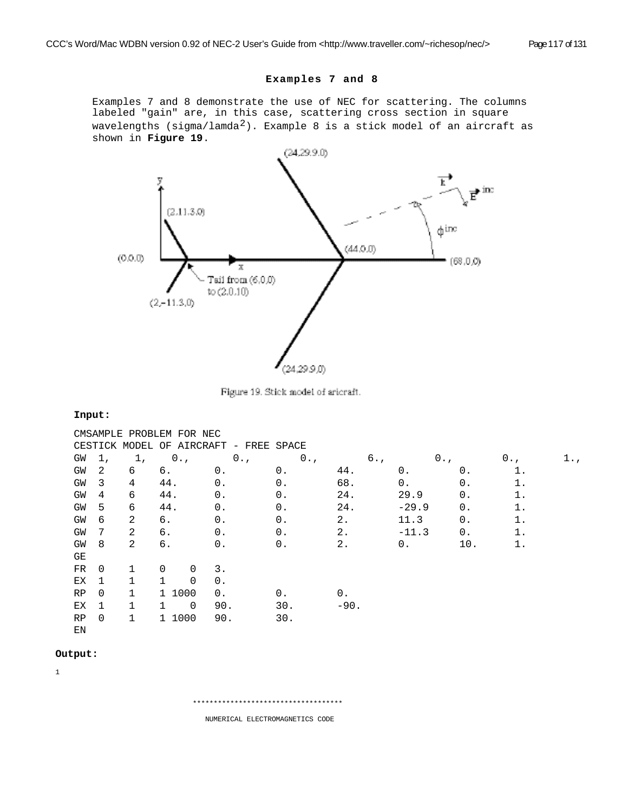## **Examples 7 and 8**

Examples 7 and 8 demonstrate the use of NEC for scattering. The columns labeled "gain" are, in this case, scattering cross section in square wavelengths (sigma/lamda<sup>2</sup>). Example 8 is a stick model of an aircraft as shown in **Figure 19**.



Figure 19. Stick model of aricraft.

## **Input:**

|    |          |                | CMSAMPLE PROBLEM FOR NEC    |                                        |        |        |         |       |    |        |
|----|----------|----------------|-----------------------------|----------------------------------------|--------|--------|---------|-------|----|--------|
|    |          |                |                             | CESTICK MODEL OF AIRCRAFT - FREE SPACE |        |        |         |       |    |        |
| GW | 1,       | 1,             | 0.                          | 0.                                     | $0.$ , | $6.$ , | $0.$ ,  |       | 0. | $1$ ., |
| GW | 2        | 6              | б.                          | 0.                                     | 0.     | 44.    | 0.      | 0.    | 1. |        |
| GW | 3        | 4              | 44.                         | 0.                                     | 0.     | 68.    | 0.      | $0$ . | 1. |        |
| GW | 4        | 6              | 44.                         | 0.                                     | 0.     | 24.    | 29.9    | 0.    | 1. |        |
| GW | 5        | 6              | 44.                         | 0.                                     | 0.     | 24.    | $-29.9$ | 0.    | 1. |        |
| GW | 6        | 2              | б.                          | 0.                                     | 0.     | $2$ .  | 11.3    | 0.    | 1. |        |
| GW | 7        | 2              | б.                          | 0.                                     | 0.     | 2.     | $-11.3$ | $0$ . | 1. |        |
| GW | 8        | $\overline{a}$ | б.                          | 0.                                     | 0.     | 2.     | 0.      | 10.   | 1. |        |
| GE |          |                |                             |                                        |        |        |         |       |    |        |
| FR | $\Omega$ |                | $\mathbf 0$<br>0            | 3.                                     |        |        |         |       |    |        |
| ЕX |          |                | $\mathbf{1}$<br>$\mathbf 0$ | 0.                                     |        |        |         |       |    |        |
| RP | $\Omega$ |                | 1 1000                      | 0.                                     | 0.     | 0.     |         |       |    |        |
| ЕX |          | 1              | $\mathbf 0$                 | 90.                                    | 30.    | $-90.$ |         |       |    |        |
| RP | $\Omega$ | 1.             | 1 1000                      | 90.                                    | 30.    |        |         |       |    |        |
| ΕN |          |                |                             |                                        |        |        |         |       |    |        |

#### **Output:**

1

\*\*\*\*\*\*\*\*\*\*\*\*\*\*\*\*\*\*\*\*\*\*\*\*\*\*\*\*\*\*\*\*\*\*\*\*

NUMERICAL ELECTROMAGNETICS CODE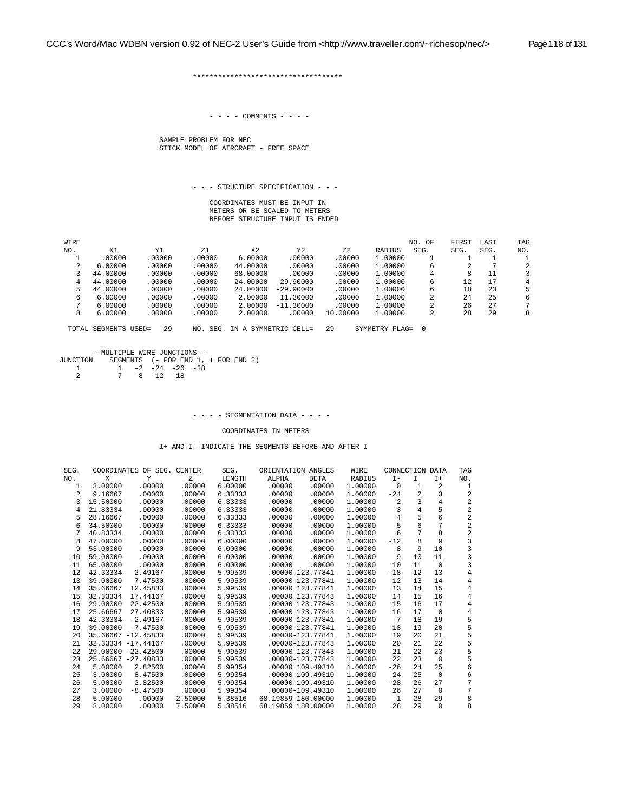#### \*\*\*\*\*\*\*\*\*\*\*\*\*\*\*\*\*\*\*\*\*\*\*\*\*\*\*\*\*\*\*\*\*\*\*\*

 $- - - -$  COMMENTS - - - -

 SAMPLE PROBLEM FOR NEC STICK MODEL OF AIRCRAFT - FREE SPACE

- - - STRUCTURE SPECIFICATION - - -

COORDINATES MUST BE INPUT IN METERS OR BE SCALED TO METERS BEFORE STRUCTURE INPUT IS ENDED

| WIRE           |          |        |        |                |             |                |         | NO. OF | FIRST | LAST | TAG |
|----------------|----------|--------|--------|----------------|-------------|----------------|---------|--------|-------|------|-----|
| NO.            | X1       | Y1     | 7.1    | X <sub>2</sub> | Y2          | Z <sub>2</sub> | RADIUS  | SEG.   | SEG.  | SEG. | NO. |
|                | .00000   | .00000 | .00000 | 6,00000        | .00000      | .00000         | 1,00000 |        |       |      |     |
| $\mathfrak{D}$ | 6.00000  | .00000 | .00000 | 44.00000       | .00000      | .00000         | 1,00000 | 6      |       |      |     |
|                | 44.00000 | .00000 | .00000 | 68,00000       | .00000      | .00000         | 1,00000 | 4      |       | 11   |     |
| 4              | 44.00000 | .00000 | .00000 | 24.00000       | 29.90000    | .00000         | 1,00000 | 6      | 12.   | 17   | 4   |
|                | 44.00000 | .00000 | .00000 | 24.00000       | $-29.90000$ | .00000         | 1,00000 | 6      | 18    | 23   |     |
| 6              | 6.00000  | .00000 | .00000 | 2.00000        | 11.30000    | .00000         | 1,00000 |        | 2.4   | 25   | 6   |
|                | 6,00000  | .00000 | .00000 | 2.00000        | $-11.30000$ | .00000         | 1,00000 |        | 26    | 27   |     |
| 8              | 6,00000  | .00000 | .00000 | 2,00000        | .00000      | 10.00000       | 1,00000 |        | 28    | 29   | 8   |
|                |          |        |        |                |             |                |         |        |       |      |     |

TOTAL SEGMENTS USED= 29 NO. SEG. IN A SYMMETRIC CELL= 29 SYMMETRY FLAG= 0

|                                              | - MULTIPLE WIRE JUNCTIONS - |                    |  |  |  |
|----------------------------------------------|-----------------------------|--------------------|--|--|--|
| JUNCTION SEGMENTS (- FOR END 1, + FOR END 2) |                             |                    |  |  |  |
|                                              |                             | $1 -2 -24 -26 -28$ |  |  |  |
|                                              |                             | 7 -8 -12 -18       |  |  |  |

- - - - SEGMENTATION DATA - - - -

COORDINATES IN METERS

I+ AND I- INDICATE THE SEGMENTS BEFORE AND AFTER I

| SEG. |          | COORDINATES OF SEG. CENTER |         | SEG.    | ORIENTATION ANGLES   |             | WIRE          | CONNECTION DATA |    |              | TAG              |
|------|----------|----------------------------|---------|---------|----------------------|-------------|---------------|-----------------|----|--------------|------------------|
| NO.  | X        | Y                          | Ζ       | LENGTH  | ALPHA                | <b>BETA</b> | <b>RADIUS</b> | $I -$           | I  | $I +$        | NO.              |
| 1    | 3.00000  | .00000                     | .00000  | 6.00000 | .00000               | .00000      | 1,00000       | 0               | 1  | 2            | 1                |
| 2    | 9.16667  | .00000                     | .00000  | 6.33333 | .00000               | .00000      | 1,00000       | $-24$           | 2  | 3            | 2                |
| 3    | 15.50000 | .00000                     | .00000  | 6.33333 | .00000               | .00000      | 1,00000       | $\mathfrak{D}$  | 3  | 4            | $\mathbf 2$      |
| 4    | 21.83334 | .00000                     | .00000  | 6.33333 | .00000               | .00000      | 1,00000       | 3               | 4  | 5            | $\boldsymbol{2}$ |
| 5    | 28.16667 | .00000                     | .00000  | 6.33333 | .00000               | .00000      | 1,00000       | 4               | 5  | 6            | $\,2$            |
| 6    | 34.50000 | .00000                     | .00000  | 6.33333 | .00000               | .00000      | 1,00000       | 5               | 6  | 7            | $\overline{a}$   |
| 7    | 40.83334 | .00000                     | .00000  | 6.33333 | .00000               | .00000      | 1,00000       | 6               | 7  | 8            | $\,2$            |
| 8    | 47.00000 | .00000                     | .00000  | 6.00000 | .00000               | .00000      | 1,00000       | $-12$           | 8  | 9            | 3                |
| 9    | 53.00000 | .00000                     | .00000  | 6.00000 | .00000               | .00000      | 1,00000       | 8               | 9  | 10           | 3                |
| 10   | 59.00000 | .00000                     | .00000  | 6.00000 | .00000               | .00000      | 1,00000       | 9               | 10 | 11           | 3                |
| 11   | 65.00000 | .00000                     | .00000  | 6.00000 | .00000               | .00000      | 1,00000       | 10              | 11 | $\mathbf{0}$ | 3                |
| 12   | 42.33334 | 2.49167                    | .00000  | 5.99539 | .00000 123.77841     |             | 1,00000       | $-18$           | 12 | 13           | $\,4$            |
| 13   | 39,00000 | 7.47500                    | .00000  | 5.99539 | .00000 123.77841     |             | 1,00000       | 12              | 13 | 14           | $\overline{4}$   |
| 14   | 35.66667 | 12.45833                   | .00000  | 5.99539 | .00000 123.77841     |             | 1,00000       | 13              | 14 | 15           | $\overline{4}$   |
| 15   | 32.33334 | 17.44167                   | .00000  | 5.99539 | .00000 123.77843     |             | 1,00000       | 14              | 15 | 16           | 4                |
| 16   | 29,00000 | 22.42500                   | .00000  | 5.99539 | .00000 123.77843     |             | 1,00000       | 15              | 16 | 17           | $\overline{4}$   |
| 17   | 25.66667 | 27.40833                   | .00000  | 5.99539 | .00000 123.77843     |             | 1,00000       | 16              | 17 | $\Omega$     | $\overline{4}$   |
| 18   | 42.33334 | $-2.49167$                 | .00000  | 5.99539 | .00000-123.77841     |             | 1,00000       | 7               | 18 | 19           | 5                |
| 19   | 39,00000 | $-7.47500$                 | .00000  | 5.99539 | .00000-123.77841     |             | 1,00000       | 18              | 19 | 20           | 5                |
| 20   |          | 35.66667 -12.45833         | .00000  | 5.99539 | .00000-123.77841     |             | 1,00000       | 19              | 20 | 21           | 5                |
| 21   |          | 32.33334 -17.44167         | .00000  | 5.99539 | .00000-123.77843     |             | 1,00000       | 20              | 21 | 22           | 5                |
| 22   |          | 29.00000 -22.42500         | .00000  | 5.99539 | .00000-123.77843     |             | 1,00000       | 21              | 22 | 23           | 5                |
| 23   |          | $25.66667 - 27.40833$      | .00000  | 5.99539 | .00000-123.77843     |             | 1,00000       | 22              | 23 | $\Omega$     | 5                |
| 24   | 5.00000  | 2.82500                    | .00000  | 5.99354 | .00000 109.49310     |             | 1,00000       | $-26$           | 24 | 25           | б                |
| 25   | 3.00000  | 8.47500                    | .00000  | 5.99354 | $.00000$ $109.49310$ |             | 1,00000       | 24              | 25 | $\Omega$     | 6                |
| 26   | 5.00000  | $-2.82500$                 | .00000  | 5.99354 | .00000-109.49310     |             | 1,00000       | $-28$           | 26 | 27           | 7                |
| 27   | 3.00000  | $-8.47500$                 | .00000  | 5.99354 | .00000-109.49310     |             | 1,00000       | 26              | 27 | $\mathbf 0$  | 7                |
| 28   | 5.00000  | .00000                     | 2.50000 | 5.38516 | 68.19859 180.00000   |             | 1.00000       | 1               | 28 | 29           | 8                |
| 29   | 3.00000  | .00000                     | 7.50000 | 5.38516 | 68.19859 180.00000   |             | 1,00000       | 28              | 29 | $\Omega$     | 8                |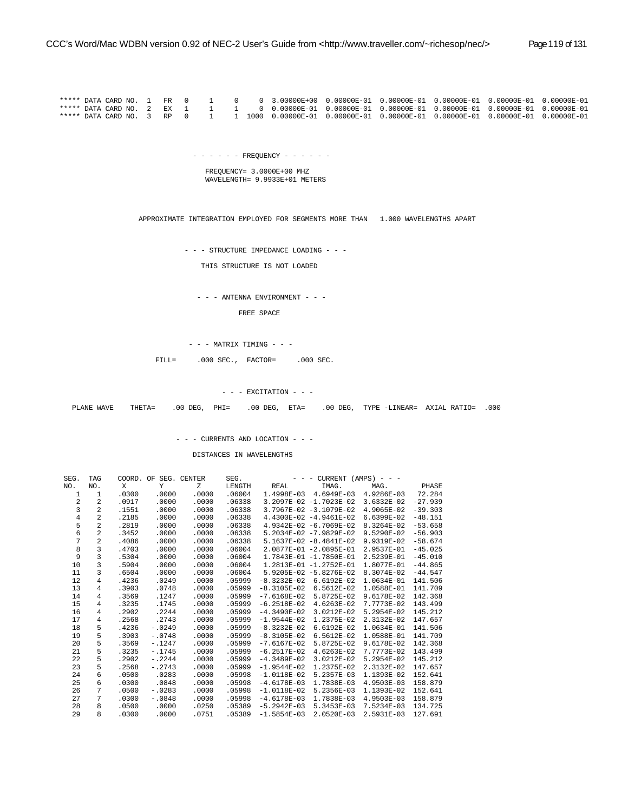\*\*\*\*\* DATA CARD NO. 1 FR 0 1 0 0 3.00000E+00 0.00000E-01 0.00000E-01 0.00000E-01 0.00000E-01 0.00000E-01<br>\*\*\*\*\* DATA CARD NO. 2 EX 1 1 1 0 0.00000E-01 0.00000E-01 0.00000E-01 0.00000E-01 0.00000E-01 0.00000E-01 \*\*\*\*\* DATA CARD NO. 2 EX 1 1 0 0.00000E-01 0.00000E-01 0.00000E-01 0.00000E-01 0.00000E-01 0.00000E-01<br>\*\*\*\*\* DATA CARD NO. 3 RP 0 1 1 1000 0.00000E-01 0.00000E-01 0.00000E-01 0.00000E-01 0.00000E-01 0.00000E-01 - - - - - FREQUENCY - - - - - - FREQUENCY= 3.0000E+00 MHZ WAVELENGTH= 9.9933E+01 METERS APPROXIMATE INTEGRATION EMPLOYED FOR SEGMENTS MORE THAN 1.000 WAVELENGTHS APART - - - STRUCTURE IMPEDANCE LOADING - - - THIS STRUCTURE IS NOT LOADED  $-$  -  $-$  ANTENNA ENVIRONMENT - - - FREE SPACE  $-$  -  $-$  MATRIX TIMING  $-$  -  $-$ FILL= .000 SEC., FACTOR= .000 SEC.  $-$  -  $-$  EXCITATION  $-$  -  $-$  PLANE WAVE THETA= .00 DEG, PHI= .00 DEG, ETA= .00 DEG, TYPE -LINEAR= AXIAL RATIO= .000  $-$  - CURRENTS AND LOCATION - - - DISTANCES IN WAVELENGTHS SEG. TAG COORD. OF SEG. CENTER SEG. <br>NO. NO. X Y Z LENGTH REAL IMAG. MAG. AG.  $\begin{array}{cccccccc} \text{NO.} & \text{NO.} & \text{X} & \text{Y} & \text{Z} & \text{LENGTH} & \text{REAL} & \text{IMAG.} & \text{MAG.} & \text{PHASE} \\ 1 & 1 & 0.0300 & 0.0000 & 0.0000 & 0.66044 & 1.4998\text{E}-03 & 4.6949\text{E}-03 & 4.9286\text{E}-03 & 72.284 \\ 2 & 2 & 0.917 & 0.0000 & 0.0000 & 0.66338 & 3.2097\text{E} 10 \qquad 3 \qquad .5904 \qquad .0000 \qquad .0000 \qquad .06004 \qquad 1.2813E-01 \qquad -1.2752E-01 \qquad 1.8077E-01 \qquad -44.86511 \qquad 3 \qquad .6604 \qquad .0000 \qquad .06004 \qquad 5.9205E-02 \qquad 6.8176E-02 \qquad 8.3074E-02 \qquad -44.54547 \qquad 4 \qquad .4236 \qquad .0249 \qquad .0000 \qquad .05999 \qquad -$  14 4 .3569 .1247 .0000 .05999 -7.6168E-02 5.8725E-02 9.6178E-02 142.368 15 4 .3235 .1745 .0000 .05999 -6.2518E-02 4.6263E-02 7.7773E-02 143.499 16 4 .2902 .2244 .0000 .05999 -4.3490E-02 3.0212E-02 5.2954E-02 145.212 17 4 .2568 .2743 .0000 .05999 -1.9544E-02 1.2375E-02 2.3132E-02 147.657 18 5 .4236 -.0249 .0000 .05999 -8.3232E-02 6.6192E-02 1.0634E-01 141.506 19 5 .3903 -.0748 .0000 .05999 -8.3105E-02 6.5612E-02 1.0588E-01 141.709 20 5 .3569 -.1247 .0000 .05999 -7.6167E-02 5.8725E-02 9.6178E-02<br>21 5 .3235 -.1745 .0000 .05999 -6.2517E-02 4.6263E-02 7.7773E-02 21 5 .3235 -.1745 .0000 .05999 -6.2517E-02 4.6263E-02 7.7773E-02 143.499 22 5 .2902 -.2244 .0000 .05999 -4.3489E-02 3.0212E-02 5.2954E-02 145.212 23 5 .2568 -.2743 .0000 .05999 -1.9544E-02 1.2375E-02 2.3132E-02 147.657 24 6 .0500 .0283 .0000 .05998 -1.0118E-02 5.2357E-03 1.1393E-02 152.641

25 6 .0300 .0848 .0000 .05998 -4.6178E-03 1.7838E-03 4.9503E-03<br>26 7 .0500 -.0283 .0000 .05998 -1.0118E-02 5.2356E-03 1.1393E-02

 26 7 .0500 -.0283 .0000 .05998 -1.0118E-02 5.2356E-03 1.1393E-02 152.641 27 7 .0300 -.0848 .0000 .05998 -4.6178E-03 1.7838E-03 4.9503E-03 158.879 28 8 .0500 .0000 .0250 .05389 -5.2942E-03 5.3453E-03 7.5234E-03 134.725

 $.05389$   $-1.5854E-03$  2.0520E-03 2.5931E-03 127.691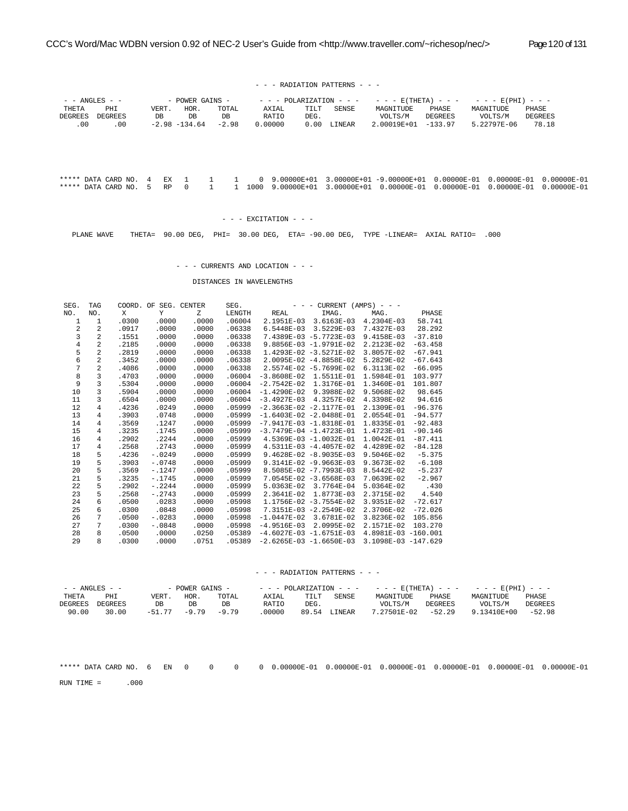- - - RADIATION PATTERNS - - -

|         | $-$ - ANGLES $-$ |      | - POWER GAINS -  |                | $-$ - - POLARIZATION - - - |       |        |             |           | $- - -$ F(THETA) - - - - - - F(PHT) - - - |         |
|---------|------------------|------|------------------|----------------|----------------------------|-------|--------|-------------|-----------|-------------------------------------------|---------|
| THETA   | PHT              | VERT | HOR              | TOTAL          | AXTAL.                     | TTT.T | SENSE  | MAGNITUDE   | PHASE     | <b>MAGNITUDE</b>                          | PHASE   |
| DEGREES | DEGREES          | DB   | DΒ               | D <sub>B</sub> | RATTO                      | DEG.  |        | VOLTS/M     | DEGREES   | VOLTS/M                                   | DEGREES |
|         | 00               |      | $-2.98 - 134.64$ | $-2.98$        | 0.00000                    | 0.00  | LINEAR | 2.00019E+01 | $-133.97$ | 5.22797E-06                               | 78.18   |

| ***** DATA CARD NO. 4 EX 1 1 1 0 9.00000E+01 3.00000E+01 -9.00000E+01 0.00000E-01 0.0000E-01 0.00000E-01 |  |  |  |  |  |  |
|----------------------------------------------------------------------------------------------------------|--|--|--|--|--|--|
| ***** DATA CARD NO. 5 RP 0 1 1000 9.00000E+01 3.00000E+01 0.00000E-01 0.00000E-01 0.0000E-01 0.00000E-01 |  |  |  |  |  |  |

#### $-$  -  $EXCITATION - -$

PLANE WAVE THETA= 90.00 DEG, PHI= 30.00 DEG, ETA= -90.00 DEG, TYPE -LINEAR= AXIAL RATIO= .000

- - - CURRENTS AND LOCATION - - -

DISTANCES IN WAVELENGTHS

| SEG. | TAG            |       | COORD. OF SEG. CENTER |             | SEG.   |                               | CURRENT    | (AMPS)<br>$\overline{\phantom{a}}$ |           |
|------|----------------|-------|-----------------------|-------------|--------|-------------------------------|------------|------------------------------------|-----------|
| NO.  | NO.            | X     | Y                     | $Z_{\rm i}$ | LENGTH | <b>REAL</b>                   | IMAG.      | MAG.                               | PHASE     |
| 1    | 1              | .0300 | .0000                 | .0000       | .06004 | 2.1951E-03                    | 3.6163E-03 | 4.2304E-03                         | 58.741    |
| 2    | 2              | .0917 | .0000                 | .0000       | .06338 | 6.5448E-03                    | 3.5229E-03 | 7.4327E-03                         | 28.292    |
| 3    | $\overline{a}$ | .1551 | .0000                 | .0000       | .06338 | 7.4389E-03 -5.7723E-03        |            | 9.4158E-03                         | $-37.810$ |
| 4    | $\overline{a}$ | .2185 | .0000                 | .0000       | .06338 | $9.8856E-03 -1.9791E-02$      |            | 2.2123E-02                         | $-63.458$ |
| 5    | $\overline{a}$ | .2819 | .0000                 | .0000       | .06338 | $1.4293E-02 -3.5271E-02$      |            | 3.8057E-02                         | $-67.941$ |
| 6    | 2              | .3452 | .0000                 | .0000       | .06338 | $2.0095E-02 -4.8858E-02$      |            | 5.2829E-02                         | $-67.643$ |
| 7    | $\overline{a}$ | .4086 | .0000                 | .0000       | .06338 | $2.5574E-02 -5.7699E-02$      |            | 6.3113E-02                         | $-66.095$ |
| 8    | 3              | .4703 | .0000                 | .0000       | .06004 | $-3.8608E-02$                 | 1.5511E-01 | 1.5984E-01                         | 103.977   |
| 9    | 3              | .5304 | .0000                 | .0000       | .06004 | $-2.7542E-02$                 | 1.3176E-01 | 1.3460E-01                         | 101.807   |
| 10   | 3              | .5904 | .0000                 | .0000       | .06004 | $-1.4290E-02$                 | 9.3988E-02 | 9.5068E-02                         | 98.645    |
| 11   | 3              | .6504 | .0000                 | .0000       | .06004 | $-3.4927E-03$                 | 4.3257E-02 | 4.3398E-02                         | 94.616    |
| 12   | $\overline{4}$ | .4236 | .0249                 | .0000       | .05999 | $-2.3663E-02 -2.1177E-01$     |            | 2.1309E-01                         | $-96.376$ |
| 13   | 4              | .3903 | .0748                 | .0000       | .05999 | $-1.6403E-02 -2.0488E-01$     |            | 2.0554E-01                         | $-94.577$ |
| 14   | 4              | .3569 | .1247                 | .0000       | .05999 | $-7.9417E-03 -1.8318E-01$     |            | 1.8335E-01                         | $-92.483$ |
| 15   | 4              | .3235 | .1745                 | .0000       | .05999 | $-3.7479E-04 -1.4723E-01$     |            | 1.4723E-01                         | $-90.146$ |
| 16   | 4              | .2902 | .2244                 | .0000       | .05999 | 4.5369E-03 -1.0032E-01        |            | 1.0042E-01                         | $-87.411$ |
| 17   | $\overline{4}$ | .2568 | .2743                 | .0000       | .05999 | $4.5311E-03 -4.4057E-02$      |            | 4.4289E-02                         | $-84.128$ |
| 18   | 5              | .4236 | $-.0249$              | .0000       | .05999 | $9.4628E-02 -8.9035E-03$      |            | 9.5046E-02                         | $-5.375$  |
| 19   | 5              | .3903 | $-.0748$              | .0000       | .05999 | $9.3141E - 02 - 9.9663E - 03$ |            | 9.3673E-02                         | $-6.108$  |
| 20   | 5              | .3569 | $-.1247$              | .0000       | .05999 | $8.5085E-02 -7.7993E-03$      |            | 8.5442E-02                         | $-5.237$  |
| 21   | 5              | .3235 | $-.1745$              | .0000       | .05999 | $7.0545E-02 -3.6568E-03$      |            | 7.0639E-02                         | $-2.967$  |
| 22   | 5              | .2902 | $-.2244$              | .0000       | .05999 | $5.0363E-02$                  | 3.7764E-04 | 5.0364E-02                         | .430      |
| 23   | 5              | .2568 | $-.2743$              | .0000       | .05999 | 2.3641E-02                    | 1.8773E-03 | 2.3715E-02                         | 4.540     |
| 24   | 6              | .0500 | .0283                 | .0000       | .05998 | $1.1756E-02 -3.7554E-02$      |            | 3.9351E-02                         | $-72.617$ |
| 25   | 6              | .0300 | .0848                 | .0000       | .05998 | 7.3151E-03 -2.2549E-02        |            | 2.3706E-02                         | $-72.026$ |
| 26   | 7              | .0500 | $-.0283$              | .0000       | .05998 | $-1.0447E-02$                 | 3.6781E-02 | 3.8236E-02                         | 105.856   |
| 27   | 7              | .0300 | $-.0848$              | .0000       | .05998 | $-4.9516E-03$                 | 2.0995E-02 | 2.1571E-02                         | 103.270   |
| 28   | 8              | .0500 | .0000                 | .0250       | .05389 | $-4.6027E-03 -1.6751E-03$     |            | 4.8981E-03 -160.001                |           |
| 29   | 8              | .0300 | .0000                 | .0751       | .05389 | $-2.6265E-03 -1.6650E-03$     |            | 3.1098E-03 -147.629                |           |

- - - RADIATION PATTERNS - - -

|         | $-$ - ANGLES - $-$ |          | - POWER GAINS - |         | $-$ - - POLARIZATION - - - |       |               |             |          | $- - -$ E(THETA) - - - - - - E(PHI) - - - |          |
|---------|--------------------|----------|-----------------|---------|----------------------------|-------|---------------|-------------|----------|-------------------------------------------|----------|
| THETA   | PHI                | VERT.    | <b>HOR</b>      | TOTAL   | AXTAL                      | TILT  | SENSE         | MAGNITUDE   | PHASE    | MAGNITUDE                                 | PHASE    |
| DEGREES | DEGREES            | DB       | DΒ              | DB      | RATTO.                     | DEG.  |               | VOLTS/M     | DEGREES  | VOLTS/M                                   | DEGREES  |
| 90.00   | 30.00              | $-51.77$ | $-9,79$         | $-9,79$ | 00000                      | 89.54 | <b>LINEAR</b> | 7.27501E-02 | $-52.29$ | 9.13410E+00                               | $-52.98$ |

\*\*\*\*\* DATA CARD NO. 6 EN 0 0 0 0 0.00000E-01 0.00000E-01 0.00000E-01 0.00000E-01 0.00000E-01 0.00000E-01

RUN TIME  $=$  .000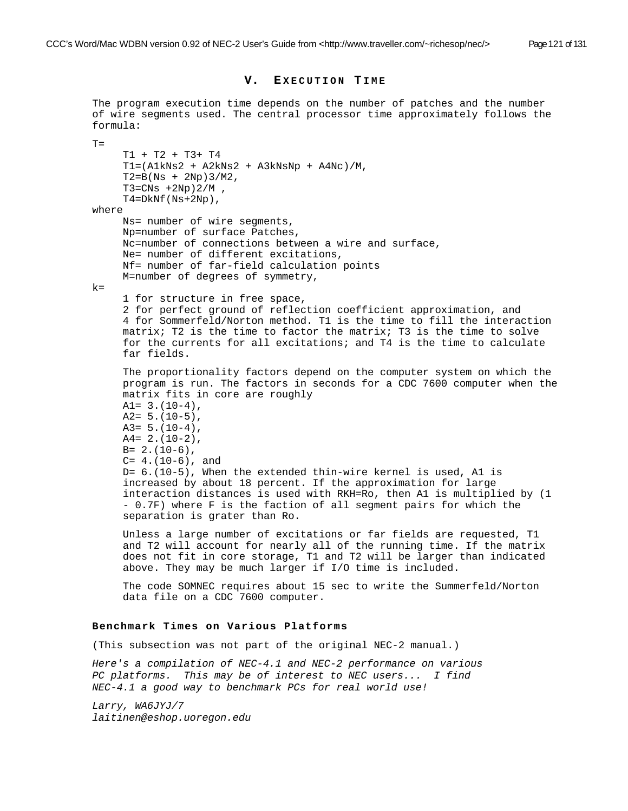## **V. E XECUTION T I M E**

The program execution time depends on the number of patches and the number of wire segments used. The central processor time approximately follows the formula:

 $T=$  T1 + T2 + T3+ T4  $T1 = (AlkNs2 + AlkNs2 + AlkNsNp + AlNc)/M,$  $T2 = B(Ns + 2Np)3/M2$ ,  $T3 = CNs + 2Np$  2/M, T4=DkNf(Ns+2Np), where Ns= number of wire segments, Np=number of surface Patches, Nc=number of connections between a wire and surface, Ne= number of different excitations, Nf= number of far-field calculation points M=number of degrees of symmetry,  $k=$  1 for structure in free space, 2 for perfect ground of reflection coefficient approximation, and 4 for Sommerfeld/Norton method. T1 is the time to fill the interaction matrix; T2 is the time to factor the matrix; T3 is the time to solve for the currents for all excitations; and T4 is the time to calculate far fields. The proportionality factors depend on the computer system on which the program is run. The factors in seconds for a CDC 7600 computer when the matrix fits in core are roughly  $AI = 3.(10-4)$ ,  $A2= 5.(10-5)$ ,  $A3 = 5. (10-4)$ ,  $A4= 2.(10-2)$ ,  $B = 2.(10-6)$ ,  $C= 4.(10-6)$ , and D= 6.(10-5), When the extended thin-wire kernel is used, A1 is increased by about 18 percent. If the approximation for large interaction distances is used with RKH=Ro, then A1 is multiplied by (1 - 0.7F) where F is the faction of all segment pairs for which the separation is grater than Ro. Unless a large number of excitations or far fields are requested, T1 and T2 will account for nearly all of the running time. If the matrix does not fit in core storage, T1 and T2 will be larger than indicated above. They may be much larger if I/O time is included. The code SOMNEC requires about 15 sec to write the Summerfeld/Norton data file on a CDC 7600 computer. **Benchmark Times on Various Platforms** (This subsection was not part of the original NEC-2 manual.) *Here's a compilation of NEC-4.1 and NEC-2 performance on various PC platforms. This may be of interest to NEC users... I find NEC-4.1 a good way to benchmark PCs for real world use!*

*Larry, WA6JYJ/7 laitinen@eshop.uoregon.edu*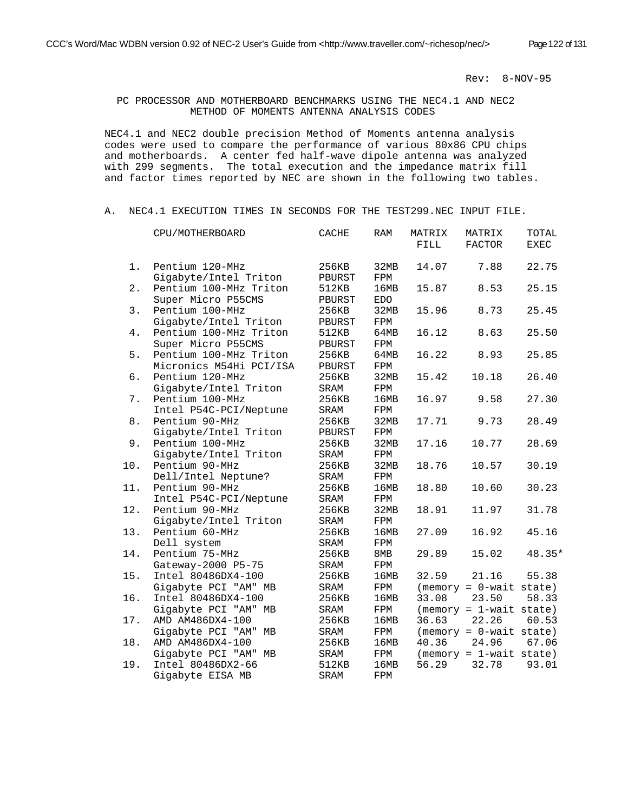Rev: 8-NOV-95

 PC PROCESSOR AND MOTHERBOARD BENCHMARKS USING THE NEC4.1 AND NEC2 METHOD OF MOMENTS ANTENNA ANALYSIS CODES

 NEC4.1 and NEC2 double precision Method of Moments antenna analysis codes were used to compare the performance of various 80x86 CPU chips and motherboards. A center fed half-wave dipole antenna was analyzed with 299 segments. The total execution and the impedance matrix fill and factor times reported by NEC are shown in the following two tables.

#### A. NEC4.1 EXECUTION TIMES IN SECONDS FOR THE TEST299.NEC INPUT FILE.

|       | CPU/MOTHERBOARD         | CACHE  | RAM        | MATRIX<br>FILL | MATRIX<br><b>FACTOR</b>   | TOTAL<br><b>EXEC</b> |
|-------|-------------------------|--------|------------|----------------|---------------------------|----------------------|
| 1.    | Pentium 120-MHz         | 256KB  | 32MB       | 14.07          | 7.88                      | 22.75                |
|       | Gigabyte/Intel Triton   | PBURST | FPM        |                |                           |                      |
| $2$ . | Pentium 100-MHz Triton  | 512KB  | 16MB       | 15.87          | 8.53                      | 25.15                |
|       | Super Micro P55CMS      | PBURST | <b>EDO</b> |                |                           |                      |
| 3.    | Pentium 100-MHz         | 256KB  | 32MB       | 15.96          | 8.73                      | 25.45                |
|       | Gigabyte/Intel Triton   | PBURST | FPM        |                |                           |                      |
| 4.    | Pentium 100-MHz Triton  | 512KB  | 64MB       | 16.12          | 8.63                      | 25.50                |
|       | Super Micro P55CMS      | PBURST | FPM        |                |                           |                      |
| 5.    | Pentium 100-MHz Triton  | 256KB  | 64MB       | 16.22          | 8.93                      | 25.85                |
|       | Micronics M54Hi PCI/ISA | PBURST | FPM        |                |                           |                      |
| 6.    | Pentium 120-MHz         | 256KB  | 32MB       | 15.42          | 10.18                     | 26.40                |
|       | Gigabyte/Intel Triton   | SRAM   | FPM        |                |                           |                      |
| 7.    | Pentium 100-MHz         | 256KB  | 16MB       | 16.97          | 9.58                      | 27.30                |
|       | Intel P54C-PCI/Neptune  | SRAM   | FPM        |                |                           |                      |
| 8.    | Pentium 90-MHz          | 256KB  | 32MB       | 17.71          | 9.73                      | 28.49                |
|       | Gigabyte/Intel Triton   | PBURST | FPM        |                |                           |                      |
| 9.    | Pentium 100-MHz         | 256KB  | 32MB       | 17.16          | 10.77                     | 28.69                |
|       | Gigabyte/Intel Triton   | SRAM   | FPM        |                |                           |                      |
| 10.   | Pentium 90-MHz          | 256KB  | 32MB       | 18.76          | 10.57                     | 30.19                |
|       | Dell/Intel Neptune?     | SRAM   | FPM        |                |                           |                      |
| 11.   | Pentium 90-MHz          | 256KB  | 16MB       | 18.80          | 10.60                     | 30.23                |
|       | Intel P54C-PCI/Neptune  | SRAM   | FPM        |                |                           |                      |
| 12.   | Pentium 90-MHz          | 256KB  | 32MB       | 18.91          | 11.97                     | 31.78                |
|       | Gigabyte/Intel Triton   | SRAM   | FPM        |                |                           |                      |
| 13.   | Pentium 60-MHz          | 256KB  | 16MB       | 27.09          | 16.92                     | 45.16                |
|       | Dell system             | SRAM   | FPM        |                |                           |                      |
| 14.   | Pentium 75-MHz          | 256KB  | 8MB        | 29.89          | 15.02                     | 48.35*               |
|       | Gateway-2000 P5-75      | SRAM   | FPM        |                |                           |                      |
| 15.   | Intel 80486DX4-100      | 256KB  | 16MB       | 32.59          | 21.16                     | 55.38                |
|       | Gigabyte PCI "AM" MB    | SRAM   | FPM        |                | $(memory = 0-wait state)$ |                      |
| 16.   | Intel 80486DX4-100      | 256KB  | 16MB       | 33.08          | 23.50                     | 58.33                |
|       | Gigabyte PCI "AM" MB    | SRAM   | FPM        |                | $(memory = 1-wait state)$ |                      |
| 17.   | AMD AM486DX4-100        | 256KB  | 16MB       | 36.63          | 22.26                     | 60.53                |
|       | Gigabyte PCI "AM" MB    | SRAM   | FPM        |                | $(memory = 0-wait state)$ |                      |
| 18.   | AMD AM486DX4-100        | 256KB  | 16MB       | 40.36          | 24.96                     | 67.06                |
|       | Gigabyte PCI "AM" MB    | SRAM   | FPM        |                | $(memory = 1-wait state)$ |                      |
| 19.   | Intel 80486DX2-66       | 512KB  | 16MB       | 56.29          | 32.78                     | 93.01                |
|       | Gigabyte EISA MB        | SRAM   | FPM        |                |                           |                      |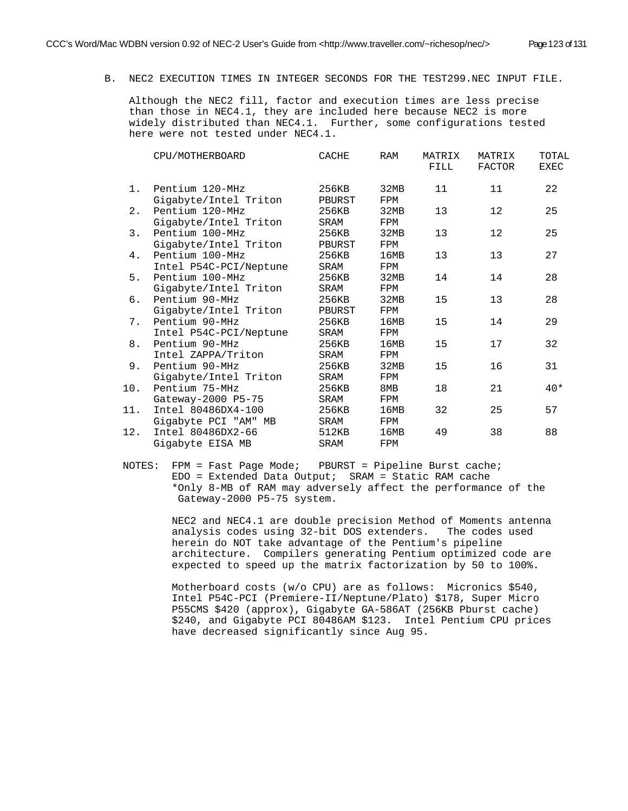B. NEC2 EXECUTION TIMES IN INTEGER SECONDS FOR THE TEST299.NEC INPUT FILE.

 Although the NEC2 fill, factor and execution times are less precise than those in NEC4.1, they are included here because NEC2 is more widely distributed than NEC4.1. Further, some configurations tested here were not tested under NEC4.1.

|                | CPU/MOTHERBOARD        | CACHE       | <b>RAM</b> | MATRIX<br>FILL | MATRIX<br><b>FACTOR</b> | TOTAL<br><b>EXEC</b> |
|----------------|------------------------|-------------|------------|----------------|-------------------------|----------------------|
| 1.             | Pentium 120-MHz        | 256KB       | 32MB       | 11             | 11                      | 22                   |
|                | Gigabyte/Intel Triton  | PBURST      | FPM        |                |                         |                      |
| 2.             | Pentium 120-MHz        | 256KB       | 32MB       | 13             | 12                      | 25                   |
|                | Gigabyte/Intel Triton  | SRAM        | FPM        |                |                         |                      |
| 3.             | Pentium 100-MHz        | 256KB       | 32MB       | 13             | 12                      | 25                   |
|                | Gigabyte/Intel Triton  | PBURST      | FPM        |                |                         |                      |
| 4.             | Pentium 100-MHz        | 256KB       | 16MB       | 13             | 13                      | 27                   |
|                | Intel P54C-PCI/Neptune | SRAM        | FPM        |                |                         |                      |
| 5 <sub>1</sub> | Pentium 100-MHz        | 256KB       | 32MB       | 14             | 14                      | 28                   |
|                | Gigabyte/Intel Triton  | SRAM        | FPM        |                |                         |                      |
| б.             | Pentium 90-MHz         | 256KB       | 32MB       | 15             | 13                      | 28                   |
|                | Gigabyte/Intel Triton  | PBURST      | FPM        |                |                         |                      |
| 7.             | Pentium 90-MHz         | 256KB       | 16MB       | 15             | 14                      | 29                   |
|                | Intel P54C-PCI/Neptune | SRAM        | FPM        |                |                         |                      |
| 8.             | Pentium 90-MHz         | 256KB       | 16MB       | 15             | 17                      | 32                   |
|                | Intel ZAPPA/Triton     | SRAM        | FPM        |                |                         |                      |
| 9.             | Pentium 90-MHz         | 256KB       | 32MB       | 15             | 16                      | 31                   |
|                | Gigabyte/Intel Triton  | SRAM        | FPM        |                |                         |                      |
| 10.            | Pentium 75-MHz         | 256KB       | 8MB        | 18             | 21                      | $40*$                |
|                | Gateway-2000 P5-75     | SRAM        | FPM        |                |                         |                      |
| 11.            | Intel 80486DX4-100     | 256KB       | 16MB       | 32             | 25                      | 57                   |
|                | Gigabyte PCI "AM" MB   | SRAM        | FPM        |                |                         |                      |
| 12.            | Intel 80486DX2-66      | 512KB       | 16MB       | 49             | 38                      | 88                   |
|                | Gigabyte EISA MB       | <b>SRAM</b> | FPM        |                |                         |                      |
|                |                        |             |            |                |                         |                      |

 NOTES: FPM = Fast Page Mode; PBURST = Pipeline Burst cache; EDO = Extended Data Output; SRAM = Static RAM cache \*Only 8-MB of RAM may adversely affect the performance of the Gateway-2000 P5-75 system.

> NEC2 and NEC4.1 are double precision Method of Moments antenna analysis codes using 32-bit DOS extenders. The codes used herein do NOT take advantage of the Pentium's pipeline architecture. Compilers generating Pentium optimized code are expected to speed up the matrix factorization by 50 to 100%.

> Motherboard costs (w/o CPU) are as follows: Micronics \$540, Intel P54C-PCI (Premiere-II/Neptune/Plato) \$178, Super Micro P55CMS \$420 (approx), Gigabyte GA-586AT (256KB Pburst cache) \$240, and Gigabyte PCI 80486AM \$123. Intel Pentium CPU prices have decreased significantly since Aug 95.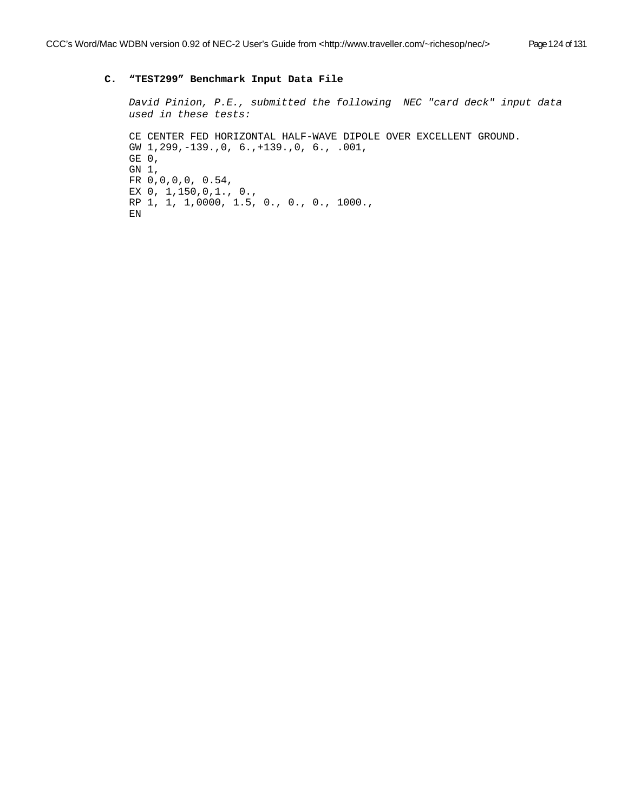## **C. "TEST299" Benchmark Input Data File**

 *David Pinion, P.E., submitted the following NEC "card deck" input data used in these tests:* CE CENTER FED HORIZONTAL HALF-WAVE DIPOLE OVER EXCELLENT GROUND. GW 1,299,-139.,0, 6.,+139.,0, 6., .001, GE 0, GN 1, FR 0,0,0,0, 0.54, EX 0, 1,150,0,1., 0., RP 1, 1, 1,0000, 1.5, 0., 0., 0., 1000., EN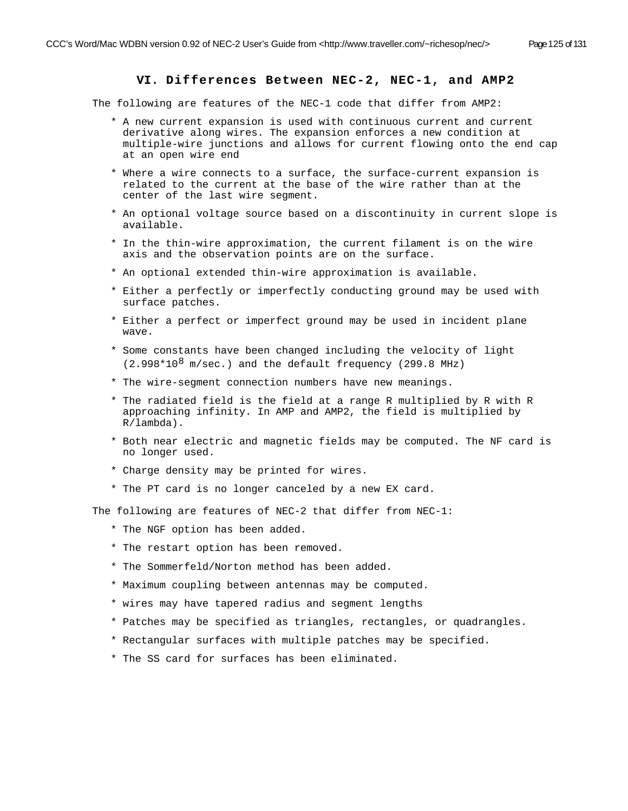## **VI. Differences Between NEC-2, NEC-1, and AMP2**

The following are features of the NEC-1 code that differ from AMP2:

- \* A new current expansion is used with continuous current and current derivative along wires. The expansion enforces a new condition at multiple-wire junctions and allows for current flowing onto the end cap at an open wire end
- \* Where a wire connects to a surface, the surface-current expansion is related to the current at the base of the wire rather than at the center of the last wire segment.
- \* An optional voltage source based on a discontinuity in current slope is available.
- \* In the thin-wire approximation, the current filament is on the wire axis and the observation points are on the surface.
- \* An optional extended thin-wire approximation is available.
- \* Either a perfectly or imperfectly conducting ground may be used with surface patches.
- \* Either a perfect or imperfect ground may be used in incident plane wave.
- \* Some constants have been changed including the velocity of light (2.998\*108 m/sec.) and the default frequency (299.8 MHz)
- \* The wire-segment connection numbers have new meanings.
- \* The radiated field is the field at a range R multiplied by R with R approaching infinity. In AMP and AMP2, the field is multiplied by R/lambda).
- \* Both near electric and magnetic fields may be computed. The NF card is no longer used.
- \* Charge density may be printed for wires.
- \* The PT card is no longer canceled by a new EX card.

The following are features of NEC-2 that differ from NEC-1:

- \* The NGF option has been added.
- \* The restart option has been removed.
- \* The Sommerfeld/Norton method has been added.
- \* Maximum coupling between antennas may be computed.
- \* wires may have tapered radius and segment lengths
- \* Patches may be specified as triangles, rectangles, or quadrangles.
- \* Rectangular surfaces with multiple patches may be specified.
- \* The SS card for surfaces has been eliminated.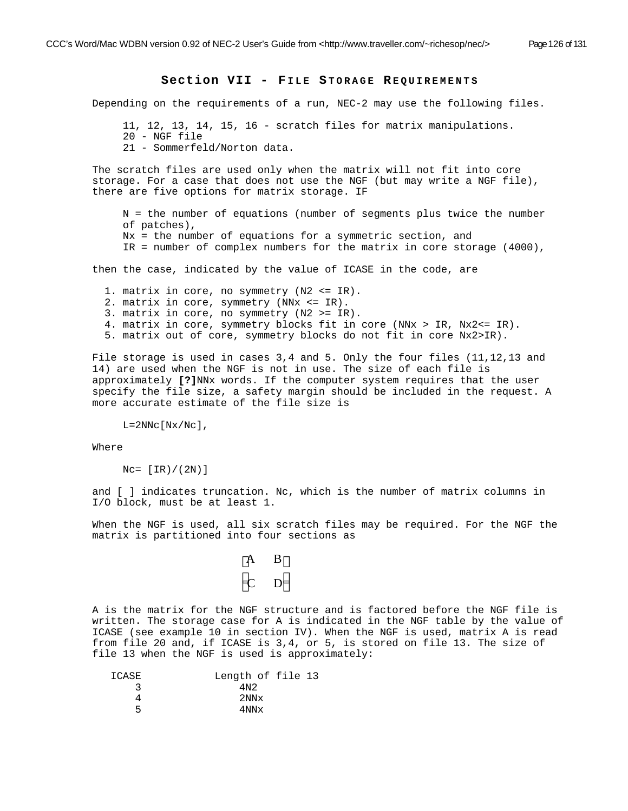## **Section VII - F ILE S TORAGE R EQUIREMENT S**

Depending on the requirements of a run, NEC-2 may use the following files.

 11, 12, 13, 14, 15, 16 - scratch files for matrix manipulations. 20 - NGF file 21 - Sommerfeld/Norton data.

The scratch files are used only when the matrix will not fit into core storage. For a case that does not use the NGF (but may write a NGF file), there are five options for matrix storage. IF

 N = the number of equations (number of segments plus twice the number of patches), Nx = the number of equations for a symmetric section, and IR = number of complex numbers for the matrix in core storage (4000),

then the case, indicated by the value of ICASE in the code, are

- 1. matrix in core, no symmetry (N2 <= IR).
- 2. matrix in core, symmetry (NNx <= IR).
- 3. matrix in core, no symmetry (N2 >= IR).
- 4. matrix in core, symmetry blocks fit in core (NNx > IR, Nx2<= IR).
- 5. matrix out of core, symmetry blocks do not fit in core Nx2>IR).

File storage is used in cases 3,4 and 5. Only the four files (11,12,13 and 14) are used when the NGF is not in use. The size of each file is approximately **[?]**NNx words. If the computer system requires that the user specify the file size, a safety margin should be included in the request. A more accurate estimate of the file size is

 $L=2NNC[Nx/NC]$ ,

Where

 $Nc = [IR)/(2N)]$ 

and [ ] indicates truncation. Nc, which is the number of matrix columns in I/O block, must be at least 1.

When the NGF is used, all six scratch files may be required. For the NGF the matrix is partitioned into four sections as

> A B C D  $\vert$  /  $\lfloor$  $\mathbf{I}$  $\rfloor$

A is the matrix for the NGF structure and is factored before the NGF file is written. The storage case for A is indicated in the NGF table by the value of ICASE (see example 10 in section IV). When the NGF is used, matrix A is read from file 20 and, if ICASE is 3,4, or 5, is stored on file 13. The size of file 13 when the NGF is used is approximately:

| ICASE | Length of file 13 |
|-------|-------------------|
|       | 4N 2.             |
|       | 2NNx              |
| 5     | $4$ NN $x$        |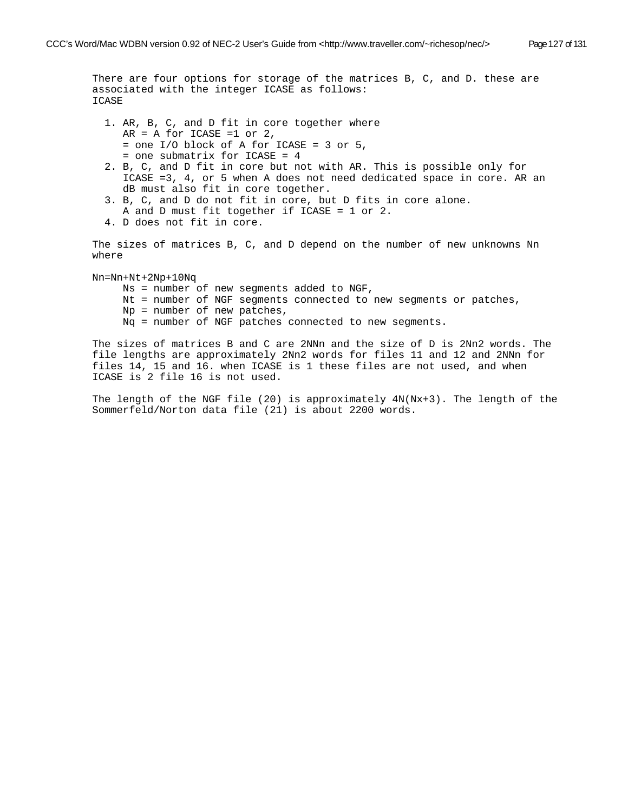There are four options for storage of the matrices B, C, and D. these are associated with the integer ICASE as follows: ICASE

- 1. AR, B, C, and D fit in core together where  $AR = A$  for ICASE =1 or 2, = one I/O block of A for ICASE = 3 or 5, = one submatrix for ICASE = 4
- 2. B, C, and D fit in core but not with AR. This is possible only for ICASE =3, 4, or 5 when A does not need dedicated space in core. AR an dB must also fit in core together.
- 3. B, C, and D do not fit in core, but D fits in core alone. A and D must fit together if ICASE = 1 or 2.
- 4. D does not fit in core.

The sizes of matrices B, C, and D depend on the number of new unknowns Nn where

Nn=Nn+Nt+2Np+10Nq

 Ns = number of new segments added to NGF, Nt = number of NGF segments connected to new segments or patches, Np = number of new patches, Nq = number of NGF patches connected to new segments.

The sizes of matrices B and C are 2NNn and the size of D is 2Nn2 words. The file lengths are approximately 2Nn2 words for files 11 and 12 and 2NNn for files 14, 15 and 16. when ICASE is 1 these files are not used, and when ICASE is 2 file 16 is not used.

The length of the NGF file (20) is approximately 4N(Nx+3). The length of the Sommerfeld/Norton data file (21) is about 2200 words.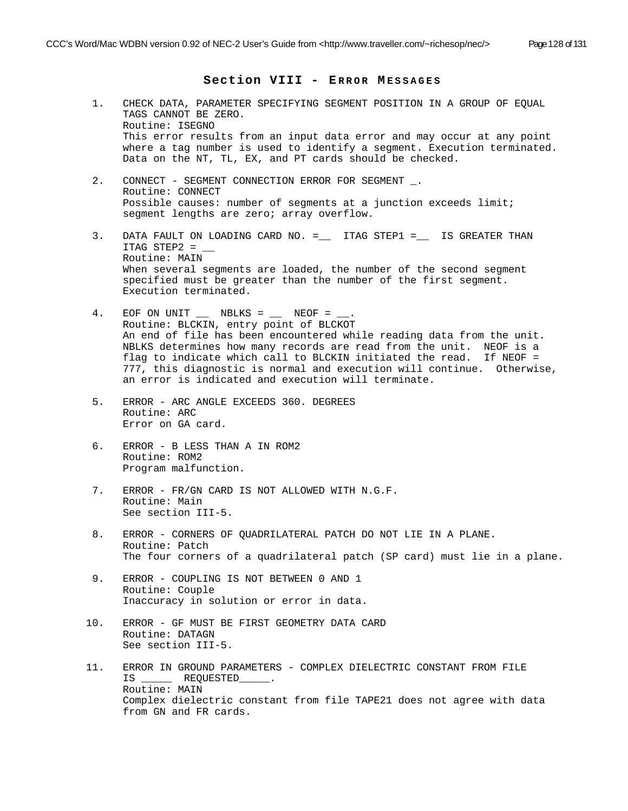## **Section VIII - E RROR M ESSAGE S**

- 1. CHECK DATA, PARAMETER SPECIFYING SEGMENT POSITION IN A GROUP OF EQUAL TAGS CANNOT BE ZERO. Routine: ISEGNO This error results from an input data error and may occur at any point where a tag number is used to identify a segment. Execution terminated. Data on the NT, TL, EX, and PT cards should be checked.
- 2. CONNECT SEGMENT CONNECTION ERROR FOR SEGMENT \_. Routine: CONNECT Possible causes: number of segments at a junction exceeds limit; segment lengths are zero; array overflow.
- 3. DATA FAULT ON LOADING CARD NO. = \_\_ ITAG STEP1 = \_\_ IS GREATER THAN ITAG STEP2 = \_\_ Routine: MAIN When several segments are loaded, the number of the second segment specified must be greater than the number of the first segment. Execution terminated.
- 4. EOF ON UNIT \_\_ NBLKS = \_\_ NEOF = Routine: BLCKIN, entry point of BLCKOT An end of file has been encountered while reading data from the unit. NBLKS determines how many records are read from the unit. NEOF is a flag to indicate which call to BLCKIN initiated the read. If NEOF = 777, this diagnostic is normal and execution will continue. Otherwise, an error is indicated and execution will terminate.
- 5. ERROR ARC ANGLE EXCEEDS 360. DEGREES Routine: ARC Error on GA card.
- 6. ERROR B LESS THAN A IN ROM2 Routine: ROM2 Program malfunction.
- 7. ERROR FR/GN CARD IS NOT ALLOWED WITH N.G.F. Routine: Main See section III-5.
- 8. ERROR CORNERS OF QUADRILATERAL PATCH DO NOT LIE IN A PLANE. Routine: Patch The four corners of a quadrilateral patch (SP card) must lie in a plane.
- 9. ERROR COUPLING IS NOT BETWEEN 0 AND 1 Routine: Couple Inaccuracy in solution or error in data.
- 10. ERROR GF MUST BE FIRST GEOMETRY DATA CARD Routine: DATAGN See section III-5.
- 11. ERROR IN GROUND PARAMETERS COMPLEX DIELECTRIC CONSTANT FROM FILE IS \_\_\_\_\_ REQUESTED\_\_\_\_\_. Routine: MAIN Complex dielectric constant from file TAPE21 does not agree with data from GN and FR cards.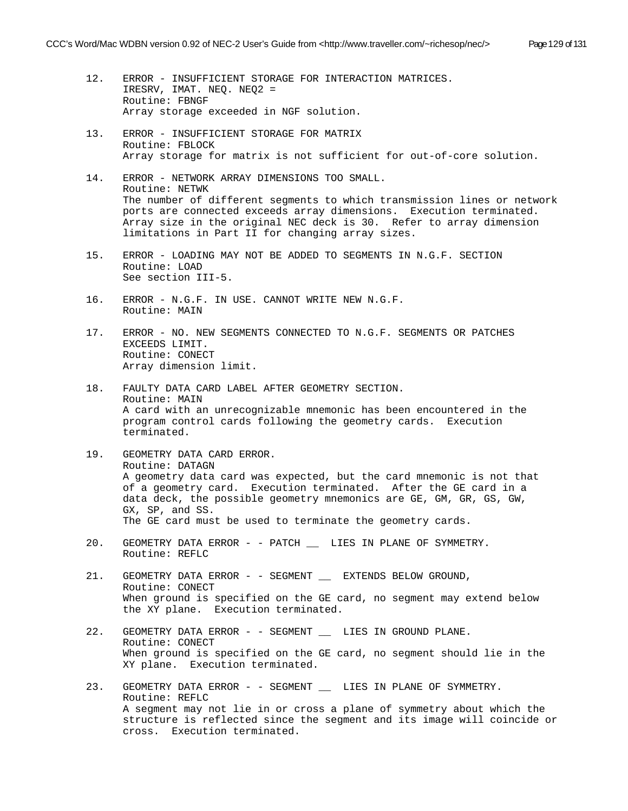- 12. ERROR INSUFFICIENT STORAGE FOR INTERACTION MATRICES. IRESRV, IMAT. NEQ. NEQ2 = Routine: FBNGF Array storage exceeded in NGF solution.
- 13. ERROR INSUFFICIENT STORAGE FOR MATRIX Routine: FBLOCK Array storage for matrix is not sufficient for out-of-core solution.
- 14. ERROR NETWORK ARRAY DIMENSIONS TOO SMALL. Routine: NETWK The number of different segments to which transmission lines or network ports are connected exceeds array dimensions. Execution terminated. Array size in the original NEC deck is 30. Refer to array dimension limitations in Part II for changing array sizes.
- 15. ERROR LOADING MAY NOT BE ADDED TO SEGMENTS IN N.G.F. SECTION Routine: LOAD See section III-5.
- 16. ERROR N.G.F. IN USE. CANNOT WRITE NEW N.G.F. Routine: MAIN
- 17. ERROR NO. NEW SEGMENTS CONNECTED TO N.G.F. SEGMENTS OR PATCHES EXCEEDS LIMIT. Routine: CONECT Array dimension limit.
- 18. FAULTY DATA CARD LABEL AFTER GEOMETRY SECTION. Routine: MAIN A card with an unrecognizable mnemonic has been encountered in the program control cards following the geometry cards. Execution terminated.
- 19. GEOMETRY DATA CARD ERROR. Routine: DATAGN A geometry data card was expected, but the card mnemonic is not that of a geometry card. Execution terminated. After the GE card in a data deck, the possible geometry mnemonics are GE, GM, GR, GS, GW, GX, SP, and SS. The GE card must be used to terminate the geometry cards.
- 20. GEOMETRY DATA ERROR - PATCH \_\_ LIES IN PLANE OF SYMMETRY. Routine: REFLC
- 21. GEOMETRY DATA ERROR - SEGMENT \_\_ EXTENDS BELOW GROUND, Routine: CONECT When ground is specified on the GE card, no segment may extend below the XY plane. Execution terminated.
- 22. GEOMETRY DATA ERROR - SEGMENT \_\_ LIES IN GROUND PLANE. Routine: CONECT When ground is specified on the GE card, no segment should lie in the XY plane. Execution terminated.
- 23. GEOMETRY DATA ERROR - SEGMENT \_\_ LIES IN PLANE OF SYMMETRY. Routine: REFLC A segment may not lie in or cross a plane of symmetry about which the structure is reflected since the segment and its image will coincide or cross. Execution terminated.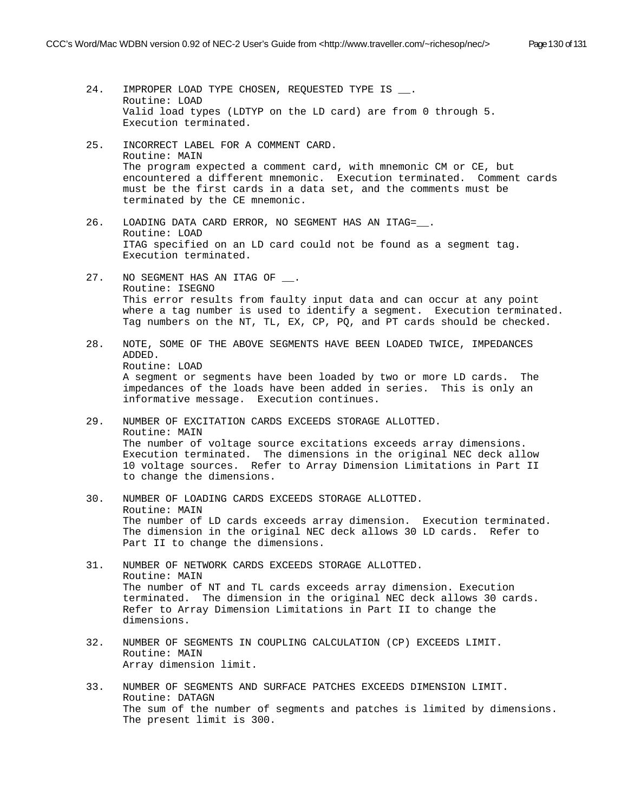- 24. IMPROPER LOAD TYPE CHOSEN, REQUESTED TYPE IS \_\_. Routine: LOAD Valid load types (LDTYP on the LD card) are from 0 through 5. Execution terminated.
- 25. INCORRECT LABEL FOR A COMMENT CARD. Routine: MAIN The program expected a comment card, with mnemonic CM or CE, but encountered a different mnemonic. Execution terminated. Comment cards must be the first cards in a data set, and the comments must be terminated by the CE mnemonic.
- 26. LOADING DATA CARD ERROR, NO SEGMENT HAS AN ITAG=\_\_. Routine: LOAD ITAG specified on an LD card could not be found as a segment tag. Execution terminated.
- 27. NO SEGMENT HAS AN ITAG OF \_\_. Routine: ISEGNO This error results from faulty input data and can occur at any point where a tag number is used to identify a segment. Execution terminated. Tag numbers on the NT, TL, EX, CP, PQ, and PT cards should be checked.
- 28. NOTE, SOME OF THE ABOVE SEGMENTS HAVE BEEN LOADED TWICE, IMPEDANCES ADDED. Routine: LOAD A segment or segments have been loaded by two or more LD cards. The impedances of the loads have been added in series. This is only an informative message. Execution continues.
- 29. NUMBER OF EXCITATION CARDS EXCEEDS STORAGE ALLOTTED. Routine: MAIN The number of voltage source excitations exceeds array dimensions. Execution terminated. The dimensions in the original NEC deck allow 10 voltage sources. Refer to Array Dimension Limitations in Part II to change the dimensions.
- 30. NUMBER OF LOADING CARDS EXCEEDS STORAGE ALLOTTED. Routine: MAIN The number of LD cards exceeds array dimension. Execution terminated. The dimension in the original NEC deck allows 30 LD cards. Refer to Part II to change the dimensions.
- 31. NUMBER OF NETWORK CARDS EXCEEDS STORAGE ALLOTTED. Routine: MAIN The number of NT and TL cards exceeds array dimension. Execution terminated. The dimension in the original NEC deck allows 30 cards. Refer to Array Dimension Limitations in Part II to change the dimensions.
- 32. NUMBER OF SEGMENTS IN COUPLING CALCULATION (CP) EXCEEDS LIMIT. Routine: MAIN Array dimension limit.
- 33. NUMBER OF SEGMENTS AND SURFACE PATCHES EXCEEDS DIMENSION LIMIT. Routine: DATAGN The sum of the number of segments and patches is limited by dimensions. The present limit is 300.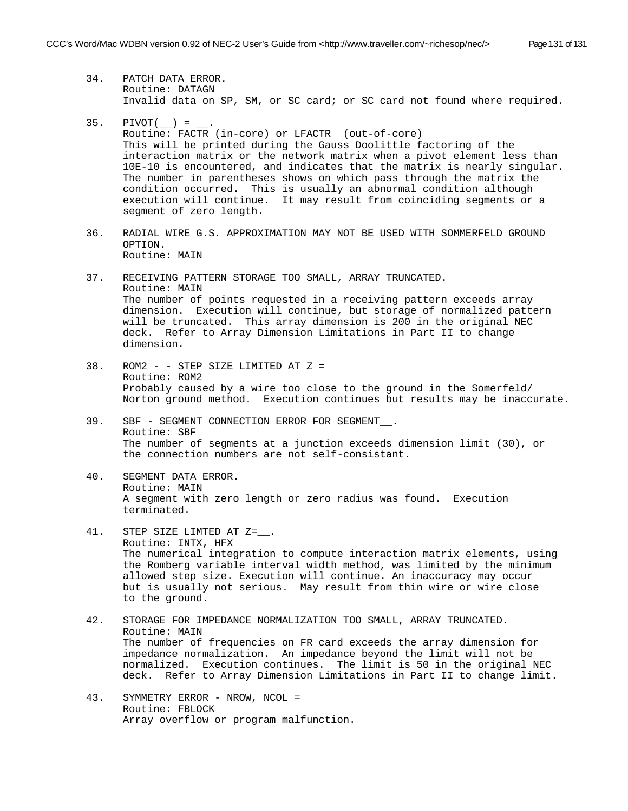- 34. PATCH DATA ERROR. Routine: DATAGN Invalid data on SP, SM, or SC card; or SC card not found where required.
- $35.$  PIVOT(  $) =$  Routine: FACTR (in-core) or LFACTR (out-of-core) This will be printed during the Gauss Doolittle factoring of the interaction matrix or the network matrix when a pivot element less than 10E-10 is encountered, and indicates that the matrix is nearly singular. The number in parentheses shows on which pass through the matrix the condition occurred. This is usually an abnormal condition although execution will continue. It may result from coinciding segments or a segment of zero length.
- 36. RADIAL WIRE G.S. APPROXIMATION MAY NOT BE USED WITH SOMMERFELD GROUND OPTION. Routine: MAIN
- 37. RECEIVING PATTERN STORAGE TOO SMALL, ARRAY TRUNCATED. Routine: MAIN The number of points requested in a receiving pattern exceeds array dimension. Execution will continue, but storage of normalized pattern will be truncated. This array dimension is 200 in the original NEC deck. Refer to Array Dimension Limitations in Part II to change dimension.
- 38. ROM2 - STEP SIZE LIMITED AT Z = Routine: ROM2 Probably caused by a wire too close to the ground in the Somerfeld/ Norton ground method. Execution continues but results may be inaccurate.
- 39. SBF SEGMENT CONNECTION ERROR FOR SEGMENT. Routine: SBF The number of segments at a junction exceeds dimension limit (30), or the connection numbers are not self-consistant.
- 40. SEGMENT DATA ERROR. Routine: MAIN A segment with zero length or zero radius was found. Execution terminated.
- 41. STEP SIZE LIMTED AT Z= . Routine: INTX, HFX The numerical integration to compute interaction matrix elements, using the Romberg variable interval width method, was limited by the minimum allowed step size. Execution will continue. An inaccuracy may occur but is usually not serious. May result from thin wire or wire close to the ground.
- 42. STORAGE FOR IMPEDANCE NORMALIZATION TOO SMALL, ARRAY TRUNCATED. Routine: MAIN The number of frequencies on FR card exceeds the array dimension for impedance normalization. An impedance beyond the limit will not be normalized. Execution continues. The limit is 50 in the original NEC deck. Refer to Array Dimension Limitations in Part II to change limit.
- 43. SYMMETRY ERROR NROW, NCOL = Routine: FBLOCK Array overflow or program malfunction.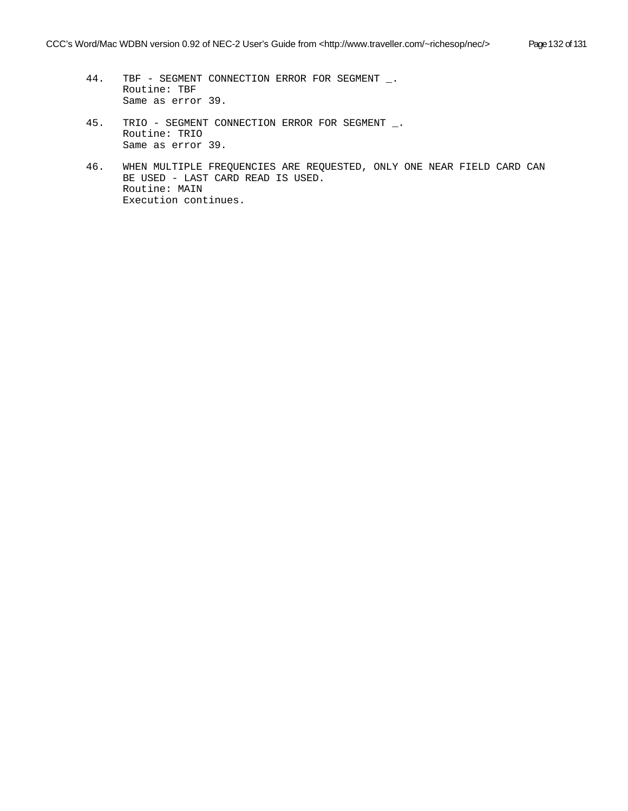- 44. TBF SEGMENT CONNECTION ERROR FOR SEGMENT \_. Routine: TBF Same as error 39.
- 45. TRIO SEGMENT CONNECTION ERROR FOR SEGMENT \_. Routine: TRIO Same as error 39.
- 46. WHEN MULTIPLE FREQUENCIES ARE REQUESTED, ONLY ONE NEAR FIELD CARD CAN BE USED - LAST CARD READ IS USED. Routine: MAIN Execution continues.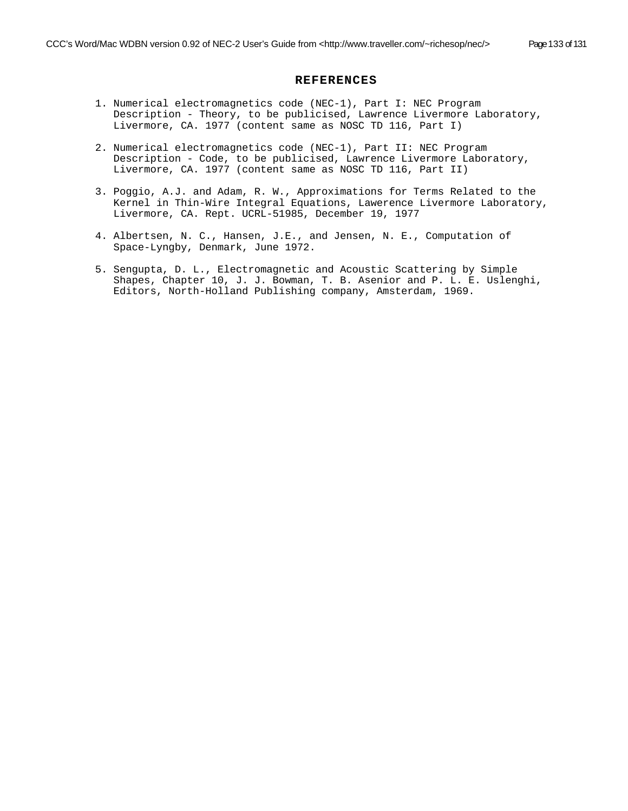#### **REFERENCES**

- 1. Numerical electromagnetics code (NEC-1), Part I: NEC Program Description - Theory, to be publicised, Lawrence Livermore Laboratory, Livermore, CA. 1977 (content same as NOSC TD 116, Part I)
- 2. Numerical electromagnetics code (NEC-1), Part II: NEC Program Description - Code, to be publicised, Lawrence Livermore Laboratory, Livermore, CA. 1977 (content same as NOSC TD 116, Part II)
- 3. Poggio, A.J. and Adam, R. W., Approximations for Terms Related to the Kernel in Thin-Wire Integral Equations, Lawerence Livermore Laboratory, Livermore, CA. Rept. UCRL-51985, December 19, 1977
- 4. Albertsen, N. C., Hansen, J.E., and Jensen, N. E., Computation of Space-Lyngby, Denmark, June 1972.
- 5. Sengupta, D. L., Electromagnetic and Acoustic Scattering by Simple Shapes, Chapter 10, J. J. Bowman, T. B. Asenior and P. L. E. Uslenghi, Editors, North-Holland Publishing company, Amsterdam, 1969.